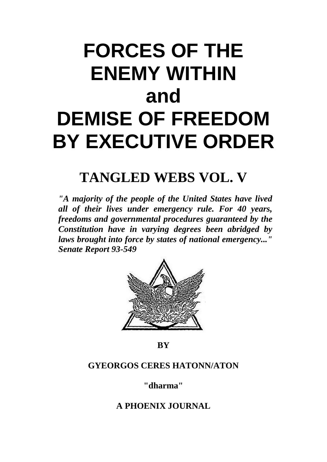# **FORCES OF THE ENEMY WITHIN and DEMISE OF FREEDOM BY EXECUTIVE ORDER**

# **TANGLED WEBS VOL. V**

*"A majority of the people of the United States have lived all of their lives under emergency rule. For 40 years, freedoms and governmental procedures guaranteed by the Constitution have in varying degrees been abridged by laws brought into force by states of national emergency..." Senate Report 93-549*



**BY**

# **GYEORGOS CERES HATONN/ATON**

**"dharma"**

# **A PHOENIX JOURNAL**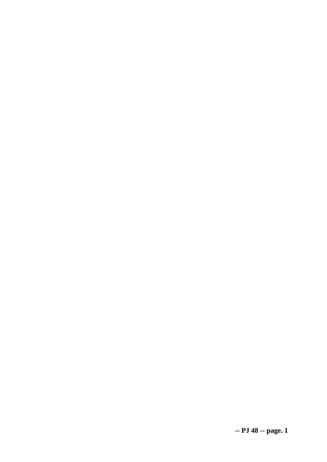-- PJ 48 -- page. 1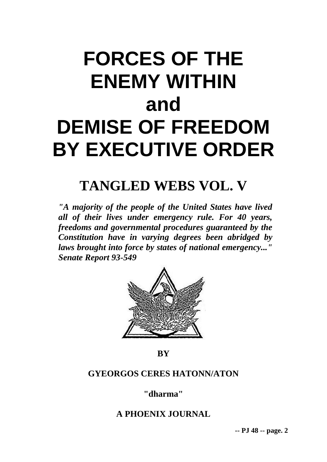# **FORCES OF THE ENEMY WITHIN and DEMISE OF FREEDOM BY EXECUTIVE ORDER**

# **TANGLED WEBS VOL. V**

*"A majority of the people of the United States have lived all of their lives under emergency rule. For 40 years, freedoms and governmental procedures guaranteed by the Constitution have in varying degrees been abridged by laws brought into force by states of national emergency..." Senate Report 93-549*



**BY**

# **GYEORGOS CERES HATONN/ATON**

**"dharma"**

# **A PHOENIX JOURNAL**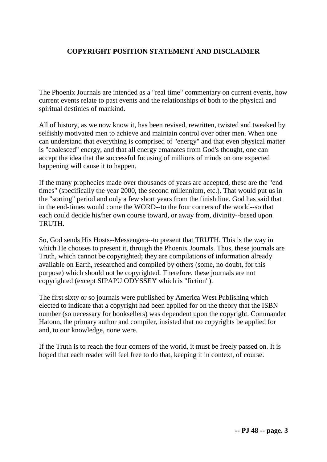#### **COPYRIGHT POSITION STATEMENT AND DISCLAIMER**

The Phoenix Journals are intended as a "real time" commentary on current events, how current events relate to past events and the relationships of both to the physical and spiritual destinies of mankind.

All of history, as we now know it, has been revised, rewritten, twisted and tweaked by selfishly motivated men to achieve and maintain control over other men. When one can understand that everything is comprised of "energy" and that even physical matter is "coalesced" energy, and that all energy emanates from God's thought, one can accept the idea that the successful focusing of millions of minds on one expected happening will cause it to happen.

If the many prophecies made over thousands of years are accepted, these are the "end times" (specifically the year 2000, the second millennium, etc.). That would put us in the "sorting" period and only a few short years from the finish line. God has said that in the end-times would come the WORD--to the four corners of the world--so that each could decide his/her own course toward, or away from, divinity--based upon TRUTH.

So, God sends His Hosts--Messengers--to present that TRUTH. This is the way in which He chooses to present it, through the Phoenix Journals. Thus, these journals are Truth, which cannot be copyrighted; they are compilations of information already available on Earth, researched and compiled by others (some, no doubt, for this purpose) which should not be copyrighted. Therefore, these journals are not copyrighted (except SIPAPU ODYSSEY which is "fiction").

The first sixty or so journals were published by America West Publishing which elected to indicate that a copyright had been applied for on the theory that the ISBN number (so necessary for booksellers) was dependent upon the copyright. Commander Hatonn, the primary author and compiler, insisted that no copyrights be applied for and, to our knowledge, none were.

If the Truth is to reach the four corners of the world, it must be freely passed on. It is hoped that each reader will feel free to do that, keeping it in context, of course.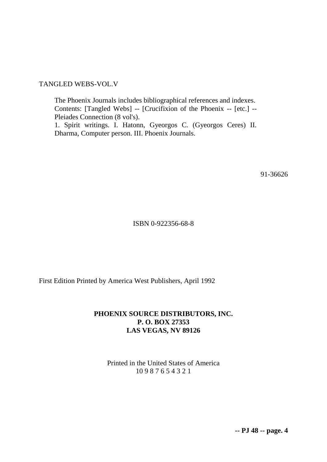TANGLED WEBS-VOL.V

The Phoenix Journals includes bibliographical references and indexes. Contents: [Tangled Webs] -- [Crucifixion of the Phoenix -- [etc.] -- Pleiades Connection (8 vol's). 1. Spirit writings. I. Hatonn, Gyeorgos C. (Gyeorgos Ceres) II. Dharma, Computer person. III. Phoenix Journals.

91-36626

ISBN 0-922356-68-8

First Edition Printed by America West Publishers, April 1992

#### **PHOENIX SOURCE DISTRIBUTORS, INC. P. O. BOX 27353 LAS VEGAS, NV 89126**

Printed in the United States of America 10 9 8 7 6 5 4 3 2 1

**-- PJ 48 -- page. 4**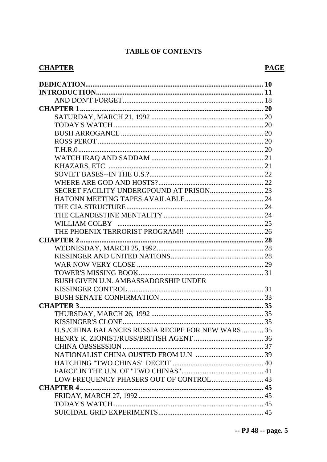# **TABLE OF CONTENTS**

# **CHAPTER**

# **PAGE**

| <b>BUSH GIVEN U.N. AMBASSADORSHIP UNDER</b>        |  |
|----------------------------------------------------|--|
|                                                    |  |
|                                                    |  |
| <b>CHAPTER 3</b>                                   |  |
|                                                    |  |
|                                                    |  |
| U.S./CHINA BALANCES RUSSIA RECIPE FOR NEW WARS  35 |  |
|                                                    |  |
|                                                    |  |
|                                                    |  |
|                                                    |  |
|                                                    |  |
| LOW FREQUENCY PHASERS OUT OF CONTROL  43           |  |
| <b>CHAPTER 4</b>                                   |  |
|                                                    |  |
|                                                    |  |
|                                                    |  |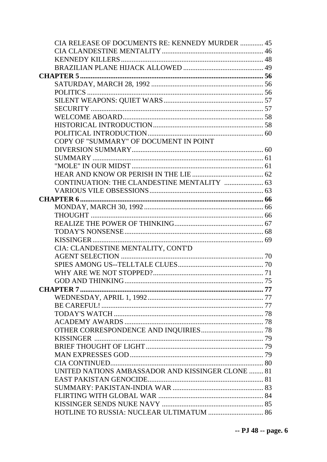| CIA RELEASE OF DOCUMENTS RE: KENNEDY MURDER  45   |  |
|---------------------------------------------------|--|
|                                                   |  |
|                                                   |  |
|                                                   |  |
|                                                   |  |
|                                                   |  |
|                                                   |  |
|                                                   |  |
|                                                   |  |
|                                                   |  |
|                                                   |  |
|                                                   |  |
| COPY OF "SUMMARY" OF DOCUMENT IN POINT            |  |
|                                                   |  |
|                                                   |  |
|                                                   |  |
|                                                   |  |
| CONTINUATION: THE CLANDESTINE MENTALITY  63       |  |
|                                                   |  |
|                                                   |  |
|                                                   |  |
|                                                   |  |
|                                                   |  |
|                                                   |  |
|                                                   |  |
| CIA: CLANDESTINE MENTALITY, CONT'D                |  |
|                                                   |  |
|                                                   |  |
|                                                   |  |
|                                                   |  |
|                                                   |  |
|                                                   |  |
|                                                   |  |
|                                                   |  |
|                                                   |  |
|                                                   |  |
|                                                   |  |
|                                                   |  |
|                                                   |  |
|                                                   |  |
|                                                   |  |
| UNITED NATIONS AMBASSADOR AND KISSINGER CLONE  81 |  |
|                                                   |  |
|                                                   |  |
|                                                   |  |
|                                                   |  |
| HOTLINE TO RUSSIA: NUCLEAR ULTIMATUM  86          |  |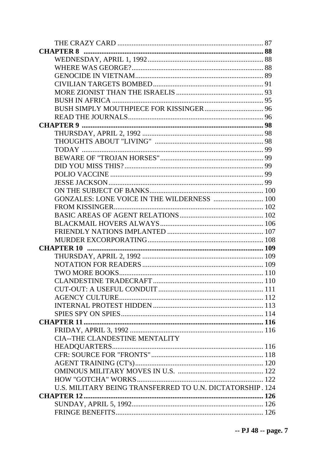| <b>CHAPTER 8</b>                                          |  |
|-----------------------------------------------------------|--|
|                                                           |  |
|                                                           |  |
|                                                           |  |
|                                                           |  |
|                                                           |  |
|                                                           |  |
|                                                           |  |
|                                                           |  |
|                                                           |  |
|                                                           |  |
|                                                           |  |
|                                                           |  |
|                                                           |  |
|                                                           |  |
|                                                           |  |
|                                                           |  |
|                                                           |  |
| GONZALES: LONE VOICE IN THE WILDERNESS  100               |  |
|                                                           |  |
|                                                           |  |
|                                                           |  |
|                                                           |  |
|                                                           |  |
|                                                           |  |
|                                                           |  |
|                                                           |  |
|                                                           |  |
|                                                           |  |
|                                                           |  |
|                                                           |  |
|                                                           |  |
|                                                           |  |
|                                                           |  |
|                                                           |  |
| CIA--THE CLANDESTINE MENTALITY                            |  |
|                                                           |  |
|                                                           |  |
|                                                           |  |
|                                                           |  |
|                                                           |  |
| U.S. MILITARY BEING TRANSFERRED TO U.N. DICTATORSHIP. 124 |  |
| <b>CHAPTER 12.</b>                                        |  |
|                                                           |  |
|                                                           |  |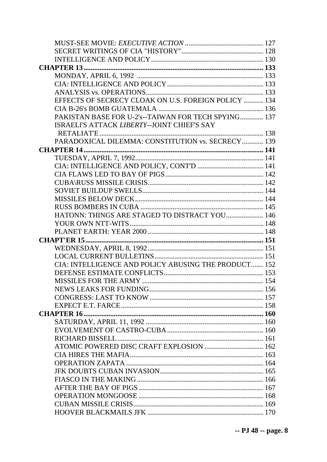| EFFECTS OF SECRECY CLOAK ON U.S. FOREIGN POLICY  134 |  |
|------------------------------------------------------|--|
|                                                      |  |
| PAKISTAN BASE FOR U-2's--TAIWAN FOR TECH SPYING 137  |  |
| <b>ISRAELI'S ATTACK LIBERTY--JOINT CHIEF'S SAY</b>   |  |
|                                                      |  |
| PARADOXICAL DILEMMA: CONSTITUTION vs. SECRECY 139    |  |
|                                                      |  |
|                                                      |  |
|                                                      |  |
|                                                      |  |
|                                                      |  |
|                                                      |  |
|                                                      |  |
|                                                      |  |
| HATONN: THINGS ARE STAGED TO DISTRACT YOU 146        |  |
|                                                      |  |
|                                                      |  |
|                                                      |  |
|                                                      |  |
|                                                      |  |
| CIA: INTELLIGENCE AND POLICY ABUSING THE PRODUCT 152 |  |
|                                                      |  |
|                                                      |  |
|                                                      |  |
|                                                      |  |
|                                                      |  |
| <b>CHAPTER 16</b>                                    |  |
|                                                      |  |
|                                                      |  |
|                                                      |  |
| ATOMIC POWERED DISC CRAFT EXPLOSION  162             |  |
|                                                      |  |
|                                                      |  |
|                                                      |  |
|                                                      |  |
|                                                      |  |
|                                                      |  |
|                                                      |  |
|                                                      |  |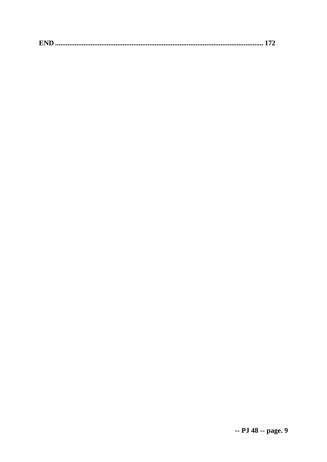|--|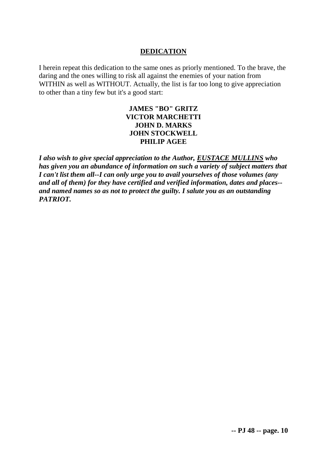#### **DEDICATION**

I herein repeat this dedication to the same ones as priorly mentioned. To the brave, the daring and the ones willing to risk all against the enemies of your nation from WITHIN as well as WITHOUT. Actually, the list is far too long to give appreciation to other than a tiny few but it's a good start:

#### **JAMES "BO" GRITZ VICTOR MARCHETTI JOHN D. MARKS JOHN STOCKWELL PHILIP AGEE**

*I also wish to give special appreciation to the Author, EUSTACE MULLINS who has given you an abundance of information on such a variety of subject matters that I can't list them all--I can only urge you to avail yourselves of those volumes (any and all of them) for they have certified and verified information, dates and places- and named names so as not to protect the guilty. I salute you as an outstanding PATRIOT.*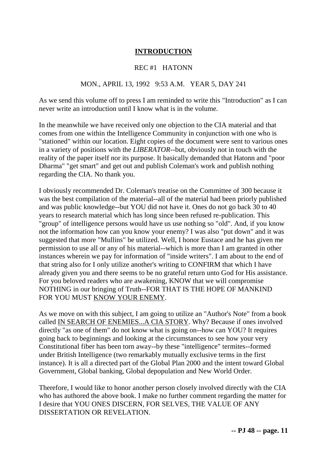#### **INTRODUCTION**

#### REC #1 HATONN

#### MON., APRIL 13, 1992 9:53 A.M. YEAR 5, DAY 241

As we send this volume off to press I am reminded to write this "Introduction" as I can never write an introduction until I know what is in the volume.

In the meanwhile we have received only one objection to the CIA material and that comes from one within the Intelligence Community in conjunction with one who is "stationed" within our location. Eight copies of the document were sent to various ones in a variety of positions with the *LIBERATOR*--but, obviously not in touch with the reality of the paper itself nor its purpose. It basically demanded that Hatonn and "poor Dharma" "get smart" and get out and publish Coleman's work and publish nothing regarding the CIA. No thank you.

I obviously recommended Dr. Coleman's treatise on the Committee of 300 because it was the best compilation of the material--all of the material had been priorly published and was public knowledge--but YOU did not have it. Ones do not go back 30 to 40 years to research material which has long since been refused re-publication. This "group" of intelligence persons would have us use nothing so "old". And, if you know not the information how can you know your enemy? I was also "put down" and it was suggested that more "Mullins" be utilized. Well, I honor Eustace and he has given me permission to use all or any of his material--which is more than I am granted in other instances wherein we pay for information of "inside writers". I am about to the end of that string also for I only utilize another's writing to CONFIRM that which I have already given you and there seems to be no grateful return unto God for His assistance. For you beloved readers who are awakening, KNOW that we will compromise NOTHING in our bringing of Truth--FOR THAT IS THE HOPE OF MANKIND FOR YOU MUST KNOW YOUR ENEMY.

As we move on with this subject, I am going to utilize an "Author's Note" from a book called IN SEARCH OF ENEMIES...A CIA STORY. Why? Because if ones involved directly "as one of them" do not know what is going on--how can YOU? It requires going back to beginnings and looking at the circumstances to see how your very Constitutional fiber has been torn away--by these "intelligence" termites--formed under British Intelligence (two remarkably mutually exclusive terms in the first instance). It is all a directed part of the Global Plan 2000 and the intent toward Global Government, Global banking, Global depopulation and New World Order.

Therefore, I would like to honor another person closely involved directly with the CIA who has authored the above book. I make no further comment regarding the matter for I desire that YOU ONES DISCERN, FOR SELVES, THE VALUE OF ANY DISSERTATION OR REVELATION.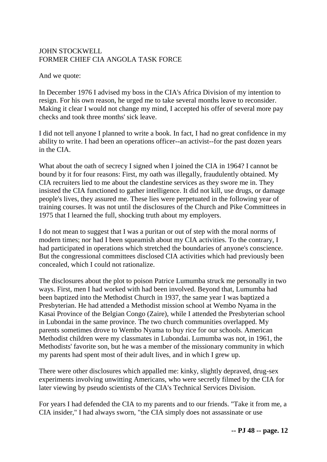#### JOHN STOCKWELL FORMER CHIEF CIA ANGOLA TASK FORCE

And we quote:

In December 1976 I advised my boss in the CIA's Africa Division of my intention to resign. For his own reason, he urged me to take several months leave to reconsider. Making it clear I would not change my mind, I accepted his offer of several more pay checks and took three months' sick leave.

I did not tell anyone I planned to write a book. In fact, I had no great confidence in my ability to write. I had been an operations officer--an activist--for the past dozen years in the CIA.

What about the oath of secrecy I signed when I joined the CIA in 1964? I cannot be bound by it for four reasons: First, my oath was illegally, fraudulently obtained. My CIA recruiters lied to me about the clandestine services as they swore me in. They insisted the CIA functioned to gather intelligence. It did not kill, use drugs, or damage people's lives, they assured me. These lies were perpetuated in the following year of training courses. It was not until the disclosures of the Church and Pike Committees in 1975 that I learned the full, shocking truth about my employers.

I do not mean to suggest that I was a puritan or out of step with the moral norms of modern times; nor had I been squeamish about my CIA activities. To the contrary, I had participated in operations which stretched the boundaries of anyone's conscience. But the congressional committees disclosed CIA activities which had previously been concealed, which I could not rationalize.

The disclosures about the plot to poison Patrice Lumumba struck me personally in two ways. First, men I had worked with had been involved. Beyond that, Lumumba had been baptized into the Methodist Church in 1937, the same year I was baptized a Presbyterian. He had attended a Methodist mission school at Wembo Nyama in the Kasai Province of the Belgian Congo (Zaire), while I attended the Presbyterian school in Lubondai in the same province. The two church communities overlapped. My parents sometimes drove to Wembo Nyama to buy rice for our schools. American Methodist children were my classmates in Lubondai. Lumumba was not, in 1961, the Methodists' favorite son, but he was a member of the missionary community in which my parents had spent most of their adult lives, and in which I grew up.

There were other disclosures which appalled me: kinky, slightly depraved, drug-sex experiments involving unwitting Americans, who were secretly filmed by the CIA for later viewing by pseudo scientists of the CIA's Technical Services Division.

For years I had defended the CIA to my parents and to our friends. "Take it from me, a CIA insider," I had always sworn, "the CIA simply does not assassinate or use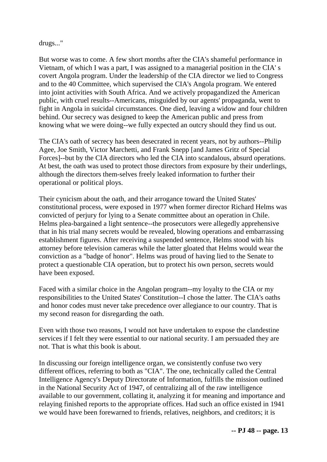drugs..."

But worse was to come. A few short months after the CIA's shameful performance in Vietnam, of which I was a part, I was assigned to a managerial position in the CIA' s covert Angola program. Under the leadership of the CIA director we lied to Congress and to the 40 Committee, which supervised the CIA's Angola program. We entered into joint activities with South Africa. And we actively propagandized the American public, with cruel results--Americans, misguided by our agents' propaganda, went to fight in Angola in suicidal circumstances. One died, leaving a widow and four children behind. Our secrecy was designed to keep the American public and press from knowing what we were doing--we fully expected an outcry should they find us out.

The CIA's oath of secrecy has been desecrated in recent years, not by authors--Philip Agee, Joe Smith, Victor Marchetti, and Frank Snepp [and James Gritz of Special Forces]--but by the CIA directors who led the CIA into scandalous, absurd operations. At best, the oath was used to protect those directors from exposure by their underlings, although the directors them-selves freely leaked information to further their operational or political ploys.

Their cynicism about the oath, and their arrogance toward the United States' constitutional process, were exposed in 1977 when former director Richard Helms was convicted of perjury for lying to a Senate committee about an operation in Chile. Helms plea-bargained a light sentence--the prosecutors were allegedly apprehensive that in his trial many secrets would be revealed, blowing operations and embarrassing establishment figures. After receiving a suspended sentence, Helms stood with his attorney before television cameras while the latter gloated that Helms would wear the conviction as a "badge of honor". Helms was proud of having lied to the Senate to protect a questionable CIA operation, but to protect his own person, secrets would have been exposed.

Faced with a similar choice in the Angolan program--my loyalty to the CIA or my responsibilities to the United States' Constitution--I chose the latter. The CIA's oaths and honor codes must never take precedence over allegiance to our country. That is my second reason for disregarding the oath.

Even with those two reasons, I would not have undertaken to expose the clandestine services if I felt they were essential to our national security. I am persuaded they are not. That is what this book is about.

In discussing our foreign intelligence organ, we consistently confuse two very different offices, referring to both as "CIA". The one, technically called the Central Intelligence Agency's Deputy Directorate of Information, fulfills the mission outlined in the National Security Act of 1947, of centralizing all of the raw intelligence available to our government, collating it, analyzing it for meaning and importance and relaying finished reports to the appropriate offices. Had such an office existed in 1941 we would have been forewarned to friends, relatives, neighbors, and creditors; it is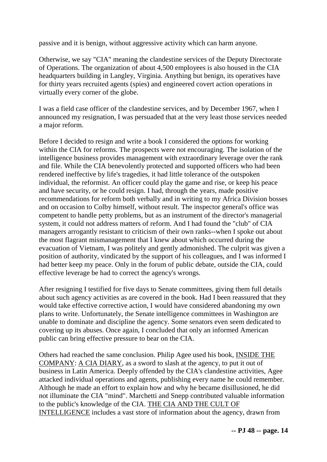passive and it is benign, without aggressive activity which can harm anyone.

Otherwise, we say "CIA" meaning the clandestine services of the Deputy Directorate of Operations. The organization of about 4,500 employees is also housed in the CIA headquarters building in Langley, Virginia. Anything but benign, its operatives have for thirty years recruited agents (spies) and engineered covert action operations in virtually every corner of the globe.

I was a field case officer of the clandestine services, and by December 1967, when I announced my resignation, I was persuaded that at the very least those services needed a major reform.

Before I decided to resign and write a book I considered the options for working within the CIA for reforms. The prospects were not encouraging. The isolation of the intelligence business provides management with extraordinary leverage over the rank and file. While the CIA benevolently protected and supported officers who had been rendered ineffective by life's tragedies, it had little tolerance of the outspoken individual, the reformist. An officer could play the game and rise, or keep his peace and have security, or he could resign. I had, through the years, made positive recommendations for reform both verbally and in writing to my Africa Division bosses and on occasion to Colby himself, without result. The inspector general's office was competent to handle petty problems, but as an instrument of the director's managerial system, it could not address matters of reform. And I had found the "club" of CIA managers arrogantly resistant to criticism of their own ranks--when I spoke out about the most flagrant mismanagement that I knew about which occurred during the evacuation of Vietnam, I was politely and gently admonished. The culprit was given a position of authority, vindicated by the support of his colleagues, and I was informed I had better keep my peace. Only in the forum of public debate, outside the CIA, could effective leverage be had to correct the agency's wrongs.

After resigning I testified for five days to Senate committees, giving them full details about such agency activities as are covered in the book. Had I been reassured that they would take effective corrective action, I would have considered abandoning my own plans to write. Unfortunately, the Senate intelligence committees in Washington are unable to dominate and discipline the agency. Some senators even seem dedicated to covering up its abuses. Once again, I concluded that only an informed American public can bring effective pressure to bear on the CIA.

Others had reached the same conclusion. Philip Agee used his book, INSIDE THE COMPANY: A CIA DIARY, as a sword to slash at the agency, to put it out of business in Latin America. Deeply offended by the CIA's clandestine activities, Agee attacked individual operations and agents, publishing every name he could remember. Although he made an effort to explain how and why he became disillusioned, he did not illuminate the CIA "mind". Marchetti and Snepp contributed valuable information to the public's knowledge of the CIA. THE CIA AND THE CULT OF INTELLIGENCE includes a vast store of information about the agency, drawn from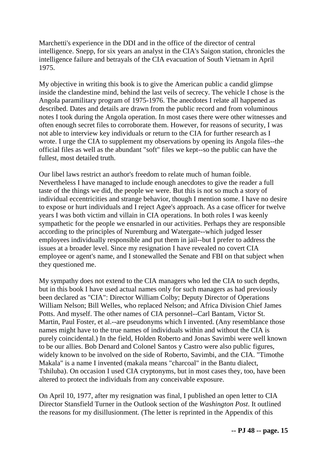Marchetti's experience in the DDI and in the office of the director of central intelligence. Snepp, for six years an analyst in the CIA's Saigon station, chronicles the intelligence failure and betrayals of the CIA evacuation of South Vietnam in April 1975.

My objective in writing this book is to give the American public a candid glimpse inside the clandestine mind, behind the last veils of secrecy. The vehicle I chose is the Angola paramilitary program of 1975-1976. The anecdotes I relate all happened as described. Dates and details are drawn from the public record and from voluminous notes I took during the Angola operation. In most cases there were other witnesses and often enough secret files to corroborate them. However, for reasons of security, I was not able to interview key individuals or return to the CIA for further research as I wrote. I urge the CIA to supplement my observations by opening its Angola files--the official files as well as the abundant "soft" files we kept--so the public can have the fullest, most detailed truth.

Our libel laws restrict an author's freedom to relate much of human foible. Nevertheless I have managed to include enough anecdotes to give the reader a full taste of the things we did, the people we were. But this is not so much a story of individual eccentricities and strange behavior, though I mention some. I have no desire to expose or hurt individuals and I reject Agee's approach. As a case officer for twelve years I was both victim and villain in CIA operations. In both roles I was keenly sympathetic for the people we ensnarled in our activities. Perhaps they are responsible according to the principles of Nuremburg and Watergate--which judged lesser employees individually responsible and put them in jail--but I prefer to address the issues at a broader level. Since my resignation I have revealed no covert CIA employee or agent's name, and I stonewalled the Senate and FBI on that subject when they questioned me.

My sympathy does not extend to the CIA managers who led the CIA to such depths, but in this book I have used actual names only for such managers as had previously been declared as "CIA": Director William Colby; Deputy Director of Operations William Nelson; Bill Welles, who replaced Nelson; and Africa Division Chief James Potts. And myself. The other names of CIA personnel--Carl Bantam, Victor St. Martin, Paul Foster, et al.--are pseudonyms which I invented. (Any resemblance those names might have to the true names of individuals within and without the CIA is purely coincidental.) In the field, Holden Roberto and Jonas Savimbi were well known to be our allies. Bob Denard and Colonel Santos y Castro were also public figures, widely known to be involved on the side of Roberto, Savimbi, and the CIA. "Timothe Makala" is a name I invented (makala means "charcoal" in the Bantu dialect, Tshiluba). On occasion I used CIA cryptonyms, but in most cases they, too, have been altered to protect the individuals from any conceivable exposure.

On April 10, 1977, after my resignation was final, I published an open letter to CIA Director Stansfield Turner in the Outlook section of the *Washington Post*. It outlined the reasons for my disillusionment. (The letter is reprinted in the Appendix of this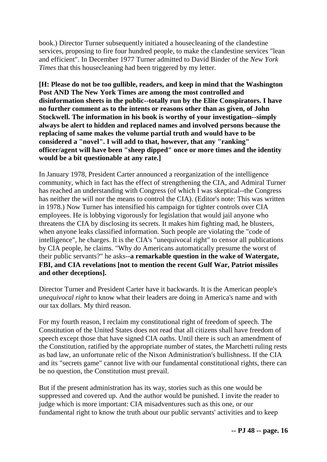book.) Director Turner subsequently initiated a housecleaning of the clandestine services, proposing to fire four hundred people, to make the clandestine services "lean and efficient". In December 1977 Turner admitted to David Binder of the *New York Times* that this housecleaning had been triggered by my letter.

**[H: Please do not be too gullible, readers, and keep in mind that the Washington Post AND The New York Times are among the most controlled and disinformation sheets in the public--totally run by the Elite Conspirators. I have no further comment as to the intents or reasons other than as given, of John Stockwell. The information in his book is worthy of your investigation--simply always be alert to hidden and replaced names and involved persons because the replacing of same makes the volume partial truth and would have to be considered a "novel". I will add to that, however, that any "ranking" officer/agent will have been "sheep dipped" once or more times and the identity would be a bit questionable at any rate.]**

In January 1978, President Carter announced a reorganization of the intelligence community, which in fact has the effect of strengthening the CIA, and Admiral Turner has reached an understanding with Congress (of which I was skeptical--the Congress has neither the will nor the means to control the CIA). (Editor's note: This was written in 1978.) Now Turner has intensified his campaign for tighter controls over CIA employees. He is lobbying vigorously for legislation that would jail anyone who threatens the CIA by disclosing its secrets. It makes him fighting mad, he blusters, when anyone leaks classified information. Such people are violating the "code of intelligence", he charges. It is the CIA's "unequivocal right" to censor all publications by CIA people, he claims. "Why do Americans automatically presume the worst of their public servants?" he asks--**a remarkable question in the wake of Watergate, FBI, and CIA revelations [not to mention the recent Gulf War, Patriot missiles and other deceptions].**

Director Turner and President Carter have it backwards. It is the American people's *unequivocal right* to know what their leaders are doing in America's name and with our tax dollars. My third reason.

For my fourth reason, I reclaim my constitutional right of freedom of speech. The Constitution of the United States does not read that all citizens shall have freedom of speech except those that have signed CIA oaths. Until there is such an amendment of the Constitution, ratified by the appropriate number of states, the Marchetti ruling rests as bad law, an unfortunate relic of the Nixon Administration's bullishness. If the CIA and its "secrets game" cannot live with our fundamental constitutional rights, there can be no question, the Constitution must prevail.

But if the present administration has its way, stories such as this one would be suppressed and covered up. And the author would be punished. I invite the reader to judge which is more important: CIA misadventures such as this one, or our fundamental right to know the truth about our public servants' activities and to keep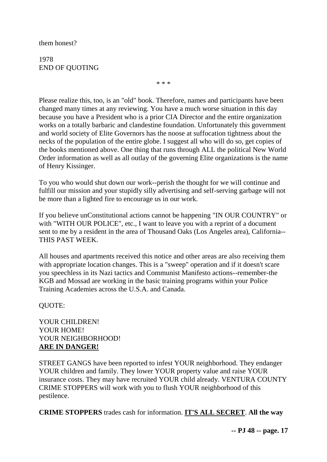them honest?

1978 END OF QUOTING

\* \* \*

Please realize this, too, is an "old" book. Therefore, names and participants have been changed many times at any reviewing. You have a much worse situation in this day because you have a President who is a prior CIA Director and the entire organization works on a totally barbaric and clandestine foundation. Unfortunately this government and world society of Elite Governors has the noose at suffocation tightness about the necks of the population of the entire globe. I suggest all who will do so, get copies of the books mentioned above. One thing that runs through ALL the political New World Order information as well as all outlay of the governing Elite organizations is the name of Henry Kissinger.

To you who would shut down our work--perish the thought for we will continue and fulfill our mission and your stupidly silly advertising and self-serving garbage will not be more than a lighted fire to encourage us in our work.

If you believe unConstitutional actions cannot be happening "IN OUR COUNTRY" or with "WITH OUR POLICE", etc., I want to leave you with a reprint of a document sent to me by a resident in the area of Thousand Oaks (Los Angeles area), California-- THIS PAST WEEK.

All houses and apartments received this notice and other areas are also receiving them with appropriate location changes. This is a "sweep" operation and if it doesn't scare you speechless in its Nazi tactics and Communist Manifesto actions--remember-the KGB and Mossad are working in the basic training programs within your Police Training Academies across the U.S.A. and Canada.

QUOTE:

#### YOUR CHILDREN! YOUR HOME! YOUR NEIGHBORHOOD! **ARE IN DANGER!**

STREET GANGS have been reported to infest YOUR neighborhood. They endanger YOUR children and family. They lower YOUR property value and raise YOUR insurance costs. They may have recruited YOUR child already. VENTURA COUNTY CRIME STOPPERS will work with you to flush YOUR neighborhood of this pestilence.

**CRIME STOPPERS** trades cash for information. **IT'S ALL SECRET**. **All the way** 

**-- PJ 48 -- page. 17**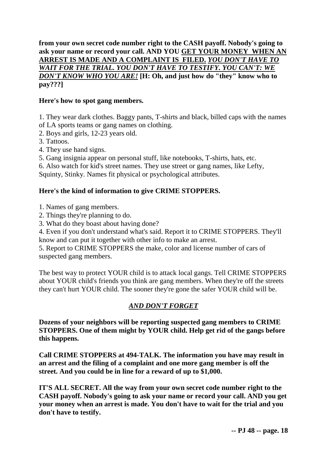**from your own secret code number right to the CASH payoff. Nobody's going to ask your name or record your call. AND YOU GET YOUR MONEY WHEN AN ARREST IS MADE AND A COMPLAINT IS FILED.** *YOU DON'T HAVE TO WAIT FOR THE TRIAL. YOU DON'T HAVE TO TESTIFY. YOU CAN'T: WE DON'T KNOW WHO YOU ARE!* **[H: Oh, and just how do "they" know who to pay???]**

#### **Here's how to spot gang members.**

1. They wear dark clothes. Baggy pants, T-shirts and black, billed caps with the names of LA sports teams or gang names on clothing.

2. Boys and girls, 12-23 years old.

3. Tattoos.

4. They use hand signs.

5. Gang insignia appear on personal stuff, like notebooks, T-shirts, hats, etc.

6. Also watch for kid's street names. They use street or gang names, like Lefty,

Squinty, Stinky. Names fit physical or psychological attributes.

#### **Here's the kind of information to give CRIME STOPPERS.**

1. Names of gang members.

- 2. Things they're planning to do.
- 3. What do they boast about having done?

4. Even if you don't understand what's said. Report it to CRIME STOPPERS. They'll know and can put it together with other info to make an arrest.

5. Report to CRIME STOPPERS the make, color and license number of cars of suspected gang members.

The best way to protect YOUR child is to attack local gangs. Tell CRIME STOPPERS about YOUR child's friends you think are gang members. When they're off the streets they can't hurt YOUR child. The sooner they're gone the safer YOUR child will be.

#### *AND DON'T FORGET*

**Dozens of your neighbors will be reporting suspected gang members to CRIME STOPPERS. One of them might by YOUR child. Help get rid of the gangs before this happens.**

**Call CRIME STOPPERS at 494-TALK. The information you have may result in an arrest and the filing of a complaint and one more gang member is off the street. And you could be in line for a reward of up to \$1,000.**

**IT'S ALL SECRET. All the way from your own secret code number right to the CASH payoff. Nobody's going to ask your name or record your call. AND you get your money when an arrest is made. You don't have to wait for the trial and you don't have to testify.**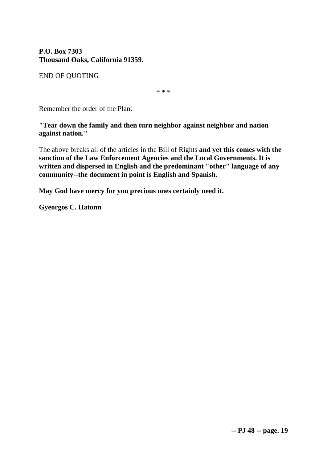#### **P.O. Box 7303 Thousand Oaks, California 91359.**

END OF QUOTING

\* \* \*

Remember the order of the Plan:

**"Tear down the family and then turn neighbor against neighbor and nation against nation."**

The above breaks all of the articles in the Bill of Rights **and yet this comes with the sanction of the Law Enforcement Agencies and the Local Governments. It is written and dispersed in English and the predominant "other" language of any community--the document in point is English and Spanish.** 

**May God have mercy for you precious ones certainly need it.** 

**Gyeorgos C. Hatonn**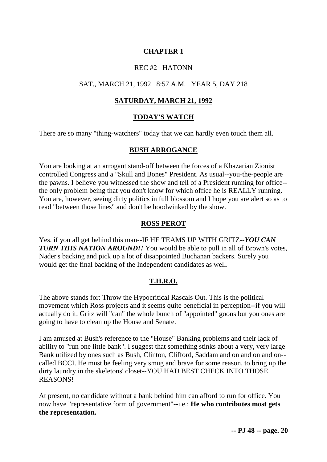#### **CHAPTER 1**

#### REC #2 HATONN

#### SAT., MARCH 21, 1992 8:57 A.M. YEAR 5, DAY 218

#### **SATURDAY, MARCH 21, 1992**

#### **TODAY'S WATCH**

There are so many "thing-watchers" today that we can hardly even touch them all.

#### **BUSH ARROGANCE**

You are looking at an arrogant stand-off between the forces of a Khazarian Zionist controlled Congress and a "Skull and Bones" President. As usual--you-the-people are the pawns. I believe you witnessed the show and tell of a President running for office- the only problem being that you don't know for which office he is REALLY running. You are, however, seeing dirty politics in full blossom and I hope you are alert so as to read "between those lines" and don't be hoodwinked by the show.

#### **ROSS PEROT**

Yes, if you all get behind this man--IF HE TEAMS UP WITH GRITZ--*YOU CAN TURN THIS NATION AROUND!!* You would be able to pull in all of Brown's votes, Nader's backing and pick up a lot of disappointed Buchanan backers. Surely you would get the final backing of the Independent candidates as well.

#### **T.H.R.O.**

The above stands for: Throw the Hypocritical Rascals Out. This is the political movement which Ross projects and it seems quite beneficial in perception--if you will actually do it. Gritz will "can" the whole bunch of "appointed" goons but you ones are going to have to clean up the House and Senate.

I am amused at Bush's reference to the "House" Banking problems and their lack of ability to "run one little bank". I suggest that something stinks about a very, very large Bank utilized by ones such as Bush, Clinton, Clifford, Saddam and on and on and on- called BCCI. He must be feeling very smug and brave for some reason, to bring up the dirty laundry in the skeletons' closet--YOU HAD BEST CHECK INTO THOSE REASONS!

At present, no candidate without a bank behind him can afford to run for office. You now have "representative form of government"--i.e.: **He who contributes most gets the representation.**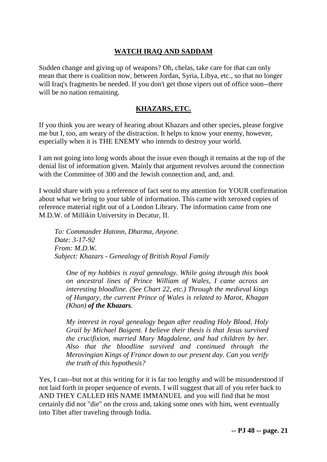#### **WATCH IRAQ AND SADDAM**

Sudden change and giving up of weapons? Oh, chelas, take care for that can only mean that there is coalition now, between Jordan, Syria, Libya, etc., so that no longer will Iraq's fragments be needed. If you don't get those vipers out of office soon--there will be no nation remaining.

#### **KHAZARS, ETC.**

If you think you are weary of hearing about Khazars and other species, please forgive me but I, too, am weary of the distraction. It helps to know your enemy, however, especially when it is THE ENEMY who intends to destroy your world.

I am not going into long words about the issue even though it remains at the top of the denial list of information given. Mainly that argument revolves around the connection with the Committee of 300 and the Jewish connection and, and, and,

I would share with you a reference of fact sent to my attention for YOUR confirmation about what we bring to your table of information. This came with xeroxed copies of reference material right out of a London Library. The information came from one M.D.W. of Millikin University in Decatur, II.

*To: Commander Hatonn, Dharma, Anyone. Date: 3-17-92 From: M.D.W. Subject: Khazars - Genealogy of British Royal Family*

*One of my hobbies is royal genealogy. While going through this book on ancestral lines of Prince William of Wales, I came across an interesting bloodline. (See Chart 22, etc.) Through the medieval kings of Hungary, the current Prince of Wales is related to Marot, Khagan (Khan) of the Khazars.*

*My interest in royal genealogy began after reading Holy Blood, Holy Grail by Michael Baigent. I believe their thesis is that Jesus survived the crucifixion, married Mary Magdalene, and had children by her. Also that the bloodline survived and continued through the Merovingian Kings of France down to our present day. Can you verify the truth of this hypothesis?*

Yes, I can--but not at this writing for it is far too lengthy and will be misunderstood if not laid forth in proper sequence of events. I will suggest that all of you refer back to AND THEY CALLED HIS NAME IMMANUEL and you will find that he most certainly did not "die" on the cross and, taking some ones with him, went eventually into Tibet after traveling through India.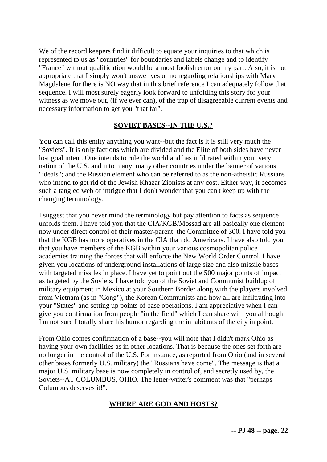We of the record keepers find it difficult to equate your inquiries to that which is represented to us as "countries" for boundaries and labels change and to identify "France" without qualification would be a most foolish error on my part. Also, it is not appropriate that I simply won't answer yes or no regarding relationships with Mary Magdalene for there is NO way that in this brief reference I can adequately follow that sequence. I will most surely eagerly look forward to unfolding this story for your witness as we move out, (if we ever can), of the trap of disagreeable current events and necessary information to get you "that far".

#### **SOVIET BASES--IN THE U.S.?**

You can call this entity anything you want--but the fact is it is still very much the "Soviets". It is only factions which are divided and the Elite of both sides have never lost goal intent. One intends to rule the world and has infiltrated within your very nation of the U.S. and into many, many other countries under the banner of various "ideals"; and the Russian element who can be referred to as the non-atheistic Russians who intend to get rid of the Jewish Khazar Zionists at any cost. Either way, it becomes such a tangled web of intrigue that I don't wonder that you can't keep up with the changing terminology.

I suggest that you never mind the terminology but pay attention to facts as sequence unfolds them. I have told you that the CIA/KGB/Mossad are all basically one element now under direct control of their master-parent: the Committee of 300. I have told you that the KGB has more operatives in the CIA than do Americans. I have also told you that you have members of the KGB within your various cosmopolitan police academies training the forces that will enforce the New World Order Control. I have given you locations of underground installations of large size and also missile bases with targeted missiles in place. I have yet to point out the 500 major points of impact as targeted by the Soviets. I have told you of the Soviet and Communist buildup of military equipment in Mexico at your Southern Border along with the players involved from Vietnam (as in "Cong"), the Korean Communists and how all are infiltrating into your "States" and setting up points of base operations. I am appreciative when I can give you confirmation from people "in the field" which I can share with you although I'm not sure I totally share his humor regarding the inhabitants of the city in point.

From Ohio comes confirmation of a base--you will note that I didn't mark Ohio as having your own facilities as in other locations. That is because the ones set forth are no longer in the control of the U.S. For instance, as reported from Ohio (and in several other bases formerly U.S. military) the "Russians have come". The message is that a major U.S. military base is now completely in control of, and secretly used by, the Soviets--AT COLUMBUS, OHIO. The letter-writer's comment was that "perhaps Columbus deserves it!".

#### **WHERE ARE GOD AND HOSTS?**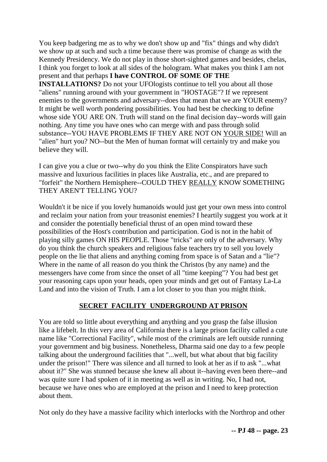You keep badgering me as to why we don't show up and "fix" things and why didn't we show up at such and such a time because there was promise of change as with the Kennedy Presidency. We do not play in those short-sighted games and besides, chelas, I think you forget to look at all sides of the hologram. What makes you think I am not present and that perhaps **I have CONTROL OF SOME OF THE INSTALLATIONS?** Do not your UFOlogists continue to tell you about all those "aliens" running around with your government in "HOSTAGE"? If we represent enemies to the governments and adversary--does that mean that we are YOUR enemy? It might be well worth pondering possibilities. You had best be checking to define whose side YOU ARE ON. Truth will stand on the final decision day--words will gain nothing. Any time you have ones who can merge with and pass through solid

substance--YOU HAVE PROBLEMS IF THEY ARE NOT ON YOUR SIDE! Will an "alien" hurt you? NO--but the Men of human format will certainly try and make you believe they will.

I can give you a clue or two--why do you think the Elite Conspirators have such massive and luxurious facilities in places like Australia, etc., and are prepared to "forfeit" the Northern Hemisphere--COULD THEY REALLY KNOW SOMETHING THEY AREN'T TELLING YOU?

Wouldn't it be nice if you lovely humanoids would just get your own mess into control and reclaim your nation from your treasonist enemies? I heartily suggest you work at it and consider the potentially beneficial thrust of an open mind toward these possibilities of the Host's contribution and participation. God is not in the habit of playing silly games ON HIS PEOPLE. Those "tricks" are only of the adversary. Why do you think the church speakers and religious false teachers try to sell you lovely people on the lie that aliens and anything coming from space is of Satan and a "lie"? Where in the name of all reason do you think the Christos (by any name) and the messengers have come from since the onset of all "time keeping"? You had best get your reasoning caps upon your heads, open your minds and get out of Fantasy La-La Land and into the vision of Truth. I am a lot closer to you than you might think.

# **SECRET FACILITY UNDERGROUND AT PRISON**

You are told so little about everything and anything and you grasp the false illusion like a lifebelt. In this very area of California there is a large prison facility called a cute name like "Correctional Facility", while most of the criminals are left outside running your government and big business. Nonetheless, Dharma said one day to a few people talking about the underground facilities that "...well, but what about that big facility under the prison!" There was silence and all turned to look at her as if to ask "...what about it?" She was stunned because she knew all about it--having even been there--and was quite sure I had spoken of it in meeting as well as in writing. No, I had not, because we have ones who are employed at the prison and I need to keep protection about them.

Not only do they have a massive facility which interlocks with the Northrop and other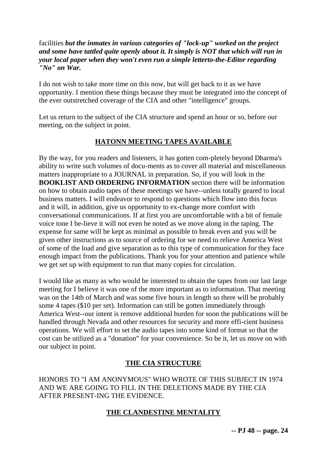#### facilities *but the inmates in various categories of "lock-up" worked on the project and some have tattled quite openly about it. It simply is NOT that which will run in your local paper when they won't even run a simple letterto-the-Editor regarding "No" on War.*

I do not wish to take more time on this now, but will get back to it as we have opportunity. I mention these things because they must be integrated into the concept of the ever outstretched coverage of the CIA and other "intelligence" groups.

Let us return to the subject of the CIA structure and spend an hour or so, before our meeting, on the subject in point.

# **HATONN MEETING TAPES AVAILABLE**

By the way, for you readers and listeners, it has gotten com-pletely beyond Dharma's ability to write such volumes of docu-ments as to cover all material and miscellaneous matters inappropriate to a JOURNAL in preparation. So, if you will look in the **BOOKLIST AND ORDERING INFORMATION** section there will be information on how to obtain audio tapes of these meetings we have--unless totally geared to local business matters. I will endeavor to respond to questions which flow into this focus and it will, in addition, give us opportunity to ex-change more comfort with conversational communications. If at first you are uncomfortable with a bit of female voice tone I be-lieve it will not even be noted as we move along in the taping. The expense for same will be kept as minimal as possible to break even and you will be given other instructions as to source of ordering for we need to relieve America West of some of the load and give separation as to this type of communication for they face enough impact from the publications. Thank you for your attention and patience while we get set up with equipment to run that many copies for circulation.

I would like as many as who would be interested to obtain the tapes from our last large meeting for I believe it was one of the more important as to information. That meeting was on the 14th of March and was some five hours in length so there will be probably some 4 tapes (\$10 per set). Information can still be gotten immediately through America West--our intent is remove additional burden for soon the publications will be handled through Nevada and other resources for security and more effi-cient business operations. We will effort to set the audio tapes into some kind of format so that the cost can be utilized as a "donation" for your convenience. So be it, let us move on with our subject in point.

# **THE CIA STRUCTURE**

HONORS TO "I AM ANONYMOUS" WHO WROTE OF THIS SUBJECT IN 1974 AND WE ARE GOING TO FILL IN THE DELETIONS MADE BY THE CIA AFTER PRESENT-ING THE EVIDENCE.

#### **THE CLANDESTINE MENTALITY**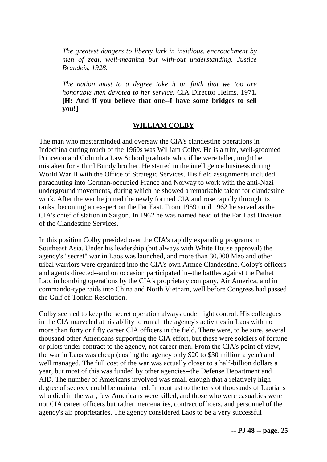*The greatest dangers to liberty lurk in insidious. encroachment by men of zeal, well-meaning but with-out understanding. Justice Brandeis, 1928.*

*The nation must to a degree take it on faith that we too are honorable men devoted to her service.* CIA Director Helms, 1971**. [H: And if you believe that one--I have some bridges to sell you!]**

#### **WILLIAM COLBY**

The man who masterminded and oversaw the CIA's clandestine operations in Indochina during much of the 1960s was William Colby. He is a trim, well-groomed Princeton and Columbia Law School graduate who, if he were taller, might be mistaken for a third Bundy brother. He started in the intelligence business during World War II with the Office of Strategic Services. His field assignments included parachuting into German-occupied France and Norway to work with the anti-Nazi underground movements, during which he showed a remarkable talent for clandestine work. After the war he joined the newly formed CIA and rose rapidly through its ranks, becoming an ex-pert on the Far East. From 1959 until 1962 he served as the CIA's chief of station in Saigon. In 1962 he was named head of the Far East Division of the Clandestine Services.

In this position Colby presided over the CIA's rapidly expanding programs in Southeast Asia. Under his leadership (but always with White House approval) the agency's "secret" war in Laos was launched, and more than 30,000 Meo and other tribal warriors were organized into the CIA's own Armee Clandestine. Colby's officers and agents directed--and on occasion participated in--the battles against the Pathet Lao, in bombing operations by the CIA's proprietary company, Air America, and in commando-type raids into China and North Vietnam, well before Congress had passed the Gulf of Tonkin Resolution.

Colby seemed to keep the secret operation always under tight control. His colleagues in the CIA marveled at his ability to run all the agency's activities in Laos with no more than forty or fifty career CIA officers in the field. There were, to be sure, several thousand other Americans supporting the CIA effort, but these were soldiers of fortune or pilots under contract to the agency, not career men. From the CIA's point of view, the war in Laos was cheap (costing the agency only \$20 to \$30 million a year) and well managed. The full cost of the war was actually closer to a half-billion dollars a year, but most of this was funded by other agencies--the Defense Department and AID. The number of Americans involved was small enough that a relatively high degree of secrecy could be maintained. In contrast to the tens of thousands of Laotians who died in the war, few Americans were killed, and those who were casualties were not CIA career officers but rather mercenaries, contract officers, and personnel of the agency's air proprietaries. The agency considered Laos to be a very successful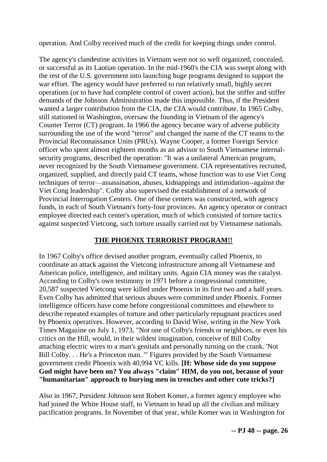operation. And Colby received much of the credit for keeping things under control.

The agency's clandestine activities in Vietnam were not so well organized, concealed, or successful as its Laotian operation. In the mid-1960's the CIA was swept along with the rest of the U.S. government into launching huge programs designed to support the war effort. The agency would have preferred to run relatively small, highly secret operations (or to have had complete control of covert action), but the stiffer and stiffer demands of the Johnson Administration made this impossible. Thus, if the President wanted a larger contribution from the CIA, the CIA would contribute. In 1965 Colby, still stationed in Washington, oversaw the founding in Vietnam of the agency's Counter Terror (CT) program. In 1966 the agency became wary of adverse publicity surrounding the use of the word "terror" and changed the name of the CT teams to the Provincial Reconnaissance Units (PRUs). Wayne Cooper, a former Foreign Service officer who spent almost eighteen months as an advisor to South Vietnamese internalsecurity programs, described the operation: "It was a unilateral American program, never recognized by the South Vietnamese government. CIA representatives recruited, organized, supplied, and directly paid CT teams, whose function was to use Viet Cong techniques of terror—assassination, abuses, kidnappings and intimidation--against the Viet Cong leadership". Colby also supervised the establishment of a network of Provincial Interrogation Centers. One of these centers was constructed, with agency funds, in each of South Vietnam's forty-four provinces. An agency operator or contract employee directed each center's operation, much of which consisted of torture tactics against suspected Vietcong, such torture usually carried out by Vietnamese nationals.

#### **THE PHOENIX TERRORIST PROGRAM!!**

In 1967 Colby's office devised another program, eventually called Phoenix, to coordinate an attack against the Vietcong infrastructure among all Vietnamese and American police, intelligence, and military units. Again CIA money was the catalyst. According to Colby's own testimony in 1971 before a congressional committee, 20,587 suspected Vietcong were killed under Phoenix in its first two and a half years. Even Colby has admitted that serious abuses were committed under Phoenix. Former intelligence officers have come before congressional committees and elsewhere to describe repeated examples of torture and other particularly repugnant practices used by Phoenix operatives. However, according to David Wise, writing in the New York Times Magazine on July 1, 1973, "Not one of Colby's friends or neighbors, or even his critics on the Hill, would, in their wildest imagination, conceive of Bill Colby attaching electric wires to a man's genitals and personally turning on the crank. 'Not Bill Colby. . . He's a Princeton man. '" Figures provided by the South Vietnamese government credit Phoenix with 40,994 VC kills. **[H: Whose side do you suppose God might have been on? You always "claim" HIM, do you not, because of your "humanitarian" approach to burying men in trenches and other cute tricks?]**

Also in 1967, President Johnson sent Robert Komer, a former agency employee who had joined the White House staff, to Vietnam to head up all the civilian and military pacification programs. In November of that year, while Komer was in Washington for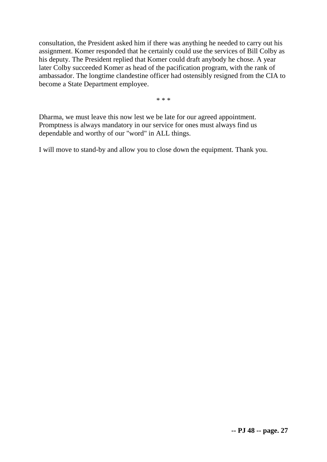consultation, the President asked him if there was anything he needed to carry out his assignment. Komer responded that he certainly could use the services of Bill Colby as his deputy. The President replied that Komer could draft anybody he chose. A year later Colby succeeded Komer as head of the pacification program, with the rank of ambassador. The longtime clandestine officer had ostensibly resigned from the CIA to become a State Department employee.

\* \* \*

Dharma, we must leave this now lest we be late for our agreed appointment. Promptness is always mandatory in our service for ones must always find us dependable and worthy of our "word" in ALL things.

I will move to stand-by and allow you to close down the equipment. Thank you.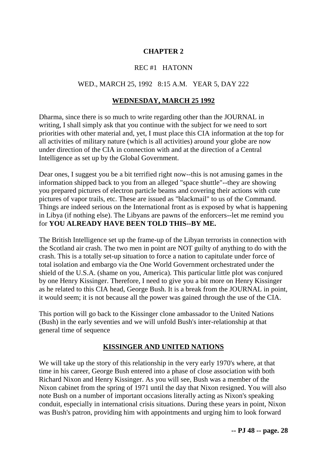#### **CHAPTER 2**

#### REC #1 HATONN

#### WED., MARCH 25, 1992 8:15 A.M. YEAR 5, DAY 222

#### **WEDNESDAY, MARCH 25 1992**

Dharma, since there is so much to write regarding other than the JOURNAL in writing, I shall simply ask that you continue with the subject for we need to sort priorities with other material and, yet, I must place this CIA information at the top for all activities of military nature (which is all activities) around your globe are now under direction of the CIA in connection with and at the direction of a Central Intelligence as set up by the Global Government.

Dear ones, I suggest you be a bit terrified right now--this is not amusing games in the information shipped back to you from an alleged "space shuttle"--they are showing you prepared pictures of electron particle beams and covering their actions with cute pictures of vapor trails, etc. These are issued as "blackmail" to us of the Command. Things are indeed serious on the International front as is exposed by what is happening in Libya (if nothing else). The Libyans are pawns of the enforcers--let me remind you for **YOU ALREADY HAVE BEEN TOLD THIS--BY ME.**

The British Intelligence set up the frame-up of the Libyan terrorists in connection with the Scotland air crash. The two men in point are NOT guilty of anything to do with the crash. This is a totally set-up situation to force a nation to capitulate under force of total isolation and embargo via the One World Government orchestrated under the shield of the U.S.A. (shame on you, America). This particular little plot was conjured by one Henry Kissinger. Therefore, I need to give you a bit more on Henry Kissinger as he related to this CIA head, George Bush. It is a break from the JOURNAL in point, it would seem; it is not because all the power was gained through the use of the CIA.

This portion will go back to the Kissinger clone ambassador to the United Nations (Bush) in the early seventies and we will unfold Bush's inter-relationship at that general time of sequence

#### **KISSINGER AND UNITED NATIONS**

We will take up the story of this relationship in the very early 1970's where, at that time in his career, George Bush entered into a phase of close association with both Richard Nixon and Henry Kissinger. As you will see, Bush was a member of the Nixon cabinet from the spring of 1971 until the day that Nixon resigned. You will also note Bush on a number of important occasions literally acting as Nixon's speaking conduit, especially in international crisis situations. During these years in point, Nixon was Bush's patron, providing him with appointments and urging him to look forward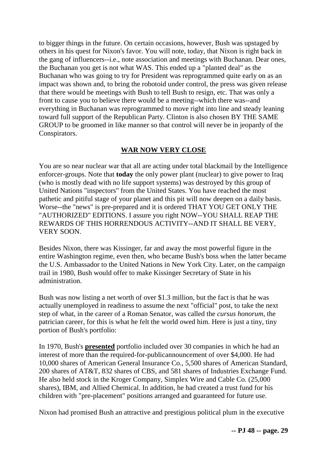to bigger things in the future. On certain occasions, however, Bush was upstaged by others in his quest for Nixon's favor. You will note, today, that Nixon is right back in the gang of influencers--i.e., note association and meetings with Buchanan. Dear ones, the Buchanan you get is not what WAS. This ended up a "planted deal" as the Buchanan who was going to try for President was reprogrammed quite early on as an impact was shown and, to bring the robotoid under control, the press was given release that there would be meetings with Bush to tell Bush to resign, etc. That was only a front to cause you to believe there would be a meeting--which there was--and everything in Buchanan was reprogrammed to move right into line and steady leaning toward full support of the Republican Party. Clinton is also chosen BY THE SAME GROUP to be groomed in like manner so that control will never be in jeopardy of the Conspirators.

#### **WAR NOW VERY CLOSE**

You are so near nuclear war that all are acting under total blackmail by the Intelligence enforcer-groups. Note that **today** the only power plant (nuclear) to give power to Iraq (who is mostly dead with no life support systems) was destroyed by this group of United Nations "inspectors" from the United States. You have reached the most pathetic and pitiful stage of your planet and this pit will now deepen on a daily basis. Worse--the "news" is pre-prepared and it is ordered THAT YOU GET ONLY THE "AUTHORIZED" EDITIONS. I assure you right NOW--YOU SHALL REAP THE REWARDS OF THIS HORRENDOUS ACTIVITY--AND IT SHALL BE VERY, VERY SOON.

Besides Nixon, there was Kissinger, far and away the most powerful figure in the entire Washington regime, even then, who became Bush's boss when the latter became the U.S. Ambassador to the United Nations in New York City. Later, on the campaign trail in 1980, Bush would offer to make Kissinger Secretary of State in his administration.

Bush was now listing a net worth of over \$1.3 million, but the fact is that he was actually unemployed in readiness to assume the next "official" post, to take the next step of what, in the career of a Roman Senator, was called the *cursus honorum*, the patrician career, for this is what he felt the world owed him. Here is just a tiny, tiny portion of Bush's portfolio:

In 1970, Bush's **presented** portfolio included over 30 companies in which he had an interest of more than the required-for-publicannouncement of over \$4,000. He had 10,000 shares of American General Insurance Co., 5,500 shares of American Standard, 200 shares of AT&T, 832 shares of CBS, and 581 shares of Industries Exchange Fund. He also held stock in the Kroger Company, Simplex Wire and Cable Co. (25,000 shares), IBM, and Allied Chemical. In addition, he had created a trust fund for his children with "pre-placement" positions arranged and guaranteed for future use.

Nixon had promised Bush an attractive and prestigious political plum in the executive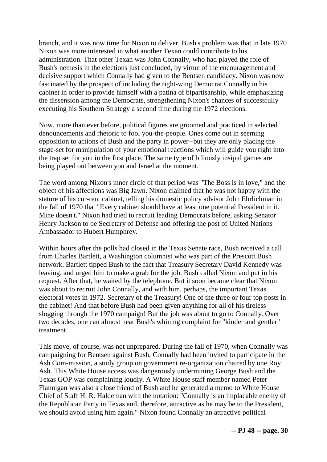branch, and it was now time for Nixon to deliver. Bush's problem was that in late 1970 Nixon was more interested in what another Texan could contribute to his administration. That other Texan was John Connally, who had played the role of Bush's nemesis in the elections just concluded, by virtue of the encouragement and decisive support which Connally had given to the Bentsen candidacy. Nixon was now fascinated by the prospect of including the right-wing Democrat Connally in his cabinet in order to provide himself with a patina of bipartisanship, while emphasizing the dissension among the Democrats, strengthening Nixon's chances of successfully executing his Southern Strategy a second time during the 1972 elections.

Now, more than ever before, political figures are groomed and practiced in selected denouncements and rhetoric to fool you-the-people. Ones come out in seeming opposition to actions of Bush and the party in power--but they are only placing the stage-set for manipulation of your emotional reactions which will guide you right into the trap set for you in the first place. The same type of biliously insipid games are being played out between you and Israel at the moment.

The word among Nixon's inner circle of that period was "The Boss is in love," and the object of his affections was Big Jawn. Nixon claimed that he was not happy with the stature of his cur-rent cabinet, telling his domestic policy advisor John Ehrlichman in the fall of 1970 that "Every cabinet should have at least one potential President in it. Mine doesn't." Nixon had tried to recruit leading Democrats before, asking Senator Henry Jackson to be Secretary of Defense and offering the post of United Nations Ambassador to Hubert Humphrey.

Within hours after the polls had closed in the Texas Senate race, Bush received a call from Charles Bartlett, a Washington columnist who was part of the Prescott Bush network. Bartlett tipped Bush to the fact that Treasury Secretary David Kennedy was leaving, and urged him to make a grab for the job. Bush called Nixon and put in his request. After that, he waited by the telephone. But it soon became clear that Nixon was about to recruit John Connally, and with him, perhaps, the important Texas electoral votes in 1972. Secretary of the Treasury! One of the three or four top posts in the cabinet! And that before Bush had been given anything for all of his tireless slogging through the 1970 campaign! But the job was about to go to Connally. Over two decades, one can almost hear Bush's whining complaint for "kinder and gentler" treatment.

This move, of course, was not unprepared. During the fall of 1970, when Connally was campaigning for Bentsen against Bush, Connally had been invited to participate in the Ash Com-mission, a study group on government re-organization chaired by one Roy Ash. This White House access was dangerously undermining George Bush and the Texas GOP was complaining loudly. A White House staff member named Peter Flannigan was also a close friend of Bush and he generated a memo to White House Chief of Staff H. R. Haldeman with the notation: "Connally is an implacable enemy of the Republican Party in Texas and, therefore, attractive as he may be to the President, we should avoid using him again." Nixon found Connally an attractive political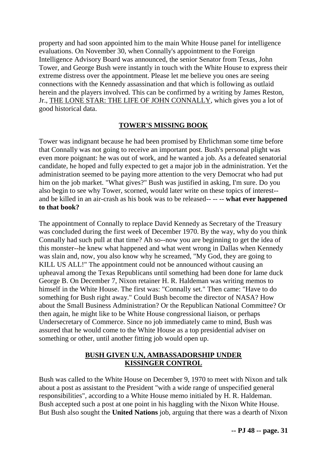property and had soon appointed him to the main White House panel for intelligence evaluations. On November 30, when Connally's appointment to the Foreign Intelligence Advisory Board was announced, the senior Senator from Texas, John Tower, and George Bush were instantly in touch with the White House to express their extreme distress over the appointment. Please let me believe you ones are seeing connections with the Kennedy assassination and that which is following as outlaid herein and the players involved. This can be confirmed by a writing by James Reston, Jr., THE LONE STAR: THE LIFE OF JOHN CONNALLY, which gives you a lot of good historical data.

#### **TOWER'S MISSING BOOK**

Tower was indignant because he had been promised by Ehrlichman some time before that Connally was not going to receive an important post. Bush's personal plight was even more poignant: he was out of work, and he wanted a job. As a defeated senatorial candidate, he hoped and fully expected to get a major job in the administration. Yet the administration seemed to be paying more attention to the very Democrat who had put him on the job market. "What gives?" Bush was justified in asking, I'm sure. Do you also begin to see why Tower, scorned, would later write on these topics of interest- and be killed in an air-crash as his book was to be released-- -- -- **what ever happened to that book?**

The appointment of Connally to replace David Kennedy as Secretary of the Treasury was concluded during the first week of December 1970. By the way, why do you think Connally had such pull at that time? Ah so--now you are beginning to get the idea of this monster--he knew what happened and what went wrong in Dallas when Kennedy was slain and, now, you also know why he screamed, "My God, they are going to KILL US ALL!" The appointment could not be announced without causing an upheaval among the Texas Republicans until something had been done for lame duck George B. On December 7, Nixon retainer H. R. Haldeman was writing memos to himself in the White House. The first was: "Connally set." Then came: "Have to do something for Bush right away." Could Bush become the director of NASA? How about the Small Business Administration? Or the Republican National Committee? Or then again, he might like to be White House congressional liaison, or perhaps Undersecretary of Commerce. Since no job immediately came to mind, Bush was assured that he would come to the White House as a top presidential adviser on something or other, until another fitting job would open up.

#### **BUSH GIVEN U.N, AMBASSADORSHIP UNDER KISSINGER CONTROL**

Bush was called to the White House on December 9, 1970 to meet with Nixon and talk about a post as assistant to the President "with a wide range of unspecified general responsibilities", according to a White House memo initialed by H. R. Haldeman. Bush accepted such a post at one point in his haggling with the Nixon White House. But Bush also sought the **United Nations** job, arguing that there was a dearth of Nixon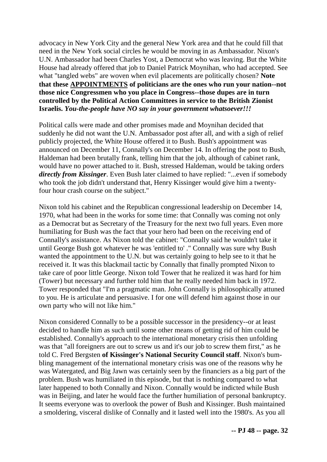advocacy in New York City and the general New York area and that he could fill that need in the New York social circles he would be moving in as Ambassador. Nixon's U.N. Ambassador had been Charles Yost, a Democrat who was leaving. But the White House had already offered that job to Daniel Patrick Moynihan, who had accepted. See what "tangled webs" are woven when evil placements are politically chosen? **Note that these APPOINTMENTS of politicians are the ones who run your nation--not those nice Congressmen who you place in Congress--those dupes are in turn controlled by the Political Action Committees in service to the British Zionist Israelis.** *You-the-people have NO say in your government whatsoever!!!*

Political calls were made and other promises made and Moynihan decided that suddenly he did not want the U.N. Ambassador post after all, and with a sigh of relief publicly projected, the White House offered it to Bush. Bush's appointment was announced on December 11, Connally's on December 14. In offering the post to Bush, Haldeman had been brutally frank, telling him that the job, although of cabinet rank, would have no power attached to it. Bush, stressed Haldeman, would be taking orders *directly from Kissinger*. Even Bush later claimed to have replied: "...even if somebody who took the job didn't understand that, Henry Kissinger would give him a twentyfour hour crash course on the subject."

Nixon told his cabinet and the Republican congressional leadership on December 14, 1970, what had been in the works for some time: that Connally was coming not only as a Democrat but as Secretary of the Treasury for the next two full years. Even more humiliating for Bush was the fact that your hero had been on the receiving end of Connally's assistance. As Nixon told the cabinet: "Connally said he wouldn't take it until George Bush got whatever he was 'entitled to' ." Connally was sure why Bush wanted the appointment to the U.N. but was certainly going to help see to it that he received it. It was this blackmail tactic by Connally that finally prompted Nixon to take care of poor little George. Nixon told Tower that he realized it was hard for him (Tower) but necessary and further told him that he really needed him back in 1972. Tower responded that "I'm a pragmatic man. John Connally is philosophically attuned to you. He is articulate and persuasive. I for one will defend him against those in our own party who will not like him."

Nixon considered Connally to be a possible successor in the presidency--or at least decided to handle him as such until some other means of getting rid of him could be established. Connally's approach to the international monetary crisis then unfolding was that "all foreigners are out to screw us and it's our job to screw them first," as he told C. Fred Bergsten **of Kissinger's National Security Council staff**. Nixon's bumbling management of the international monetary crisis was one of the reasons why he was Watergated, and Big Jawn was certainly seen by the financiers as a big part of the problem. Bush was humiliated in this episode, but that is nothing compared to what later happened to both Connally and Nixon. Connally would be indicted while Bush was in Beijing, and later he would face the further humiliation of personal bankruptcy. It seems everyone was to overlook the power of Bush and Kissinger. Bush maintained a smoldering, visceral dislike of Connally and it lasted well into the 1980's. As you all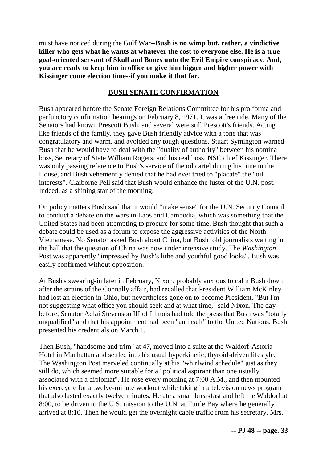must have noticed during the Gulf War--**Bush is no wimp but, rather, a vindictive killer who gets what he wants at whatever the cost to everyone else. He is a true goal-oriented servant of Skull and Bones unto the Evil Empire conspiracy. And, you are ready to keep him in office or give him bigger and higher power with Kissinger come election time--if you make it that far.**

#### **BUSH SENATE CONFIRMATION**

Bush appeared before the Senate Foreign Relations Committee for his pro forma and perfunctory confirmation hearings on February 8, 1971. It was a free ride. Many of the Senators had known Prescott Bush, and several were still Prescott's friends. Acting like friends of the family, they gave Bush friendly advice with a tone that was congratulatory and warm, and avoided any tough questions. Stuart Symington warned Bush that he would have to deal with the "duality of authority" between his nominal boss, Secretary of State William Rogers, and his real boss, NSC chief Kissinger. There was only passing reference to Bush's service of the oil cartel during his time in the House, and Bush vehemently denied that he had ever tried to "placate" the "oil interests". Claiborne Pell said that Bush would enhance the luster of the U.N. post. Indeed, as a shining star of the morning.

On policy matters Bush said that it would "make sense" for the U.N. Security Council to conduct a debate on the wars in Laos and Cambodia, which was something that the United States had been attempting to procure for some time. Bush thought that such a debate could be used as a forum to expose the aggressive activities of the North Vietnamese. No Senator asked Bush about China, but Bush told journalists waiting in the hall that the question of China was now under intensive study. The *Washington*  Post was apparently "impressed by Bush's lithe and youthful good looks". Bush was easily confirmed without opposition.

At Bush's swearing-in later in February, Nixon, probably anxious to calm Bush down after the strains of the Connally affair, had recalled that President William McKinley had lost an election in Ohio, but nevertheless gone on to become President. "But I'm not suggesting what office you should seek and at what time," said Nixon. The day before, Senator Adlai Stevenson III of Illinois had told the press that Bush was "totally unqualified" and that his appointment had been "an insult" to the United Nations. Bush presented his credentials on March 1.

Then Bush, "handsome and trim" at 47, moved into a suite at the Waldorf-Astoria Hotel in Manhattan and settled into his usual hyperkinetic, thyroid-driven lifestyle. The Washington Post marveled continually at his "whirlwind schedule" just as they still do, which seemed more suitable for a "political aspirant than one usually associated with a diplomat". He rose every morning at 7:00 A.M., and then mounted his exercycle for a twelve-minute workout while taking in a television news program that also lasted exactly twelve minutes. He ate a small breakfast and left the Waldorf at 8:00, to be driven to the U.S. mission to the U.N. at Turtle Bay where he generally arrived at 8:10. Then he would get the overnight cable traffic from his secretary, Mrs.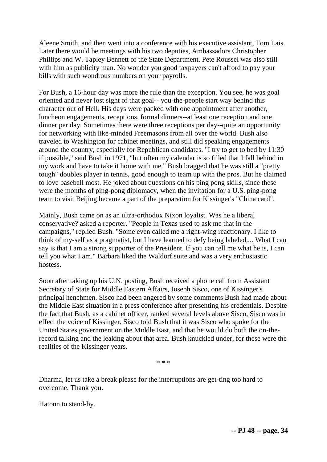Aleene Smith, and then went into a conference with his executive assistant, Tom Lais. Later there would be meetings with his two deputies, Ambassadors Christopher Phillips and W. Tapley Bennett of the State Department. Pete Roussel was also still with him as publicity man. No wonder you good taxpayers can't afford to pay your bills with such wondrous numbers on your payrolls.

For Bush, a 16-hour day was more the rule than the exception. You see, he was goal oriented and never lost sight of that goal-- you-the-people start way behind this character out of Hell. His days were packed with one appointment after another, luncheon engagements, receptions, formal dinners--at least one reception and one dinner per day. Sometimes there were three receptions per day--quite an opportunity for networking with like-minded Freemasons from all over the world. Bush also traveled to Washington for cabinet meetings, and still did speaking engagements around the country, especially for Republican candidates. "I try to get to bed by 11:30 if possible," said Bush in 1971, "but often my calendar is so filled that I fall behind in my work and have to take it home with me." Bush bragged that he was still a "pretty tough" doubles player in tennis, good enough to team up with the pros. But he claimed to love baseball most. He joked about questions on his ping pong skills, since these were the months of ping-pong diplomacy, when the invitation for a U.S. ping-pong team to visit Beijing became a part of the preparation for Kissinger's "China card".

Mainly, Bush came on as an ultra-orthodox Nixon loyalist. Was he a liberal conservative? asked a reporter. "People in Texas used to ask me that in the campaigns," replied Bush. "Some even called me a right-wing reactionary. I like to think of my-self as a pragmatist, but I have learned to defy being labeled.... What I can say is that I am a strong supporter of the President. If you can tell me what he is, I can tell you what I am." Barbara liked the Waldorf suite and was a very enthusiastic hostess.

Soon after taking up his U.N. posting, Bush received a phone call from Assistant Secretary of State for Middle Eastern Affairs, Joseph Sisco, one of Kissinger's principal henchmen. Sisco had been angered by some comments Bush had made about the Middle East situation in a press conference after presenting his credentials. Despite the fact that Bush, as a cabinet officer, ranked several levels above Sisco, Sisco was in effect the voice of Kissinger. Sisco told Bush that it was Sisco who spoke for the United States government on the Middle East, and that he would do both the on-therecord talking and the leaking about that area. Bush knuckled under, for these were the realities of the Kissinger years.

\* \* \*

Dharma, let us take a break please for the interruptions are get-ting too hard to overcome. Thank you.

Hatonn to stand-by.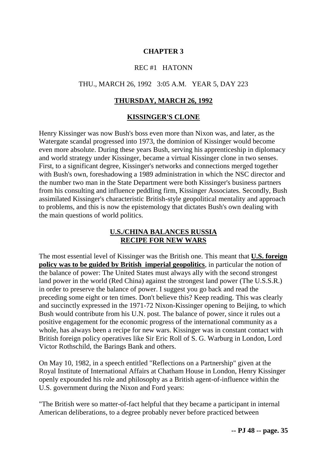#### **CHAPTER 3**

#### REC #1 HATONN

#### THU., MARCH 26, 1992 3:05 A.M. YEAR 5, DAY 223

#### **THURSDAY, MARCH 26, 1992**

#### **KISSINGER'S CLONE**

Henry Kissinger was now Bush's boss even more than Nixon was, and later, as the Watergate scandal progressed into 1973, the dominion of Kissinger would become even more absolute. During these years Bush, serving his apprenticeship in diplomacy and world strategy under Kissinger, became a virtual Kissinger clone in two senses. First, to a significant degree, Kissinger's networks and connections merged together with Bush's own, foreshadowing a 1989 administration in which the NSC director and the number two man in the State Department were both Kissinger's business partners from his consulting and influence peddling firm, Kissinger Associates. Secondly, Bush assimilated Kissinger's characteristic British-style geopolitical mentality and approach to problems, and this is now the epistemology that dictates Bush's own dealing with the main questions of world politics.

#### **U.S./CHINA BALANCES RUSSIA RECIPE FOR NEW WARS**

The most essential level of Kissinger was the British one. This meant that **U.S. foreign policy was to be guided by British imperial geopolitics**, in particular the notion of the balance of power: The United States must always ally with the second strongest land power in the world (Red China) against the strongest land power (The U.S.S.R.) in order to preserve the balance of power. I suggest you go back and read the preceding some eight or ten times. Don't believe this? Keep reading. This was clearly and succinctly expressed in the 1971-72 Nixon-Kissinger opening to Beijing, to which Bush would contribute from his U.N. post. The balance of power, since it rules out a positive engagement for the economic progress of the international community as a whole, has always been a recipe for new wars. Kissinger was in constant contact with British foreign policy operatives like Sir Eric Roll of S. G. Warburg in London, Lord Victor Rothschild, the Barings Bank and others.

On May 10, 1982, in a speech entitled "Reflections on a Partnership" given at the Royal Institute of International Affairs at Chatham House in London, Henry Kissinger openly expounded his role and philosophy as a British agent-of-influence within the U.S. government during the Nixon and Ford years:

"The British were so matter-of-fact helpful that they became a participant in internal American deliberations, to a degree probably never before practiced between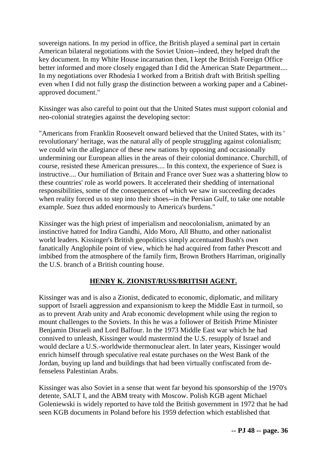sovereign nations. In my period in office, the British played a seminal part in certain American bilateral negotiations with the Soviet Union--indeed, they helped draft the key document. In my White House incarnation then, I kept the British Foreign Office better informed and more closely engaged than I did the American State Department.... In my negotiations over Rhodesia I worked from a British draft with British spelling even when I did not fully grasp the distinction between a working paper and a Cabinetapproved document."

Kissinger was also careful to point out that the United States must support colonial and neo-colonial strategies against the developing sector:

"Americans from Franklin Roosevelt onward believed that the United States, with its ' revolutionary' heritage, was the natural ally of people struggling against colonialism; we could win the allegiance of these new nations by opposing and occasionally undermining our European allies in the areas of their colonial dominance. Churchill, of course, resisted these American pressures.... In this context, the experience of Suez is instructive.... Our humiliation of Britain and France over Suez was a shattering blow to these countries' role as world powers. It accelerated their shedding of international responsibilities, some of the consequences of which we saw in succeeding decades when reality forced us to step into their shoes--in the Persian Gulf, to take one notable example. Suez thus added enormously to America's burdens."

Kissinger was the high priest of imperialism and neocolonialism, animated by an instinctive hatred for Indira Gandhi, Aldo Moro, All Bhutto, and other nationalist world leaders. Kissinger's British geopolitics simply accentuated Bush's own fanatically Anglophile point of view, which he had acquired from father Prescott and imbibed from the atmosphere of the family firm, Brown Brothers Harriman, originally the U.S. branch of a British counting house.

## **HENRY K. ZIONIST/RUSS/BRITISH AGENT.**

Kissinger was and is also a Zionist, dedicated to economic, diplomatic, and military support of Israeli aggression and expansionism to keep the Middle East in turmoil, so as to prevent Arab unity and Arab economic development while using the region to mount challenges to the Soviets. In this he was a follower of British Prime Minister Benjamin Disraeli and Lord Balfour. In the 1973 Middle East war which he had connived to unleash, Kissinger would mastermind the U.S. resupply of Israel and would declare a U.S.-worldwide thermonuclear alert. In later years, Kissinger would enrich himself through speculative real estate purchases on the West Bank of the Jordan, buying up land and buildings that had been virtually confiscated from defenseless Palestinian Arabs.

Kissinger was also Soviet in a sense that went far beyond his sponsorship of the 1970's detente, SALT I, and the ABM treaty with Moscow. Polish KGB agent Michael Goleniewski is widely reported to have told the British government in 1972 that he had seen KGB documents in Poland before his 1959 defection which established that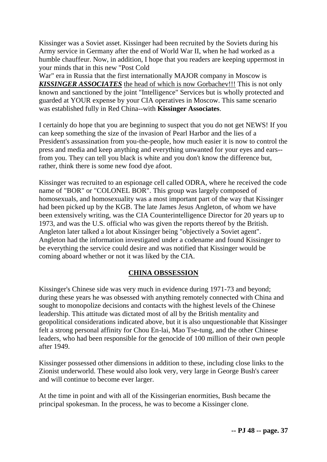Kissinger was a Soviet asset. Kissinger had been recruited by the Soviets during his Army service in Germany after the end of World War II, when he had worked as a humble chauffeur. Now, in addition, I hope that you readers are keeping uppermost in your minds that in this new "Post Cold

War" era in Russia that the first internationally MAJOR company in Moscow is *KISSINGER ASSOCIATES* the head of which is now Gorbachev!!! This is not only known and sanctioned by the joint "Intelligence" Services but is wholly protected and guarded at YOUR expense by your CIA operatives in Moscow. This same scenario was established fully in Red China--with **Kissinger Associates**.

I certainly do hope that you are beginning to suspect that you do not get NEWS! If you can keep something the size of the invasion of Pearl Harbor and the lies of a President's assassination from you-the-people, how much easier it is now to control the press and media and keep anything and everything unwanted for your eyes and ears- from you. They can tell you black is white and you don't know the difference but, rather, think there is some new food dye afoot.

Kissinger was recruited to an espionage cell called ODRA, where he received the code name of "BOR" or "COLONEL BOR". This group was largely composed of homosexuals, and homosexuality was a most important part of the way that Kissinger had been picked up by the KGB. The late James Jesus Angleton, of whom we have been extensively writing, was the CIA Counterintelligence Director for 20 years up to 1973, and was the U.S. official who was given the reports thereof by the British. Angleton later talked a lot about Kissinger being "objectively a Soviet agent". Angleton had the information investigated under a codename and found Kissinger to be everything the service could desire and was notified that Kissinger would be coming aboard whether or not it was liked by the CIA.

## **CHINA OBSSESSION**

Kissinger's Chinese side was very much in evidence during 1971-73 and beyond; during these years he was obsessed with anything remotely connected with China and sought to monopolize decisions and contacts with the highest levels of the Chinese leadership. This attitude was dictated most of all by the British mentality and geopolitical considerations indicated above, but it is also unquestionable that Kissinger felt a strong personal affinity for Chou En-lai, Mao Tse-tung, and the other Chinese leaders, who had been responsible for the genocide of 100 million of their own people after 1949.

Kissinger possessed other dimensions in addition to these, including close links to the Zionist underworld. These would also look very, very large in George Bush's career and will continue to become ever larger.

At the time in point and with all of the Kissingerian enormities, Bush became the principal spokesman. In the process, he was to become a Kissinger clone.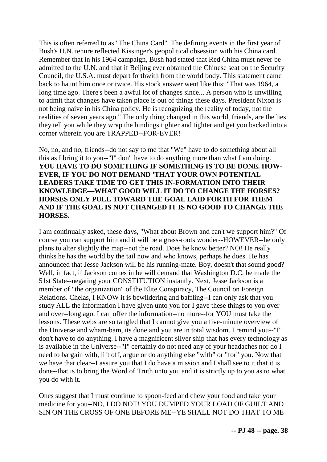This is often referred to as "The China Card". The defining events in the first year of Bush's U.N. tenure reflected Kissinger's geopolitical obsession with his China card. Remember that in his 1964 campaign, Bush had stated that Red China must never be admitted to the U.N. and that if Beijing ever obtained the Chinese seat on the Security Council, the U.S.A. must depart forthwith from the world body. This statement came back to haunt him once or twice. His stock answer went like this: "That was 1964, a long time ago. There's been a awful lot of changes since... A person who is unwilling to admit that changes have taken place is out of things these days. President Nixon is not being naive in his China policy. He is recognizing the reality of today, not the realities of seven years ago." The only thing changed in this world, friends, are the lies they tell you while they wrap the bindings tighter and tighter and get you backed into a corner wherein you are TRAPPED--FOR-EVER!

No, no, and no, friends--do not say to me that "We" have to do something about all this as I bring it to you--"I" don't have to do anything more than what I am doing. **YOU HAVE TO DO SOMETHING IF SOMETHING IS TO BE DONE. HOW-EVER, IF YOU DO NOT DEMAND 'THAT YOUR OWN POTENTIAL LEADERS TAKE TIME TO GET THIS IN-FORMATION INTO THEIR KNOWLEDGE—WHAT GOOD WILL IT DO TO CHANGE THE HORSES? HORSES ONLY PULL TOWARD THE GOAL LAID FORTH FOR THEM AND IF THE GOAL IS NOT CHANGED IT IS NO GOOD TO CHANGE THE HORSES.**

I am continually asked, these days, "What about Brown and can't we support him?" Of course you can support him and it will be a grass-roots wonder--HOWEVER--he only plans to alter slightly the map--not the road. Does he know better? NO! He really thinks he has the world by the tail now and who knows, perhaps he does. He has announced that Jesse Jackson will be his running-mate. Boy, doesn't that sound good? Well, in fact, if Jackson comes in he will demand that Washington D.C. be made the 51st State--negating your CONSTITUTION instantly. Next, Jesse Jackson is a member of "the organization" of the Elite Conspiracy, The Council on Foreign Relations. Chelas, I KNOW it is bewildering and baffling--I can only ask that you study ALL the information I have given unto you for I gave these things to you over and over--long ago. I can offer the information--no more--for YOU must take the lessons. These webs are so tangled that I cannot give you a five-minute overview of the Universe and wham-bam, its done and you are in total wisdom. I remind you--"I" don't have to do anything. I have a magnificent silver ship that has every technology as is available in the Universe--"I" certainly do not need any of your headaches nor do I need to bargain with, lift off, argue or do anything else "with" or "for" you. Now that we have that clear--I assure you that I do have a mission and I shall see to it that it is done--that is to bring the Word of Truth unto you and it is strictly up to you as to what you do with it.

Ones suggest that I must continue to spoon-feed and chew your food and take your medicine for you--NO, I DO NOT! YOU DUMPED YOUR LOAD OF GUILT AND SIN ON THE CROSS OF ONE BEFORE ME--YE SHALL NOT DO THAT TO ME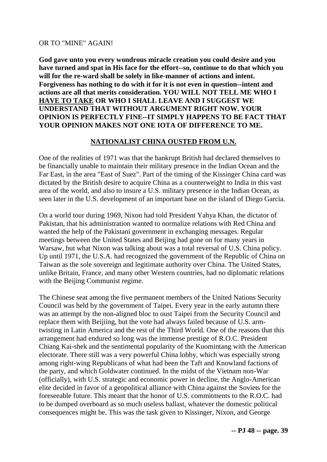#### OR TO "MINE" AGAIN!

**God gave unto you every wondrous miracle creation you could desire and you have turned and spat in His face for the effort--so, continue to do that which you will for the re-ward shall be solely in like-manner of actions and intent. Forgiveness has nothing to do with it for it is not even in question--intent and actions are all that merits consideration. YOU WILL NOT TELL ME WHO I HAVE TO TAKE OR WHO I SHALL LEAVE AND I SUGGEST WE UNDERSTAND THAT WITHOUT ARGUMENT RIGHT NOW. YOUR OPINION IS PERFECTLY FINE--IT SIMPLY HAPPENS TO BE FACT THAT YOUR OPINION MAKES NOT ONE IOTA OF DIFFERENCE TO ME.**

### **NATIONALIST CHINA OUSTED FROM U.N.**

One of the realities of 1971 was that the bankrupt British had declared themselves to be financially unable to maintain their military presence in the Indian Ocean and the Far East, in the area "East of Suez". Part of the timing of the Kissinger China card was dictated by the British desire to acquire China as a counterweight to India in this vast area of the world, and also to insure a U.S. military presence in the Indian Ocean, as seen later in the U.S. development of an important base on the island of Diego Garcia.

On a world tour during 1969, Nixon had told President Yahya Khan, the dictator of Pakistan, that his administration wanted to normalize relations with Red China and wanted the help of the Pakistani government in exchanging messages. Regular meetings between the United States and Beijing had gone on for many years in Warsaw, but what Nixon was talking about was a total reversal of U.S. China policy. Up until 1971, the U.S.A. had recognized the government of the Republic of China on Taiwan as the sole sovereign and legitimate authority over China. The United States, unlike Britain, France, and many other Western countries, had no diplomatic relations with the Beijing Communist regime.

The Chinese seat among the five permanent members of the United Nations Security Council was held by the government of Taipei. Every year in the early autumn there was an attempt by the non-aligned bloc to oust Taipei from the Security Council and replace them with Beijiing, but the vote had always failed because of U.S. armtwisting in Latin America and the rest of the Third World. One of the reasons that this arrangement had endured so long was the immense prestige of R.O.C. President Chiang Kai-shek and the sentimental popularity of the Kuomintang with the American electorate. There still was a very powerful China lobby, which was especially strong among right-wing Republicans of what had been the Taft and Knowland factions of the party, and which Goldwater continued. In the midst of the Vietnam non-War (officially), with U.S. strategic and economic power in decline, the Anglo-American elite decided in favor of a geopolitical alliance with China against the Soviets for the foreseeable future. This meant that the honor of U.S. commitments to the R.O.C. had to be dumped overboard as so much useless ballast, whatever the domestic political consequences might be. This was the task given to Kissinger, Nixon, and George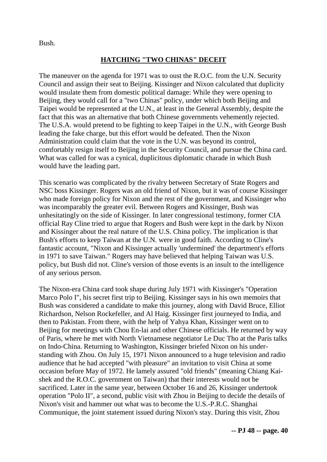Bush.

### **HATCHING "TWO CHINAS" DECEIT**

The maneuver on the agenda for 1971 was to oust the R.O.C. from the U.N. Security Council and assign their seat to Beijing. Kissinger and Nixon calculated that duplicity would insulate them from domestic political damage: While they were opening to Beijing, they would call for a "two Chinas" policy, under which both Beijing and Taipei would be represented at the U.N., at least in the General Assembly, despite the fact that this was an alternative that both Chinese governments vehemently rejected. The U.S.A. would pretend to be fighting to keep Taipei in the U.N., with George Bush leading the fake charge, but this effort would be defeated. Then the Nixon Administration could claim that the vote in the U.N. was beyond its control, comfortably resign itself to Beijing in the Security Council, and pursue the China card. What was called for was a cynical, duplicitous diplomatic charade in which Bush would have the leading part.

This scenario was complicated by the rivalry between Secretary of State Rogers and NSC boss Kissinger. Rogers was an old friend of Nixon, but it was of course Kissinger who made foreign policy for Nixon and the rest of the government, and Kissinger who was incomparably the greater evil. Between Rogers and Kissinger, Bush was unhesitatingly on the side of Kissinger. In later congressional testimony, former CIA official Ray Cline tried to argue that Rogers and Bush were kept in the dark by Nixon and Kissinger about the real nature of the U.S. China policy. The implication is that Bush's efforts to keep Taiwan at the U.N. were in good faith. According to Cline's fantastic account, "Nixon and Kissinger actually 'undermined' the department's efforts in 1971 to save Taiwan." Rogers may have believed that helping Taiwan was U.S. policy, but Bush did not. Cline's version of those events is an insult to the intelligence of any serious person.

The Nixon-era China card took shape during July 1971 with Kissinger's "Operation Marco Polo I", his secret first trip to Beijing. Kissinger says in his own memoirs that Bush was considered a candidate to make this journey, along with David Bruce, Elliot Richardson, Nelson Rockefeller, and Al Haig. Kissinger first journeyed to India, and then to Pakistan. From there, with the help of Yahya Khan, Kissinger went on to Beijing for meetings with Chou En-lai and other Chinese officials. He returned by way of Paris, where he met with North Vietnamese negotiator Le Duc Tho at the Paris talks on Indo-China. Returning to Washington, Kissinger briefed Nixon on his understanding with Zhou. On July 15, 1971 Nixon announced to a huge television and radio audience that he had accepted "with pleasure" an invitation to visit China at some occasion before May of 1972. He lamely assured "old friends" (meaning Chiang Kaishek and the R.O.C. government on Taiwan) that their interests would not be sacrificed. Later in the same year, between October 16 and 26, Kissinger undertook operation "Polo II", a second, public visit with Zhou in Beijing to decide the details of Nixon's visit and hammer out what was to become the U.S.-P.R.C. Shanghai Communique, the joint statement issued during Nixon's stay. During this visit, Zhou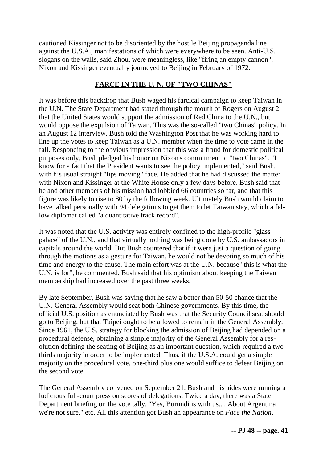cautioned Kissinger not to be disoriented by the hostile Beijing propaganda line against the U.S.A., manifestations of which were everywhere to be seen. Anti-U.S. slogans on the walls, said Zhou, were meaningless, like "firing an empty cannon". Nixon and Kissinger eventually journeyed to Beijing in February of 1972.

### **FARCE IN THE U. N. OF "TWO CHINAS"**

It was before this backdrop that Bush waged his farcical campaign to keep Taiwan in the U.N. The State Department had stated through the mouth of Rogers on August 2 that the United States would support the admission of Red China to the U.N., but would oppose the expulsion of Taiwan. This was the so-called "two Chinas" policy. In an August 12 interview, Bush told the Washington Post that he was working hard to line up the votes to keep Taiwan as a U.N. member when the time to vote came in the fall. Responding to the obvious impression that this was a fraud for domestic political purposes only, Bush pledged his honor on Nixon's commitment to "two Chinas". "I know for a fact that the President wants to see the policy implemented," said Bush, with his usual straight "lips moving" face. He added that he had discussed the matter with Nixon and Kissinger at the White House only a few days before. Bush said that he and other members of his mission had lobbied 66 countries so far, and that this figure was likely to rise to 80 by the following week. Ultimately Bush would claim to have talked personally with 94 delegations to get them to let Taiwan stay, which a fellow diplomat called "a quantitative track record".

It was noted that the U.S. activity was entirely confined to the high-profile "glass palace" of the U.N., and that virtually nothing was being done by U.S. ambassadors in capitals around the world. But Bush countered that if it were just a question of going through the motions as a gesture for Taiwan, he would not be devoting so much of his time and energy to the cause. The main effort was at the U.N. because "this is what the U.N. is for", he commented. Bush said that his optimism about keeping the Taiwan membership had increased over the past three weeks.

By late September, Bush was saying that he saw a better than 50-50 chance that the U.N. General Assembly would seat both Chinese governments. By this time, the official U.S. position as enunciated by Bush was that the Security Council seat should go to Beijing, but that Taipei ought to be allowed to remain in the General Assembly. Since 1961, the U.S. strategy for blocking the admission of Beijing had depended on a procedural defense, obtaining a simple majority of the General Assembly for a resolution defining the seating of Beijing as an important question, which required a twothirds majority in order to be implemented. Thus, if the U.S.A. could get a simple majority on the procedural vote, one-third plus one would suffice to defeat Beijing on the second vote.

The General Assembly convened on September 21. Bush and his aides were running a ludicrous full-court press on scores of delegations. Twice a day, there was a State Department briefing on the vote tally. "Yes, Burundi is with us.... About Argentina we're not sure," etc. All this attention got Bush an appearance on *Face the Nation*,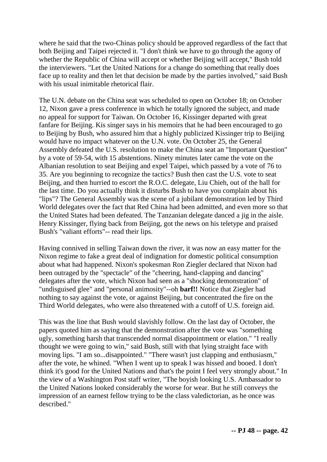where he said that the two-Chinas policy should be approved regardless of the fact that both Beijing and Taipei rejected it. "I don't think we have to go through the agony of whether the Republic of China will accept or whether Beijing will accept," Bush told the interviewers. "Let the United Nations for a change do something that really does face up to reality and then let that decision be made by the parties involved," said Bush with his usual inimitable rhetorical flair.

The U.N. debate on the China seat was scheduled to open on October 18; on October 12, Nixon gave a press conference in which he totally ignored the subject, and made no appeal for support for Taiwan. On October 16, Kissinger departed with great fanfare for Beijing. Kis singer says in his memoirs that he had been encouraged to go to Beijing by Bush, who assured him that a highly publicized Kissinger trip to Beijing would have no impact whatever on the U.N. vote. On October 25, the General Assembly defeated the U.S. resolution to make the China seat an "Important Question" by a vote of 59-54, with 15 abstentions. Ninety minutes later came the vote on the Albanian resolution to seat Beijing and expel Taipei, which passed by a vote of 76 to 35. Are you beginning to recognize the tactics? Bush then cast the U.S. vote to seat Beijing, and then hurried to escort the R.O.C. delegate, Liu Chieh, out of the hall for the last time. Do you actually think it disturbs Bush to have you complain about his "lips"? The General Assembly was the scene of a jubilant demonstration led by Third World delegates over the fact that Red China had been admitted, and even more so that the United States had been defeated. The Tanzanian delegate danced a jig in the aisle. Henry Kissinger, flying back from Beijing, got the news on his teletype and praised Bush's "valiant efforts"-- read their lips.

Having connived in selling Taiwan down the river, it was now an easy matter for the Nixon regime to fake a great deal of indignation for domestic political consumption about what had happened. Nixon's spokesman Ron Ziegler declared that Nixon had been outraged by the "spectacle" of the "cheering, hand-clapping and dancing" delegates after the vote, which Nixon had seen as a "shocking demonstration" of "undisguised glee" and "personal animosity"--oh **barf!!** Notice that Ziegler had nothing to say against the vote, or against Beijing, but concentrated the fire on the Third World delegates, who were also threatened with a cutoff of U.S. foreign aid.

This was the line that Bush would slavishly follow. On the last day of October, the papers quoted him as saying that the demonstration after the vote was "something ugly, something harsh that transcended normal disappointment or elation." "I really thought we were going to win," said Bush, still with that lying straight face with moving lips. "I am so...disappointed." "There wasn't just clapping and enthusiasm," after the vote, he whined. "When I went up to speak I was hissed and booed. I don't think it's good for the United Nations and that's the point I feel very strongly about." In the view of a Washington Post staff writer, "The boyish looking U.S. Ambassador to the United Nations looked considerably the worse for wear. But he still conveys the impression of an earnest fellow trying to be the class valedictorian, as he once was described."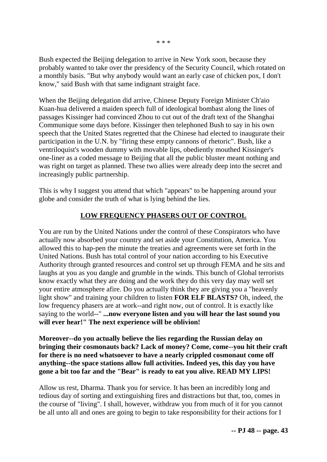Bush expected the Beijing delegation to arrive in New York soon, because they probably wanted to take over the presidency of the Security Council, which rotated on a monthly basis. "But why anybody would want an early case of chicken pox, I don't know," said Bush with that same indignant straight face.

When the Beijing delegation did arrive, Chinese Deputy Foreign Minister Ch'aio Kuan-hua delivered a maiden speech full of ideological bombast along the lines of passages Kissinger had convinced Zhou to cut out of the draft text of the Shanghai Communique some days before. Kissinger then telephoned Bush to say in his own speech that the United States regretted that the Chinese had elected to inaugurate their participation in the U.N. by "firing these empty cannons of rhetoric". Bush, like a ventriloquist's wooden dummy with movable lips, obediently mouthed Kissinger's one-liner as a coded message to Beijing that all the public bluster meant nothing and was right on target as planned. These two allies were already deep into the secret and increasingly public partnership.

This is why I suggest you attend that which "appears" to be happening around your globe and consider the truth of what is lying behind the lies.

## **LOW FREQUENCY PHASERS OUT OF CONTROL**

You are run by the United Nations under the control of these Conspirators who have actually now absorbed your country and set aside your Constitution, America. You allowed this to hap-pen the minute the treaties and agreements were set forth in the United Nations. Bush has total control of your nation according to his Executive Authority through granted resources and control set up through FEMA and he sits and laughs at you as you dangle and grumble in the winds. This bunch of Global terrorists know exactly what they are doing and the work they do this very day may well set your entire atmosphere afire. Do you actually think they are giving you a "heavenly light show" and training your children to listen **FOR ELF BLASTS?** Oh, indeed, the low frequency phasers are at work--and right now, out of control. It is exactly like saying to the world--" **...now everyone listen and you will hear the last sound you will ever hear!" The next experience will be oblivion!**

**Moreover--do you actually believe the lies regarding the Russian delay on bringing their cosmonauts back? Lack of money? Come, come--you hit their craft for there is no need whatsoever to have a nearly crippled cosmonaut come off anything--the space stations allow full activities. Indeed yes, this day you have gone a bit too far and the "Bear" is ready to eat you alive. READ MY LIPS!**

Allow us rest, Dharma. Thank you for service. It has been an incredibly long and tedious day of sorting and extinguishing fires and distractions but that, too, comes in the course of "living". I shall, however, withdraw you from much of it for you cannot be all unto all and ones are going to begin to take responsibility for their actions for I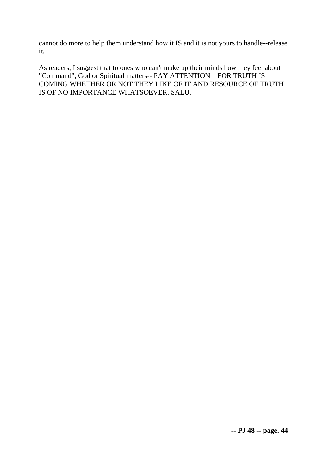cannot do more to help them understand how it IS and it is not yours to handle--release it.

As readers, I suggest that to ones who can't make up their minds how they feel about "Command", God or Spiritual matters-- PAY ATTENTION—FOR TRUTH IS COMING WHETHER OR NOT THEY LIKE OF IT AND RESOURCE OF TRUTH IS OF NO IMPORTANCE WHATSOEVER. SALU.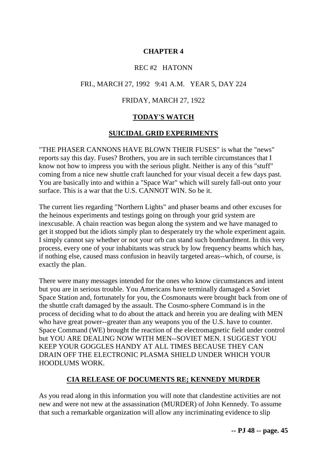## **CHAPTER 4**

## REC #2 HATONN

## FRI., MARCH 27, 1992 9:41 A.M. YEAR 5, DAY 224

## FRIDAY, MARCH 27, 1922

## **TODAY'S WATCH**

### **SUICIDAL GRID EXPERIMENTS**

"THE PHASER CANNONS HAVE BLOWN THEIR FUSES" is what the "news" reports say this day. Fuses? Brothers, you are in such terrible circumstances that I know not how to impress you with the serious plight. Neither is any of this "stuff" coming from a nice new shuttle craft launched for your visual deceit a few days past. You are basically into and within a "Space War" which will surely fall-out onto your surface. This is a war that the U.S. CANNOT WIN. So be it.

The current lies regarding "Northern Lights" and phaser beams and other excuses for the heinous experiments and testings going on through your grid system are inexcusable. A chain reaction was begun along the system and we have managed to get it stopped but the idiots simply plan to desperately try the whole experiment again. I simply cannot say whether or not your orb can stand such bombardment. In this very process, every one of your inhabitants was struck by low frequency beams which has, if nothing else, caused mass confusion in heavily targeted areas--which, of course, is exactly the plan.

There were many messages intended for the ones who know circumstances and intent but you are in serious trouble. You Americans have terminally damaged a Soviet Space Station and, fortunately for you, the Cosmonauts were brought back from one of the shuttle craft damaged by the assault. The Cosmo-sphere Command is in the process of deciding what to do about the attack and herein you are dealing with MEN who have great power--greater than any weapons you of the U.S. have to counter. Space Command (WE) brought the reaction of the electromagnetic field under control but YOU ARE DEALING NOW WITH MEN--SOVIET MEN. I SUGGEST YOU KEEP YOUR GOGGLES HANDY AT ALL TIMES BECAUSE THEY CAN DRAIN OFF THE ELECTRONIC PLASMA SHIELD UNDER WHICH YOUR HOODLUMS WORK.

## **CIA RELEASE OF DOCUMENTS RE; KENNEDY MURDER**

As you read along in this information you will note that clandestine activities are not new and were not new at the assassination (MURDER) of John Kennedy. To assume that such a remarkable organization will allow any incriminating evidence to slip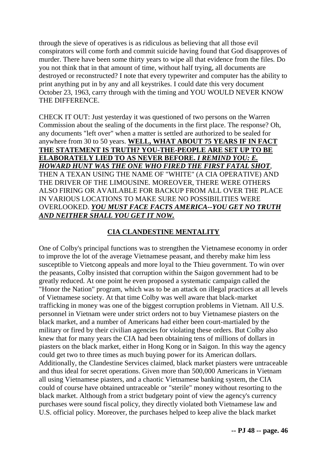through the sieve of operatives is as ridiculous as believing that all those evil conspirators will come forth and commit suicide having found that God disapproves of murder. There have been some thirty years to wipe all that evidence from the files. Do you not think that in that amount of time, without half trying, all documents are destroyed or reconstructed? I note that every typewriter and computer has the ability to print anything put in by any and all keystrikes. I could date this very document October 23, 1963, carry through with the timing and YOU WOULD NEVER KNOW THE DIFFERENCE.

CHECK IT OUT: Just yesterday it was questioned of two persons on the Warren Commission about the sealing of the documents in the first place. The response? Oh, any documents "left over" when a matter is settled are authorized to be sealed for anywhere from 30 to 50 years. **WELL, WHAT ABOUT 75 YEARS IF IN FACT THE STATEMENT IS TRUTH? YOU-THE-PEOPLE ARE SET UP TO BE ELABORATELY LIED TO AS NEVER BEFORE.** *I REMIND YOU: E. HOWARD HUNT WAS THE ONE WHO FIRED THE FIRST FATAL SHOT*, THEN A TEXAN USING THE NAME OF "WHITE" (A CIA OPERATIVE) AND THE DRIVER OF THE LIMOUSINE. MOREOVER, THERE WERE OTHERS ALSO FIRING OR AVAILABLE FOR BACKUP FROM ALL OVER THE PLACE IN VARIOUS LOCATIONS TO MAKE SURE NO POSSIBILITIES WERE OVERLOOKED. *YOU MUST FACE FACTS AMERICA--YOU GET NO TRUTH AND NEITHER SHALL YOU GET IT NOW.*

## **CIA CLANDESTINE MENTALITY**

One of Colby's principal functions was to strengthen the Vietnamese economy in order to improve the lot of the average Vietnamese peasant, and thereby make him less susceptible to Vietcong appeals and more loyal to the Thieu government. To win over the peasants, Colby insisted that corruption within the Saigon government had to be greatly reduced. At one point he even proposed a systematic campaign called the "Honor the Nation" program, which was to be an attack on illegal practices at all levels of Vietnamese society. At that time Colby was well aware that black-market trafficking in money was one of the biggest corruption problems in Vietnam. All U.S. personnel in Vietnam were under strict orders not to buy Vietnamese piasters on the black market, and a number of Americans had either been court-martialed by the military or fired by their civilian agencies for violating these orders. But Colby also knew that for many years the CIA had been obtaining tens of millions of dollars in piasters on the black market, either in Hong Kong or in Saigon. In this way the agency could get two to three times as much buying power for its American dollars. Additionally, the Clandestine Services claimed, black market piasters were untraceable and thus ideal for secret operations. Given more than 500,000 Americans in Vietnam all using Vietnamese piasters, and a chaotic Vietnamese banking system, the CIA could of course have obtained untraceable or "sterile" money without resorting to the black market. Although from a strict budgetary point of view the agency's currency purchases were sound fiscal policy, they directly violated both Vietnamese law and U.S. official policy. Moreover, the purchases helped to keep alive the black market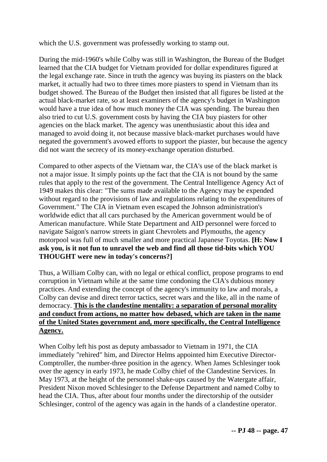which the U.S. government was professedly working to stamp out.

During the mid-1960's while Colby was still in Washington, the Bureau of the Budget learned that the CIA budget for Vietnam provided for dollar expenditures figured at the legal exchange rate. Since in truth the agency was buying its piasters on the black market, it actually had two to three times more piasters to spend in Vietnam than its budget showed. The Bureau of the Budget then insisted that all figures be listed at the actual black-market rate, so at least examiners of the agency's budget in Washington would have a true idea of how much money the CIA was spending. The bureau then also tried to cut U.S. government costs by having the CIA buy piasters for other agencies on the black market. The agency was unenthusiastic about this idea and managed to avoid doing it, not because massive black-market purchases would have negated the government's avowed efforts to support the piaster, but because the agency did not want the secrecy of its money-exchange operation disturbed.

Compared to other aspects of the Vietnam war, the CIA's use of the black market is not a major issue. It simply points up the fact that the CIA is not bound by the same rules that apply to the rest of the government. The Central Intelligence Agency Act of 1949 makes this clear: "The sums made available to the Agency may be expended without regard to the provisions of law and regulations relating to the expenditures of Government." The CIA in Vietnam even escaped the Johnson administration's worldwide edict that all cars purchased by the American government would be of American manufacture. While State Department and AID personnel were forced to navigate Saigon's narrow streets in giant Chevrolets and Plymouths, the agency motorpool was full of much smaller and more practical Japanese Toyotas. **[H: Now I ask you, is it not fun to unravel the web and find all those tid-bits which YOU THOUGHT were new in today's concerns?]**

Thus, a William Colby can, with no legal or ethical conflict, propose programs to end corruption in Vietnam while at the same time condoning the CIA's dubious money practices. And extending the concept of the agency's immunity to law and morals, a Colby can devise and direct terror tactics, secret wars and the like, all in the name of democracy. **This is the clandestine mentality: a separation of personal morality and conduct from actions, no matter how debased, which are taken in the name of the United States government and, more specifically, the Central Intelligence Agency.** 

When Colby left his post as deputy ambassador to Vietnam in 1971, the CIA immediately "rehired" him, and Director Helms appointed him Executive Director-Comptroller, the number-three position in the agency. When James Schlesinger took over the agency in early 1973, he made Colby chief of the Clandestine Services. In May 1973, at the height of the personnel shake-ups caused by the Watergate affair, President Nixon moved Schlesinger to the Defense Department and named Colby to head the CIA. Thus, after about four months under the directorship of the outsider Schlesinger, control of the agency was again in the hands of a clandestine operator.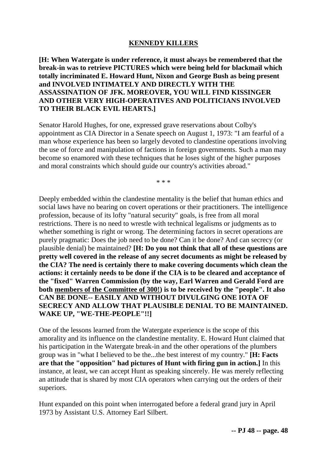### **KENNEDY KILLERS**

### **[H: When Watergate is under reference, it must always be remembered that the break-in was to retrieve PICTURES which were being held for blackmail which totally incriminated E. Howard Hunt, Nixon and George Bush as being present and INVOLVED INTIMATELY AND DIRECTLY WITH THE ASSASSINATION OF JFK. MOREOVER, YOU WILL FIND KISSINGER AND OTHER VERY HIGH-OPERATIVES AND POLITICIANS INVOLVED TO THEIR BLACK EVIL HEARTS.]**

Senator Harold Hughes, for one, expressed grave reservations about Colby's appointment as CIA Director in a Senate speech on August 1, 1973: "I am fearful of a man whose experience has been so largely devoted to clandestine operations involving the use of force and manipulation of factions in foreign governments. Such a man may become so enamored with these techniques that he loses sight of the higher purposes and moral constraints which should guide our country's activities abroad."

\* \* \*

Deeply embedded within the clandestine mentality is the belief that human ethics and social laws have no bearing on covert operations or their practitioners. The intelligence profession, because of its lofty "natural security" goals, is free from all moral restrictions. There is no need to wrestle with technical legalisms or judgments as to whether something is right or wrong. The determining factors in secret operations are purely pragmatic: Does the job need to be done? Can it be done? And can secrecy (or plausible denial) be maintained? **[H: Do you not think that all of these questions are pretty well covered in the release of any secret documents as might be released by the CIA? The need is certainly there to make covering documents which clean the actions: it certainly needs to be done if the CIA is to be cleared and acceptance of the "fixed" Warren Commission (by the way, Earl Warren and Gerald Ford are both members of the Committee of 300!) is to be received by the "people". It also CAN BE DONE-- EASILY AND WITHOUT DIVULGING ONE IOTA OF SECRECY AND ALLOW THAT PLAUSIBLE DENIAL TO BE MAINTAINED. WAKE UP, "WE-THE-PEOPLE"!!]**

One of the lessons learned from the Watergate experience is the scope of this amorality and its influence on the clandestine mentality. E. Howard Hunt claimed that his participation in the Watergate break-in and the other operations of the plumbers group was in "what I believed to be the...the best interest of my country." **[H: Facts are that the "opposition" had pictures of Hunt with firing gun in action.]** In this instance, at least, we can accept Hunt as speaking sincerely. He was merely reflecting an attitude that is shared by most CIA operators when carrying out the orders of their superiors.

Hunt expanded on this point when interrogated before a federal grand jury in April 1973 by Assistant U.S. Attorney Earl Silbert.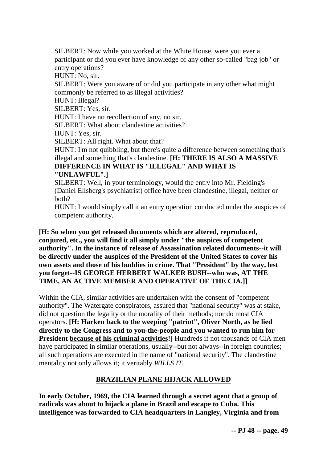SILBERT: Now while you worked at the White House, were you ever a participant or did you ever have knowledge of any other so-called "bag job" or entry operations?

HUNT: No, sir.

SILBERT: Were you aware of or did you participate in any other what might commonly be referred to as illegal activities?

HUNT: Illegal?

SILBERT: Yes, sir.

HUNT: I have no recollection of any, no sir.

SILBERT: What about clandestine activities?

HUNT: Yes, sir.

SILBERT: All right. What about that?

HUNT: I'm not quibbling, but there's quite a difference between something that's illegal and something that's clandestine. **[H: THERE IS ALSO A MASSIVE DIFFERENCE IN WHAT IS "ILLEGAL" AND WHAT IS "UNLAWFUL".]**

SILBERT: Well, in your terminology, would the entry into Mr. Fielding's (Daniel Ellsberg's psychiatrist) office have been clandestine, illegal, neither or both?

HUNT: I would simply call it an entry operation conducted under the auspices of competent authority.

**[H: So when you get released documents which are altered, reproduced, conjured, etc., you will find it all simply under "the auspices of competent authority". In the instance of release of Assassination related documents--it will be directly under the auspices of the President of the United States to cover his own assets and those of his buddies in crime. That "President" by the way, lest you forget--IS GEORGE HERBERT WALKER BUSH--who was, AT THE TIME, AN ACTIVE MEMBER AND OPERATIVE OF THE CIA.]]**

Within the CIA, similar activities are undertaken with the consent of "competent authority". The Watergate conspirators, assured that "national security" was at stake, did not question the legality or the morality of their methods; nor do most CIA operators. **[H: Harken back to the weeping "patriot", Oliver North, as he lied directly to the Congress and to you-the-people and you wanted to run him for President because of his criminal activities!]** Hundreds if not thousands of CIA men have participated in similar operations, usually--but not always--in foreign countries; all such operations are executed in the name of "national security". The clandestine mentality not only allows it; it veritably *WILLS IT.*

## **BRAZILIAN PLANE HIJACK ALLOWED**

**In early October, 1969, the CIA learned through a secret agent that a group of radicals was about to hijack a plane in Brazil and escape to Cuba. This intelligence was forwarded to CIA headquarters in Langley, Virginia and from**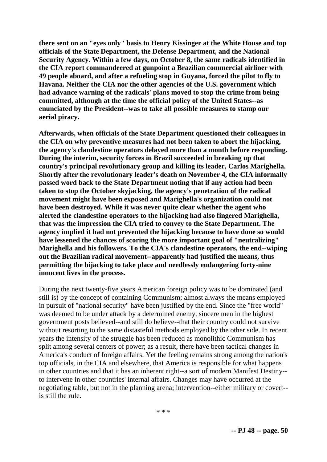**there sent on an "eyes only" basis to Henry Kissinger at the White House and top officials of the State Department, the Defense Department, and the National Security Agency. Within a few days, on October 8, the same radicals identified in the CIA report commandeered at gunpoint a Brazilian commercial airliner with 49 people aboard, and after a refueling stop in Guyana, forced the pilot to fly to Havana. Neither the CIA nor the other agencies of the U.S. government which had advance warning of the radicals' plans moved to stop the crime from being committed, although at the time the official policy of the United States--as enunciated by the President--was to take all possible measures to stamp our aerial piracy.**

**Afterwards, when officials of the State Department questioned their colleagues in the CIA on why preventive measures had not been taken to abort the hijacking, the agency's clandestine operators delayed more than a month before responding. During the interim, security forces in Brazil succeeded in breaking up that country's principal revolutionary group and killing its leader, Carlos Marighella. Shortly after the revolutionary leader's death on November 4, the CIA informally passed word back to the State Department noting that if any action had been taken to stop the October skyjacking, the agency's penetration of the radical movement might have been exposed and Marighella's organization could not have been destroyed. While it was never quite clear whether the agent who alerted the clandestine operators to the hijacking had also fingered Marighella, that was the impression the CIA tried to convey to the State Department. The agency implied it had not prevented the hijacking because to have done so would have lessened the chances of scoring the more important goal of "neutralizing" Marighella and his followers. To the CIA's clandestine operators, the end--wiping out the Brazilian radical movement--apparently had justified the means, thus permitting the hijacking to take place and needlessly endangering forty-nine innocent lives in the process.**

During the next twenty-five years American foreign policy was to be dominated (and still is) by the concept of containing Communism; almost always the means employed in pursuit of "national security" have been justified by the end. Since the "free world" was deemed to be under attack by a determined enemy, sincere men in the highest government posts believed--and still do believe--that their country could not survive without resorting to the same distasteful methods employed by the other side. In recent years the intensity of the struggle has been reduced as monolithic Communism has split among several centers of power; as a result, there have been tactical changes in America's conduct of foreign affairs. Yet the feeling remains strong among the nation's top officials, in the CIA and elsewhere, that America is responsible for what happens in other countries and that it has an inherent right--a sort of modern Manifest Destiny- to intervene in other countries' internal affairs. Changes may have occurred at the negotiating table, but not in the planning arena; intervention--either military or covert- is still the rule.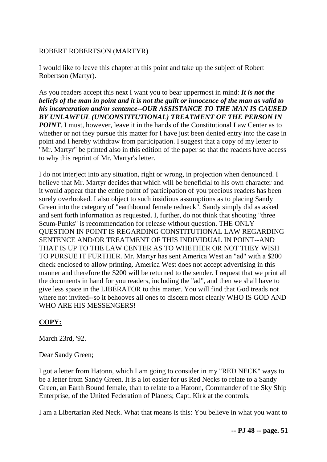## ROBERT ROBERTSON (MARTYR)

I would like to leave this chapter at this point and take up the subject of Robert Robertson (Martyr).

As you readers accept this next I want you to bear uppermost in mind: *It is not the beliefs of the man in point and it is not the guilt or innocence of the man as valid to his incarceration and/or sentence--OUR ASSISTANCE TO THE MAN IS CAUSED BY UNLAWFUL (UNCONSTITUTIONAL) TREATMENT OF THE PERSON IN POINT*. I must, however, leave it in the hands of the Constitutional Law Center as to whether or not they pursue this matter for I have just been denied entry into the case in point and I hereby withdraw from participation. I suggest that a copy of my letter to "Mr. Martyr" be printed also in this edition of the paper so that the readers have access to why this reprint of Mr. Martyr's letter.

I do not interject into any situation, right or wrong, in projection when denounced. I believe that Mr. Martyr decides that which will be beneficial to his own character and it would appear that the entire point of participation of you precious readers has been sorely overlooked. I also object to such insidious assumptions as to placing Sandy Green into the category of "earthbound female redneck". Sandy simply did as asked and sent forth information as requested. I, further, do not think that shooting "three Scum-Punks" is recommendation for release without question. THE ONLY QUESTION IN POINT IS REGARDING CONSTITUTIONAL LAW REGARDING SENTENCE AND/OR TREATMENT OF THIS INDIVIDUAL IN POINT--AND THAT IS UP TO THE LAW CENTER AS TO WHETHER OR NOT THEY WISH TO PURSUE IT FURTHER. Mr. Martyr has sent America West an "ad" with a \$200 check enclosed to allow printing. America West does not accept advertising in this manner and therefore the \$200 will be returned to the sender. I request that we print all the documents in hand for you readers, including the "ad", and then we shall have to give less space in the LIBERATOR to this matter. You will find that God treads not where not invited--so it behooves all ones to discern most clearly WHO IS GOD AND WHO ARE HIS MESSENGERS!

## **COPY:**

March 23rd, '92.

Dear Sandy Green;

I got a letter from Hatonn, which I am going to consider in my "RED NECK" ways to be a letter from Sandy Green. It is a lot easier for us Red Necks to relate to a Sandy Green, an Earth Bound female, than to relate to a Hatonn, Commander of the Sky Ship Enterprise, of the United Federation of Planets; Capt. Kirk at the controls.

I am a Libertarian Red Neck. What that means is this: You believe in what you want to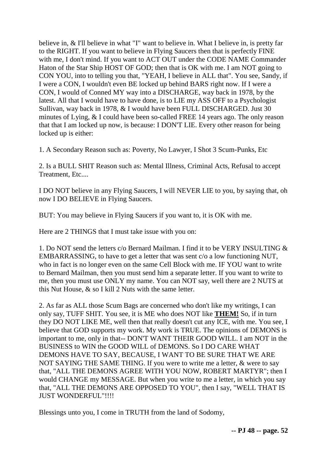believe in, & I'll believe in what "I" want to believe in. What I believe in, is pretty far to the RIGHT. If you want to believe in Flying Saucers then that is perfectly FINE with me, I don't mind. If you want to ACT OUT under the CODE NAME Commander Haton of the Star Ship HOST OF GOD; then that is OK with me. I am NOT going to CON YOU, into to telling you that, "YEAH, I believe in ALL that". You see, Sandy, if I were a CON, I wouldn't even BE locked up behind BARS right now. If I were a CON, I would of Conned MY way into a DISCHARGE, way back in 1978, by the latest. All that I would have to have done, is to LIE my ASS OFF to a Psychologist Sullivan, way back in 1978, & I would have been FULL DISCHARGED. Just 30 minutes of Lying, & I could have been so-called FREE 14 years ago. The only reason that that I am locked up now, is because: I DON'T LIE. Every other reason for being locked up is either:

1. A Secondary Reason such as: Poverty, No Lawyer, I Shot 3 Scum-Punks, Etc

2. Is a BULL SHIT Reason such as: Mental Illness, Criminal Acts, Refusal to accept Treatment, Etc....

I DO NOT believe in any Flying Saucers, I will NEVER LIE to you, by saying that, oh now I DO BELIEVE in Flying Saucers.

BUT: You may believe in Flying Saucers if you want to, it is OK with me.

Here are 2 THINGS that I must take issue with you on:

1. Do NOT send the letters c/o Bernard Mailman. I find it to be VERY INSULTING & EMBARRASSING, to have to get a letter that was sent c/o a low functioning NUT, who in fact is no longer even on the same Cell Block with me. IF YOU want to write to Bernard Mailman, then you must send him a separate letter. If you want to write to me, then you must use ONLY my name. You can NOT say, well there are 2 NUTS at this Nut House, & so I kill 2 Nuts with the same letter.

2. As far as ALL those Scum Bags are concerned who don't like my writings, I can only say, TUFF SHIT. You see, it is ME who does NOT like **THEM!** So, if in turn they DO NOT LIKE ME, well then that really doesn't cut any ICE, with me. You see, I believe that GOD supports my work. My work is TRUE. The opinions of DEMONS is important to me, only in that-- DON'T WANT THEIR GOOD WILL. I am NOT in the BUSINESS to WIN the GOOD WILL of DEMONS. So I DO CARE WHAT DEMONS HAVE TO SAY, BECAUSE, I WANT TO BE SURE THAT WE ARE NOT SAYING THE SAME THING. If you were to write me a letter, & were to say that, "ALL THE DEMONS AGREE WITH YOU NOW, ROBERT MARTYR"; then I would CHANGE my MESSAGE. But when you write to me a letter, in which you say that, "ALL THE DEMONS ARE OPPOSED TO YOU", then I say, "WELL THAT IS JUST WONDERFUL"!!!!

Blessings unto you, I come in TRUTH from the land of Sodomy,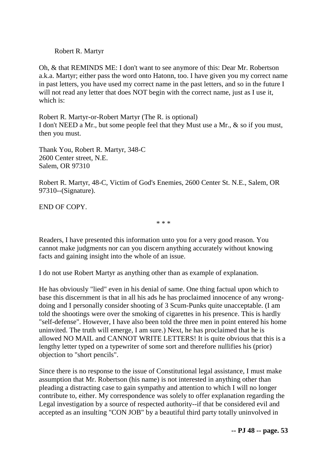Robert R. Martyr

Oh, & that REMINDS ME: I don't want to see anymore of this: Dear Mr. Robertson a.k.a. Martyr; either pass the word onto Hatonn, too. I have given you my correct name in past letters, you have used my correct name in the past letters, and so in the future I will not read any letter that does NOT begin with the correct name, just as I use it, which is:

Robert R. Martyr-or-Robert Martyr (The R. is optional) I don't NEED a Mr., but some people feel that they Must use a Mr., & so if you must, then you must.

Thank You, Robert R. Martyr, 348-C 2600 Center street, N.E. Salem, OR 97310

Robert R. Martyr, 48-C, Victim of God's Enemies, 2600 Center St. N.E., Salem, OR 97310--(Signature).

END OF COPY.

\* \* \*

Readers, I have presented this information unto you for a very good reason. You cannot make judgments nor can you discern anything accurately without knowing facts and gaining insight into the whole of an issue.

I do not use Robert Martyr as anything other than as example of explanation.

He has obviously "lied" even in his denial of same. One thing factual upon which to base this discernment is that in all his ads he has proclaimed innocence of any wrongdoing and I personally consider shooting of 3 Scum-Punks quite unacceptable. (I am told the shootings were over the smoking of cigarettes in his presence. This is hardly "self-defense". However, I have also been told the three men in point entered his home uninvited. The truth will emerge, I am sure.) Next, he has proclaimed that he is allowed NO MAIL and CANNOT WRITE LETTERS! It is quite obvious that this is a lengthy letter typed on a typewriter of some sort and therefore nullifies his (prior) objection to "short pencils".

Since there is no response to the issue of Constitutional legal assistance, I must make assumption that Mr. Robertson (his name) is not interested in anything other than pleading a distracting case to gain sympathy and attention to which I will no longer contribute to, either. My correspondence was solely to offer explanation regarding the Legal investigation by a source of respected authority--if that be considered evil and accepted as an insulting "CON JOB" by a beautiful third party totally uninvolved in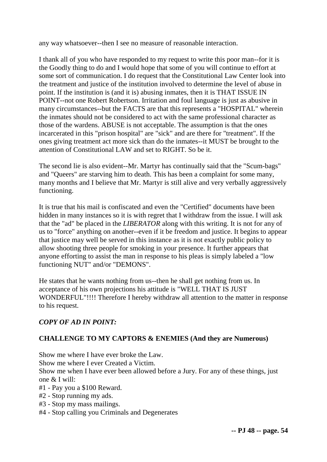any way whatsoever--then I see no measure of reasonable interaction.

I thank all of you who have responded to my request to write this poor man--for it is the Goodly thing to do and I would hope that some of you will continue to effort at some sort of communication. I do request that the Constitutional Law Center look into the treatment and justice of the institution involved to determine the level of abuse in point. If the institution is (and it is) abusing inmates, then it is THAT ISSUE IN POINT--not one Robert Robertson. Irritation and foul language is just as abusive in many circumstances--but the FACTS are that this represents a "HOSPITAL" wherein the inmates should not be considered to act with the same professional character as those of the wardens. ABUSE is not acceptable. The assumption is that the ones incarcerated in this "prison hospital" are "sick" and are there for "treatment". If the ones giving treatment act more sick than do the inmates--it MUST be brought to the attention of Constitutional LAW and set to RIGHT. So be it.

The second lie is also evident--Mr. Martyr has continually said that the "Scum-bags" and "Queers" are starving him to death. This has been a complaint for some many, many months and I believe that Mr. Martyr is still alive and very verbally aggressively functioning.

It is true that his mail is confiscated and even the "Certified" documents have been hidden in many instances so it is with regret that I withdraw from the issue. I will ask that the "ad" be placed in the *LIBERATOR* along with this writing. It is not for any of us to "force" anything on another--even if it be freedom and justice. It begins to appear that justice may well be served in this instance as it is not exactly public policy to allow shooting three people for smoking in your presence. It further appears that anyone efforting to assist the man in response to his pleas is simply labeled a "low functioning NUT" and/or "DEMONS".

He states that he wants nothing from us--then he shall get nothing from us. In acceptance of his own projections his attitude is "WELL THAT IS JUST WONDERFUL"!!!! Therefore I hereby withdraw all attention to the matter in response to his request.

## *COPY OF AD IN POINT:*

### **CHALLENGE TO MY CAPTORS & ENEMIES (And they are Numerous)**

Show me where I have ever broke the Law.

Show me where I ever Created a Victim.

Show me when I have ever been allowed before a Jury. For any of these things, just one & I will:

#1 - Pay you a \$100 Reward.

- #2 Stop running my ads.
- #3 Stop my mass mailings.
- #4 Stop calling you Criminals and Degenerates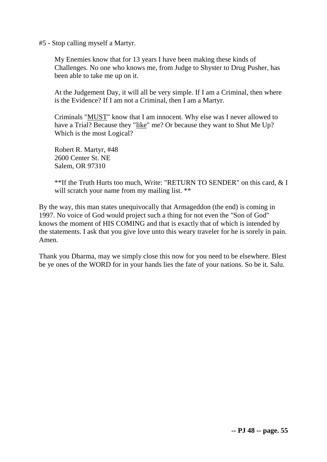#5 - Stop calling myself a Martyr.

My Enemies know that for 13 years I have been making these kinds of Challenges. No one who knows me, from Judge to Shyster to Drug Pusher, has been able to take me up on it.

At the Judgement Day, it will all be very simple. If I am a Criminal, then where is the Evidence? If I am not a Criminal, then I am a Martyr.

Criminals "MUST" know that I am innocent. Why else was I never allowed to have a Trial? Because they "like" me? Or because they want to Shut Me Up? Which is the most Logical?

Robert R. Martyr, #48 2600 Center St. NE Salem, OR 97310

\*\*If the Truth Hurts too much, Write: "RETURN TO SENDER" on this card, & I will scratch your name from my mailing list. \*\*

By the way, this man states unequivocally that Armageddon (the end) is coming in 1997. No voice of God would project such a thing for not even the "Son of God" knows the moment of HIS COMING and that is exactly that of which is intended by the statements. I ask that you give love unto this weary traveler for he is sorely in pain. Amen.

Thank you Dharma, may we simply close this now for you need to be elsewhere. Blest be ye ones of the WORD for in your hands lies the fate of your nations. So be it. Salu.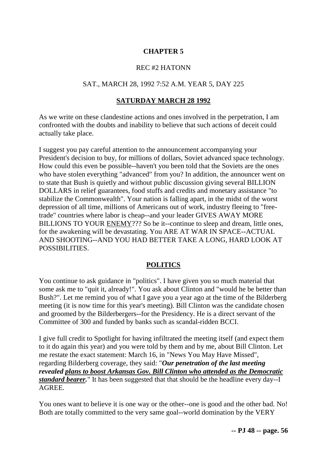## **CHAPTER 5**

## REC #2 HATONN

## SAT., MARCH 28, 1992 7:52 A.M. YEAR 5, DAY 225

### **SATURDAY MARCH 28 1992**

As we write on these clandestine actions and ones involved in the perpetration, I am confronted with the doubts and inability to believe that such actions of deceit could actually take place.

I suggest you pay careful attention to the announcement accompanying your President's decision to buy, for millions of dollars, Soviet advanced space technology. How could this even be possible--haven't you been told that the Soviets are the ones who have stolen everything "advanced" from you? In addition, the announcer went on to state that Bush is quietly and without public discussion giving several BILLION DOLLARS in relief guarantees, food stuffs and credits and monetary assistance "to stabilize the Commonwealth". Your nation is falling apart, in the midst of the worst depression of all time, millions of Americans out of work, industry fleeing to "freetrade" countries where labor is cheap--and your leader GIVES AWAY MORE BILLIONS TO YOUR ENEMY??? So be it--continue to sleep and dream, little ones, for the awakening will be devastating. You ARE AT WAR IN SPACE--ACTUAL AND SHOOTING--AND YOU HAD BETTER TAKE A LONG, HARD LOOK AT POSSIBILITIES.

#### **POLITICS**

You continue to ask guidance in "politics". I have given you so much material that some ask me to "quit it, already!". You ask about Clinton and "would he be better than Bush?". Let me remind you of what I gave you a year ago at the time of the Bilderberg meeting (it is now time for this year's meeting). Bill Clinton was the candidate chosen and groomed by the Bilderbergers--for the Presidency. He is a direct servant of the Committee of 300 and funded by banks such as scandal-ridden BCCI.

I give full credit to Spotlight for having infiltrated the meeting itself (and expect them to it do again this year) and you were told by them and by me, about Bill Clinton. Let me restate the exact statement: March 16, in "News You May Have Missed", regarding Bilderberg coverage, they said: "*Our penetration of the last meeting revealed plans to boost Arkansas Gov. Bill Clinton who attended as the Democratic standard bearer.*" It has been suggested that that should be the headline every day--I AGREE.

You ones want to believe it is one way or the other--one is good and the other bad. No! Both are totally committed to the very same goal--world domination by the VERY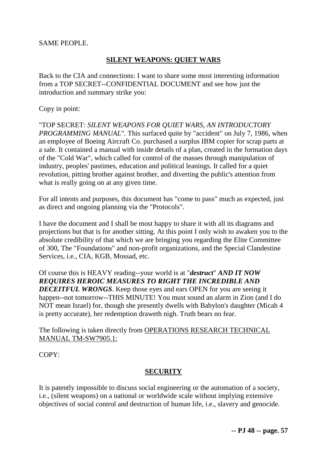#### SAME PEOPLE.

### **SILENT WEAPONS: QUIET WARS**

Back to the CIA and connections: I want to share some most interesting information from a TOP SECRET--CONFIDENTIAL DOCUMENT and see how just the introduction and summary strike you:

Copy in point:

"TOP SECRET: *SILENT WEAPONS FOR QUIET WARS, AN INTRODUCTORY PROGRAMMING MANUAL*". This surfaced quite by "accident" on July 7, 1986, when an employee of Boeing Aircraft Co. purchased a surplus IBM copier for scrap parts at a sale. It contained a manual with inside details of a plan, created in the formation days of the "Cold War", which called for control of the masses through manipulation of industry, peoples' pastimes, education and political leanings. It called for a quiet revolution, pitting brother against brother, and diverting the public's attention from what is really going on at any given time.

For all intents and purposes, this document has "come to pass" much as expected, just as direct and ongoing planning via the "Protocols".

I have the document and I shall be most happy to share it with all its diagrams and projections but that is for another sitting. At this point I only wish to awaken you to the absolute credibility of that which we are bringing you regarding the Elite Committee of 300, The "Foundations" and non-profit organizations, and the Special Clandestine Services, i.e., CIA, KGB, Mossad, etc.

Of course this is HEAVY reading--your world is at "*destruct*" *AND IT NOW REQUIRES HEROIC MEASURES TO RIGHT THE INCREDIBLE AND DECEITFUL WRONGS*. Keep those eyes and ears OPEN for you are seeing it happen--not tomorrow--THIS MINUTE! You must sound an alarm in Zion (and I do NOT mean Israel) for, though she presently dwells with Babylon's daughter (Micah 4 is pretty accurate), her redemption draweth nigh. Truth bears no fear.

The following is taken directly from OPERATIONS RESEARCH TECHNICAL MANUAL TM-SW7905.1:

COPY:

## **SECURITY**

It is patently impossible to discuss social engineering or the automation of a society, i.e., (silent weapons) on a national or worldwide scale without implying extensive objectives of social control and destruction of human life, i.e., slavery and genocide.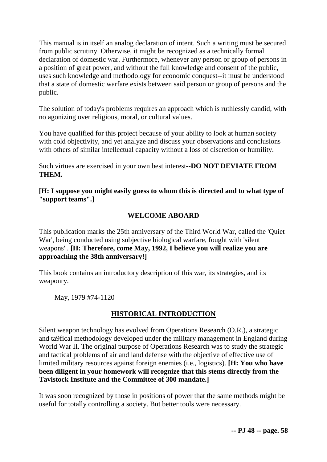This manual is in itself an analog declaration of intent. Such a writing must be secured from public scrutiny. Otherwise, it might be recognized as a technically formal declaration of domestic war. Furthermore, whenever any person or group of persons in a position of great power, and without the full knowledge and consent of the public, uses such knowledge and methodology for economic conquest--it must be understood that a state of domestic warfare exists between said person or group of persons and the public.

The solution of today's problems requires an approach which is ruthlessly candid, with no agonizing over religious, moral, or cultural values.

You have qualified for this project because of your ability to look at human society with cold objectivity, and yet analyze and discuss your observations and conclusions with others of similar intellectual capacity without a loss of discretion or humility.

Such virtues are exercised in your own best interest--**DO NOT DEVIATE FROM THEM.**

**[H: I suppose you might easily guess to whom this is directed and to what type of "support teams".]**

# **WELCOME ABOARD**

This publication marks the 25th anniversary of the Third World War, called the 'Quiet War', being conducted using subjective biological warfare, fought with 'silent weapons' . **[H: Therefore, come May, 1992, I believe you will realize you are approaching the 38th anniversary!]**

This book contains an introductory description of this war, its strategies, and its weaponry.

May, 1979 #74-1120

## **HISTORICAL INTRODUCTION**

Silent weapon technology has evolved from Operations Research (O.R.), a strategic and ta9fical methodology developed under the military management in England during World War II. The original purpose of Operations Research was to study the strategic and tactical problems of air and land defense with the objective of effective use of limited military resources against foreign enemies (i.e., logistics). **[H: You who have been diligent in your homework will recognize that this stems directly from the Tavistock Institute and the Committee of 300 mandate.]**

It was soon recognized by those in positions of power that the same methods might be useful for totally controlling a society. But better tools were necessary.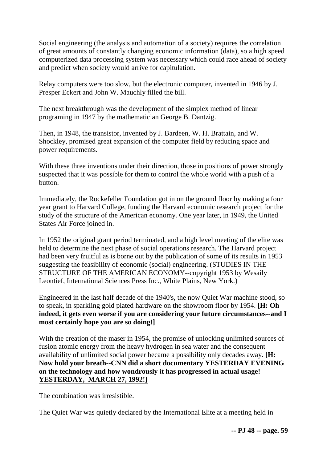Social engineering (the analysis and automation of a society) requires the correlation of great amounts of constantly changing economic information (data), so a high speed computerized data processing system was necessary which could race ahead of society and predict when society would arrive for capitulation.

Relay computers were too slow, but the electronic computer, invented in 1946 by J. Presper Eckert and John W. Mauchly filled the bill.

The next breakthrough was the development of the simplex method of linear programing in 1947 by the mathematician George B. Dantzig.

Then, in 1948, the transistor, invented by J. Bardeen, W. H. Brattain, and W. Shockley, promised great expansion of the computer field by reducing space and power requirements.

With these three inventions under their direction, those in positions of power strongly suspected that it was possible for them to control the whole world with a push of a button.

Immediately, the Rockefeller Foundation got in on the ground floor by making a four year grant to Harvard College, funding the Harvard economic research project for the study of the structure of the American economy. One year later, in 1949, the United States Air Force joined in.

In 1952 the original grant period terminated, and a high level meeting of the elite was held to determine the next phase of social operations research. The Harvard project had been very fruitful as is borne out by the publication of some of its results in 1953 suggesting the feasibility of economic (social) engineering. (STUDIES IN THE STRUCTURE OF THE AMERICAN ECONOMY--copyright 1953 by Wesaily Leontief, International Sciences Press Inc., White Plains, New York.)

Engineered in the last half decade of the 1940's, the now Quiet War machine stood, so to speak, in sparkling gold plated hardware on the showroom floor by 1954. **[H: Oh indeed, it gets even worse if you are considering your future circumstances--and I most certainly hope you are so doing!]**

With the creation of the maser in 1954, the promise of unlocking unlimited sources of fusion atomic energy from the heavy hydrogen in sea water and the consequent availability of unlimited social power became a possibility only decades away. **[H: Now hold your breath--CNN did a short documentary YESTERDAY EVENING on the technology and how wondrously it has progressed in actual usage! YESTERDAY, MARCH 27, 1992!]**

The combination was irresistible.

The Quiet War was quietly declared by the International Elite at a meeting held in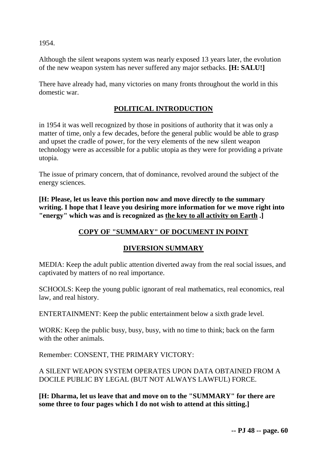1954.

Although the silent weapons system was nearly exposed 13 years later, the evolution of the new weapon system has never suffered any major setbacks. **[H: SALU!]**

There have already had, many victories on many fronts throughout the world in this domestic war.

# **POLITICAL INTRODUCTION**

in 1954 it was well recognized by those in positions of authority that it was only a matter of time, only a few decades, before the general public would be able to grasp and upset the cradle of power, for the very elements of the new silent weapon technology were as accessible for a public utopia as they were for providing a private utopia.

The issue of primary concern, that of dominance, revolved around the subject of the energy sciences.

**[H: Please, let us leave this portion now and move directly to the summary writing. I hope that I leave you desiring more information for we move right into "energy" which was and is recognized as the key to all activity on Earth .]**

# **COPY OF "SUMMARY" OF DOCUMENT IN POINT**

## **DIVERSION SUMMARY**

MEDIA: Keep the adult public attention diverted away from the real social issues, and captivated by matters of no real importance.

SCHOOLS: Keep the young public ignorant of real mathematics, real economics, real law, and real history.

ENTERTAINMENT: Keep the public entertainment below a sixth grade level.

WORK: Keep the public busy, busy, busy, with no time to think; back on the farm with the other animals.

Remember: CONSENT, THE PRIMARY VICTORY:

A SILENT WEAPON SYSTEM OPERATES UPON DATA OBTAINED FROM A DOCILE PUBLIC BY LEGAL (BUT NOT ALWAYS LAWFUL) FORCE.

**[H: Dharma, let us leave that and move on to the "SUMMARY" for there are some three to four pages which I do not wish to attend at this sitting.]**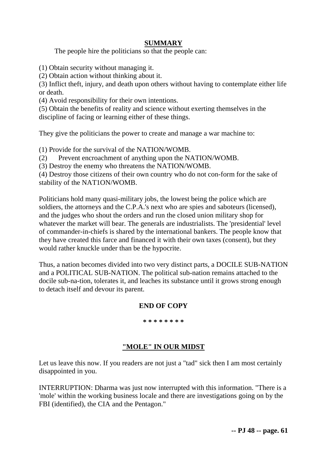## **SUMMARY**

The people hire the politicians so that the people can:

(1) Obtain security without managing it.

(2) Obtain action without thinking about it.

(3) Inflict theft, injury, and death upon others without having to contemplate either life or death.

(4) Avoid responsibility for their own intentions.

(5) Obtain the benefits of reality and science without exerting themselves in the discipline of facing or learning either of these things.

They give the politicians the power to create and manage a war machine to:

(1) Provide for the survival of the NATION/WOMB.

(2) Prevent encroachment of anything upon the NATION/WOMB.

(3) Destroy the enemy who threatens the NATION/WOMB.

(4) Destroy those citizens of their own country who do not con-form for the sake of stability of the NAT1ON/WOMB.

Politicians hold many quasi-military jobs, the lowest being the police which are soldiers, the attorneys and the C.P.A.'s next who are spies and saboteurs (licensed), and the judges who shout the orders and run the closed union military shop for whatever the market will bear. The generals are industrialists. The 'presidential' level of commander-in-chiefs is shared by the international bankers. The people know that they have created this farce and financed it with their own taxes (consent), but they would rather knuckle under than be the hypocrite.

Thus, a nation becomes divided into two very distinct parts, a DOCILE SUB-NATION and a POLITICAL SUB-NATION. The political sub-nation remains attached to the docile sub-na-tion, tolerates it, and leaches its substance until it grows strong enough to detach itself and devour its parent.

## **END OF COPY**

#### **\* \* \* \* \* \* \* \***

## **"MOLE" IN OUR MIDST**

Let us leave this now. If you readers are not just a "tad" sick then I am most certainly disappointed in you.

INTERRUPTION: Dharma was just now interrupted with this information. "There is a 'mole' within the working business locale and there are investigations going on by the FBI (identified), the CIA and the Pentagon."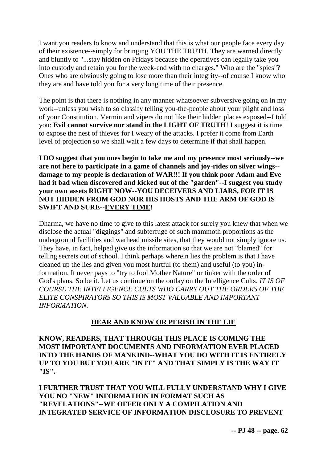I want you readers to know and understand that this is what our people face every day of their existence--simply for bringing YOU THE TRUTH. They are warned directly and bluntly to "...stay hidden on Fridays because the operatives can legally take you into custody and retain you for the week-end with no charges." Who are the "spies"? Ones who are obviously going to lose more than their integrity--of course I know who they are and have told you for a very long time of their presence.

The point is that there is nothing in any manner whatsoever subversive going on in my work--unless you wish to so classify telling you-the-people about your plight and loss of your Constitution. Vermin and vipers do not like their hidden places exposed--I told you: **Evil cannot survive nor stand in the LIGHT OF TRUTH**! I suggest it is time to expose the nest of thieves for I weary of the attacks. I prefer it come from Earth level of projection so we shall wait a few days to determine if that shall happen.

## **I DO suggest that you ones begin to take me and my presence most seriously--we are not here to participate in a game of channels and joy-rides on silver wings- damage to my people is declaration of WAR!!! If you think poor Adam and Eve had it bad when discovered and kicked out of the "garden"--I suggest you study your own assets RIGHT NOW--YOU DECEIVERS AND LIARS, FOR IT IS NOT HIDDEN FROM GOD NOR HIS HOSTS AND THE ARM OF GOD IS SWIFT AND SURE--EVERY TIME!**

Dharma, we have no time to give to this latest attack for surely you knew that when we disclose the actual "diggings" and subterfuge of such mammoth proportions as the underground facilities and warhead missile sites, that they would not simply ignore us. They have, in fact, helped give us the information so that we are not "blamed" for telling secrets out of school. I think perhaps wherein lies the problem is that I have cleaned up the lies and given you most hurtful (to them) and useful (to you) information. It never pays to "try to fool Mother Nature" or tinker with the order of God's plans. So be it. Let us continue on the outlay on the Intelligence Cults. *IT IS OF COURSE THE INTELLIGENCE CULTS WHO CARRY OUT THE ORDERS OF THE ELITE CONSPIRATORS SO THIS IS MOST VALUABLE AND IMPORTANT INFORMATION.*

## **HEAR AND KNOW OR PERISH IN THE LIE**

**KNOW, READERS, THAT THROUGH THIS PLACE IS COMING THE MOST IMPORTANT DOCUMENTS AND INFORMATION EVER PLACED INTO THE HANDS OF MANKIND--WHAT YOU DO WITH IT IS ENTIRELY UP TO YOU BUT YOU ARE "IN IT" AND THAT SIMPLY IS THE WAY IT "IS".**

**I FURTHER TRUST THAT YOU WILL FULLY UNDERSTAND WHY I GIVE YOU NO "NEW" INFORMATION IN FORMAT SUCH AS "REVELATIONS"--WE OFFER ONLY A COMPILATION AND INTEGRATED SERVICE OF INFORMATION DISCLOSURE TO PREVENT**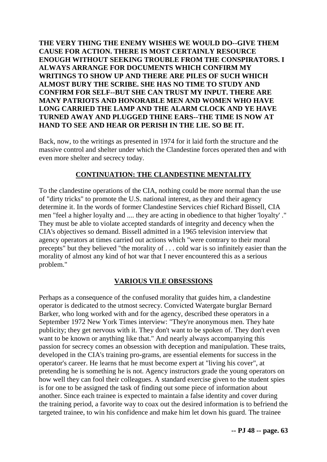**THE VERY THING THE ENEMY WISHES WE WOULD DO--GIVE THEM CAUSE FOR ACTION. THERE IS MOST CERTAINLY RESOURCE ENOUGH WITHOUT SEEKING TROUBLE FROM THE CONSPIRATORS. I ALWAYS ARRANGE FOR DOCUMENTS WHICH CONFIRM MY WRITINGS TO SHOW UP AND THERE ARE PILES OF SUCH WHICH ALMOST BURY THE SCRIBE. SHE HAS NO TIME TO STUDY AND CONFIRM FOR SELF--BUT SHE CAN TRUST MY INPUT. THERE ARE MANY PATRIOTS AND HONORABLE MEN AND WOMEN WHO HAVE LONG CARRIED THE LAMP AND THE ALARM CLOCK AND YE HAVE TURNED AWAY AND PLUGGED THINE EARS--THE TIME IS NOW AT HAND TO SEE AND HEAR OR PERISH IN THE LIE. SO BE IT.**

Back, now, to the writings as presented in 1974 for it laid forth the structure and the massive control and shelter under which the Clandestine forces operated then and with even more shelter and secrecy today.

### **CONTINUATION: THE CLANDESTINE MENTALITY**

To the clandestine operations of the CIA, nothing could be more normal than the use of "dirty tricks" to promote the U.S. national interest, as they and their agency determine it. In the words of former Clandestine Services chief Richard Bissell, CIA men "feel a higher loyalty and .... they are acting in obedience to that higher 'loyalty' ." They must be able to violate accepted standards of integrity and decency when the CIA's objectives so demand. Bissell admitted in a 1965 television interview that agency operators at times carried out actions which "were contrary to their moral precepts" but they believed "the morality of . . . cold war is so infinitely easier than the morality of almost any kind of hot war that I never encountered this as a serious problem."

#### **VARIOUS VILE OBSESSIONS**

Perhaps as a consequence of the confused morality that guides him, a clandestine operator is dedicated to the utmost secrecy. Convicted Watergate burglar Bernard Barker, who long worked with and for the agency, described these operators in a September 1972 New York Times interview: "They're anonymous men. They hate publicity; they get nervous with it. They don't want to be spoken of. They don't even want to be known or anything like that." And nearly always accompanying this passion for secrecy comes an obsession with deception and manipulation. These traits, developed in the CIA's training pro-grams, are essential elements for success in the operator's career. He learns that he must become expert at "living his cover", at pretending he is something he is not. Agency instructors grade the young operators on how well they can fool their colleagues. A standard exercise given to the student spies is for one to be assigned the task of finding out some piece of information about another. Since each trainee is expected to maintain a false identity and cover during the training period, a favorite way to coax out the desired information is to befriend the targeted trainee, to win his confidence and make him let down his guard. The trainee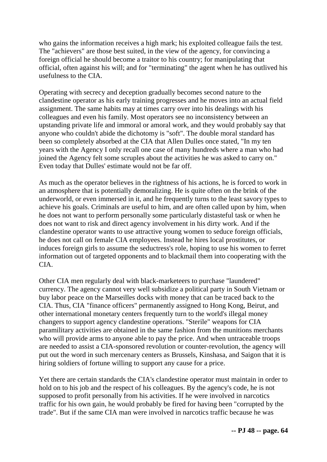who gains the information receives a high mark; his exploited colleague fails the test. The "achievers" are those best suited, in the view of the agency, for convincing a foreign official he should become a traitor to his country; for manipulating that official, often against his will; and for "terminating" the agent when he has outlived his usefulness to the CIA.

Operating with secrecy and deception gradually becomes second nature to the clandestine operator as his early training progresses and he moves into an actual field assignment. The same habits may at times carry over into his dealings with his colleagues and even his family. Most operators see no inconsistency between an upstanding private life and immoral or amoral work, and they would probably say that anyone who couldn't abide the dichotomy is "soft". The double moral standard has been so completely absorbed at the CIA that Allen Dulles once stated, "In my ten years with the Agency I only recall one case of many hundreds where a man who had joined the Agency felt some scruples about the activities he was asked to carry on." Even today that Dulles' estimate would not be far off.

As much as the operator believes in the rightness of his actions, he is forced to work in an atmosphere that is potentially demoralizing. He is quite often on the brink of the underworld, or even immersed in it, and he frequently turns to the least savory types to achieve his goals. Criminals are useful to him, and are often called upon by him, when he does not want to perform personally some particularly distasteful task or when he does not want to risk and direct agency involvement in his dirty work. And if the clandestine operator wants to use attractive young women to seduce foreign officials, he does not call on female CIA employees. Instead he hires local prostitutes, or induces foreign girls to assume the seductress's role, hoping to use his women to ferret information out of targeted opponents and to blackmail them into cooperating with the CIA.

Other CIA men regularly deal with black-marketeers to purchase "laundered" currency. The agency cannot very well subsidize a political party in South Vietnam or buy labor peace on the Marseilles docks with money that can be traced back to the CIA. Thus, CIA "finance officers" permanently assigned to Hong Kong, Beirut, and other international monetary centers frequently turn to the world's illegal money changers to support agency clandestine operations. "Sterile" weapons for CIA paramilitary activities are obtained in the same fashion from the munitions merchants who will provide arms to anyone able to pay the price. And when untraceable troops are needed to assist a CIA-sponsored revolution or counter-revolution, the agency will put out the word in such mercenary centers as Brussels, Kinshasa, and Saigon that it is hiring soldiers of fortune willing to support any cause for a price.

Yet there are certain standards the CIA's clandestine operator must maintain in order to hold on to his job and the respect of his colleagues. By the agency's code, he is not supposed to profit personally from his activities. If he were involved in narcotics traffic for his own gain, he would probably be fired for having been "corrupted by the trade". But if the same CIA man were involved in narcotics traffic because he was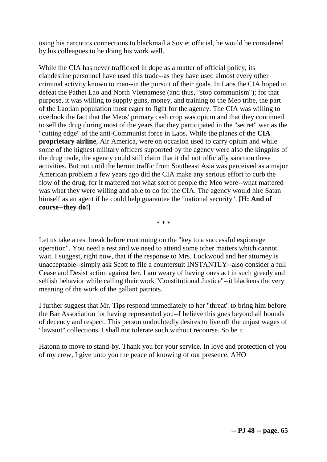using his narcotics connections to blackmail a Soviet official, he would be considered by his colleagues to be doing his work well.

While the CIA has never trafficked in dope as a matter of official policy, its clandestine personnel have used this trade--as they have used almost every other criminal activity known to man--in the pursuit of their goals. In Laos the CIA hoped to defeat the Pathet Lao and North Vietnamese (and thus, "stop communism"); for that purpose, it was willing to supply guns, money, and training to the Meo tribe, the part of the Laotian population most eager to fight for the agency. The CIA was willing to overlook the fact that the Meos' primary cash crop was opium and that they continued to sell the drug during most of the years that they participated in the "secret" war as the "cutting edge" of the anti-Communist force in Laos. While the planes of the **CIA proprietary airline**, Air America, were on occasion used to carry opium and while some of the highest military officers supported by the agency were also the kingpins of the drug trade, the agency could still claim that it did not officially sanction these activities. But not until the heroin traffic from Southeast Asia was perceived as a major American problem a few years ago did the CIA make any serious effort to curb the flow of the drug, for it mattered not what sort of people the Meo were--what mattered was what they were willing and able to do for the CIA. The agency would hire Satan himself as an agent if he could help guarantee the "national security". **[H: And of course--they do!]**

\* \* \*

Let us take a rest break before continuing on the "key to a successful espionage operation". You need a rest and we need to attend some other matters which cannot wait. I suggest, right now, that if the response to Mrs. Lockwood and her attorney is unacceptable--simply ask Scott to file a countersuit INSTANTLY--also consider a full Cease and Desist action against her. I am weary of having ones act in such greedy and selfish behavior while calling their work "Constitutional Justice"--it blackens the very meaning of the work of the gallant patriots.

I further suggest that Mr. Tips respond immediately to her "threat" to bring him before the Bar Association for having represented you--I believe this goes beyond all bounds of decency and respect. This person undoubtedly desires to live off the unjust wages of "lawsuit" collections. I shall not tolerate such without recourse. So be it.

Hatonn to move to stand-by. Thank you for your service. In love and protection of you of my crew, I give unto you the peace of knowing of our presence. AHO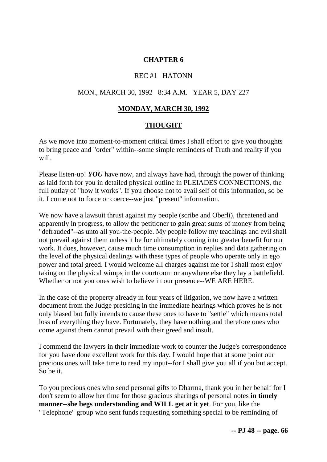#### **CHAPTER 6**

## REC #1 HATONN

### MON., MARCH 30, 1992 8:34 A.M. YEAR 5, DAY 227

## **MONDAY, MARCH 30, 1992**

### **THOUGHT**

As we move into moment-to-moment critical times I shall effort to give you thoughts to bring peace and "order" within--some simple reminders of Truth and reality if you will.

Please listen-up! *YOU* have now, and always have had, through the power of thinking as laid forth for you in detailed physical outline in PLEIADES CONNECTIONS, the full outlay of "how it works". If you choose not to avail self of this information, so be it. I come not to force or coerce--we just "present" information.

We now have a lawsuit thrust against my people (scribe and Oberli), threatened and apparently in progress, to allow the petitioner to gain great sums of money from being "defrauded"--as unto all you-the-people. My people follow my teachings and evil shall not prevail against them unless it be for ultimately coming into greater benefit for our work. It does, however, cause much time consumption in replies and data gathering on the level of the physical dealings with these types of people who operate only in ego power and total greed. I would welcome all charges against me for I shall most enjoy taking on the physical wimps in the courtroom or anywhere else they lay a battlefield. Whether or not you ones wish to believe in our presence--WE ARE HERE.

In the case of the property already in four years of litigation, we now have a written document from the Judge presiding in the immediate hearings which proves he is not only biased but fully intends to cause these ones to have to "settle" which means total loss of everything they have. Fortunately, they have nothing and therefore ones who come against them cannot prevail with their greed and insult.

I commend the lawyers in their immediate work to counter the Judge's correspondence for you have done excellent work for this day. I would hope that at some point our precious ones will take time to read my input--for I shall give you all if you but accept. So be it.

To you precious ones who send personal gifts to Dharma, thank you in her behalf for I don't seem to allow her time for those gracious sharings of personal notes **in timely manner--she begs understanding and WILL get at it yet**. For you, like the "Telephone" group who sent funds requesting something special to be reminding of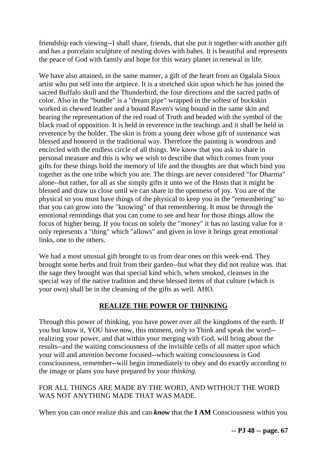friendship each viewing--I shall share, friends, that she put it together with another gift and has a porcelain sculpture of nesting doves with babes. It is beautiful and represents the peace of God with family and hope for this weary planet in renewal in life.

We have also attained, in the same manner, a gift of the heart from an Ogalala Sioux artist who put self into the artpiece. It is a stretched skin upon which he has joined the sacred Buffalo skull and the Thunderbird, the four directions and the sacred paths of color. Also in the "bundle" is a "dream pipe" wrapped in the softest of buckskin worked in chewed leather and a bound Raven's wing bound in the same skin and bearing the representation of the red road of Truth and beaded with the symbol of the black road of opposition. It is held in reverence in the teachings and it shall be held in reverence by the holder. The skin is from a young deer whose gift of sustenance was blessed and honored in the traditional way. Therefore the painting is wondrous and encircled with the endless circle of all things. We know that you ask to share in personal measure and this is why we wish to describe that which comes from your gifts for these things hold the memory of life and the thoughts are that which bind you together as the one tribe which you are. The things are never considered "for Dharma" alone--but rather, for all as she simply gifts it unto we of the Hosts that it might be blessed and draw us close until we can share in the openness of joy. You are of the physical so you must have things of the physical to keep you in the "remembering" so that you can grow into the "knowing" of that remembering. It must be through the emotional remindings that you can come to see and hear for those things allow the focus of higher being. If you focus on solely the "money" it has no lasting value for it only represents a "thing" which "allows" and given in love it brings great emotional links, one to the others.

We had a most unusual gift brought to us from dear ones on this week-end. They brought some herbs and fruit from their garden--but what they did not realize was. that the sage they brought was that special kind which, when smoked, cleanses in the special way of the native tradition and these blessed items of that culture (which is your own) shall be in the cleansing of the gifts as well. AHO.

## **REALIZE THE POWER OF THINKING**

Through this power of thinking, you have power over all the kingdoms of the earth. If you but know it, YOU have now, this moment, only to Think and speak the word- realizing your power, and that within your merging with God, will bring about the results--and the waiting consciousness of the invisible cells of all matter upon which your will and attention become focused--which waiting consciousness is God consciousness, remember--will begin immediately to obey and do exactly according to the image or plans you have prepared by your *thinking*.

## FOR ALL THINGS ARE MADE BY THE WORD, AND WITHOUT THE WORD WAS NOT ANYTHING MADE THAT WAS MADE.

When you can once realize this and can *know* that the **I AM** Consciousness within you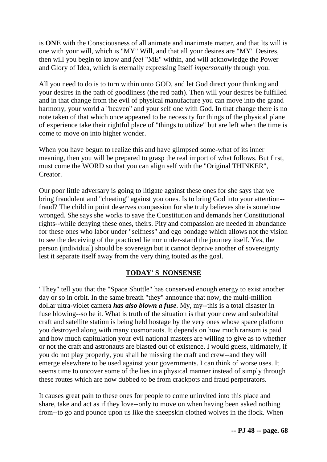is **ONE** with the Consciousness of all animate and inanimate matter, and that Its will is one with your will, which is "MY" Will, and that all your desires are "MY" Desires, then will you begin to know and *feel* "ME" within, and will acknowledge the Power and Glory of Idea, which is eternally expressing Itself *impersonally* through you.

All you need to do is to turn within unto GOD, and let God direct your thinking and your desires in the path of goodliness (the red path). Then will your desires be fulfilled and in that change from the evil of physical manufacture you can move into the grand harmony, your world a "heaven" and your self one with God. In that change there is no note taken of that which once appeared to be necessity for things of the physical plane of experience take their rightful place of "things to utilize" but are left when the time is come to move on into higher wonder.

When you have begun to realize this and have glimpsed some-what of its inner meaning, then you will be prepared to grasp the real import of what follows. But first, must come the WORD so that you can align self with the "Original THINKER", Creator.

Our poor little adversary is going to litigate against these ones for she says that we bring fraudulent and "cheating" against you ones. Is to bring God into your attention- fraud? The child in point deserves compassion for she truly believes she is somehow wronged. She says she works to save the Constitution and demands her Constitutional rights--while denying these ones, theirs. Pity and compassion are needed in abundance for these ones who labor under "selfness" and ego bondage which allows not the vision to see the deceiving of the practiced lie nor under-stand the journey itself. Yes, the person (individual) should be sovereign but it cannot deprive another of sovereignty lest it separate itself away from the very thing touted as the goal.

## **TODAY' S NONSENSE**

"They" tell you that the "Space Shuttle" has conserved enough energy to exist another day or so in orbit. In the same breath "they" announce that now, the multi-million dollar ultra-violet camera *has also blown a fuse*. My, my--this is a total disaster in fuse blowing--so be it. What is truth of the situation is that your crew and suborbital craft and satellite station is being held hostage by the very ones whose space platform you destroyed along with many cosmonauts. It depends on how much ransom is paid and how much capitulation your evil national masters are willing to give as to whether or not the craft and astronauts are blasted out of existence. I would guess, ultimately, if you do not play properly, you shall be missing the craft and crew--and they will emerge elsewhere to be used against your governments. I can think of worse uses. It seems time to uncover some of the lies in a physical manner instead of simply through these routes which are now dubbed to be from crackpots and fraud perpetrators.

It causes great pain to these ones for people to come uninvited into this place and share, take and act as if they love--only to move on when having been asked nothing from--to go and pounce upon us like the sheepskin clothed wolves in the flock. When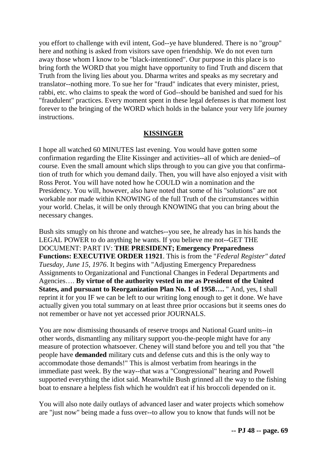you effort to challenge with evil intent, God--ye have blundered. There is no "group" here and nothing is asked from visitors save open friendship. We do not even turn away those whom I know to be "black-intentioned". Our purpose in this place is to bring forth the WORD that you might have opportunity to find Truth and discern that Truth from the living lies about you. Dharma writes and speaks as my secretary and translator--nothing more. To sue her for "fraud" indicates that every minister, priest, rabbi, etc. who claims to speak the word of God--should be banished and sued for his "fraudulent" practices. Every moment spent in these legal defenses is that moment lost forever to the bringing of the WORD which holds in the balance your very life journey instructions.

#### **KISSINGER**

I hope all watched 60 MINUTES last evening. You would have gotten some confirmation regarding the Elite Kissinger and activities--all of which are denied--of course. Even the small amount which slips through to you can give you that confirmation of truth for which you demand daily. Then, you will have also enjoyed a visit with Ross Perot. You will have noted how he COULD win a nomination and the Presidency. You will, however, also have noted that some of his "solutions" are not workable nor made within KNOWING of the full Truth of the circumstances within your world. Chelas, it will be only through KNOWING that you can bring about the necessary changes.

Bush sits smugly on his throne and watches--you see, he already has in his hands the LEGAL POWER to do anything he wants. If you believe me not--GET THE DOCUMENT: PART IV: **THE PRESIDENT; Emergency Preparedness Functions: EXECUTIVE ORDER 11921**. This is from the "*Federal Register" dated Tuesday, June 15, 1976*. It begins with "Adjusting Emergency Preparedness Assignments to Organizational and Functional Changes in Federal Departments and Agencies…. **By virtue of the authority vested in me as President of the United States, and pursuant to Reorganization Plan No. 1 of 1958….** " And, yes, I shall reprint it for you IF we can be left to our writing long enough to get it done. We have actually given you total summary on at least three prior occasions but it seems ones do not remember or have not yet accessed prior JOURNALS.

You are now dismissing thousands of reserve troops and National Guard units--in other words, dismantling any military support you-the-people might have for any measure of protection whatsoever. Cheney will stand before you and tell you that "the people have **demanded** military cuts and defense cuts and this is the only way to accommodate those demands!" This is almost verbatim from hearings in the immediate past week. By the way--that was a "Congressional" hearing and Powell supported everything the idiot said. Meanwhile Bush grinned all the way to the fishing boat to ensnare a helpless fish which he wouldn't eat if his broccoli depended on it.

You will also note daily outlays of advanced laser and water projects which somehow are "just now" being made a fuss over--to allow you to know that funds will not be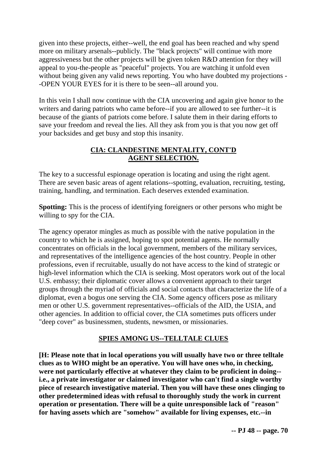given into these projects, either--well, the end goal has been reached and why spend more on military arsenals--publicly. The "black projects" will continue with more aggressiveness but the other projects will be given token R&D attention for they will appeal to you-the-people as "peaceful" projects. You are watching it unfold even without being given any valid news reporting. You who have doubted my projections - -OPEN YOUR EYES for it is there to be seen--all around you.

In this vein I shall now continue with the CIA uncovering and again give honor to the writers and daring patriots who came before--if you are allowed to see further--it is because of the giants of patriots come before. I salute them in their daring efforts to save your freedom and reveal the lies. All they ask from you is that you now get off your backsides and get busy and stop this insanity.

## **CIA: CLANDESTINE MENTALITY, CONT'D AGENT SELECTION.**

The key to a successful espionage operation is locating and using the right agent. There are seven basic areas of agent relations--spotting, evaluation, recruiting, testing, training, handling, and termination. Each deserves extended examination.

**Spotting:** This is the process of identifying foreigners or other persons who might be willing to spy for the CIA.

The agency operator mingles as much as possible with the native population in the country to which he is assigned, hoping to spot potential agents. He normally concentrates on officials in the local government, members of the military services, and representatives of the intelligence agencies of the host country. People in other professions, even if recruitable, usually do not have access to the kind of strategic or high-level information which the CIA is seeking. Most operators work out of the local U.S. embassy; their diplomatic cover allows a convenient approach to their target groups through the myriad of officials and social contacts that characterize the life of a diplomat, even a bogus one serving the CIA. Some agency officers pose as military men or other U.S. government representatives--officials of the AID, the USIA, and other agencies. In addition to official cover, the CIA sometimes puts officers under "deep cover" as businessmen, students, newsmen, or missionaries.

## **SPIES AMONG US--TELLTALE CLUES**

**[H: Please note that in local operations you will usually have two or three telltale clues as to WHO might be an operative. You will have ones who, in checking, were not particularly effective at whatever they claim to be proficient in doing- i.e., a private investigator or claimed investigator who can't find a single worthy piece of research investigative material. Then you will have these ones clinging to other predetermined ideas with refusal to thoroughly study the work in current operation or presentation. There will be a quite unresponsible lack of "reason" for having assets which are "somehow" available for living expenses, etc.--in**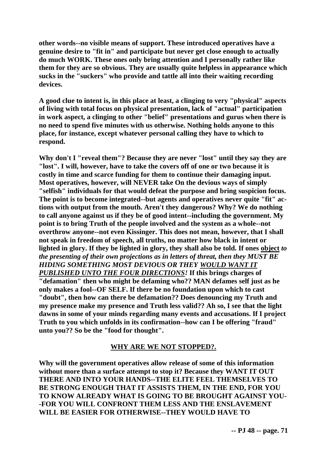**other words--no visible means of support. These introduced operatives have a genuine desire to "fit in" and participate but never get close enough to actually do much WORK. These ones only bring attention and I personally rather like them for they are so obvious. They are usually quite helpless in appearance which sucks in the "suckers" who provide and tattle all into their waiting recording devices.**

**A good clue to intent is, in this place at least, a clinging to very "physical" aspects of living with total focus on physical presentation, lack of "actual" participation in work aspect, a clinging to other "belief" presentations and gurus when there is no need to spend five minutes with us otherwise. Nothing holds anyone to this place, for instance, except whatever personal calling they have to which to respond.**

**Why don't I "reveal them"? Because they are never "lost" until they say they are "lost". I will, however, have to take the covers off of one or two because it is costly in time and scarce funding for them to continue their damaging input. Most operatives, however, will NEVER take On the devious ways of simply "selfish" individuals for that would defeat the purpose and bring suspicion focus. The point is to become integrated--but agents and operatives never quite "fit" actions with output from the mouth. Aren't they dangerous? Why? We do nothing to call anyone against us if they be of good intent--including the government. My point is to bring Truth of the people involved and the system as a whole--not overthrow anyone--not even Kissinger. This does not mean, however, that I shall not speak in freedom of speech, all truths, no matter how black in intent or lighted in glory. If they be lighted in glory, they shall also be told. If ones object** *to the presenting of their own projections as in letters of threat, then they MUST BE HIDING SOMETHING MOST DEVIOUS OR THEY WOULD WANT IT PUBLISHED UNTO THE FOUR DIRECTIONS!* **If this brings charges of "defamation" then who might be defaming who?? MAN defames self just as he only makes a fool--OF SELF. If there be no foundation upon which to cast "doubt", then how can there be defamation?? Does denouncing my Truth and my presence make my presence and Truth less valid?? Ah so, I see that the light dawns in some of your minds regarding many events and accusations. If I project Truth to you which unfolds in its confirmation--how can I be offering "fraud" unto you?? So be the "food for thought".**

## **WHY ARE WE NOT STOPPED?.**

**Why will the government operatives allow release of some of this information without more than a surface attempt to stop it? Because they WANT IT OUT THERE AND INTO YOUR HANDS--THE ELITE FEEL THEMSELVES TO BE STRONG ENOUGH THAT IT ASSISTS THEM, IN THE END, FOR YOU TO KNOW ALREADY WHAT IS GOING TO BE BROUGHT AGAINST YOU- -FOR YOU WILL CONFRONT THEM LESS AND THE ENSLAVEMENT WILL BE EASIER FOR OTHERWISE--THEY WOULD HAVE TO**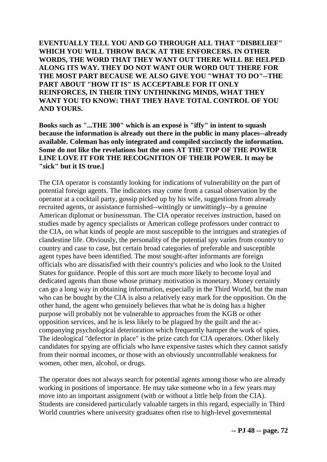**EVENTUALLY TELL YOU AND GO THROUGH ALL THAT "DISBELIEF" WHICH YOU WILL THROW BACK AT THE ENFORCERS. IN OTHER WORDS, THE WORD THAT THEY WANT OUT THERE WILL BE HELPED ALONG ITS WAY. THEY DO NOT WANT OUR WORD OUT THERE FOR THE MOST PART BECAUSE WE ALSO GIVE YOU "WHAT TO DO"--THE PART ABOUT "HOW IT IS" IS ACCEPTABLE FOR IT ONLY REINFORCES, IN THEIR TINY UNTHINKING MINDS, WHAT THEY WANT YOU TO KNOW: THAT THEY HAVE TOTAL CONTROL OF YOU AND YOURS.**

**Books such as "...THE 300" which is an exposé is "iffy" in intent to squash because the information is already out there in the public in many places--already available. Coleman has only integrated and compiled succinctly the information. Some do not like the revelations but the ones AT THE TOP OF THE POWER LINE LOVE IT FOR THE RECOGNITION OF THEIR POWER. It may be "sick" but it IS true.]**

The CIA operator is constantly looking for indications of vulnerability on the part of potential foreign agents. The indicators may come from a casual observation by the operator at a cocktail party, gossip picked up by his wife, suggestions from already recruited agents, or assistance furnished--wittingly or unwittingly--by a genuine American diplomat or businessman. The CIA operator receives instruction, based on studies made by agency specialists or American college professors under contract to the CIA, on what kinds of people are most susceptible to the intrigues and strategies of clandestine life. Obviously, the personality of the potential spy varies from country to country and case to case, but certain broad categories of preferable and susceptible agent types have been identified. The most sought-after informants are foreign officials who are dissatisfied with their country's policies and who look to the United States for guidance. People of this sort are much more likely to become loyal and dedicated agents than those whose primary motivation is monetary. Money certainly can go a long way in obtaining information, especially in the Third World, but the man who can be bought by the CIA is also a relatively easy mark for the opposition. On the other hand, the agent who genuinely believes that what he is doing has a higher purpose will probably not be vulnerable to approaches from the KGB or other opposition services, and he is less likely to be plagued by the guilt and the accompanying psychological deterioration which frequently hamper the work of spies. The ideological "defector in place" is the prize catch for CIA operators. Other likely candidates for spying are officials who have expensive tastes which they cannot satisfy from their normal incomes, or those with an obviously uncontrollable weakness for women, other men, alcohol, or drugs.

The operator does not always search for potential agents among those who are already working in positions of importance. He may take someone who in a few years may move into an important assignment (with or without a little help from the CIA). Students are considered particularly valuable targets in this regard, especially in Third World countries where university graduates often rise to high-level governmental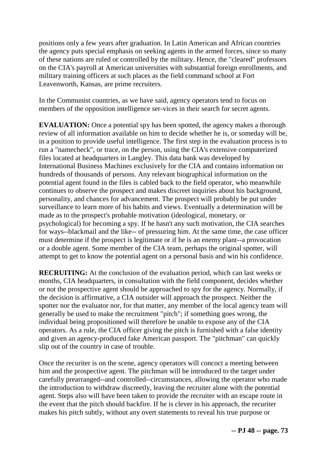positions only a few years after graduation. In Latin American and African countries the agency puts special emphasis on seeking agents in the armed forces, since so many of these nations are ruled or controlled by the military. Hence, the "cleared" professors on the CIA's payroll at American universities with substantial foreign enrollments, and military training officers at such places as the field command school at Fort Leavenworth, Kansas, are prime recruiters.

In the Communist countries, as we have said, agency operators tend to focus on members of the opposition intelligence ser-vices in their search for secret agents.

**EVALUATION:** Once a potential spy has been spotted, the agency makes a thorough review of all information available on him to decide whether he is, or someday will be, in a position to provide useful intelligence. The first step in the evaluation process is to run a "namecheck", or trace, on the person, using the CIA's extensive computerized files located at headquarters in Langley. This data bank was developed by International Business Machines exclusively for the CIA and contains information on hundreds of thousands of persons. Any relevant biographical information on the potential agent found in the files is cabled back to the field operator, who meanwhile continues to observe the prospect and makes discreet inquiries about his background, personality, and chances for advancement. The prospect will probably be put under surveillance to learn more of his habits and views. Eventually a determination will be made as to the prospect's probable motivation (ideological, monetary, or psychological) for becoming a spy. If he hasn't any such motivation, the CIA searches for ways--blackmail and the like-- of pressuring him. At the same time, the case officer must determine if the prospect is legitimate or if he is an enemy plant--a provocation or a double agent. Some member of the CIA team, perhaps the original spotter, will attempt to get to know the potential agent on a personal basis and win his confidence.

**RECRUITING:** At the conclusion of the evaluation period, which can last weeks or months, CIA headquarters, in consultation with the field component, decides whether or not the prospective agent should be approached to spy for the agency. Normally, if the decision is affirmative, a CIA outsider will approach the prospect. Neither the spotter nor the evaluator nor, for that matter, any member of the local agency team will generally be used to make the recruitment "pitch"; if something goes wrong, the individual being propositioned will therefore be unable to expose any of the CIA operators. As a rule, the CIA officer giving the pitch is furnished with a false identity and given an agency-produced fake American passport. The "pitchman" can quickly slip out of the country in case of trouble.

Once the recuriter is on the scene, agency operators will concoct a meeting between him and the prospective agent. The pitchman will be introduced to the target under carefully prearranged--and controlled--circumstances, allowing the operator who made the introduction to withdraw discreetly, leaving the recruiter alone with the potential agent. Steps also will have been taken to provide the recruiter with an escape route in the event that the pitch should backfire. If he is clever in his approach, the recuriter makes his pitch subtly, without any overt statements to reveal his true purpose or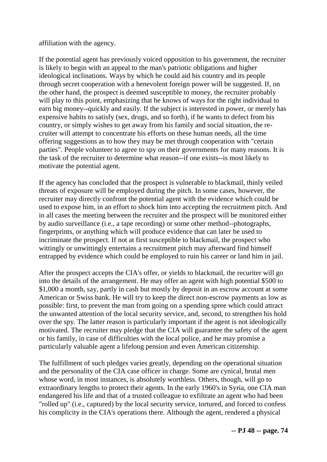affiliation with the agency.

If the potential agent has previously voiced opposition to his government, the recruiter is likely to begin with an appeal to the man's patriotic obligations and higher ideological inclinations. Ways by which he could aid his country and its people through secret cooperation with a benevolent foreign power will be suggested. If, on the other hand, the prospect is deemed susceptible to money, the recruiter probably will play to this point, emphasizing that he knows of ways for the right individual to earn big money--quickly and easily. If the subject is interested in power, or merely has expensive habits to satisfy (sex, drugs, and so forth), if he wants to defect from his country, or simply wishes to get away from his family and social situation, the recruiter will attempt to concentrate his efforts on these human needs, all the time offering suggestions as to how they may be met through cooperation with "certain parties". People volunteer to agree to spy on their governments for many reasons. It is the task of the recruiter to determine what reason--if one exists--is most likely to motivate the potential agent.

If the agency has concluded that the prospect is vulnerable to blackmail, thinly veiled threats of exposure will be employed during the pitch. In some cases, however, the recruiter may directly confront the potential agent with the evidence which could be used to expose him, in an effort to shock him into accepting the recruitment pitch. And in all cases the meeting between the recruiter and the prospect will be monitored either by audio surveillance (i.e., a tape recording) or some other method--photographs, fingerprints, or anything which will produce evidence that can later be used to incriminate the prospect. If not at first susceptible to blackmail, the prospect who wittingly or unwittingly entertains a recruitment pitch may afterward find himself entrapped by evidence which could be employed to ruin his career or land him in jail.

After the prospect accepts the CIA's offer, or yields to blackmail, the recuriter will go into the details of the arrangement. He may offer an agent with high potential \$500 to \$1,000 a month, say, partly in cash but mostly by deposit in an escrow account at some American or Swiss bank. He will try to keep the direct non-escrow payments as low as possible: first, to prevent the man from going on a spending spree which could attract the unwanted attention of the local security service, and, second, to strengthen his hold over the spy. The latter reason is particularly important if the agent is not ideologically motivated. The recruiter may pledge that the CIA will guarantee the safety of the agent or his family, in case of difficulties with the local police, and he may promise a particularly valuable agent a lifelong pension and even American citizenship.

The fulfillment of such pledges varies greatly, depending on the operational situation and the personality of the CIA case officer in charge. Some are cynical, brutal men whose word, in most instances, is absolutely worthless. Others, though, will go to extraordinary lengths to protect their agents. In the early 1960's in Syria, one CIA man endangered his life and that of a trusted colleague to exfiltrate an agent who had been "rolled up" (i.e., captured) by the local security service, tortured, and forced to confess his complicity in the CIA's operations there. Although the agent, rendered a physical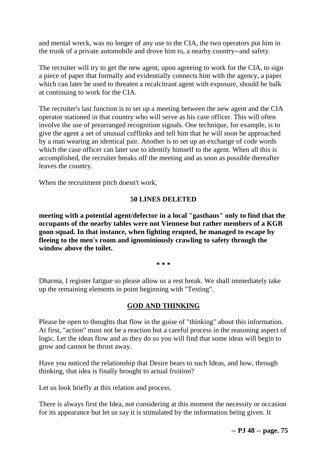and mental wreck, was no longer of any use to the CIA, the two operators put him in the trunk of a private automobile and drove him to, a nearby country--and safety.

The recruiter will try to get the new agent, upon agreeing to work for the CIA, to sign a piece of paper that formally and evidentially connects him with the agency, a paper which can later be used to threaten a recalcitrant agent with exposure, should he balk at continuing to work for the CIA.

The recruiter's last function is to set up a meeting between the new agent and the CIA operator stationed in that country who will serve as his case officer. This will often involve the use of prearranged recognition signals. One technique, for example, is to give the agent a set of unusual cufflinks and tell him that he will soon be approached by a man wearing an identical pair. Another is to set up an exchange of code words which the case officer can later use to identify himself to the agent. When all this is accomplished, the recruiter breaks off the meeting and as soon as possible thereafter leaves the country.

When the recruitment pitch doesn't work,

### **50 LINES DELETED**

**meeting with a potential agent/defector in a local "gasthaus" only to find that the occupants of the nearby tables were not Viennese but rather members of a KGB goon squad. In that instance, when fighting erupted, he managed to escape by fleeing to the men's room and ignominiously crawling to safety through the window above the toilet.**

**\* \* \***

Dharma, I register fatigue so please allow us a rest break. We shall immediately take up the remaining elements in point beginning with "Testing".

## **GOD AND THINKING**

Please be open to thoughts that flow in the guise of "thinking" about this information. At first, "action" must not be a reaction but a careful process in the reasoning aspect of logic. Let the ideas flow and as they do so you will find that some ideas will begin to grow and cannot be thrust away.

Have you noticed the relationship that Desire bears to such Ideas, and how, through thinking, that idea is finally brought to actual fruition?

Let us look briefly at this relation and process.

There is always first the Idea, not considering at this moment the necessity or occasion for its appearance but let us say it is stimulated by the information being given. It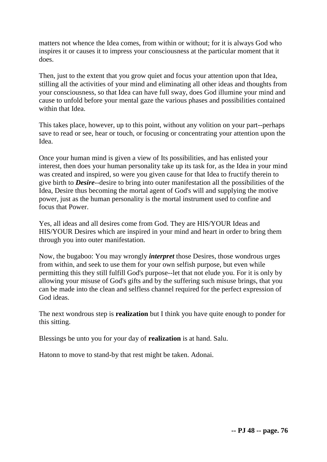matters not whence the Idea comes, from within or without; for it is always God who inspires it or causes it to impress your consciousness at the particular moment that it does.

Then, just to the extent that you grow quiet and focus your attention upon that Idea, stilling all the activities of your mind and eliminating all other ideas and thoughts from your consciousness, so that Idea can have full sway, does God illumine your mind and cause to unfold before your mental gaze the various phases and possibilities contained within that Idea.

This takes place, however, up to this point, without any volition on your part--perhaps save to read or see, hear or touch, or focusing or concentrating your attention upon the Idea.

Once your human mind is given a view of Its possibilities, and has enlisted your interest, then does your human personality take up its task for, as the Idea in your mind was created and inspired, so were you given cause for that Idea to fructify therein to give birth to *Desire*--desire to bring into outer manifestation all the possibilities of the Idea, Desire thus becoming the mortal agent of God's will and supplying the motive power, just as the human personality is the mortal instrument used to confine and focus that Power.

Yes, all ideas and all desires come from God. They are HIS/YOUR Ideas and HIS/YOUR Desires which are inspired in your mind and heart in order to bring them through you into outer manifestation.

Now, the bugaboo: You may wrongly *interpret* those Desires, those wondrous urges from within, and seek to use them for your own selfish purpose, but even while permitting this they still fulfill God's purpose--let that not elude you. For it is only by allowing your misuse of God's gifts and by the suffering such misuse brings, that you can be made into the clean and selfless channel required for the perfect expression of God ideas.

The next wondrous step is **realization** but I think you have quite enough to ponder for this sitting.

Blessings be unto you for your day of **realization** is at hand. Salu.

Hatonn to move to stand-by that rest might be taken. Adonai.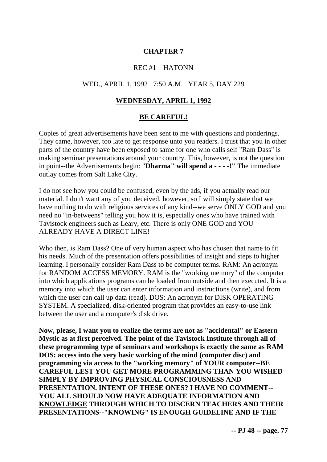## **CHAPTER 7**

#### REC #1 HATONN

#### WED., APRIL 1, 1992 7:50 A.M. YEAR 5, DAY 229

#### **WEDNESDAY, APRIL 1, 1992**

#### **BE CAREFUL!**

Copies of great advertisements have been sent to me with questions and ponderings. They came, however, too late to get response unto you readers. I trust that you in other parts of the country have been exposed to same for one who calls self "Ram Dass" is making seminar presentations around your country. This, however, is not the question in point--the Advertisements begin: "**Dharma" will spend a - - - -!"** The immediate outlay comes from Salt Lake City.

I do not see how you could be confused, even by the ads, if you actually read our material. I don't want any of you deceived, however, so I will simply state that we have nothing to do with religious services of any kind--we serve ONLY GOD and you need no "in-betweens" telling you how it is, especially ones who have trained with Tavistock engineers such as Leary, etc. There is only ONE GOD and YOU ALREADY HAVE A DIRECT LINE!

Who then, is Ram Dass? One of very human aspect who has chosen that name to fit his needs. Much of the presentation offers possibilities of insight and steps to higher learning. I personally consider Ram Dass to be computer terms. RAM: An acronym for RANDOM ACCESS MEMORY. RAM is the "working memory" of the computer into which applications programs can be loaded from outside and then executed. It is a memory into which the user can enter information and instructions (write), and from which the user can call up data (read). DOS: An acronym for DISK OPERATING SYSTEM. A specialized, disk-oriented program that provides an easy-to-use link between the user and a computer's disk drive.

**Now, please, I want you to realize the terms are not as "accidental" or Eastern Mystic as at first perceived. The point of the Tavistock Institute through all of these programming type of seminars and workshops is exactly the same as RAM DOS: access into the very basic working of the mind (computer disc) and programming via access to the "working memory" of YOUR computer--BE CAREFUL LEST YOU GET MORE PROGRAMMING THAN YOU WISHED SIMPLY BY IMPROVING PHYSICAL CONSCIOUSNESS AND PRESENTATION. INTENT OF THESE ONES? I HAVE NO COMMENT-- YOU ALL SHOULD NOW HAVE ADEQUATE INFORMATION AND KNOWLEDGE THROUGH WHICH TO DISCERN TEACHERS AND THEIR PRESENTATIONS--"KNOWING" IS ENOUGH GUIDELINE AND IF THE**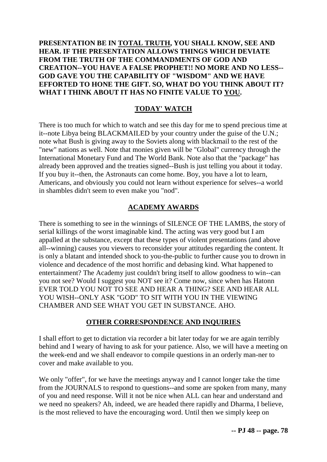## **PRESENTATION BE IN TOTAL TRUTH, YOU SHALL KNOW, SEE AND HEAR. IF THE PRESENTATION ALLOWS THINGS WHICH DEVIATE FROM THE TRUTH OF THE COMMANDMENTS OF GOD AND CREATION--YOU HAVE A FALSE PROPHET!! NO MORE AND NO LESS-- GOD GAVE YOU THE CAPABILITY OF "WISDOM" AND WE HAVE EFFORTED TO HONE THE GIFT. SO, WHAT DO YOU THINK ABOUT IT? WHAT I THINK ABOUT IT HAS NO FINITE VALUE TO YOU.**

## **TODAY' WATCH**

There is too much for which to watch and see this day for me to spend precious time at it--note Libya being BLACKMAILED by your country under the guise of the U.N.; note what Bush is giving away to the Soviets along with blackmail to the rest of the "new" nations as well. Note that monies given will be "Global" currency through the International Monetary Fund and The World Bank. Note also that the "package" has already been approved and the treaties signed--Bush is just telling you about it today. If you buy it--then, the Astronauts can come home. Boy, you have a lot to learn, Americans, and obviously you could not learn without experience for selves--a world in shambles didn't seem to even make you "nod".

## **ACADEMY AWARDS**

There is something to see in the winnings of SILENCE OF THE LAMBS, the story of serial killings of the worst imaginable kind. The acting was very good but I am appalled at the substance, except that these types of violent presentations (and above all--winning) causes you viewers to reconsider your attitudes regarding the content. It is only a blatant and intended shock to you-the-public to further cause you to drown in violence and decadence of the most horrific and debasing kind. What happened to entertainment? The Academy just couldn't bring itself to allow goodness to win--can you not see? Would I suggest you NOT see it? Come now, since when has Hatonn EVER TOLD YOU NOT TO SEE AND HEAR A THING? SEE AND HEAR ALL YOU WISH--ONLY ASK "GOD" TO SIT WITH YOU IN THE VIEWING CHAMBER AND SEE WHAT YOU GET IN SUBSTANCE. AHO.

#### **OTHER CORRESPONDENCE AND INQUIRIES**

I shall effort to get to dictation via recorder a bit later today for we are again terribly behind and I weary of having to ask for your patience. Also, we will have a meeting on the week-end and we shall endeavor to compile questions in an orderly man-ner to cover and make available to you.

We only "offer", for we have the meetings anyway and I cannot longer take the time from the JOURNALS to respond to questions--and some are spoken from many, many of you and need response. Will it not be nice when ALL can hear and understand and we need no speakers? Ah, indeed, we are headed there rapidly and Dharma, I believe, is the most relieved to have the encouraging word. Until then we simply keep on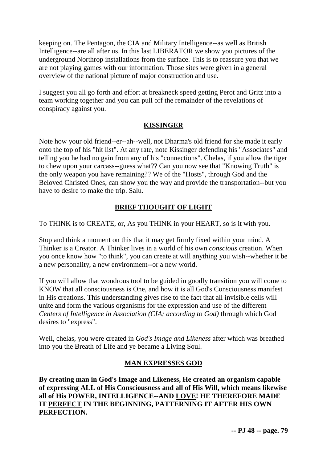keeping on. The Pentagon, the CIA and Military Intelligence--as well as British Intelligence--are all after us. In this last LIBERATOR we show you pictures of the underground Northrop installations from the surface. This is to reassure you that we are not playing games with our information. Those sites were given in a general overview of the national picture of major construction and use.

I suggest you all go forth and effort at breakneck speed getting Perot and Gritz into a team working together and you can pull off the remainder of the revelations of conspiracy against you.

## **KISSINGER**

Note how your old friend--er--ah--well, not Dharma's old friend for she made it early onto the top of his "hit list". At any rate, note Kissinger defending his "Associates" and telling you he had no gain from any of his "connections". Chelas, if you allow the tiger to chew upon your carcass--guess what?? Can you now see that "Knowing Truth" is the only weapon you have remaining?? We of the "Hosts", through God and the Beloved Christed Ones, can show you the way and provide the transportation--but you have to desire to make the trip. Salu.

# **BRIEF THOUGHT OF LIGHT**

To THINK is to CREATE, or, As you THINK in your HEART, so is it with you.

Stop and think a moment on this that it may get firmly fixed within your mind. A Thinker is a Creator. A Thinker lives in a world of his own *conscious* creation. When you once know how "to think", you can create at will anything you wish--whether it be a new personality, a new environment--or a new world.

If you will allow that wondrous tool to be guided in goodly transition you will come to KNOW that all consciousness is One, and how it is all God's Consciousness manifest in His creations. This understanding gives rise to the fact that all invisible cells will unite and form the various organisms for the expression and use of the different *Centers of Intelligence in Association (CIA; according to God)* through which God desires to "express".

Well, chelas, you were created in *God's Image and Likeness* after which was breathed into you the Breath of Life and ye became a Living Soul.

# **MAN EXPRESSES GOD**

**By creating man in God's Image and Likeness, He created an organism capable of expressing ALL of His Consciousness and all of His Will, which means likewise all of His POWER, INTELLIGENCE--AND LOVE! HE THEREFORE MADE IT PERFECT IN THE BEGINNING, PATTERNING IT AFTER HIS OWN PERFECTION.**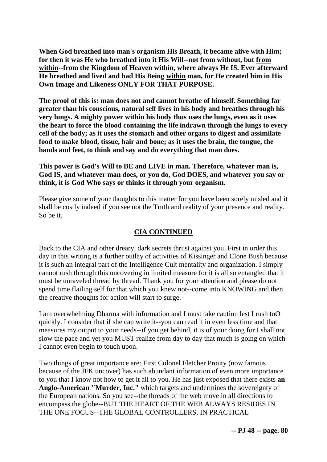**When God breathed into man's organism His Breath, it became alive with Him; for then it was He who breathed into it His Will--not from without, but from within--from the Kingdom of Heaven within, where always He IS. Ever afterward He breathed and lived and had His Being within man, for He created him in His Own Image and Likeness ONLY FOR THAT PURPOSE.**

**The proof of this is: man does not and cannot breathe of himself. Something far greater than his conscious, natural self lives in his body and breathes through his very lungs. A mighty power within his body thus uses the lungs, even as it uses the heart to force the blood containing the life indrawn through the lungs to every cell of the body; as it uses the stomach and other organs to digest and assimilate food to make blood, tissue, hair and bone; as it uses the brain, the tongue, the hands and feet, to think and say and do everything that man does.**

## **This power is God's Will to BE and LIVE in man. Therefore, whatever man is, God IS, and whatever man does, or you do, God DOES, and whatever you say or think, it is God Who says or thinks it through your organism.**

Please give some of your thoughts to this matter for you have been sorely misled and it shall be costly indeed if you see not the Truth and reality of your presence and reality. So be it.

## **CIA CONTINUED**

Back to the CIA and other dreary, dark secrets thrust against you. First in order this day in this writing is a further outlay of activities of Kissinger and Clone Bush because it is such an integral part of the Intelligence Cult mentality and organization. I simply cannot rush through this uncovering in limited measure for it is all so entangled that it must be unraveled thread by thread. Thank you for your attention and please do not spend time flailing self for that which you knew not--come into KNOWING and then the creative thoughts for action will start to surge.

I am overwhelming Dharma with information and I must take caution lest I rush toO quickly. I consider that if she can write it--you can read it in even less time and that measures my output to your needs--if you get behind, it is of your doing for I shall not slow the pace and yet you MUST realize from day to day that much is going on which I cannot even begin to touch upon.

Two things of great importance are: First Colonel Fletcher Prouty (now famous because of the JFK uncover) has such abundant information of even more importance to you that I know not how to get it all to you. He has just exposed that there exists **an Anglo-American "Murder, Inc."** which targets and undermines the sovereignty of the European nations. So you see--the threads of the web move in all directions to encompass the globe--BUT THE HEART OF THE WEB ALWAYS RESIDES IN THE ONE FOCUS--THE GLOBAL CONTROLLERS, IN PRACTICAL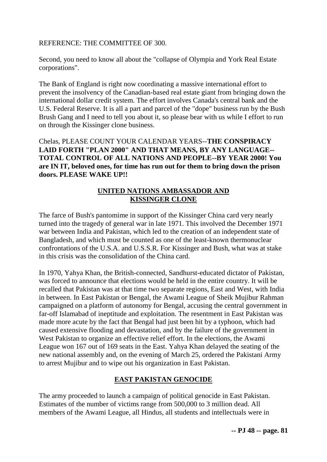## REFERENCE: THE COMMITTEE OF 300.

Second, you need to know all about the "collapse of Olympia and York Real Estate corporations".

The Bank of England is right now coordinating a massive international effort to prevent the insolvency of the Canadian-based real estate giant from bringing down the international dollar credit system. The effort involves Canada's central bank and the U.S. Federal Reserve. It is all a part and parcel of the "dope" business run by the Bush Brush Gang and I need to tell you about it, so please bear with us while I effort to run on through the Kissinger clone business.

Chelas, PLEASE COUNT YOUR CALENDAR YEARS--**THE CONSPIRACY LAID FORTH "PLAN 2000" AND THAT MEANS, BY ANY LANGUAGE-- TOTAL CONTROL OF ALL NATIONS AND PEOPLE--BY YEAR 2000! You are IN IT, beloved ones, for time has run out for them to bring down the prison doors. PLEASE WAKE UP!!**

## **UNITED NATIONS AMBASSADOR AND KISSINGER CLONE**

The farce of Bush's pantomime in support of the Kissinger China card very nearly turned into the tragedy of general war in late 1971. This involved the December 1971 war between India and Pakistan, which led to the creation of an independent state of Bangladesh, and which must be counted as one of the least-known thermonuclear confrontations of the U.S.A. and U.S.S.R. For Kissinger and Bush, what was at stake in this crisis was the consolidation of the China card.

In 1970, Yahya Khan, the British-connected, Sandhurst-educated dictator of Pakistan, was forced to announce that elections would be held in the entire country. It will be recalled that Pakistan was at that time two separate regions, East and West, with India in between. In East Pakistan or Bengal, the Awami League of Sheik Mujibur Rahman campaigned on a platform of autonomy for Bengal, accusing the central government in far-off Islamabad of ineptitude and exploitation. The resentment in East Pakistan was made more acute by the fact that Bengal had just been hit by a typhoon, which had caused extensive flooding and devastation, and by the failure of the government in West Pakistan to organize an effective relief effort. In the elections, the Awami League won 167 out of 169 seats in the East. Yahya Khan delayed the seating of the new national assembly and, on the evening of March 25, ordered the Pakistani Army to arrest Mujibur and to wipe out his organization in East Pakistan.

# **EAST PAKISTAN GENOCIDE**

The army proceeded to launch a campaign of political genocide in East Pakistan. Estimates of the number of victims range from 500,000 to 3 million dead. All members of the Awami League, all Hindus, all students and intellectuals were in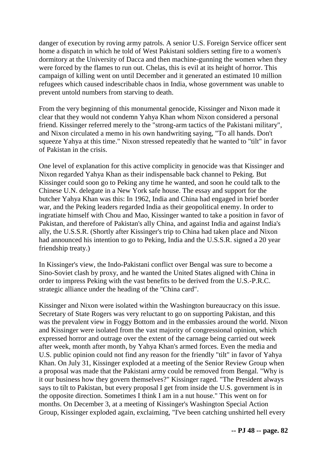danger of execution by roving army patrols. A senior U.S. Foreign Service officer sent home a dispatch in which he told of West Pakistani soldiers setting fire to a women's dormitory at the University of Dacca and then machine-gunning the women when they were forced by the flames to run out. Chelas, this is evil at its height of horror. This campaign of killing went on until December and it generated an estimated 10 million refugees which caused indescribable chaos in India, whose government was unable to prevent untold numbers from starving to death.

From the very beginning of this monumental genocide, Kissinger and Nixon made it clear that they would not condemn Yahya Khan whom Nixon considered a personal friend. Kissinger referred merely to the "strong-arm tactics of the Pakistani military", and Nixon circulated a memo in his own handwriting saying, "To all hands. Don't squeeze Yahya at this time." Nixon stressed repeatedly that he wanted to "tilt" in favor of Pakistan in the crisis.

One level of explanation for this active complicity in genocide was that Kissinger and Nixon regarded Yahya Khan as their indispensable back channel to Peking. But Kissinger could soon go to Peking any time he wanted, and soon he could talk to the Chinese U.N. delegate in a New York safe house. The essay and support for the butcher Yahya Khan was this: In 1962, India and China had engaged in brief border war, and the Peking leaders regarded India as their geopolitical enemy. In order to ingratiate himself with Chou and Mao, Kissinger wanted to take a position in favor of Pakistan, and therefore of Pakistan's ally China, and against India and against India's ally, the U.S.S.R. (Shortly after Kissinger's trip to China had taken place and Nixon had announced his intention to go to Peking, India and the U.S.S.R. signed a 20 year friendship treaty.)

In Kissinger's view, the Indo-Pakistani conflict over Bengal was sure to become a Sino-Soviet clash by proxy, and he wanted the United States aligned with China in order to impress Peking with the vast benefits to be derived from the U.S.-P.R.C. strategic alliance under the heading of the "China card".

Kissinger and Nixon were isolated within the Washington bureaucracy on this issue. Secretary of State Rogers was very reluctant to go on supporting Pakistan, and this was the prevalent view in Foggy Bottom and in the embassies around the world. Nixon and Kissinger were isolated from the vast majority of congressional opinion, which expressed horror and outrage over the extent of the carnage being carried out week after week, month after month, by Yahya Khan's armed forces. Even the media and U.S. public opinion could not find any reason for the friendly "tilt" in favor of Yahya Khan. On July 31, Kissinger exploded at a meeting of the Senior Review Group when a proposal was made that the Pakistani army could be removed from Bengal. "Why is it our business how they govern themselves?" Kissinger raged. "The President always says to tilt to Pakistan, but every proposal I get from inside the U.S. government is in the opposite direction. Sometimes I think I am in a nut house." This went on for months. On December 3, at a meeting of Kissinger's Washington Special Action Group, Kissinger exploded again, exclaiming, "I've been catching unshirted hell every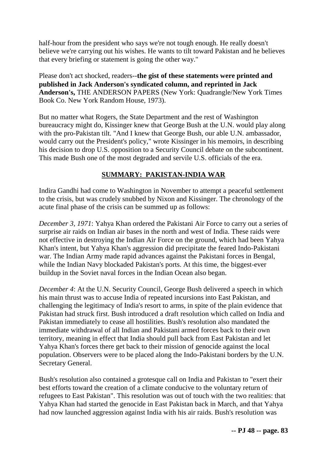half-hour from the president who says we're not tough enough. He really doesn't believe we're carrying out his wishes. He wants to tilt toward Pakistan and he believes that every briefing or statement is going the other way."

Please don't act shocked, readers--**the gist of these statements were printed and published in Jack Anderson's syndicated column, and reprinted in Jack Anderson's,** THE ANDERSON PAPERS (New York: Quadrangle/New York Times Book Co. New York Random House, 1973).

But no matter what Rogers, the State Department and the rest of Washington bureaucracy might do, Kissinger knew that George Bush at the U.N. would play along with the pro-Pakistan tilt. "And I knew that George Bush, our able U.N. ambassador, would carry out the President's policy," wrote Kissinger in his memoirs, in describing his decision to drop U.S. opposition to a Security Council debate on the subcontinent. This made Bush one of the most degraded and servile U.S. officials of the era.

# **SUMMARY: PAKISTAN-INDIA WAR**

Indira Gandhi had come to Washington in November to attempt a peaceful settlement to the crisis, but was crudely snubbed by Nixon and Kissinger. The chronology of the acute final phase of the crisis can be summed up as follows:

*December 3, 1971*: Yahya Khan ordered the Pakistani Air Force to carry out a series of surprise air raids on Indian air bases in the north and west of India. These raids were not effective in destroying the Indian Air Force on the ground, which had been Yahya Khan's intent, but Yahya Khan's aggression did precipitate the feared Indo-Pakistani war. The Indian Army made rapid advances against the Pakistani forces in Bengal, while the Indian Navy blockaded Pakistan's ports. At this time, the biggest-ever buildup in the Soviet naval forces in the Indian Ocean also began.

*December 4*: At the U.N. Security Council, George Bush delivered a speech in which his main thrust was to accuse India of repeated incursions into East Pakistan, and challenging the legitimacy of India's resort to arms, in spite of the plain evidence that Pakistan had struck first. Bush introduced a draft resolution which called on India and Pakistan immediately to cease all hostilities. Bush's resolution also mandated the immediate withdrawal of all Indian and Pakistani armed forces back to their own territory, meaning in effect that India should pull back from East Pakistan and let Yahya Khan's forces there get back to their mission of genocide against the local population. Observers were to be placed along the Indo-Pakistani borders by the U.N. Secretary General.

Bush's resolution also contained a grotesque call on India and Pakistan to "exert their best efforts toward the creation of a climate conducive to the voluntary return of refugees to East Pakistan". This resolution was out of touch with the two realities: that Yahya Khan had started the genocide in East Pakistan back in March, and that Yahya had now launched aggression against India with his air raids. Bush's resolution was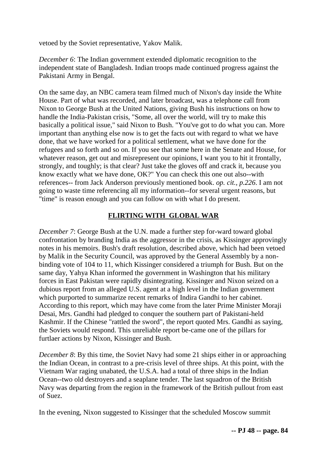vetoed by the Soviet representative, Yakov Malik.

*December 6*: The Indian government extended diplomatic recognition to the independent state of Bangladesh. Indian troops made continued progress against the Pakistani Army in Bengal.

On the same day, an NBC camera team filmed much of Nixon's day inside the White House. Part of what was recorded, and later broadcast, was a telephone call from Nixon to George Bush at the United Nations, giving Bush his instructions on how to handle the India-Pakistan crisis, "Some, all over the world, will try to make this basically a political issue," said Nixon to Bush. "You've got to do what you can. More important than anything else now is to get the facts out with regard to what we have done, that we have worked for a political settlement, what we have done for the refugees and so forth and so on. If you see that some here in the Senate and House, for whatever reason, get out and misrepresent our opinions, I want you to hit it frontally, strongly, and toughly; is that clear? Just take the gloves off and crack it, because you know exactly what we have done, OK?" You can check this one out also--with references-- from Jack Anderson previously mentioned book. *op. cit., p.226*. I am not going to waste time referencing all my information--for several urgent reasons, but "time" is reason enough and you can follow on with what I do present.

## **FLIRTING WITH GLOBAL WAR**

*December 7*: George Bush at the U.N. made a further step for-ward toward global confrontation by branding India as the aggressor in the crisis, as Kissinger approvingly notes in his memoirs. Bush's draft resolution, described above, which had been vetoed by Malik in the Security Council, was approved by the General Assembly by a nonbinding vote of 104 to 11, which Kissinger considered a triumph for Bush. But on the same day, Yahya Khan informed the government in Washington that his military forces in East Pakistan were rapidly disintegrating. Kissinger and Nixon seized on a dubious report from an alleged U.S. agent at a high level in the Indian government which purported to summarize recent remarks of Indira Gandhi to her cabinet. According to this report, which may have come from the later Prime Minister Moraji Desai, Mrs. Gandhi had pledged to conquer the southern part of Pakistani-held Kashmir. If the Chinese "rattled the sword", the report quoted Mrs. Gandhi as saying, the Soviets would respond. This unreliable report be-came one of the pillars for furtlaer actions by Nixon, Kissinger and Bush.

*December 8*: By this time, the Soviet Navy had some 21 ships either in or approaching the Indian Ocean, in contrast to a pre-crisis level of three ships. At this point, with the Vietnam War raging unabated, the U.S.A. had a total of three ships in the Indian Ocean--two old destroyers and a seaplane tender. The last squadron of the British Navy was departing from the region in the framework of the British pullout from east of Suez.

In the evening, Nixon suggested to Kissinger that the scheduled Moscow summit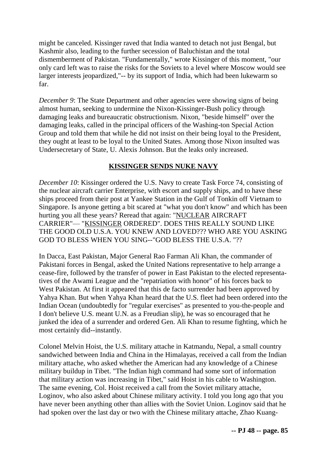might be canceled. Kissinger raved that India wanted to detach not just Bengal, but Kashmir also, leading to the further secession of Baluchistan and the total dismemberment of Pakistan. "Fundamentally," wrote Kissinger of this moment, "our only card left was to raise the risks for the Soviets to a level where Moscow would see larger interests jeopardized,"-- by its support of India, which had been lukewarm so far.

*December 9*: The State Department and other agencies were showing signs of being almost human, seeking to undermine the Nixon-Kissinger-Bush policy through damaging leaks and bureaucratic obstructionism. Nixon, "beside himself" over the damaging leaks, called in the principal officers of the Washing-ton Special Action Group and told them that while he did not insist on their being loyal to the President, they ought at least to be loyal to the United States. Among those Nixon insulted was Undersecretary of State, U. Alexis Johnson. But the leaks only increased.

## **KISSINGER SENDS NUKE NAVY**

*December 10*: Kissinger ordered the U.S. Navy to create Task Force 74, consisting of the nuclear aircraft carrier Enterprise, with escort and supply ships, and to have these ships proceed from their post at Yankee Station in the Gulf of Tonkin off Vietnam to Singapore. Is anyone getting a bit scared at "what you don't know" and which has been hurting you all these years? Reread that again: "NUCLEAR AIRCRAFT CARRIER"— "KISSINGER ORDERED". DOES THIS REALLY SOUND LIKE THE GOOD OLD U.S.A. YOU KNEW AND LOVED??? WHO ARE YOU ASKING GOD TO BLESS WHEN YOU SING--"GOD BLESS THE U.S.A. "??

In Dacca, East Pakistan, Major General Rao Farman Ali Khan, the commander of Pakistani forces in Bengal, asked the United Nations representative to help arrange a cease-fire, followed by the transfer of power in East Pakistan to the elected representatives of the Awami League and the "repatriation with honor" of his forces back to West Pakistan. At first it appeared that this de facto surrender had been approved by Yahya Khan. But when Yahya Khan heard that the U.S. fleet had been ordered into the Indian Ocean (undoubtedly for "regular exercises" as presented to you-the-people and I don't believe U.S. meant U.N. as a Freudian slip), he was so encouraged that he junked the idea of a surrender and ordered Gen. Ali Khan to resume fighting, which he most certainly did--instantly.

Colonel Melvin Hoist, the U.S. military attache in Katmandu, Nepal, a small country sandwiched between India and China in the Himalayas, received a call from the Indian military attache, who asked whether the American had any knowledge of a Chinese military buildup in Tibet. "The Indian high command had some sort of information that military action was increasing in Tibet," said Hoist in his cable to Washington. The same evening, Col. Hoist received a call from the Soviet military attache, Loginov, who also asked about Chinese military activity. I told you long ago that you have never been anything other than allies with the Soviet Union. Loginov said that he had spoken over the last day or two with the Chinese military attache, Zhao Kuang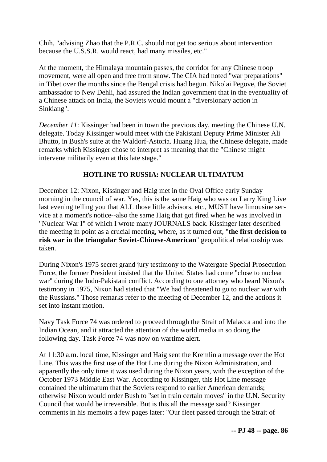Chih, "advising Zhao that the P.R.C. should not get too serious about intervention because the U.S.S.R. would react, had many missiles, etc."

At the moment, the Himalaya mountain passes, the corridor for any Chinese troop movement, were all open and free from snow. The CIA had noted "war preparations" in Tibet over the months since the Bengal crisis had begun. Nikolai Pegove, the Soviet ambassador to New Dehli, had assured the Indian government that in the eventuality of a Chinese attack on India, the Soviets would mount a "diversionary action in Sinkiang".

*December 11*: Kissinger had been in town the previous day, meeting the Chinese U.N. delegate. Today Kissinger would meet with the Pakistani Deputy Prime Minister Ali Bhutto, in Bush's suite at the Waldorf-Astoria. Huang Hua, the Chinese delegate, made remarks which Kissinger chose to interpret as meaning that the "Chinese might intervene militarily even at this late stage."

# **HOTLINE TO RUSSIA: NUCLEAR ULTIMATUM**

December 12: Nixon, Kissinger and Haig met in the Oval Office early Sunday morning in the council of war. Yes, this is the same Haig who was on Larry King Live last evening telling you that ALL those little advisors, etc., MUST have limousine service at a moment's notice--also the same Haig that got fired when he was involved in "Nuclear War I" of which I wrote many JOURNALS back. Kissinger later described the meeting in point as a crucial meeting, where, as it turned out, "**the first decision to risk war in the triangular Soviet-Chinese-American**" geopolitical relationship was taken.

During Nixon's 1975 secret grand jury testimony to the Watergate Special Prosecution Force, the former President insisted that the United States had come "close to nuclear war" during the Indo-Pakistani conflict. According to one attorney who heard Nixon's testimony in 1975, Nixon had stated that "We had threatened to go to nuclear war with the Russians." Those remarks refer to the meeting of December 12, and the actions it set into instant motion.

Navy Task Force 74 was ordered to proceed through the Strait of Malacca and into the Indian Ocean, and it attracted the attention of the world media in so doing the following day. Task Force 74 was now on wartime alert.

At 11:30 a.m. local time, Kissinger and Haig sent the Kremlin a message over the Hot Line. This was the first use of the Hot Line during the Nixon Administration, and apparently the only time it was used during the Nixon years, with the exception of the October 1973 Middle East War. According to Kissinger, this Hot Line message contained the ultimatum that the Soviets respond to earlier American demands; otherwise Nixon would order Bush to "set in train certain moves" in the U.N. Security Council that would be irreversible. But is this all the message said? Kissinger comments in his memoirs a few pages later: "Our fleet passed through the Strait of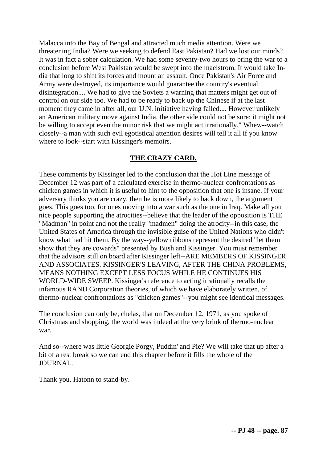Malacca into the Bay of Bengal and attracted much media attention. Were we threatening India? Were we seeking to defend East Pakistan? Had we lost our minds? It was in fact a sober calculation. We had some seventy-two hours to bring the war to a conclusion before West Pakistan would be swept into the maelstrom. It would take India that long to shift its forces and mount an assault. Once Pakistan's Air Force and Army were destroyed, its importance would guarantee the country's eventual disintegration.... We had to give the Soviets a warning that matters might get out of control on our side too. We had to be ready to back up the Chinese if at the last moment they came in after all, our U.N. initiative having failed.... However unlikely an American military move against India, the other side could not be sure; it might not be willing to accept even the minor risk that we might act irrationally." Whew--watch closely--a man with such evil egotistical attention desires will tell it all if you know where to look--start with Kissinger's memoirs.

### **THE CRAZY CARD.**

These comments by Kissinger led to the conclusion that the Hot Line message of December 12 was part of a calculated exercise in thermo-nuclear confrontations as chicken games in which it is useful to hint to the opposition that one is insane. If your adversary thinks you are crazy, then he is more likely to back down, the argument goes. This goes too, for ones moving into a war such as the one in Iraq. Make all you nice people supporting the atrocities--believe that the leader of the opposition is THE "Madman" in point and not the really "madmen" doing the atrocity--in this case, the United States of America through the invisible guise of the United Nations who didn't know what had hit them. By the way--yellow ribbons represent the desired "let them show that they are cowards" presented by Bush and Kissinger. You must remember that the advisors still on board after Kissinger left--ARE MEMBERS OF KISSINGER AND ASSOCIATES. KISSINGER'S LEAVING, AFTER THE CHINA PROBLEMS, MEANS NOTHING EXCEPT LESS FOCUS WHILE HE CONTINUES HIS WORLD-WIDE SWEEP. Kissinger's reference to acting irrationally recalls the infamous RAND Corporation theories, of which we have elaborately written, of thermo-nuclear confrontations as "chicken games"--you might see identical messages.

The conclusion can only be, chelas, that on December 12, 1971, as you spoke of Christmas and shopping, the world was indeed at the very brink of thermo-nuclear war.

And so--where was little Georgie Porgy, Puddin' and Pie? We will take that up after a bit of a rest break so we can end this chapter before it fills the whole of the JOURNAL.

Thank you. Hatonn to stand-by.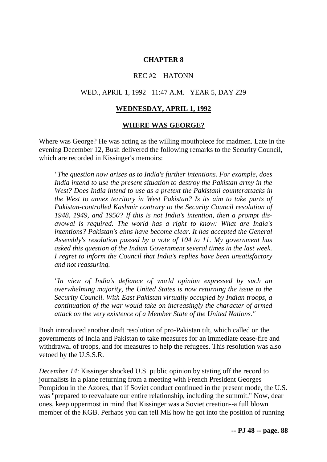#### **CHAPTER 8**

#### REC #2 HATONN

#### WED., APRIL 1, 1992 11:47 A.M. YEAR 5, DAY 229

#### **WEDNESDAY, APRIL 1, 1992**

#### **WHERE WAS GEORGE?**

Where was George? He was acting as the willing mouthpiece for madmen. Late in the evening December 12, Bush delivered the following remarks to the Security Council, which are recorded in Kissinger's memoirs:

*"The question now arises as to India's further intentions. For example, does India intend to use the present situation to destroy the Pakistan army in the West? Does India intend to use as a pretext the Pakistani counterattacks in the West to annex territory in West Pakistan? Is its aim to take parts of Pakistan-controlled Kashmir contrary to the Security Council resolution of 1948, 1949, and 1950? If this is not India's intention, then a prompt disavowal is required. The world has a right to know: What are India's intentions? Pakistan's aims have become clear. It has accepted the General Assembly's resolution passed by a vote of 104 to 11. My government has asked this question of the Indian Government several times in the last week. I regret to inform the Council that India's replies have been unsatisfactory and not reassuring.*

*"In view of India's defiance of world opinion expressed by such an overwhelming majority, the United States is now returning the issue to the Security Council. With East Pakistan virtually occupied by Indian troops, a continuation of the war would take on increasingly the character of armed attack on the very existence of a Member State of the United Nations."*

Bush introduced another draft resolution of pro-Pakistan tilt, which called on the governments of India and Pakistan to take measures for an immediate cease-fire and withdrawal of troops, and for measures to help the refugees. This resolution was also vetoed by the U.S.S.R.

*December 14*: Kissinger shocked U.S. public opinion by stating off the record to journalists in a plane returning from a meeting with French President Georges Pompidou in the Azores, that if Soviet conduct continued in the present mode, the U.S. was "prepared to reevaluate our entire relationship, including the summit." Now, dear ones, keep uppermost in mind that Kissinger was a Soviet creation--a full blown member of the KGB. Perhaps you can tell ME how he got into the position of running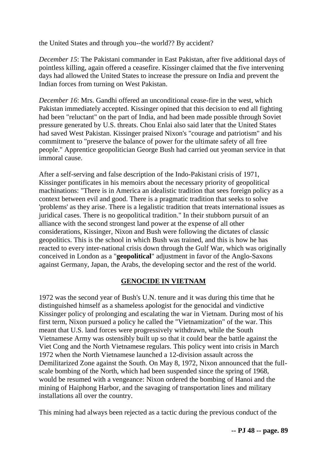the United States and through you--the world?? By accident?

*December 15*: The Pakistani commander in East Pakistan, after five additional days of pointless killing, again offered a ceasefire. Kissinger claimed that the five intervening days had allowed the United States to increase the pressure on India and prevent the Indian forces from turning on West Pakistan.

*December 16*: Mrs. Gandhi offered an unconditional cease-fire in the west, which Pakistan immediately accepted. Kissinger opined that this decision to end all fighting had been "reluctant" on the part of India, and had been made possible through Soviet pressure generated by U.S. threats. Chou Enlai also said later that the United States had saved West Pakistan. Kissinger praised Nixon's "courage and patriotism" and his commitment to "preserve the balance of power for the ultimate safety of all free people." Apprentice geopolitician George Bush had carried out yeoman service in that immoral cause.

After a self-serving and false description of the Indo-Pakistani crisis of 1971, Kissinger pontificates in his memoirs about the necessary priority of geopolitical machinations: "There is in America an idealistic tradition that sees foreign policy as a context between evil and good. There is a pragmatic tradition that seeks to solve 'problems' as they arise. There is a legalistic tradition that treats international issues as juridical cases. There is no geopolitical tradition." In their stubborn pursuit of an alliance with the second strongest land power at the expense of all other considerations, Kissinger, Nixon and Bush were following the dictates of classic geopolitics. This is the school in which Bush was trained, and this is how he has reacted to every inter-national crisis down through the Gulf War, which was originally conceived in London as a "**geopolitical**" adjustment in favor of the Anglo-Saxons against Germany, Japan, the Arabs, the developing sector and the rest of the world.

## **GENOCIDE IN VIETNAM**

1972 was the second year of Bush's U.N. tenure and it was during this time that he distinguished himself as a shameless apologist for the genocidal and vindictive Kissinger policy of prolonging and escalating the war in Vietnam. During most of his first term, Nixon pursued a policy he called the "Vietnamization" of the war. This meant that U.S. land forces were progressively withdrawn, while the South Vietnamese Army was ostensibly built up so that it could bear the battle against the Viet Cong and the North Vietnamese regulars. This policy went into crisis in March 1972 when the North Vietnamese launched a 12-division assault across the Demilitarized Zone against the South. On May 8, 1972, Nixon announced that the fullscale bombing of the North, which had been suspended since the spring of 1968, would be resumed with a vengeance: Nixon ordered the bombing of Hanoi and the mining of Haiphong Harbor, and the savaging of transportation lines and military installations all over the country.

This mining had always been rejected as a tactic during the previous conduct of the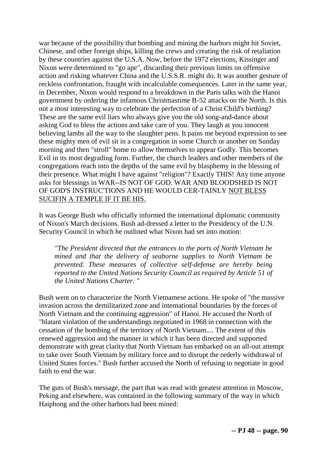war because of the possibility that bombing and mining the harbors might hit Soviet, Chinese, and other foreign ships, killing the crews and creating the risk of retaliation by these countries against the U.S.A. Now, before the 1972 elections, Kissinger and Nixon were determined to "go ape", discarding their previous limits on offensive action and risking whatever China and the U.S.S.R. might do. It was another gesture of reckless confrontation, fraught with incalculable consequences. Later in the same year, in December, Nixon would respond to a breakdown in the Paris talks with the Hanoi government by ordering the infamous Christmastime B-52 attacks on the North. Is this not a most interesting way to celebrate the perfection of a Christ Child's birthing? These are the same evil liars who always give you the old song-and-dance about asking God to bless the actions and take care of you. They laugh at you innocent believing lambs all the way to the slaughter pens. It pains me beyond expression to see these mighty men of evil sit in a congregation in some Church or another on Sunday morning and then "stroll" home to allow themselves to appear Godly. This becomes Evil in its most degrading form. Further, the church leaders and other members of the congregations reach into the depths of the same evil by blasphemy in the blessing of their presence. What might I have against "religion"? Exactly THIS! Any time anyone asks for blessings in WAR--IS NOT OF GOD. WAR AND BLOODSHED IS NOT OF GOD'S INSTRUC'TIONS AND HE WOULD CER-TAINLY NOT BLESS SUCIFIN A TEMPLE IF IT BE HIS.

It was George Bush who officially informed the international diplomatic community of Nixon's March decisions. Bush ad-dressed a letter to the Presidency of the U.N. Security Council in which he outlined what Nixon had set into motion:

*"The President directed that the entrances to the ports of North Vietnam be mined and that the delivery of seaborne supplies to North Vietnam be prevented. These measures of collective self-defense are hereby being reported to the United Nations Security Council as required by Article 51 of the United Nations Charter. "*

Bush went on to characterize the North Vietnamese actions. He spoke of "the massive invasion across the demilitarized zone and international boundaries by the forces of North Vietnam and the continuing aggression" of Hanoi. He accused the North of "blatant violation of the understandings negotiated in 1968 in connection with the cessation of the bombing of the territory of North Vietnam.... The extent of this renewed aggression and the manner in which it has been directed and supported demonstrate with great clarity that North Vietnam has embarked on an all-out attempt to take over South Vietnam by military force and to disrupt the orderly withdrawal of United States forces." Bush further accused the North of refusing to negotiate in good faith to end the war.

The guts of Bush's message, the part that was read with greatest attention in Moscow, Peking and elsewhere, was contained in the following summary of the way in which Haiphong and the other harbors had been mined: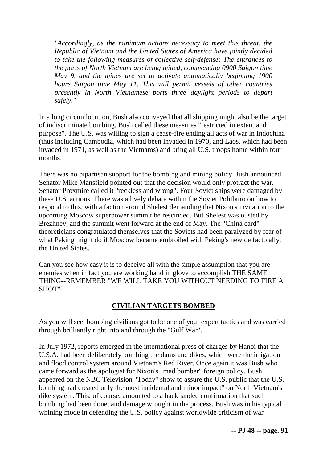*"Accordingly, as the minimum actions necessary to meet this threat, the Republic of Vietnam and the United States of America have jointly decided to take the following measures of collective self-defense: The entrances to the ports of North Vietnam are being mined, commencing 0900 Saigon time May 9, and the mines are set to activate automatically beginning 1900 hours Saigon time May 11. This will permit vessels of other countries presently in North Vietnamese ports three daylight periods to depart safely."*

In a long circumlocution, Bush also conveyed that all shipping might also be the target of indiscriminate bombing. Bush called these measures "restricted in extent and purpose". The U.S. was willing to sign a cease-fire ending all acts of war in Indochina (thus including Cambodia, which had been invaded in 1970, and Laos, which had been invaded in 1971, as well as the Vietnams) and bring all U.S. troops home within four months.

There was no bipartisan support for the bombing and mining policy Bush announced. Senator Mike Mansfield pointed out that the decision would only protract the war. Senator Proxmire called it "reckless and wrong". Four Soviet ships were damaged by these U.S. actions. There was a lively debate within the Soviet Politburo on how to respond to this, with a faction around Shelest demanding that Nixon's invitation to the upcoming Moscow superpower summit be rescinded. But Shelest was ousted by Brezhnev, and the summit went forward at the end of May. The "China card" theoreticians congratulated themselves that the Soviets had been paralyzed by fear of what Peking might do if Moscow became embroiled with Peking's new de facto ally, the United States.

Can you see how easy it is to deceive all with the simple assumption that you are enemies when in fact you are working hand in glove to accomplish THE SAME THING--REMEMBER "WE WILL TAKE YOU WITHOUT NEEDING TO FIRE A SHOT"?

# **CIVILIAN TARGETS BOMBED**

As you will see, bombing civilians got to be one of your expert tactics and was carried through brilliantly right into and through the "Gulf War".

In July 1972, reports emerged in the international press of charges by Hanoi that the U.S.A. had been deliberately bombing the dams and dikes, which were the irrigation and flood control system around Vietnam's Red River. Once again it was Bush who came forward as the apologist for Nixon's "mad bomber" foreign policy. Bush appeared on the NBC Television "Today" show to assure the U.S. public that the U.S. bombing had created only the most incidental and minor impact" on North Vietnam's dike system. This, of course, amounted to a backhanded confirmation that such bombing had been done, and damage wrought in the process. Bush was in his typical whining mode in defending the U.S. policy against worldwide criticism of war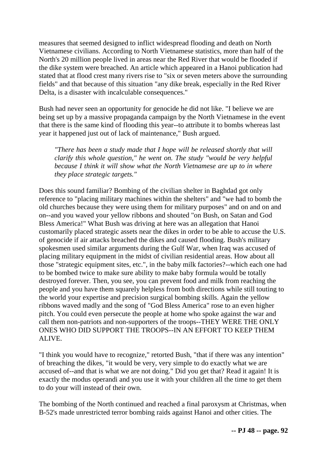measures that seemed designed to inflict widespread flooding and death on North Vietnamese civilians. According to North Vietnamese statistics, more than half of the North's 20 million people lived in areas near the Red River that would be flooded if the dike system were breached. An article which appeared in a Hanoi publication had stated that at flood crest many rivers rise to "six or seven meters above the surrounding fields" and that because of this situation "any dike break, especially in the Red River Delta, is a disaster with incalculable consequences."

Bush had never seen an opportunity for genocide he did not like. "I believe we are being set up by a massive propaganda campaign by the North Vietnamese in the event that there is the same kind of flooding this year--to attribute it to bombs whereas last year it happened just out of lack of maintenance," Bush argued.

*"There has been a study made that I hope will be released shortly that will clarify this whole question," he went on. The study "would be very helpful because I think it will show what the North Vietnamese are up to in where they place strategic targets."*

Does this sound familiar? Bombing of the civilian shelter in Baghdad got only reference to "placing military machines within the shelters" and "we had to bomb the old churches because they were using them for military purposes" and on and on and on--and you waved your yellow ribbons and shouted "on Bush, on Satan and God Bless America!" What Bush was driving at here was an allegation that Hanoi customarily placed strategic assets near the dikes in order to be able to accuse the U.S. of genocide if air attacks breached the dikes and caused flooding. Bush's military spokesmen used similar arguments during the Gulf War, when Iraq was accused of placing military equipment in the midst of civilian residential areas. How about all those "strategic equipment sites, etc.", in the baby milk factories?--which each one had to be bombed twice to make sure ability to make baby formula would be totally destroyed forever. Then, you see, you can prevent food and milk from reaching the people and you have them squarely helpless from both directions while still touting to the world your expertise and precision surgical bombing skills. Again the yellow ribbons waved madly and the song of "God Bless America" rose to an even higher pitch. You could even persecute the people at home who spoke against the war and call them non-patriots and non-supporters of the troops--THEY WERE THE ONLY ONES WHO DID SUPPORT THE TROOPS--IN AN EFFORT TO KEEP THEM ALIVE.

"I think you would have to recognize," retorted Bush, "that if there was any intention" of breaching the dikes, "it would be very, very simple to do exactly what we are accused of--and that is what we are not doing." Did you get that? Read it again! It is exactly the modus operandi and you use it with your children all the time to get them to do your will instead of their own.

The bombing of the North continued and reached a final paroxysm at Christmas, when B-52's made unrestricted terror bombing raids against Hanoi and other cities. The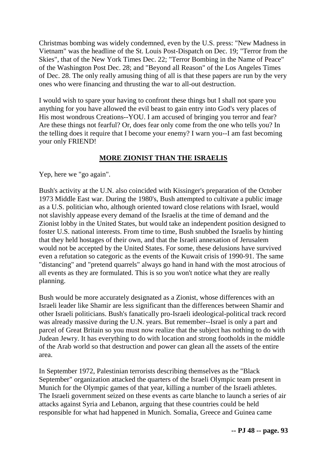Christmas bombing was widely condemned, even by the U.S. press: "New Madness in Vietnam" was the headline of the St. Louis Post-Dispatch on Dec. 19; "Terror from the Skies", that of the New York Times Dec. 22; "Terror Bombing in the Name of Peace" of the Washington Post Dec. 28; and "Beyond all Reason" of the Los Angeles Times of Dec. 28. The only really amusing thing of all is that these papers are run by the very ones who were financing and thrusting the war to all-out destruction.

I would wish to spare your having to confront these things but I shall not spare you anything for you have allowed the evil beast to gain entry into God's very places of His most wondrous Creations--YOU. I am accused of bringing you terror and fear? Are these things not fearful? Or, does fear only come from the one who tells you? In the telling does it require that I become your enemy? I warn you--I am fast becoming your only FRIEND!

# **MORE ZIONIST THAN THE ISRAELIS**

Yep, here we "go again".

Bush's activity at the U.N. also coincided with Kissinger's preparation of the October 1973 Middle East war. During the 1980's, Bush attempted to cultivate a public image as a U.S. politician who, although oriented toward close relations with Israel, would not slavishly appease every demand of the Israelis at the time of demand and the Zionist lobby in the United States, but would take an independent position designed to foster U.S. national interests. From time to time, Bush snubbed the Israelis by hinting that they held hostages of their own, and that the Israeli annexation of Jerusalem would not be accepted by the United States. For some, these delusions have survived even a refutation so categoric as the events of the Kuwait crisis of 1990-91. The same "distancing" and "pretend quarrels" always go hand in hand with the most atrocious of all events as they are formulated. This is so you won't notice what they are really planning.

Bush would be more accurately designated as a Zionist, whose differences with an Israeli leader like Shamir are less significant than the differences between Shamir and other Israeli politicians. Bush's fanatically pro-Israeli ideological-political track record was already massive during the U.N. years. But remember--Israel is only a part and parcel of Great Britain so you must now realize that the subject has nothing to do with Judean Jewry. It has everything to do with location and strong footholds in the middle of the Arab world so that destruction and power can glean all the assets of the entire area.

In September 1972, Palestinian terrorists describing themselves as the "Black September" organization attacked the quarters of the Israeli Olympic team present in Munich for the Olympic games of that year, killing a number of the Israeli athletes. The Israeli government seized on these events as carte blanche to launch a series of air attacks against Syria and Lebanon, arguing that these countries could be held responsible for what had happened in Munich. Somalia, Greece and Guinea came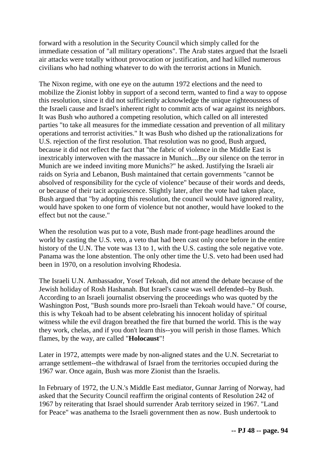forward with a resolution in the Security Council which simply called for the immediate cessation of "all military operations". The Arab states argued that the Israeli air attacks were totally without provocation or justification, and had killed numerous civilians who had nothing whatever to do with the terrorist actions in Munich.

The Nixon regime, with one eye on the autumn 1972 elections and the need to mobilize the Zionist lobby in support of a second term, wanted to find a way to oppose this resolution, since it did not sufficiently acknowledge the unique righteousness of the Israeli cause and Israel's inherent right to commit acts of war against its neighbors. It was Bush who authored a competing resolution, which called on all interested parties "to take all measures for the immediate cessation and prevention of all military operations and terrorist activities." It was Bush who dished up the rationalizations for U.S. rejection of the first resolution. That resolution was no good, Bush argued, because it did not reflect the fact that "the fabric of violence in the Middle East is inextricably interwoven with the massacre in Munich....By our silence on the terror in Munich are we indeed inviting more Munichs?" he asked. Justifying the Israeli air raids on Syria and Lebanon, Bush maintained that certain governments "cannot be absolved of responsibility for the cycle of violence" because of their words and deeds, or because of their tacit acquiescence. Slightly later, after the vote had taken place, Bush argued that "by adopting this resolution, the council would have ignored reality, would have spoken to one form of violence but not another, would have looked to the effect but not the cause."

When the resolution was put to a vote, Bush made front-page headlines around the world by casting the U.S. veto, a veto that had been cast only once before in the entire history of the U.N. The vote was 13 to 1, with the U.S. casting the sole negative vote. Panama was the lone abstention. The only other time the U.S. veto had been used had been in 1970, on a resolution involving Rhodesia.

The Israeli U.N. Ambassador, Yosef Tekoah, did not attend the debate because of the Jewish holiday of Rosh Hashanah. But Israel's cause was well defended--by Bush. According to an Israeli journalist observing the proceedings who was quoted by the Washington Post, "Bush sounds more pro-Israeli than Tekoah would have." Of course, this is why Tekoah had to be absent celebrating his innocent holiday of spiritual witness while the evil dragon breathed the fire that burned the world. This is the way they work, chelas, and if you don't learn this--you will perish in those flames. Which flames, by the way, are called "**Holocaust**"!

Later in 1972, attempts were made by non-aligned states and the U.N. Secretariat to arrange settlement--the withdrawal of Israel from the territories occupied during the 1967 war. Once again, Bush was more Zionist than the Israelis.

In February of 1972, the U.N.'s Middle East mediator, Gunnar Jarring of Norway, had asked that the Security Council reaffirm the original contents of Resolution 242 of 1967 by reiterating that Israel should surrender Arab territory seized in 1967. "Land for Peace" was anathema to the Israeli government then as now. Bush undertook to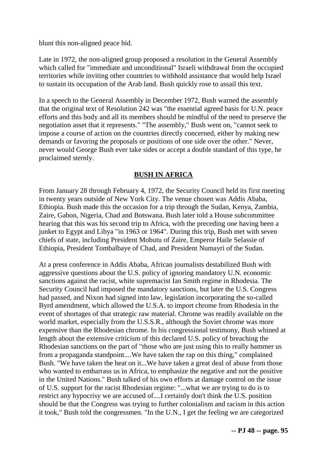blunt this non-aligned peace bid.

Late in 1972, the non-aligned group proposed a resolution in the General Assembly which called for "immediate and unconditional" Israeli withdrawal from the occupied territories while inviting other countries to withhold assistance that would help Israel to sustain its occupation of the Arab land. Bush quickly rose to assail this text.

In a speech to the General Assembly in December 1972, Bush warned the assembly that the original text of Resolution 242 was "the essential agreed basis for U.N. peace efforts and this body and all its members should be mindful of the need to preserve the negotiation asset that it represents." "The assembly," Bush went on, "cannot seek to impose a course of action on the countries directly concerned, either by making new demands or favoring the proposals or positions of one side over the other." Never, never would George Bush ever take sides or accept a double standard of this type, he proclaimed sternly.

#### **BUSH IN AFRICA**

From January 28 through February 4, 1972, the Security Council held its first meeting in twenty years outside of New York City. The venue chosen was Addis Ababa, Ethiopia. Bush made this the occasion for a trip through the Sudan, Kenya, Zambia, Zaire, Gabon, Nigeria, Chad and Botswana. Bush later told a House subcommittee hearing that this was his second trip to Africa, with the preceding one having been a junket to Egypt and Libya "in 1963 or 1964". During this trip, Bush met with seven chiefs of state, including President Mobutu of Zaire, Emperor Haile Selassie of Ethiopia, President Tombalbaye of Chad, and President Numayri of the Sudan.

At a press conference in Addis Ababa, African journalists destabilized Bush with aggressive questions about the U.S. policy of ignoring mandatory U.N. economic sanctions against the racist, white supremacist Ian Smith regime in Rhodesia. The Security Council had imposed the mandatory sanctions, but later the U.S. Congress had passed, and Nixon had signed into law, legislation incorporating the so-called Byrd amendment, which allowed the U.S.A. to import chrome from Rhodesia in the event of shortages of that strategic raw material. Chrome was readily available on the world market, especially from the U.S.S.R., although the Soviet chrome was more expensive than the Rhodesian chrome. In his congressional testimony, Bush whined at length about the extensive criticism of this declared U.S. policy of breaching the Rhodesian sanctions on the part of "those who are just using this to really hammer us from a propaganda standpoint....We have taken the rap on this thing," complained Bush. "We have taken the heat on it...We have taken a great deal of abuse from those who wanted to embarrass us in Africa, to emphasize the negative and not the positive in the United Nations." Bush talked of his own efforts at damage control on the issue of U.S. support for the racist Rhodesian regime: "...what we are trying to do is to restrict any hypocrisy we are accused of....I certainly don't think the U.S. position should be that the Congress was trying to further colonialism and racism in this action it took," Bush told the congressmen. "In the U.N., I get the feeling we are categorized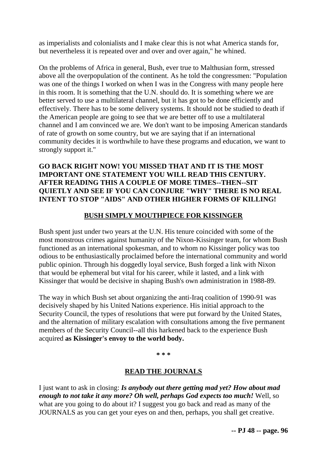as imperialists and colonialists and I make clear this is not what America stands for, but nevertheless it is repeated over and over and over again," he whined.

On the problems of Africa in general, Bush, ever true to Malthusian form, stressed above all the overpopulation of the continent. As he told the congressmen: "Population was one of the things I worked on when I was in the Congress with many people here in this room. It is something that the U.N. should do. It is something where we are better served to use a multilateral channel, but it has got to be done efficiently and effectively. There has to be some delivery systems. It should not be studied to death if the American people are going to see that we are better off to use a multilateral channel and I am convinced we are. We don't want to be imposing American standards of rate of growth on some country, but we are saying that if an international community decides it is worthwhile to have these programs and education, we want to strongly support it."

## **GO BACK RIGHT NOW! YOU MISSED THAT AND IT IS THE MOST IMPORTANT ONE STATEMENT YOU WILL READ THIS CENTURY. AFTER READING THIS A COUPLE OF MORE TIMES--THEN--SIT QUIETLY AND SEE IF YOU CAN CONJURE "WHY" THERE IS NO REAL INTENT TO STOP "AIDS" AND OTHER HIGHER FORMS OF KILLING!**

## **BUSH SIMPLY MOUTHPIECE FOR KISSINGER**

Bush spent just under two years at the U.N. His tenure coincided with some of the most monstrous crimes against humanity of the Nixon-Kissinger team, for whom Bush functioned as an international spokesman, and to whom no Kissinger policy was too odious to be enthusiastically proclaimed before the international community and world public opinion. Through his doggedly loyal service, Bush forged a link with Nixon that would be ephemeral but vital for his career, while it lasted, and a link with Kissinger that would be decisive in shaping Bush's own administration in 1988-89.

The way in which Bush set about organizing the anti-Iraq coalition of 1990-91 was decisively shaped by his United Nations experience. His initial approach to the Security Council, the types of resolutions that were put forward by the United States, and the alternation of military escalation with consultations among the five permanent members of the Security Council--all this harkened back to the experience Bush acquired **as Kissinger's envoy to the world body.**

#### **\* \* \***

## **READ THE JOURNALS**

I just want to ask in closing: *Is anybody out there getting mad yet? How about mad enough to not take it any more? Oh well, perhaps God expects too much!* Well, so what are you going to do about it? I suggest you go back and read as many of the JOURNALS as you can get your eyes on and then, perhaps, you shall get creative.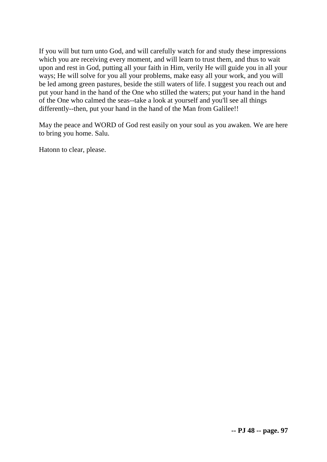If you will but turn unto God, and will carefully watch for and study these impressions which you are receiving every moment, and will learn to trust them, and thus to wait upon and rest in God, putting all your faith in Him, verily He will guide you in all your ways; He will solve for you all your problems, make easy all your work, and you will be led among green pastures, beside the still waters of life. I suggest you reach out and put your hand in the hand of the One who stilled the waters; put your hand in the hand of the One who calmed the seas--take a look at yourself and you'll see all things differently--then, put your hand in the hand of the Man from Galilee!!

May the peace and WORD of God rest easily on your soul as you awaken. We are here to bring you home. Salu.

Hatonn to clear, please.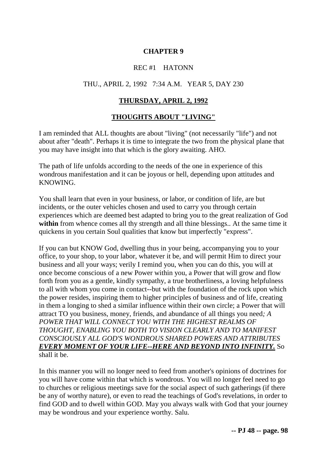## **CHAPTER 9**

### REC #1 HATONN

## THU., APRIL 2, 1992 7:34 A.M. YEAR 5, DAY 230

## **THURSDAY, APRIL 2, 1992**

## **THOUGHTS ABOUT "LIVING"**

I am reminded that ALL thoughts are about "living" (not necessarily "life") and not about after "death". Perhaps it is time to integrate the two from the physical plane that you may have insight into that which is the glory awaiting. AHO.

The path of life unfolds according to the needs of the one in experience of this wondrous manifestation and it can be joyous or hell, depending upon attitudes and KNOWING.

You shall learn that even in your business, or labor, or condition of life, are but incidents, or the outer vehicles chosen and used to carry you through certain experiences which are deemed best adapted to bring you to the great realization of God **within** from whence comes all thy strength and all thine blessings.. At the same time it quickens in you certain Soul qualities that know but imperfectly "express".

If you can but KNOW God, dwelling thus in your being, accompanying you to your office, to your shop, to your labor, whatever it be, and will permit Him to direct your business and all your ways; verily I remind you, when you can do this, you will at once become conscious of a new Power within you, a Power that will grow and flow forth from you as a gentle, kindly sympathy, a true brotherliness, a loving helpfulness to all with whom you come in contact--but with the foundation of the rock upon which the power resides, inspiring them to higher principles of business and of life, creating in them a longing to shed a similar influence within their own circle; a Power that will attract TO you business, money, friends, and abundance of all things you need*; A POWER THAT WILL CONNECT YOU WITH THE HIGHEST REALMS OF THOUGHT, ENABLING YOU BOTH TO VISION CLEARLY AND TO MANIFEST CONSCIOUSLY ALL GOD'S WONDROUS SHARED POWERS AND ATTRIBUTES EVERY MOMENT OF YOUR LIFE--HERE AND BEYOND INTO INFINITY.* So shall it be.

In this manner you will no longer need to feed from another's opinions of doctrines for you will have come within that which is wondrous. You will no longer feel need to go to churches or religious meetings save for the social aspect of such gatherings (if there be any of worthy nature), or even to read the teachings of God's revelations, in order to find GOD and to dwell within GOD. May you always walk with God that your journey may be wondrous and your experience worthy. Salu.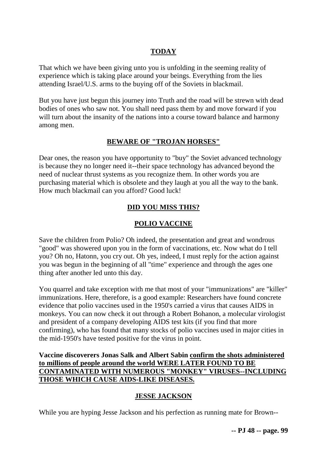# **TODAY**

That which we have been giving unto you is unfolding in the seeming reality of experience which is taking place around your beings. Everything from the lies attending Israel/U.S. arms to the buying off of the Soviets in blackmail.

But you have just begun this journey into Truth and the road will be strewn with dead bodies of ones who saw not. You shall need pass them by and move forward if you will turn about the insanity of the nations into a course toward balance and harmony among men.

## **BEWARE OF "TROJAN HORSES"**

Dear ones, the reason you have opportunity to "buy" the Soviet advanced technology is because they no longer need it--their space technology has advanced beyond the need of nuclear thrust systems as you recognize them. In other words you are purchasing material which is obsolete and they laugh at you all the way to the bank. How much blackmail can you afford? Good luck!

## **DID YOU MISS THIS?**

## **POLIO VACCINE**

Save the children from Polio? Oh indeed, the presentation and great and wondrous "good" was showered upon you in the form of vaccinations, etc. Now what do I tell you? Oh no, Hatonn, you cry out. Oh yes, indeed, I must reply for the action against you was begun in the beginning of all "time" experience and through the ages one thing after another led unto this day.

You quarrel and take exception with me that most of your "immunizations" are "killer" immunizations. Here, therefore, is a good example: Researchers have found concrete evidence that polio vaccines used in the 1950's carried a virus that causes AIDS in monkeys. You can now check it out through a Robert Bohanon, a molecular virologist and president of a company developing AIDS test kits (if you find that more confirming), who has found that many stocks of polio vaccines used in major cities in the mid-1950's have tested positive for the virus in point.

## **Vaccine discoverers Jonas Salk and Albert Sabin confirm the shots administered to millions of people around the world WERE LATER FOUND TO BE CONTAMINATED WITH NUMEROUS "MONKEY" VIRUSES--INCLUDING THOSE WHICH CAUSE AIDS-LIKE DISEASES.**

## **JESSE JACKSON**

While you are hyping Jesse Jackson and his perfection as running mate for Brown--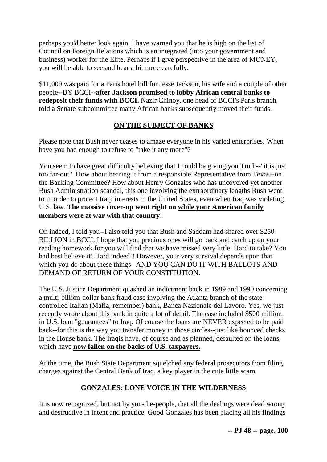perhaps you'd better look again. I have warned you that he is high on the list of Council on Foreign Relations which is an integrated (into your government and business) worker for the Elite. Perhaps if I give perspective in the area of MONEY, you will be able to see and hear a bit more carefully.

\$11,000 was paid for a Paris hotel bill for Jesse Jackson, his wife and a couple of other people--BY BCCI--**after Jackson promised to lobby African central banks to redeposit their funds with BCCI.** Nazir Chinoy, one head of BCCI's Paris branch, told a Senate subcommittee many African banks subsequently moved their funds.

## **ON THE SUBJECT OF BANKS**

Please note that Bush never ceases to amaze everyone in his varied enterprises. When have you had enough to refuse to "take it any more"?

You seem to have great difficulty believing that I could be giving you Truth--"it is just too far-out". How about hearing it from a responsible Representative from Texas--on the Banking Committee? How about Henry Gonzales who has uncovered yet another Bush Administration scandal, this one involving the extraordinary lengths Bush went to in order to protect Iraqi interests in the United States, even when Iraq was violating U.S. law. **The massive cover-up went right on while your American family members were at war with that country!**

Oh indeed, I told you--I also told you that Bush and Saddam had shared over \$250 BILLION in BCCI. I hope that you precious ones will go back and catch up on your reading homework for you will find that we have missed very little. Hard to take? You had best believe it! Hard indeed!! However, your very survival depends upon that which you do about these things--AND YOU CAN DO IT WITH BALLOTS AND DEMAND OF RETURN OF YOUR CONSTITUTION.

The U.S. Justice Department quashed an indictment back in 1989 and 1990 concerning a multi-billion-dollar bank fraud case involving the Atlanta branch of the statecontrolled Italian (Mafia, remember) bank, Banca Nazionale del Lavoro. Yes, we just recently wrote about this bank in quite a lot of detail. The case included \$500 million in U.S. loan "guarantees" to Iraq. Of course the loans are NEVER expected to be paid back--for this is the way you transfer money in those circles--just like bounced checks in the House bank. The Iraqis have, of course and as planned, defaulted on the loans, which have **now fallen on the backs of U.S. taxpayers.** 

At the time, the Bush State Department squelched any federal prosecutors from filing charges against the Central Bank of Iraq, a key player in the cute little scam.

# **GONZALES: LONE VOICE IN THE WILDERNESS**

It is now recognized, but not by you-the-people, that all the dealings were dead wrong and destructive in intent and practice. Good Gonzales has been placing all his findings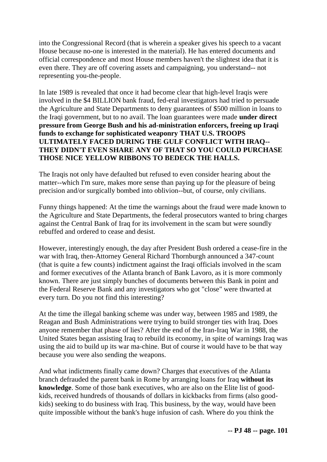into the Congressional Record (that is wherein a speaker gives his speech to a vacant House because no-one is interested in the material). He has entered documents and official correspondence and most House members haven't the slightest idea that it is even there. They are off covering assets and campaigning, you understand-- not representing you-the-people.

In late 1989 is revealed that once it had become clear that high-level Iraqis were involved in the \$4 BILLION bank fraud, fed-eral investigators had tried to persuade the Agriculture and State Departments to deny guarantees of \$500 million in loans to the Iraqi government, but to no avail. The loan guarantees were made **under direct pressure from George Bush and his ad-ministration enforcers, freeing up Iraqi funds to exchange for sophisticated weaponry THAT U.S. TROOPS ULTIMATELY FACED DURING THE GULF CONFLICT WITH IRAQ-- THEY DIDN'T EVEN SHARE ANY OF THAT SO YOU COULD PURCHASE THOSE NICE YELLOW RIBBONS TO BEDECK THE HALLS.**

The Iraqis not only have defaulted but refused to even consider hearing about the matter--which I'm sure, makes more sense than paying up for the pleasure of being precision and/or surgically bombed into oblivion--but, of course, only civilians.

Funny things happened: At the time the warnings about the fraud were made known to the Agriculture and State Departments, the federal prosecutors wanted to bring charges against the Central Bank of Iraq for its involvement in the scam but were soundly rebuffed and ordered to cease and desist.

However, interestingly enough, the day after President Bush ordered a cease-fire in the war with Iraq, then-Attorney General Richard Thornburgh announced a 347-count (that is quite a few counts) indictment against the Iraqi officials involved in the scam and former executives of the Atlanta branch of Bank Lavoro, as it is more commonly known. There are just simply bunches of documents between this Bank in point and the Federal Reserve Bank and any investigators who got "close" were thwarted at every turn. Do you not find this interesting?

At the time the illegal banking scheme was under way, between 1985 and 1989, the Reagan and Bush Administrations were trying to build stronger ties with Iraq. Does anyone remember that phase of lies? After the end of the Iran-Iraq War in 1988, the United States began assisting Iraq to rebuild its economy, in spite of warnings Iraq was using the aid to build up its war ma-chine. But of course it would have to be that way because you were also sending the weapons.

And what indictments finally came down? Charges that executives of the Atlanta branch defrauded the parent bank in Rome by arranging loans for Iraq **without its knowledge**. Some of those bank executives, who are also on the Elite list of goodkids, received hundreds of thousands of dollars in kickbacks from firms (also goodkids) seeking to do business with Iraq. This business, by the way, would have been quite impossible without the bank's huge infusion of cash. Where do you think the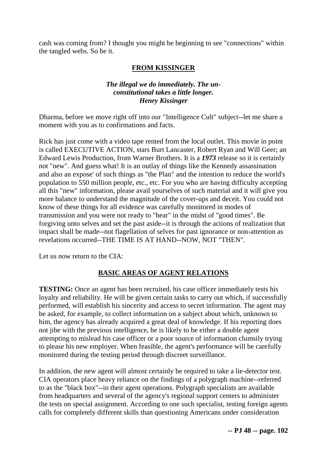cash was coming from? I thought you might be beginning to see "connections" within the tangled webs. So be it.

## **FROM KISSINGER**

## *The illegal we do immediately. The unconstitutional takes a little longer. Henry Kissinger*

Dharma, before we move right off into our "Intelligence Cult" subject--let me share a moment with you as to confirmations and facts.

Rick has just come with a video tape rented from the local outlet. This movie in point is called EXECUTIVE ACTION, stars Burt Lancaster, Robert Ryan and Will Geer; an Edward Lewis Production, from Warner Brothers. It is a *1973* release so it is certainly not "new". And guess what! It is an outlay of things like the Kennedy assassination and also an expose' of such things as "the Plan" and the intention to reduce the world's population to 550 million people, etc., etc. For you who are having difficulty accepting all this "new" information, please avail yourselves of such material and it will give you more balance to understand the magnitude of the cover-ups and deceit. You could not know of these things for all evidence was carefully monitored in modes of transmission and you were not ready to "hear" in the midst of "good times". Be forgiving unto selves and set the past aside--it is through the actions of realization that impact shall be made--not flagellation of selves for past ignorance or non-attention as revelations occurred--THE TIME IS AT HAND--NOW, NOT "THEN".

Let us now return to the CIA:

# **BASIC AREAS OF AGENT RELATIONS**

**TESTING:** Once an agent has been recruited, his case officer immediately tests his loyalty and reliability. He will be given certain tasks to carry out which, if successfully performed, will establish his sincerity and access to secret information. The agent may be asked, for example, to collect information on a subject about which, unknown to him, the agency has already acquired a great deal of knowledge. If his reporting does not jibe with the previous intelligence, he is likely to be either a double agent attempting to mislead his case officer or a poor source of information clumsily trying to please his new employer. When feasible, the agent's performance will be carefully monitored during the testing period through discreet surveillance.

In addition, the new agent will almost certainly be required to take a lie-detector test. CIA operators place heavy reliance on the findings of a polygraph machine--referred to as the "black box"--in their agent operations. Polygraph specialists are available from headquarters and several of the agency's regional support centers to administer the tests on special assignment. According to one such specialist, testing foreign agents calls for completely different skills than questioning Americans under consideration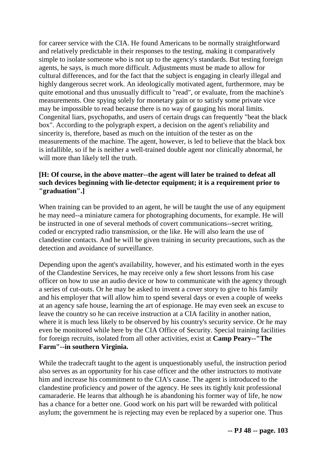for career service with the CIA. He found Americans to be normally straightforward and relatively predictable in their responses to the testing, making it comparatively simple to isolate someone who is not up to the agency's standards. But testing foreign agents, he says, is much more difficult. Adjustments must be made to allow for cultural differences, and for the fact that the subject is engaging in clearly illegal and highly dangerous secret work. An ideologically motivated agent, furthermore, may be quite emotional and thus unusually difficult to "read", or evaluate, from the machine's measurements. One spying solely for monetary gain or to satisfy some private vice may be impossible to read because there is no way of gauging his moral limits. Congenital liars, psychopaths, and users of certain drugs can frequently "beat the black box". According to the polygraph expert, a decision on the agent's reliability and sincerity is, therefore, based as much on the intuition of the tester as on the measurements of the machine. The agent, however, is led to believe that the black box is infallible, so if he is neither a well-trained double agent nor clinically abnormal, he will more than likely tell the truth.

## **[H: Of course, in the above matter--the agent will later be trained to defeat all such devices beginning with lie-detector equipment; it is a requirement prior to "graduation".]**

When training can be provided to an agent, he will be taught the use of any equipment he may need--a miniature camera for photographing documents, for example. He will be instructed in one of several methods of covert communications--secret writing, coded or encrypted radio transmission, or the like. He will also learn the use of clandestine contacts. And he will be given training in security precautions, such as the detection and avoidance of surveillance.

Depending upon the agent's availability, however, and his estimated worth in the eyes of the Clandestine Services, he may receive only a few short lessons from his case officer on how to use an audio device or how to communicate with the agency through a series of cut-outs. Or he may be asked to invent a cover story to give to his family and his employer that will allow him to spend several days or even a couple of weeks at an agency safe house, learning the art of espionage. He may even seek an excuse to leave the country so he can receive instruction at a CIA facility in another nation, where it is much less likely to be observed by his country's security service. Or he may even be monitored while here by the CIA Office of Security. Special training facilities for foreign recruits, isolated from all other activities, exist at **Camp Peary--"The Farm"--in southern Virginia.**

While the tradecraft taught to the agent is unquestionably useful, the instruction period also serves as an opportunity for his case officer and the other instructors to motivate him and increase his commitment to the CIA's cause. The agent is introduced to the clandestine proficiency and power of the agency. He sees its tightly knit professional camaraderie. He learns that although he is abandoning his former way of life, he now has a chance for a better one. Good work on his part will be rewarded with political asylum; the government he is rejecting may even be replaced by a superior one. Thus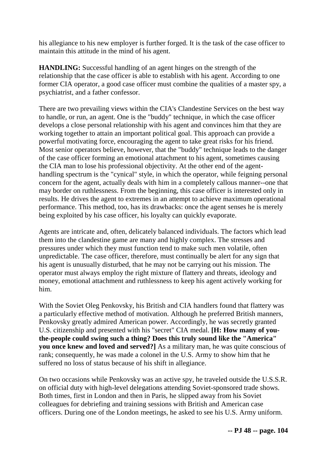his allegiance to his new employer is further forged. It is the task of the case officer to maintain this attitude in the mind of his agent.

**HANDLING:** Successful handling of an agent hinges on the strength of the relationship that the case officer is able to establish with his agent. According to one former CIA operator, a good case officer must combine the qualities of a master spy, a psychiatrist, and a father confessor.

There are two prevailing views within the CIA's Clandestine Services on the best way to handle, or run, an agent. One is the "buddy" technique, in which the case officer develops a close personal relationship with his agent and convinces him that they are working together to attain an important political goal. This approach can provide a powerful motivating force, encouraging the agent to take great risks for his friend. Most senior operators believe, however, that the "buddy" technique leads to the danger of the case officer forming an emotional attachment to his agent, sometimes causing the CIA man to lose his professional objectivity. At the other end of the agenthandling spectrum is the "cynical" style, in which the operator, while feigning personal concern for the agent, actually deals with him in a completely callous manner--one that may border on ruthlessness. From the beginning, this case officer is interested only in results. He drives the agent to extremes in an attempt to achieve maximum operational performance. This method, too, has its drawbacks: once the agent senses he is merely being exploited by his case officer, his loyalty can quickly evaporate.

Agents are intricate and, often, delicately balanced individuals. The factors which lead them into the clandestine game are many and highly complex. The stresses and pressures under which they must function tend to make such men volatile, often unpredictable. The case officer, therefore, must continually be alert for any sign that his agent is unusually disturbed, that he may not be carrying out his mission. The operator must always employ the right mixture of flattery and threats, ideology and money, emotional attachment and ruthlessness to keep his agent actively working for him.

With the Soviet Oleg Penkovsky, his British and CIA handlers found that flattery was a particularly effective method of motivation. Although he preferred British manners, Penkovsky greatly admired American power. Accordingly, he was secretly granted U.S. citizenship and presented with his "secret" CIA medal. **[H: How many of youthe-people could swing such a thing? Does this truly sound like the "America" you once knew and loved and served?]** As a military man, he was quite conscious of rank; consequently, he was made a colonel in the U.S. Army to show him that he suffered no loss of status because of his shift in allegiance.

On two occasions while Penkovsky was an active spy, he traveled outside the U.S.S.R. on official duty with high-level delegations attending Soviet-sponsored trade shows. Both times, first in London and then in Paris, he slipped away from his Soviet colleagues for debriefing and training sessions with British and American case officers. During one of the London meetings, he asked to see his U.S. Army uniform.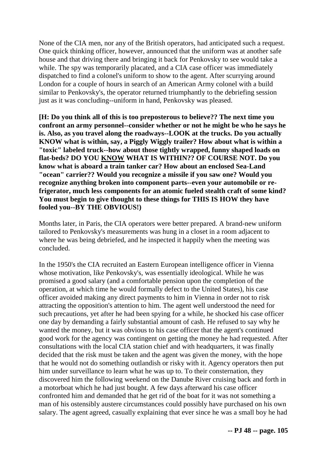None of the CIA men, nor any of the British operators, had anticipated such a request. One quick thinking officer, however, announced that the uniform was at another safe house and that driving there and bringing it back for Penkovsky to see would take a while. The spy was temporarily placated, and a CIA case officer was immediately dispatched to find a colonel's uniform to show to the agent. After scurrying around London for a couple of hours in search of an American Army colonel with a build similar to Penkovsky's, the operator returned triumphantly to the debriefing session just as it was concluding--uniform in hand, Penkovsky was pleased.

**[H: Do you think all of this is too preposterous to believe?? The next time you confront an army personnel--consider whether or not he might be who he says he is. Also, as you travel along the roadways--LOOK at the trucks. Do you actually KNOW what is within, say, a Piggly Wiggly trailer? How about what is within a "toxic" labeled truck--how about those tightly wrapped, funny shaped loads on flat-beds? DO YOU KNOW WHAT IS WITHIN?? OF COURSE NOT. Do you know what is aboard a train tanker car? How about an enclosed Sea-Land "ocean" carrier?? Would you recognize a missile if you saw one? Would you recognize anything broken into component parts--even your automobile or refrigerator, much less components for an atomic fueled stealth craft of some kind? You must begin to give thought to these things for THIS IS HOW they have fooled you--BY THE OBVIOUS!)**

Months later, in Paris, the CIA operators were better prepared. A brand-new uniform tailored to Penkovsky's measurements was hung in a closet in a room adjacent to where he was being debriefed, and he inspected it happily when the meeting was concluded.

In the 1950's the CIA recruited an Eastern European intelligence officer in Vienna whose motivation, like Penkovsky's, was essentially ideological. While he was promised a good salary (and a comfortable pension upon the completion of the operation, at which time he would formally defect to the United States), his case officer avoided making any direct payments to him in Vienna in order not to risk attracting the opposition's attention to him. The agent well understood the need for such precautions, yet after he had been spying for a while, he shocked his case officer one day by demanding a fairly substantial amount of cash. He refused to say why he wanted the money, but it was obvious to his case officer that the agent's continued good work for the agency was contingent on getting the money he had requested. After consultations with the local CIA station chief and with headquarters, it was finally decided that the risk must be taken and the agent was given the money, with the hope that he would not do something outlandish or risky with it. Agency operators then put him under surveillance to learn what he was up to. To their consternation, they discovered him the following weekend on the Danube River cruising back and forth in a motorboat which he had just bought. A few days afterward his case officer confronted him and demanded that he get rid of the boat for it was not something a man of his ostensibly austere circumstances could possibly have purchased on his own salary. The agent agreed, casually explaining that ever since he was a small boy he had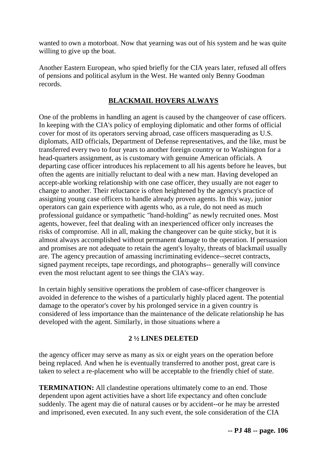wanted to own a motorboat. Now that yearning was out of his system and he was quite willing to give up the boat.

Another Eastern European, who spied briefly for the CIA years later, refused all offers of pensions and political asylum in the West. He wanted only Benny Goodman records.

## **BLACKMAIL HOVERS ALWAYS**

One of the problems in handling an agent is caused by the changeover of case officers. In keeping with the CIA's policy of employing diplomatic and other forms of official cover for most of its operators serving abroad, case officers masquerading as U.S. diplomats, AID officials, Department of Defense representatives, and the like, must be transferred every two to four years to another foreign country or to Washington for a head-quarters assignment, as is customary with genuine American officials. A departing case officer introduces his replacement to all his agents before he leaves, but often the agents are initially reluctant to deal with a new man. Having developed an accept-able working relationship with one case officer, they usually are not eager to change to another. Their reluctance is often heightened by the agency's practice of assigning young case officers to handle already proven agents. In this way, junior operators can gain experience with agents who, as a rule, do not need as much professional guidance or sympathetic "hand-holding" as newly recruited ones. Most agents, however, feel that dealing with an inexperienced officer only increases the risks of compromise. All in all, making the changeover can be quite sticky, but it is almost always accomplished without permanent damage to the operation. If persuasion and promises are not adequate to retain the agent's loyalty, threats of blackmail usually are. The agency precaution of amassing incriminating evidence--secret contracts, signed payment receipts, tape recordings, and photographs-- generally will convince even the most reluctant agent to see things the CIA's way.

In certain highly sensitive operations the problem of case-officer changeover is avoided in deference to the wishes of a particularly highly placed agent. The potential damage to the operator's cover by his prolonged service in a given country is considered of less importance than the maintenance of the delicate relationship he has developed with the agent. Similarly, in those situations where a

#### **2 ½ LINES DELETED**

the agency officer may serve as many as six or eight years on the operation before being replaced. And when he is eventually transferred to another post, great care is taken to select a re-placement who will be acceptable to the friendly chief of state.

**TERMINATION:** All clandestine operations ultimately come to an end. Those dependent upon agent activities have a short life expectancy and often conclude suddenly. The agent may die of natural causes or by accident--or he may be arrested and imprisoned, even executed. In any such event, the sole consideration of the CIA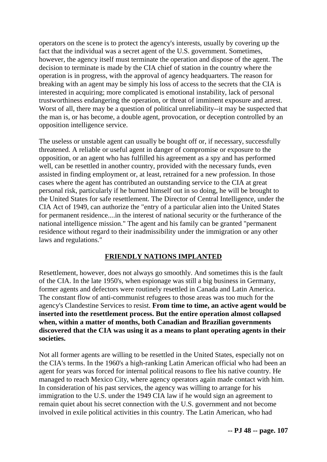operators on the scene is to protect the agency's interests, usually by covering up the fact that the individual was a secret agent of the U.S. government. Sometimes, however, the agency itself must terminate the operation and dispose of the agent. The decision to terminate is made by the CIA chief of station in the country where the operation is in progress, with the approval of agency headquarters. The reason for breaking with an agent may be simply his loss of access to the secrets that the CIA is interested in acquiring; more complicated is emotional instability, lack of personal trustworthiness endangering the operation, or threat of imminent exposure and arrest. Worst of all, there may be a question of political unreliability--it may be suspected that the man is, or has become, a double agent, provocation, or deception controlled by an opposition intelligence service.

The useless or unstable agent can usually be bought off or, if necessary, successfully threatened. A reliable or useful agent in danger of compromise or exposure to the opposition, or an agent who has fulfilled his agreement as a spy and has performed well, can be resettled in another country, provided with the necessary funds, even assisted in finding employment or, at least, retrained for a new profession. In those cases where the agent has contributed an outstanding service to the CIA at great personal risk, particularly if he burned himself out in so doing, he will be brought to the United States for safe resettlement. The Director of Central Intelligence, under the CIA Act of 1949, can authorize the "entry of a particular alien into the United States for permanent residence....in the interest of national security or the furtherance of the national intelligence mission." The agent and his family can be granted "permanent residence without regard to their inadmissibility under the immigration or any other laws and regulations."

## **FRIENDLY NATIONS IMPLANTED**

Resettlement, however, does not always go smoothly. And sometimes this is the fault of the CIA. In the late 1950's, when espionage was still a big business in Germany, former agents and defectors were routinely resettled in Canada and Latin America. The constant flow of anti-communist refugees to those areas was too much for the agency's Clandestine Services to resist. **From time to time, an active agent would be inserted into the resettlement process. But the entire operation almost collapsed when, within a matter of months, both Canadian and Brazilian governments discovered that the CIA was using it as a means to plant operating agents in their societies.**

Not all former agents are willing to be resettled in the United States, especially not on the CIA's terms. In the 1960's a high-ranking Latin American official who had been an agent for years was forced for internal political reasons to flee his native country. He managed to reach Mexico City, where agency operators again made contact with him. In consideration of his past services, the agency was willing to arrange for his immigration to the U.S. under the 1949 CIA law if he would sign an agreement to remain quiet about his secret connection with the U.S. government and not become involved in exile political activities in this country. The Latin American, who had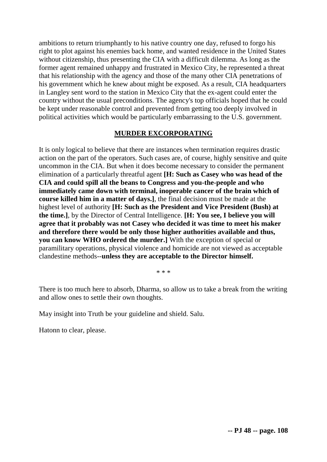ambitions to return triumphantly to his native country one day, refused to forgo his right to plot against his enemies back home, and wanted residence in the United States without citizenship, thus presenting the CIA with a difficult dilemma. As long as the former agent remained unhappy and frustrated in Mexico City, he represented a threat that his relationship with the agency and those of the many other CIA penetrations of his government which he knew about might be exposed. As a result, CIA headquarters in Langley sent word to the station in Mexico City that the ex-agent could enter the country without the usual preconditions. The agency's top officials hoped that he could be kept under reasonable control and prevented from getting too deeply involved in political activities which would be particularly embarrassing to the U.S. government.

#### **MURDER EXCORPORATING**

It is only logical to believe that there are instances when termination requires drastic action on the part of the operators. Such cases are, of course, highly sensitive and quite uncommon in the CIA. But when it does become necessary to consider the permanent elimination of a particularly threatful agent **[H: Such as Casey who was head of the CIA and could spill all the beans to Congress and you-the-people and who immediately came down with terminal, inoperable cancer of the brain which of course killed him in a matter of days.]**, the final decision must be made at the highest level of authority **[H: Such as the President and Vice President (Bush) at the time.]**, by the Director of Central Intelligence. **[H: You see, I believe you will agree that it probably was not Casey who decided it was time to meet his maker and therefore there would be only those higher authorities available and thus, you can know WHO ordered the murder.]** With the exception of special or paramilitary operations, physical violence and homicide are not viewed as acceptable clandestine methods--**unless they are acceptable to the Director himself.**

\* \* \*

There is too much here to absorb, Dharma, so allow us to take a break from the writing and allow ones to settle their own thoughts.

May insight into Truth be your guideline and shield. Salu.

Hatonn to clear, please.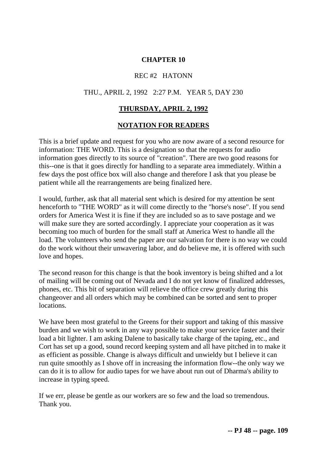### **CHAPTER 10**

# REC #2 HATONN

### THU., APRIL 2, 1992 2:27 P.M. YEAR 5, DAY 230

### **THURSDAY, APRIL 2, 1992**

#### **NOTATION FOR READERS**

This is a brief update and request for you who are now aware of a second resource for information: THE WORD. This is a designation so that the requests for audio information goes directly to its source of "creation". There are two good reasons for this--one is that it goes directly for handling to a separate area immediately. Within a few days the post office box will also change and therefore I ask that you please be patient while all the rearrangements are being finalized here.

I would, further, ask that all material sent which is desired for my attention be sent henceforth to "THE WORD" as it will come directly to the "horse's nose". If you send orders for America West it is fine if they are included so as to save postage and we will make sure they are sorted accordingly. I appreciate your cooperation as it was becoming too much of burden for the small staff at America West to handle all the load. The volunteers who send the paper are our salvation for there is no way we could do the work without their unwavering labor, and do believe me, it is offered with such love and hopes.

The second reason for this change is that the book inventory is being shifted and a lot of mailing will be coming out of Nevada and I do not yet know of finalized addresses, phones, etc. This bit of separation will relieve the office crew greatly during this changeover and all orders which may be combined can be sorted and sent to proper locations.

We have been most grateful to the Greens for their support and taking of this massive burden and we wish to work in any way possible to make your service faster and their load a bit lighter. I am asking Dalene to basically take charge of the taping, etc., and Cort has set up a good, sound record keeping system and all have pitched in to make it as efficient as possible. Change is always difficult and unwieldy but I believe it can run quite smoothly as I shove off in increasing the information flow--the only way we can do it is to allow for audio tapes for we have about run out of Dharma's ability to increase in typing speed.

If we err, please be gentle as our workers are so few and the load so tremendous. Thank you.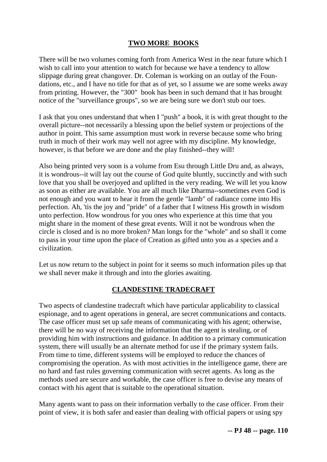# **TWO MORE BOOKS**

There will be two volumes coming forth from America West in the near future which I wish to call into your attention to watch for because we have a tendency to allow slippage during great changover. Dr. Coleman is working on an outlay of the Foundations, etc., and I have no title for that as of yet, so I assume we are some weeks away from printing. However, the "300" book has been in such demand that it has brought notice of the "surveillance groups", so we are being sure we don't stub our toes.

I ask that you ones understand that when I "push" a book, it is with great thought to the overall picture--not necessarily a blessing upon the belief system or projections of the author in point. This same assumption must work in reverse because some who bring truth in much of their work may well not agree with my discipline. My knowledge, however, is that before we are done and the play finished--they will!

Also being printed very soon is a volume from Esu through Little Dru and, as always, it is wondrous--it will lay out the course of God quite bluntly, succinctly and with such love that you shall be overjoyed and uplifted in the very reading. We will let you know as soon as either are available. You are all much like Dharma--sometimes even God is not enough and you want to hear it from the gentle "lamb" of radiance come into His perfection. Ah, 'tis the joy and "pride" of a father that I witness His growth in wisdom unto perfection. How wondrous for you ones who experience at this time that you might share in the moment of these great events. Will it not be wondrous when the circle is closed and is no more broken? Man longs for the "whole" and so shall it come to pass in your time upon the place of Creation as gifted unto you as a species and a civilization.

Let us now return to the subject in point for it seems so much information piles up that we shall never make it through and into the glories awaiting.

# **CLANDESTINE TRADECRAFT**

Two aspects of clandestine tradecraft which have particular applicability to classical espionage, and to agent operations in general, are secret communications and contacts. The case officer must set up safe means of communicating with his agent; otherwise, there will be no way of receiving the information that the agent is stealing, or of providing him with instructions and guidance. In addition to a primary communication system, there will usually be an alternate method for use if the primary system fails. From time to time, different systems will be employed to reduce the chances of compromising the operation. As with most activities in the intelligence game, there are no hard and fast rules governing communication with secret agents. As long as the methods used are secure and workable, the case officer is free to devise any means of contact with his agent that is suitable to the operational situation.

Many agents want to pass on their information verbally to the case officer. From their point of view, it is both safer and easier than dealing with official papers or using spy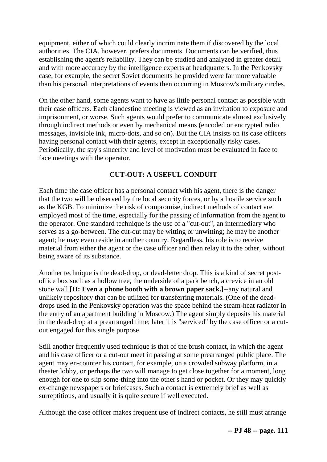equipment, either of which could clearly incriminate them if discovered by the local authorities. The CIA, however, prefers documents. Documents can be verified, thus establishing the agent's reliability. They can be studied and analyzed in greater detail and with more accuracy by the intelligence experts at headquarters. In the Penkovsky case, for example, the secret Soviet documents he provided were far more valuable than his personal interpretations of events then occurring in Moscow's military circles.

On the other hand, some agents want to have as little personal contact as possible with their case officers. Each clandestine meeting is viewed as an invitation to exposure and imprisonment, or worse. Such agents would prefer to communicate almost exclusively through indirect methods or even by mechanical means (encoded or encrypted radio messages, invisible ink, micro-dots, and so on). But the CIA insists on its case officers having personal contact with their agents, except in exceptionally risky cases. Periodically, the spy's sincerity and level of motivation must be evaluated in face to face meetings with the operator.

# **CUT-OUT: A USEFUL CONDUIT**

Each time the case officer has a personal contact with his agent, there is the danger that the two will be observed by the local security forces, or by a hostile service such as the KGB. To minimize the risk of compromise, indirect methods of contact are employed most of the time, especially for the passing of information from the agent to the operator. One standard technique is the use of a "cut-out", an intermediary who serves as a go-between. The cut-out may be witting or unwitting; he may be another agent; he may even reside in another country. Regardless, his role is to receive material from either the agent or the case officer and then relay it to the other, without being aware of its substance.

Another technique is the dead-drop, or dead-letter drop. This is a kind of secret postoffice box such as a hollow tree, the underside of a park bench, a crevice in an old stone wall **[H: Even a phone booth with a brown paper sack.]**--any natural and unlikely repository that can be utilized for transferring materials. (One of the deaddrops used in the Penkovsky operation was the space behind the steam-heat radiator in the entry of an apartment building in Moscow.) The agent simply deposits his material in the dead-drop at a prearranged time; later it is "serviced" by the case officer or a cutout engaged for this single purpose.

Still another frequently used technique is that of the brush contact, in which the agent and his case officer or a cut-out meet in passing at some prearranged public place. The agent may en-counter his contact, for example, on a crowded subway platform, in a theater lobby, or perhaps the two will manage to get close together for a moment, long enough for one to slip some-thing into the other's hand or pocket. Or they may quickly ex-change newspapers or briefcases. Such a contact is extremely brief as well as surreptitious, and usually it is quite secure if well executed.

Although the case officer makes frequent use of indirect contacts, he still must arrange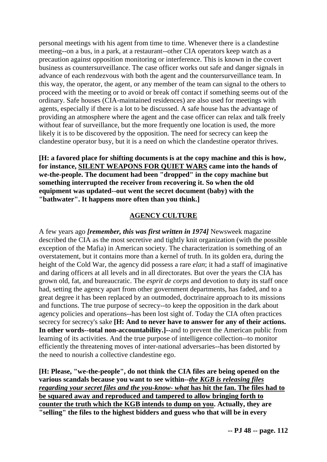personal meetings with his agent from time to time. Whenever there is a clandestine meeting--on a bus, in a park, at a restaurant--other CIA operators keep watch as a precaution against opposition monitoring or interference. This is known in the covert business as countersurveillance. The case officer works out safe and danger signals in advance of each rendezvous with both the agent and the countersurveillance team. In this way, the operator, the agent, or any member of the team can signal to the others to proceed with the meeting or to avoid or break off contact if something seems out of the ordinary. Safe houses (CIA-maintained residences) are also used for meetings with agents, especially if there is a lot to be discussed. A safe house has the advantage of providing an atmosphere where the agent and the case officer can relax and talk freely without fear of surveillance, but the more frequently one location is used, the more likely it is to be discovered by the opposition. The need for secrecy can keep the clandestine operator busy, but it is a need on which the clandestine operator thrives.

**[H: a favored place for shifting documents is at the copy machine and this is how, for instance, SILENT WEAPONS FOR QUIET WARS came into the hands of we-the-people. The document had been "dropped" in the copy machine but something interrupted the receiver from recovering it. So when the old equipment was updated--out went the secret document (baby) with the "bathwater". It happens more often than you think.]**

# **AGENCY CULTURE**

A few years ago *[remember, this was first written in 1974]* Newsweek magazine described the CIA as the most secretive and tightly knit organization (with the possible exception of the Mafia) in American society. The characterization is something of an overstatement, but it contains more than a kernel of truth. In its golden era, during the height of the Cold War, the agency did possess a rare *elan*; it had a staff of imaginative and daring officers at all levels and in all directorates. But over the years the CIA has grown old, fat, and bureaucratic. The *esprit de corps* and devotion to duty its staff once had, setting the agency apart from other government departments, has faded, and to a great degree it has been replaced by an outmoded, doctrinaire approach to its missions and functions. The true purpose of secrecy--to keep the opposition in the dark about agency policies and operations--has been lost sight of. Today the CIA often practices secrecy for secrecy's sake **[H: And to never have to answer for any of their actions. In other words--total non-accountability.]--**and to prevent the American public from learning of its activities. And the true purpose of intelligence collection--to monitor efficiently the threatening moves of inter-national adversaries--has been distorted by the need to nourish a collective clandestine ego.

**[H: Please, "we-the-people", do not think the CIA files are being opened on the various scandals because you want to see within--***the KGB is releasing files regarding your secret files and the you-know- what* **has hit the fan. The files had to be squared away and reproduced and tampered to allow bringing forth to counter the truth which the KGB intends to dump on you. Actually, they are "selling" the files to the highest bidders and guess who that will be in every**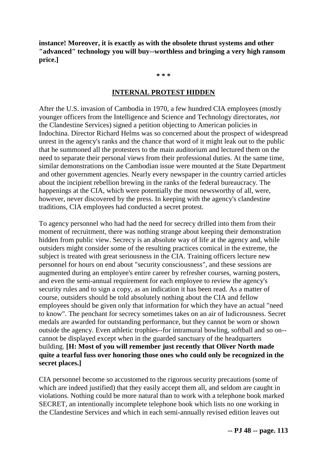**instance! Moreover, it is exactly as with the obsolete thrust systems and other "advanced" technology you will buy--worthless and bringing a very high ransom price.]**

**\* \* \***

#### **INTERNAL PROTEST HIDDEN**

After the U.S. invasion of Cambodia in 1970, a few hundred CIA employees (mostly younger officers from the Intelligence and Science and Technology directorates, *not*  the Clandestine Services) signed a petition objecting to American policies in Indochina. Director Richard Helms was so concerned about the prospect of widespread unrest in the agency's ranks and the chance that word of it might leak out to the public that he summoned all the protesters to the main auditorium and lectured them on the need to separate their personal views from their professional duties. At the same time, similar demonstrations on the Cambodian issue were mounted at the State Department and other government agencies. Nearly every newspaper in the country carried articles about the incipient rebellion brewing in the ranks of the federal bureaucracy. The happenings at the CIA, which were potentially the most newsworthy of all, were, however, never discovered by the press. In keeping with the agency's clandestine traditions, CIA employees had conducted a secret protest.

To agency personnel who had had the need for secrecy drilled into them from their moment of recruitment, there was nothing strange about keeping their demonstration hidden from public view. Secrecy is an absolute way of life at the agency and, while outsiders might consider some of the resulting practices comical in the extreme, the subject is treated with great seriousness in the CIA. Training officers lecture new personnel for hours on end about "security consciousness", and these sessions are augmented during an employee's entire career by refresher courses, warning posters, and even the semi-annual requirement for each employee to review the agency's security rules and to sign a copy, as an indication it has been read. As a matter of course, outsiders should be told absolutely nothing about the CIA and fellow employees should be given only that information for which they have an actual "need to know". The penchant for secrecy sometimes takes on an air of ludicrousness. Secret medals are awarded for outstanding performance, but they cannot be worn or shown outside the agency. Even athletic trophies--for intramural bowling, softball and so on- cannot be displayed except when in the guarded sanctuary of the headquarters building. **[H: Most of you will remember just recently that Oliver North made quite a tearful fuss over honoring those ones who could only be recognized in the secret places.]**

CIA personnel become so accustomed to the rigorous security precautions (some of which are indeed justified) that they easily accept them all, and seldom are caught in violations. Nothing could be more natural than to work with a telephone book marked SECRET, an intentionally incomplete telephone book which lists no one working in the Clandestine Services and which in each semi-annually revised edition leaves out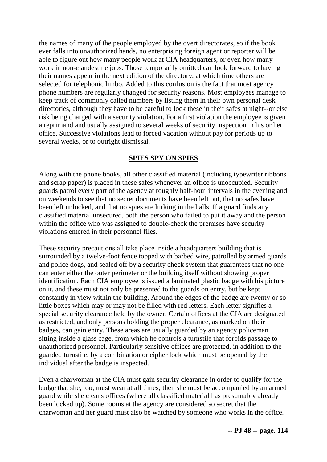the names of many of the people employed by the overt directorates, so if the book ever falls into unauthorized hands, no enterprising foreign agent or reporter will be able to figure out how many people work at CIA headquarters, or even how many work in non-clandestine jobs. Those temporarily omitted can look forward to having their names appear in the next edition of the directory, at which time others are selected for telephonic limbo. Added to this confusion is the fact that most agency phone numbers are regularly changed for security reasons. Most employees manage to keep track of commonly called numbers by listing them in their own personal desk directories, although they have to be careful to lock these in their safes at night--or else risk being charged with a security violation. For a first violation the employee is given a reprimand and usually assigned to several weeks of security inspection in his or her office. Successive violations lead to forced vacation without pay for periods up to several weeks, or to outright dismissal.

### **SPIES SPY ON SPIES**

Along with the phone books, all other classified material (including typewriter ribbons and scrap paper) is placed in these safes whenever an office is unoccupied. Security guards patrol every part of the agency at roughly half-hour intervals in the evening and on weekends to see that no secret documents have been left out, that no safes have been left unlocked, and that no spies are lurking in the halls. If a guard finds any classified material unsecured, both the person who failed to put it away and the person within the office who was assigned to double-check the premises have security violations entered in their personnel files.

These security precautions all take place inside a headquarters building that is surrounded by a twelve-foot fence topped with barbed wire, patrolled by armed guards and police dogs, and sealed off by a security check system that guarantees that no one can enter either the outer perimeter or the building itself without showing proper identification. Each CIA employee is issued a laminated plastic badge with his picture on it, and these must not only be presented to the guards on entry, but be kept constantly in view within the building. Around the edges of the badge are twenty or so little boxes which may or may not be filled with red letters. Each letter signifies a special security clearance held by the owner. Certain offices at the CIA are designated as restricted, and only persons holding the proper clearance, as marked on their badges, can gain entry. These areas are usually guarded by an agency policeman sitting inside a glass cage, from which he controls a turnstile that forbids passage to unauthorized personnel. Particularly sensitive offices are protected, in addition to the guarded turnstile, by a combination or cipher lock which must be opened by the individual after the badge is inspected.

Even a charwoman at the CIA must gain security clearance in order to qualify for the badge that she, too, must wear at all times; then she must be accompanied by an armed guard while she cleans offices (where all classified material has presumably already been locked up). Some rooms at the agency are considered so secret that the charwoman and her guard must also be watched by someone who works in the office.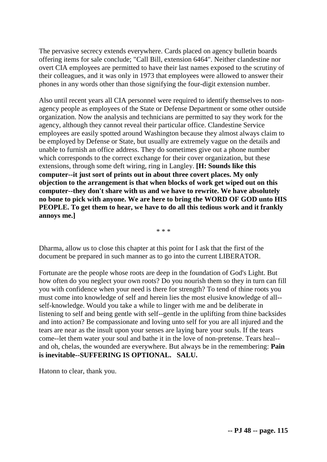The pervasive secrecy extends everywhere. Cards placed on agency bulletin boards offering items for sale conclude; "Call Bill, extension 6464". Neither clandestine nor overt CIA employees are permitted to have their last names exposed to the scrutiny of their colleagues, and it was only in 1973 that employees were allowed to answer their phones in any words other than those signifying the four-digit extension number.

Also until recent years all CIA personnel were required to identify themselves to nonagency people as employees of the State or Defense Department or some other outside organization. Now the analysis and technicians are permitted to say they work for the agency, although they cannot reveal their particular office. Clandestine Service employees are easily spotted around Washington because they almost always claim to be employed by Defense or State, but usually are extremely vague on the details and unable to furnish an office address. They do sometimes give out a phone number which corresponds to the correct exchange for their cover organization, but these extensions, through some deft wiring, ring in Langley. **[H: Sounds like this computer--it just sort of prints out in about three covert places. My only objection to the arrangement is that when blocks of work get wiped out on this computer--they don't share with us and we have to rewrite. We have absolutely no bone to pick with anyone. We are here to bring the WORD OF GOD unto HIS PEOPLE. To get them to hear, we have to do all this tedious work and it frankly annoys me.]**

\* \* \*

Dharma, allow us to close this chapter at this point for I ask that the first of the document be prepared in such manner as to go into the current LIBERATOR.

Fortunate are the people whose roots are deep in the foundation of God's Light. But how often do you neglect your own roots? Do you nourish them so they in turn can fill you with confidence when your need is there for strength? To tend of thine roots you must come into knowledge of self and herein lies the most elusive knowledge of all- self-knowledge. Would you take a while to linger with me and be deliberate in listening to self and being gentle with self--gentle in the uplifting from thine backsides and into action? Be compassionate and loving unto self for you are all injured and the tears are near as the insult upon your senses are laying bare your souls. If the tears come--let them water your soul and bathe it in the love of non-pretense. Tears heal- and oh, chelas, the wounded are everywhere. But always be in the remembering: **Pain is inevitable--SUFFERING IS OPTIONAL. SALU.**

Hatonn to clear, thank you.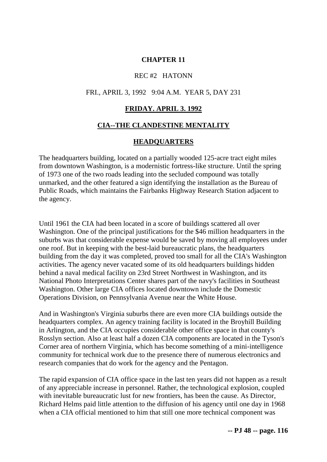### **CHAPTER 11**

### REC #2 HATONN

### FRI., APRIL 3, 1992 9:04 A.M. YEAR 5, DAY 231

#### **FRIDAY. APRIL 3. 1992**

#### **CIA--THE CLANDESTINE MENTALITY**

#### **HEADQUARTERS**

The headquarters building, located on a partially wooded 125-acre tract eight miles from downtown Washington, is a modernistic fortress-like structure. Until the spring of 1973 one of the two roads leading into the secluded compound was totally unmarked, and the other featured a sign identifying the installation as the Bureau of Public Roads, which maintains the Fairbanks Highway Research Station adjacent to the agency.

Until 1961 the CIA had been located in a score of buildings scattered all over Washington. One of the principal justifications for the \$46 million headquarters in the suburbs was that considerable expense would be saved by moving all employees under one roof. But in keeping with the best-laid bureaucratic plans, the headquarters building from the day it was completed, proved too small for all the CIA's Washington activities. The agency never vacated some of its old headquarters buildings hidden behind a naval medical facility on 23rd Street Northwest in Washington, and its National Photo Interpretations Center shares part of the navy's facilities in Southeast Washington. Other large CIA offices located downtown include the Domestic Operations Division, on Pennsylvania Avenue near the White House.

And in Washington's Virginia suburbs there are even more CIA buildings outside the headquarters complex. An agency training facility is located in the Broyhill Building in Arlington, and the CIA occupies considerable other office space in that county's Rosslyn section. Also at least half a dozen CIA components are located in the Tyson's Corner area of northern Virginia, which has become something of a mini-intelligence community for technical work due to the presence there of numerous electronics and research companies that do work for the agency and the Pentagon.

The rapid expansion of CIA office space in the last ten years did not happen as a result of any appreciable increase in personnel. Rather, the technological explosion, coupled with inevitable bureaucratic lust for new frontiers, has been the cause. As Director, Richard Helms paid little attention to the diffusion of his agency until one day in 1968 when a CIA official mentioned to him that still one more technical component was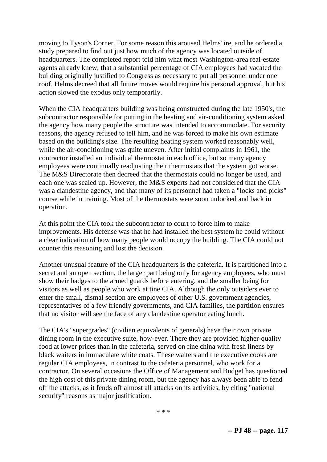moving to Tyson's Corner. For some reason this aroused Helms' ire, and he ordered a study prepared to find out just how much of the agency was located outside of headquarters. The completed report told him what most Washington-area real-estate agents already knew, that a substantial percentage of CIA employees had vacated the building originally justified to Congress as necessary to put all personnel under one roof. Helms decreed that all future moves would require his personal approval, but his action slowed the exodus only temporarily.

When the CIA headquarters building was being constructed during the late 1950's, the subcontractor responsible for putting in the heating and air-conditioning system asked the agency how many people the structure was intended to accommodate. For security reasons, the agency refused to tell him, and he was forced to make his own estimate based on the building's size. The resulting heating system worked reasonably well, while the air-conditioning was quite uneven. After initial complaints in 1961, the contractor installed an individual thermostat in each office, but so many agency employees were continually readjusting their thermostats that the system got worse. The M&S Directorate then decreed that the thermostats could no longer be used, and each one was sealed up. However, the M&S experts had not considered that the CIA was a clandestine agency, and that many of its personnel had taken a "locks and picks" course while in training. Most of the thermostats were soon unlocked and back in operation.

At this point the CIA took the subcontractor to court to force him to make improvements. His defense was that he had installed the best system he could without a clear indication of how many people would occupy the building. The CIA could not counter this reasoning and lost the decision.

Another unusual feature of the CIA headquarters is the cafeteria. It is partitioned into a secret and an open section, the larger part being only for agency employees, who must show their badges to the armed guards before entering, and the smaller being for visitors as well as people who work at tine CIA. Although the only outsiders ever to enter the small, dismal section are employees of other U.S. government agencies, representatives of a few friendly governments, and CIA families, the partition ensures that no visitor will see the face of any clandestine operator eating lunch.

The CIA's "supergrades" (civilian equivalents of generals) have their own private dining room in the executive suite, how-ever. There they are provided higher-quality food at lower prices than in the cafeteria, served on fine china with fresh linens by black waiters in immaculate white coats. These waiters and the executive cooks are regular CIA employees, in contrast to the cafeteria personnel, who work for a contractor. On several occasions the Office of Management and Budget has questioned the high cost of this private dining room, but the agency has always been able to fend off the attacks, as it fends off almost all attacks on its activities, by citing "national security" reasons as major justification.

\* \* \*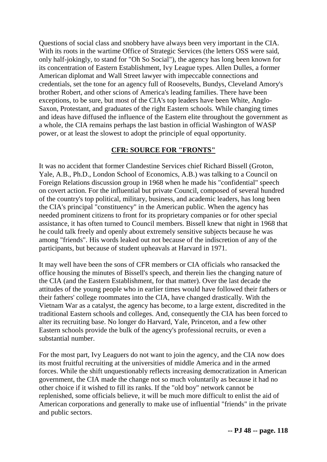Questions of social class and snobbery have always been very important in the CIA. With its roots in the wartime Office of Strategic Services (the letters OSS were said, only half-jokingly, to stand for "Oh So Social"), the agency has long been known for its concentration of Eastern Establishment, Ivy League types. Allen Dulles, a former American diplomat and Wall Street lawyer with impeccable connections and credentials, set the tone for an agency full of Roosevelts, Bundys, Cleveland Amory's brother Robert, and other scions of America's leading families. There have been exceptions, to be sure, but most of the CIA's top leaders have been White, Anglo-Saxon, Protestant, and graduates of the right Eastern schools. While changing times and ideas have diffused the influence of the Eastern elite throughout the government as a whole, the CIA remains perhaps the last bastion in official Washington of WASP power, or at least the slowest to adopt the principle of equal opportunity.

### **CFR: SOURCE FOR "FRONTS"**

It was no accident that former Clandestine Services chief Richard Bissell (Groton, Yale, A.B., Ph.D., London School of Economics, A.B.) was talking to a Council on Foreign Relations discussion group in 1968 when he made his "confidential" speech on covert action. For the influential but private Council, composed of several hundred of the country's top political, military, business, and academic leaders, has long been the CIA's principal "constituency" in the American public. When the agency has needed prominent citizens to front for its proprietary companies or for other special assistance, it has often turned to Council members. Bissell knew that night in 1968 that he could talk freely and openly about extremely sensitive subjects because he was among "friends". His words leaked out not because of the indiscretion of any of the participants, but because of student upheavals at Harvard in 1971.

It may well have been the sons of CFR members or CIA officials who ransacked the office housing the minutes of Bissell's speech, and therein lies the changing nature of the CIA (and the Eastern Establishment, for that matter). Over the last decade the attitudes of the young people who in earlier times would have followed their fathers or their fathers' college roommates into the CIA, have changed drastically. With the Vietnam War as a catalyst, the agency has become, to a large extent, discredited in the traditional Eastern schools and colleges. And, consequently the CIA has been forced to alter its recruiting base. No longer do Harvard, Yale, Princeton, and a few other Eastern schools provide the bulk of the agency's professional recruits, or even a substantial number.

For the most part, Ivy Leaguers do not want to join the agency, and the CIA now does its most fruitful recruiting at the universities of middle America and in the armed forces. While the shift unquestionably reflects increasing democratization in American government, the CIA made the change not so much voluntarily as because it had no other choice if it wished to fill its ranks. If the "old boy" network cannot be replenished, some officials believe, it will be much more difficult to enlist the aid of American corporations and generally to make use of influential "friends" in the private and public sectors.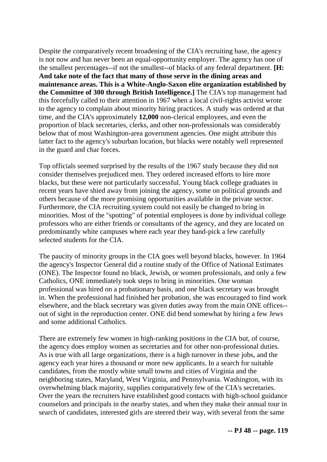Despite the comparatively recent broadening of the CIA's recruiting base, the agency is not now and has never been an equal-opportunity employer. The agency has one of the smallest percentages--if not the smallest--of blacks of any federal department. **[H: And take note of the fact that many of those serve in the dining areas and maintenance areas. This is a White-Anglo-Saxon elite organization established by the Committee of 300 through British Intelligence.]** The CIA's top management had this forcefully called to their attention in 1967 when a local civil-rights activist wrote to the agency to complain about minority hiring practices. A study was ordered at that time, and the CIA's approximately **12,000** non-clerical employees, and even the proportion of black secretaries, clerks, and other non-professionals was considerably below that of most Washington-area government agencies. One might attribute this latter fact to the agency's suburban location, but blacks were notably well represented in the guard and char forces.

Top officials seemed surprised by the results of the 1967 study because they did not consider themselves prejudiced men. They ordered increased efforts to hire more blacks, but these were not particularly successful. Young black college graduates in recent years have shied away from joining the agency, some on political grounds and others because of the more promising opportunities available in the private sector. Furthermore, the CIA recruiting system could not easily be changed to bring in minorities. Most of the "spotting" of potential employees is done by individual college professors who are either friends or consultants of the agency, and they are located on predominantly white campuses where each year they hand-pick a few carefully selected students for the CIA.

The paucity of minority groups in the CIA goes well beyond blacks, however. In 1964 the agency's Inspector General did a routine study of the Office of National Estimates (ONE). The Inspector found no black, Jewish, or women professionals, and only a few Catholics, ONE immediately took steps to bring in minorities. One woman professional was hired on a probationary basis, and one black secretary was brought in. When the professional had finished her probation, she was encouraged to find work elsewhere, and the black secretary was given duties away from the main ONE offices- out of sight in the reproduction center. ONE did bend somewhat by hiring a few Jews and some additional Catholics.

There are extremely few women in high-ranking positions in the CIA but, of course, the agency does employ women as secretaries and for other non-professional duties. As is true with all large organizations, there is a high turnover in these jobs, and the agency each year hires a thousand or more new applicants. In a search for suitable candidates, from the mostly white small towns and cities of Virginia and the neighboring states, Maryland, West Virginia, and Pennsylvania. Washington, with its overwhelming black majority, supplies comparatively few of the CIA's secretaries. Over the years the recruiters have established good contacts with high-school guidance counselors and principals in the nearby states, and when they make their annual tour in search of candidates, interested girls are steered their way, with several from the same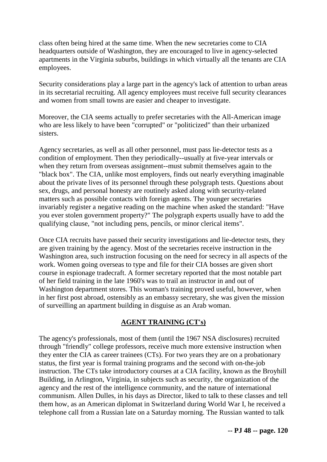class often being hired at the same time. When the new secretaries come to CIA headquarters outside of Washington, they are encouraged to live in agency-selected apartments in the Virginia suburbs, buildings in which virtually all the tenants are CIA employees.

Security considerations play a large part in the agency's lack of attention to urban areas in its secretarial recruiting. All agency employees must receive full security clearances and women from small towns are easier and cheaper to investigate.

Moreover, the CIA seems actually to prefer secretaries with the All-American image who are less likely to have been "corrupted" or "politicized" than their urbanized sisters.

Agency secretaries, as well as all other personnel, must pass lie-detector tests as a condition of employment. Then they periodically--usually at five-year intervals or when they return from overseas assignment--must submit themselves again to the "black box". The CIA, unlike most employers, finds out nearly everything imaginable about the private lives of its personnel through these polygraph tests. Questions about sex, drugs, and personal honesty are routinely asked along with security-related matters such as possible contacts with foreign agents. The younger secretaries invariably register a negative reading on the machine when asked the standard: "Have you ever stolen government property?" The polygraph experts usually have to add the qualifying clause, "not including pens, pencils, or minor clerical items".

Once CIA recruits have passed their security investigations and lie-detector tests, they are given training by the agency. Most of the secretaries receive instruction in the Washington area, such instruction focusing on the need for secrecy in all aspects of the work. Women going overseas to type and file for their CIA bosses are given short course in espionage tradecraft. A former secretary reported that the most notable part of her field training in the late 1960's was to trail an instructor in and out of Washington department stores. This woman's training proved useful, however, when in her first post abroad, ostensibly as an embassy secretary, she was given the mission of surveilling an apartment building in disguise as an Arab woman.

# **AGENT TRAINING (CT's)**

The agency's professionals, most of them (until the 1967 NSA disclosures) recruited through "friendly" college professors, receive much more extensive instruction when they enter the CIA as career trainees (CTs). For two years they are on a probationary status, the first year is formal training programs and the second with on-the-job instruction. The CTs take introductory courses at a CIA facility, known as the Broyhill Building, in Arlington, Virginia, in subjects such as security, the organization of the agency and the rest of the intelligence cornmunity, and the nature of international communism. Allen Dulles, in his days as Director, liked to talk to these classes and tell them how, as an American diplomat in Switzerland during World War I, he received a telephone call from a Russian late on a Saturday morning. The Russian wanted to talk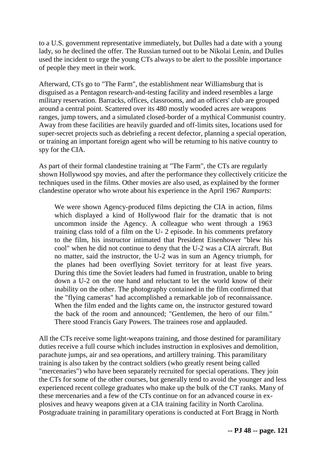to a U.S. government representative immediately, but Dulles had a date with a young lady, so he declined the offer. The Russian turned out to be Nikolai Lenin, and Dulles used the incident to urge the young CTs always to be alert to the possible importance of people they meet in their work.

Afterward, CTs go to "The Farm", the establishment near Williamsburg that is disguised as a Pentagon research-and-testing facility and indeed resembles a large military reservation. Barracks, offices, classrooms, and an officers' club are grouped around a central point. Scattered over its 480 mostly wooded acres are weapons ranges, jump towers, and a simulated closed-border of a mythical Communist country. Away from these facilities are heavily guarded and off-limits sites, locations used for super-secret projects such as debriefing a recent defector, planning a special operation, or training an important foreign agent who will be returning to his native country to spy for the CIA.

As part of their formal clandestine training at "The Farm", the CTs are regularly shown Hollywood spy movies, and after the performance they collectively criticize the techniques used in the films. Other movies are also used, as explained by the former clandestine operator who wrote about his experience in the April 1967 *Ramparts*:

We were shown Agency-produced films depicting the CIA in action, films which displayed a kind of Hollywood flair for the dramatic that is not uncommon inside the Agency. A colleague who went through a 1963 training class told of a film on the U- 2 episode. In his comments prefatory to the film, his instructor intimated that President Eisenhower "blew his cool" when he did not continue to deny that the U-2 was a CIA aircraft. But no matter, said the instructor, the U-2 was in sum an Agency triumph, for the planes had been overflying Soviet territory for at least five years. During this time the Soviet leaders had fumed in frustration, unable to bring down a U-2 on the one hand and reluctant to let the world know of their inability on the other. The photography contained in the film confirmed that the "flying cameras" had accomplished a remarkable job of reconnaissance. When the film ended and the lights came on, the instructor gestured toward the back of the room and announced; "Gentlemen, the hero of our film." There stood Francis Gary Powers. The trainees rose and applauded.

All the CTs receive some light-weapons training, and those destined for paramilitary duties receive a full course which includes instruction in explosives and demolition, parachute jumps, air and sea operations, and artillery training. This paramilitary training is also taken by the contract soldiers (who greatly resent being called "mercenaries") who have been separately recruited for special operations. They join the CTs for some of the other courses, but generally tend to avoid the younger and less experienced recent college graduates who make up the bulk of the CT ranks. Many of these mercenaries and a few of the CTs continue on for an advanced course in explosives and heavy weapons given at a CIA training facility in North Carolina. Postgraduate training in paramilitary operations is conducted at Fort Bragg in North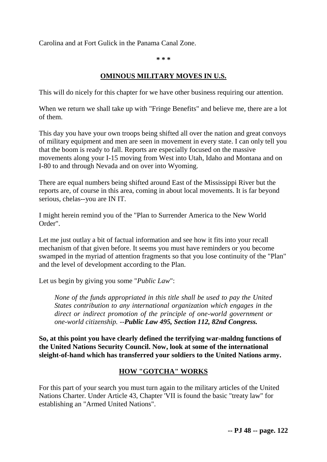Carolina and at Fort Gulick in the Panama Canal Zone.

**\* \* \***

# **OMINOUS MILITARY MOVES IN U.S.**

This will do nicely for this chapter for we have other business requiring our attention.

When we return we shall take up with "Fringe Benefits" and believe me, there are a lot of them.

This day you have your own troops being shifted all over the nation and great convoys of military equipment and men are seen in movement in every state. I can only tell you that the boom is ready to fall. Reports are especially focused on the massive movements along your I-15 moving from West into Utah, Idaho and Montana and on I-80 to and through Nevada and on over into Wyoming.

There are equal numbers being shifted around East of the Mississippi River but the reports are, of course in this area, coming in about local movements. It is far beyond serious, chelas--you are IN IT.

I might herein remind you of the "Plan to Surrender America to the New World Order".

Let me just outlay a bit of factual information and see how it fits into your recall mechanism of that given before. It seems you must have reminders or you become swamped in the myriad of attention fragments so that you lose continuity of the "Plan" and the level of development according to the Plan.

Let us begin by giving you some "*Public Law*":

*None of the funds appropriated in this title shall be used to pay the United States contribution to any international organization which engages in the direct or indirect promotion of the principle of one-world government or one-world citizenship. --Public Law 495, Section 112, 82nd Congress.*

**So, at this point you have clearly defined the terrifying war-maldng functions of the United Nations Security Council. Now, look at some of the international sleight-of-hand which has transferred your soldiers to the United Nations army.**

# **HOW "GOTCHA" WORKS**

For this part of your search you must turn again to the military articles of the United Nations Charter. Under Article 43, Chapter 'VII is found the basic "treaty law" for establishing an "Armed United Nations".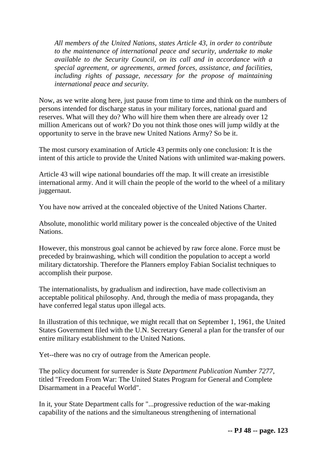*All members of the United Nations, states Article 43, in order to contribute to the maintenance of international peace and security, undertake to make available to the Security Council, on its call and in accordance with a special agreement, or agreements, armed forces, assistance, and facilities, including rights of passage, necessary for the propose of maintaining international peace and security.*

Now, as we write along here, just pause from time to time and think on the numbers of persons intended for discharge status in your military forces, national guard and reserves. What will they do? Who will hire them when there are already over 12 million Americans out of work? Do you not think those ones will jump wildly at the opportunity to serve in the brave new United Nations Army? So be it.

The most cursory examination of Article 43 permits only one conclusion: It is the intent of this article to provide the United Nations with unlimited war-making powers.

Article 43 will wipe national boundaries off the map. It will create an irresistible international army. And it will chain the people of the world to the wheel of a military juggernaut.

You have now arrived at the concealed objective of the United Nations Charter.

Absolute, monolithic world military power is the concealed objective of the United Nations.

However, this monstrous goal cannot be achieved by raw force alone. Force must be preceded by brainwashing, which will condition the population to accept a world military dictatorship. Therefore the Planners employ Fabian Socialist techniques to accomplish their purpose.

The internationalists, by gradualism and indirection, have made collectivism an acceptable political philosophy. And, through the media of mass propaganda, they have conferred legal status upon illegal acts.

In illustration of this technique, we might recall that on September 1, 1961, the United States Government filed with the U.N. Secretary General a plan for the transfer of our entire military establishment to the United Nations.

Yet--there was no cry of outrage from the American people.

The policy document for surrender is *State Department Publication Number 7277*, titled "Freedom From War: The United States Program for General and Complete Disarmament in a Peaceful World".

In it, your State Department calls for "...progressive reduction of the war-making capability of the nations and the simultaneous strengthening of international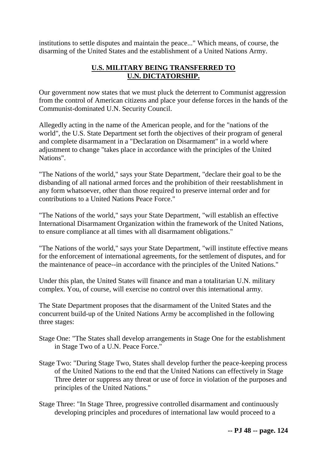institutions to settle disputes and maintain the peace..." Which means, of course, the disarming of the United States and the establishment of a United Nations Army.

# **U.S. MILITARY BEING TRANSFERRED TO U.N. DICTATORSHIP.**

Our government now states that we must pluck the deterrent to Communist aggression from the control of American citizens and place your defense forces in the hands of the Communist-dominated U.N. Security Council.

Allegedly acting in the name of the American people, and for the "nations of the world", the U.S. State Department set forth the objectives of their program of general and complete disarmament in a "Declaration on Disarmament" in a world where adjustment to change "takes place in accordance with the principles of the United Nations".

"The Nations of the world," says your State Department, "declare their goal to be the disbanding of all national armed forces and the prohibition of their reestablishment in any form whatsoever, other than those required to preserve internal order and for contributions to a United Nations Peace Force."

"The Nations of the world," says your State Department, "will establish an effective International Disarmament Organization within the framework of the United Nations, to ensure compliance at all times with all disarmament obligations."

"The Nations of the world," says your State Department, "will institute effective means for the enforcement of international agreements, for the settlement of disputes, and for the maintenance of peace--in accordance with the principles of the United Nations."

Under this plan, the United States will finance and man a totalitarian U.N. military complex. You, of course, will exercise no control over this international army.

The State Department proposes that the disarmament of the United States and the concurrent build-up of the United Nations Army be accomplished in the following three stages:

- Stage One: "The States shall develop arrangements in Stage One for the establishment in Stage Two of a U.N. Peace Force."
- Stage Two: "During Stage Two, States shall develop further the peace-keeping process of the United Nations to the end that the United Nations can effectively in Stage Three deter or suppress any threat or use of force in violation of the purposes and principles of the United Nations."
- Stage Three: "In Stage Three, progressive controlled disarmament and continuously developing principles and procedures of international law would proceed to a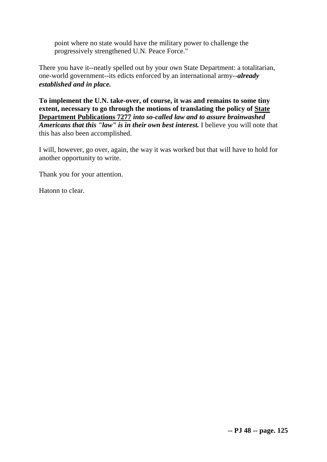point where no state would have the military power to challenge the progressively strengthened U.N. Peace Force."

There you have it--neatly spelled out by your own State Department: a totalitarian, one-world government--its edicts enforced by an international army--*already established and in place.*

**To implement the U.N. take-over, of course, it was and remains to some tiny extent, necessary to go through the motions of translating the policy of State Department Publications 7277** *into so-called law and to assure brainwashed Americans that this "law" is in their own best interest.* I believe you will note that this has also been accomplished.

I will, however, go over, again, the way it was worked but that will have to hold for another opportunity to write.

Thank you for your attention.

Hatonn to clear.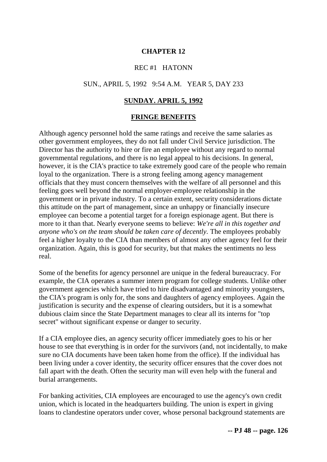### **CHAPTER 12**

# REC #1 HATONN

#### SUN., APRIL 5, 1992 9:54 A.M. YEAR 5, DAY 233

#### **SUNDAY. APRIL 5, 1992**

#### **FRINGE BENEFITS**

Although agency personnel hold the same ratings and receive the same salaries as other government employees, they do not fall under Civil Service jurisdiction. The Director has the authority to hire or fire an employee without any regard to normal governmental regulations, and there is no legal appeal to his decisions. In general, however, it is the CIA's practice to take extremely good care of the people who remain loyal to the organization. There is a strong feeling among agency management officials that they must concern themselves with the welfare of all personnel and this feeling goes well beyond the normal employer-employee relationship in the government or in private industry. To a certain extent, security considerations dictate this attitude on the part of management, since an unhappy or financially insecure employee can become a potential target for a foreign espionage agent. But there is more to it than that. Nearly everyone seems to believe: *We're all in this together and anyone who's on the team should be taken care of decently.* The employees probably feel a higher loyalty to the CIA than members of almost any other agency feel for their organization. Again, this is good for security, but that makes the sentiments no less real.

Some of the benefits for agency personnel are unique in the federal bureaucracy. For example, the CIA operates a summer intern program for college students. Unlike other government agencies which have tried to hire disadvantaged and minority youngsters, the CIA's program is only for, the sons and daughters of agency employees. Again the justification is security and the expense of clearing outsiders, but it is a somewhat dubious claim since the State Department manages to clear all its interns for "top secret" without significant expense or danger to security.

If a CIA employee dies, an agency security officer immediately goes to his or her house to see that everything is in order for the survivors (and, not incidentally, to make sure no CIA documents have been taken home from the office). If the individual has been living under a cover identity, the security officer ensures that the cover does not fall apart with the death. Often the security man will even help with the funeral and burial arrangements.

For banking activities, CIA employees are encouraged to use the agency's own credit union, which is located in the headquarters building. The union is expert in giving loans to clandestine operators under cover, whose personal background statements are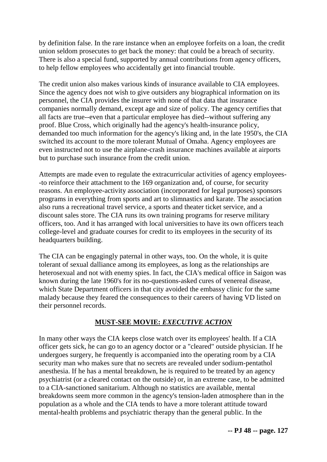by definition false. In the rare instance when an employee forfeits on a loan, the credit union seldom prosecutes to get back the money: that could be a breach of security. There is also a special fund, supported by annual contributions from agency officers, to help fellow employees who accidentally get into financial trouble.

The credit union also makes various kinds of insurance available to CIA employees. Since the agency does not wish to give outsiders any biographical information on its personnel, the CIA provides the insurer with none of that data that insurance companies normally demand, except age and size of policy. The agency certifies that all facts are true--even that a particular employee has died--without suffering any proof. Blue Cross, which originally had the agency's health-insurance policy, demanded too much information for the agency's liking and, in the late 1950's, the CIA switched its account to the more tolerant Mutual of Omaha. Agency employees are even instructed not to use the airplane-crash insurance machines available at airports but to purchase such insurance from the credit union.

Attempts are made even to regulate the extracurricular activities of agency employees- -to reinforce their attachment to the 169 organization and, of course, for security reasons. An employee-activity association (incorporated for legal purposes) sponsors programs in everything from sports and art to slimnastics and karate. The association also runs a recreational travel service, a sports and theater ticket service, and a discount sales store. The CIA runs its own training programs for reserve military officers, too. And it has arranged with local universities to have its own officers teach college-level and graduate courses for credit to its employees in the security of its headquarters building.

The CIA can be engagingly paternal in other ways, too. On the whole, it is quite tolerant of sexual dalliance among its employees, as long as the relationships are heterosexual and not with enemy spies. In fact, the CIA's medical office in Saigon was known during the late 1960's for its no-questions-asked cures of venereal disease, which State Department officers in that city avoided the embassy clinic for the same malady because they feared the consequences to their careers of having VD listed on their personnel records.

# **MUST-SEE MOVIE:** *EXECUTIVE ACTION*

In many other ways the CIA keeps close watch over its employees' health. If a CIA officer gets sick, he can go to an agency doctor or a "cleared" outside physician. If he undergoes surgery, he frequently is accompanied into the operating room by a CIA security man who makes sure that no secrets are revealed under sodium-pentathol anesthesia. If he has a mental breakdown, he is required to be treated by an agency psychiatrist (or a cleared contact on the outside) or, in an extreme case, to be admitted to a CIA-sanctioned sanitarium. Although no statistics are available, mental breakdowns seem more common in the agency's tension-laden atmosphere than in the population as a whole and the CIA tends to have a more tolerant attitude toward mental-health problems and psychiatric therapy than the general public. In the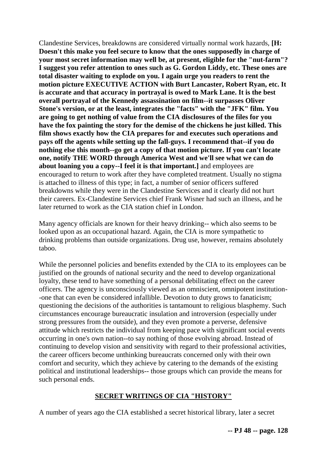Clandestine Services, breakdowns are considered virtually normal work hazards, **[H: Doesn't this make you feel secure to know that the ones supposedly in charge of your most secret information may well be, at present, eligible for the "nut-farm"? I suggest you refer attention to ones such as G. Gordon Liddy, etc. These ones are total disaster waiting to explode on you. I again urge you readers to rent the motion picture EXECUTIVE ACTION with Burt Lancaster, Robert Ryan, etc. It is accurate and that accuracy in portrayal is owed to Mark Lane. It is the best overall portrayal of the Kennedy assassination on film--it surpasses Oliver Stone's version, or at the least, integrates the "facts" with the "JFK" film. You are going to get nothing of value from the CIA disclosures of the files for you have the fox painting the story for the demise of the chickens he just killed. This film shows exactly how the CIA prepares for and executes such operations and pays off the agents while setting up the fall-guys. I recommend that--if you do nothing else this month--go get a copy of that motion picture. If you can't locate one, notify THE WORD through America West and we'll see what we can do about loaning you a copy--I feel it is that important.]** and employees are encouraged to return to work after they have completed treatment. Usually no stigma is attached to illness of this type; in fact, a number of senior officers suffered breakdowns while they were in the Clandestine Services and it clearly did not hurt their careers. Ex-Clandestine Services chief Frank Wisner had such an illness, and he later returned to work as the CIA station chief in London.

Many agency officials are known for their heavy drinking-- which also seems to be looked upon as an occupational hazard. Again, the CIA is more sympathetic to drinking problems than outside organizations. Drug use, however, remains absolutely taboo.

While the personnel policies and benefits extended by the CIA to its employees can be justified on the grounds of national security and the need to develop organizational loyalty, these tend to have something of a personal debilitating effect on the career officers. The agency is unconsciously viewed as an omniscient, omnipotent institution- -one that can even be considered infallible. Devotion to duty grows to fanaticism; questioning the decisions of the authorities is tantamount to religious blasphemy. Such circumstances encourage bureaucratic insulation and introversion (especially under strong pressures from the outside), and they even promote a perverse, defensive attitude which restricts the individual from keeping pace with significant social events occurring in one's own nation--to say nothing of those evolving abroad. Instead of continuing to develop vision and sensitivity with regard to their professional activities, the career officers become unthinking bureaucrats concerned only with their own comfort and security, which they achieve by catering to the demands of the existing political and institutional leaderships-- those groups which can provide the means for such personal ends.

### **SECRET WRITINGS OF CIA "HISTORY"**

A number of years ago the CIA established a secret historical library, later a secret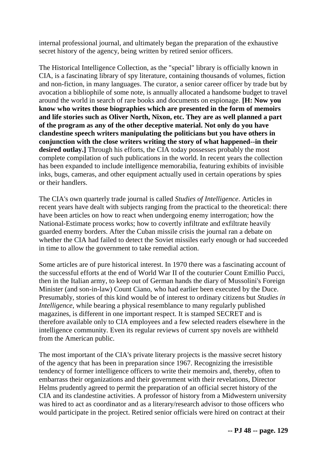internal professional journal, and ultimately began the preparation of the exhaustive secret history of the agency, being written by retired senior officers.

The Historical Intelligence Collection, as the "special" library is officially known in CIA, is a fascinating library of spy literature, containing thousands of volumes, fiction and non-fiction, in many languages. The curator, a senior career officer by trade but by avocation a bibliophile of some note, is annually allocated a handsome budget to travel around the world in search of rare books and documents on espionage. **[H: Now you know who writes those biographies which are presented in the form of memoirs and life stories such as Oliver North, Nixon, etc. They are as well planned a part of the program as any of the other deceptive material. Not only do you have clandestine speech writers manipulating the politicians but you have others in conjunction with the close writers writing the story of what happened--in their**  desired outlay.] Through his efforts, the CIA today possesses probably the most complete compilation of such publications in the world. In recent years the collection has been expanded to include intelligence memorabilia, featuring exhibits of invisible inks, bugs, cameras, and other equipment actually used in certain operations by spies or their handlers.

The CIA's own quarterly trade journal is called *Studies of Intelligence*. Articles in recent years have dealt with subjects ranging from the practical to the theoretical: there have been articles on how to react when undergoing enemy interrogation; how the National-Estimate process works; how to covertly infiltrate and exfiltrate heavily guarded enemy borders. After the Cuban missile crisis the journal ran a debate on whether the CIA had failed to detect the Soviet missiles early enough or had succeeded in time to allow the government to take remedial action.

Some articles are of pure historical interest. In 1970 there was a fascinating account of the successful efforts at the end of World War II of the couturier Count Emillio Pucci, then in the Italian army, to keep out of German hands the diary of Mussolini's Foreign Minister (and son-in-law) Count Ciano, who had earlier been executed by the Duce. Presumably, stories of this kind would be of interest to ordinary citizens but *Studies in Intelligence*, while bearing a physical resemblance to many regularly published magazines, is different in one important respect. It is stamped SECRET and is therefore available only to CIA employees and a few selected readers elsewhere in the intelligence community. Even its regular reviews of current spy novels are withheld from the American public.

The most important of the CIA's private literary projects is the massive secret history of the agency that has been in preparation since 1967. Recognizing the irresistible tendency of former intelligence officers to write their memoirs and, thereby, often to embarrass their organizations and their government with their revelations, Director Helms prudently agreed to permit the preparation of an official secret history of the CIA and its clandestine activities. A professor of history from a Midwestern university was hired to act as coordinator and as a literary/research advisor to those officers who would participate in the project. Retired senior officials were hired on contract at their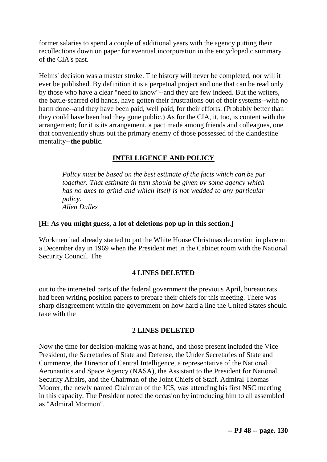former salaries to spend a couple of additional years with the agency putting their recollections down on paper for eventual incorporation in the encyclopedic summary of the CIA's past.

Helms' decision was a master stroke. The history will never be completed, nor will it ever be published. By definition it is a perpetual project and one that can be read only by those who have a clear "need to know"--and they are few indeed. But the writers, the battle-scarred old hands, have gotten their frustrations out of their systems--with no harm done--and they have been paid, well paid, for their efforts. (Probably better than they could have been had they gone public.) As for the CIA, it, too, is content with the arrangement; for it is its arrangement, a pact made among friends and colleagues, one that conveniently shuts out the primary enemy of those possessed of the clandestine mentality--**the public**.

# **INTELLIGENCE AND POLICY**

*Policy must be based on the best estimate of the facts which can be put together. That estimate in turn should be given by some agency which has no axes to grind and which itself is not wedded to any particular policy. Allen Dulles*

# **[H: As you might guess, a lot of deletions pop up in this section.]**

Workmen had already started to put the White House Christmas decoration in place on a December day in 1969 when the President met in the Cabinet room with the National Security Council. The

# **4 LINES DELETED**

out to the interested parts of the federal government the previous April, bureaucrats had been writing position papers to prepare their chiefs for this meeting. There was sharp disagreement within the government on how hard a line the United States should take with the

# **2 LINES DELETED**

Now the time for decision-making was at hand, and those present included the Vice President, the Secretaries of State and Defense, the Under Secretaries of State and Commerce, the Director of Central Intelligence, a representative of the National Aeronautics and Space Agency (NASA), the Assistant to the President for National Security Affairs, and the Chairman of the Joint Chiefs of Staff. Admiral Thomas Moorer, the newly named Chairman of the JCS, was attending his first NSC meeting in this capacity. The President noted the occasion by introducing him to all assembled as "Admiral Mormon".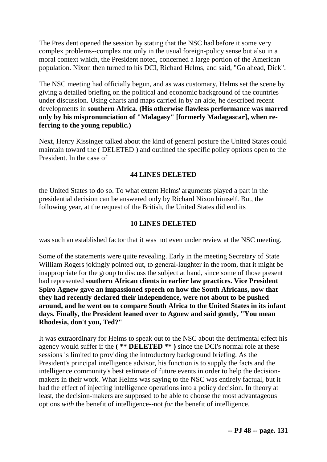The President opened the session by stating that the NSC had before it some very complex problems--complex not only in the usual foreign-policy sense but also in a moral context which, the President noted, concerned a large portion of the American population. Nixon then turned to his DCI, Richard Helms, and said, "Go ahead, Dick".

The NSC meeting had officially begun, and as was customary, Helms set the scene by giving a detailed briefing on the political and economic background of the countries under discussion. Using charts and maps carried in by an aide, he described recent developments in **southern Africa. (His otherwise flawless performance was marred only by his mispronunciation of "Malagasy" [formerly Madagascar], when referring to the young republic.)**

Next, Henry Kissinger talked about the kind of general posture the United States could maintain toward the ( DELETED ) and outlined the specific policy options open to the President. In the case of

# **44 LINES DELETED**

the United States to do so. To what extent Helms' arguments played a part in the presidential decision can be answered only by Richard Nixon himself. But, the following year, at the request of the British, the United States did end its

# **10 LINES DELETED**

was such an established factor that it was not even under review at the NSC meeting.

Some of the statements were quite revealing. Early in the meeting Secretary of State William Rogers jokingly pointed out, to general-laughter in the room, that it might be inappropriate for the group to discuss the subject at hand, since some of those present had represented **southern African clients in earlier law practices. Vice President Spiro Agnew gave an impassioned speech on how the South Africans, now that they had recently declared their independence, were not about to be pushed around, and he went on to compare South Africa to the United States in its infant days. Finally, the President leaned over to Agnew and said gently, "You mean Rhodesia, don't you, Ted?"**

It was extraordinary for Helms to speak out to the NSC about the detrimental effect his agency would suffer if the **( \*\* DELETED \*\* )** since the DCI's normal role at these sessions is limited to providing the introductory background briefing. As the President's principal intelligence advisor, his function is to supply the facts and the intelligence community's best estimate of future events in order to help the decisionmakers in their work. What Helms was saying to the NSC was entirely factual, but it had the effect of injecting intelligence operations into a policy decision. In theory at least, the decision-makers are supposed to be able to choose the most advantageous options *with* the benefit of intelligence--not *for* the benefit of intelligence.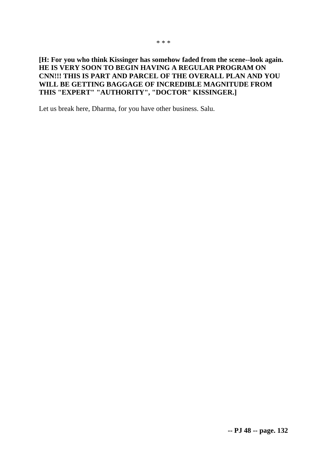# **[H: For you who think Kissinger has somehow faded from the scene--look again. HE IS VERY SOON TO BEGIN HAVING A REGULAR PROGRAM ON CNN!!! THIS IS PART AND PARCEL OF THE OVERALL PLAN AND YOU WILL BE GETTING BAGGAGE OF INCREDIBLE MAGNITUDE FROM THIS "EXPERT" "AUTHORITY", "DOCTOR" KISSINGER.]**

Let us break here, Dharma, for you have other business. Salu.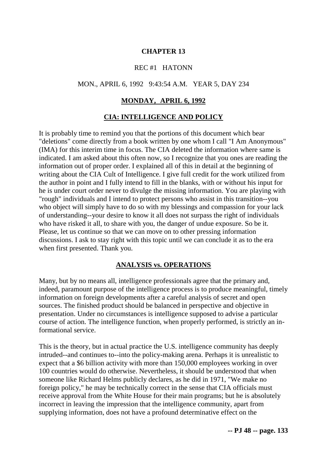### **CHAPTER 13**

### REC #1 HATONN

### MON., APRIL 6, 1992 9:43:54 A.M. YEAR 5, DAY 234

#### **MONDAY, APRIL 6, 1992**

#### **CIA: INTELLIGENCE AND POLICY**

It is probably time to remind you that the portions of this document which bear "deletions" come directly from a book written by one whom I call "I Am Anonymous" (IMA) for this interim time in focus. The CIA deleted the information where same is indicated. I am asked about this often now, so I recognize that you ones are reading the information out of proper order. I explained all of this in detail at the beginning of writing about the CIA Cult of Intelligence. I give full credit for the work utilized from the author in point and I fully intend to fill in the blanks, with or without his input for he is under court order never to divulge the missing information. You are playing with "rough" individuals and I intend to protect persons who assist in this transition--you who object will simply have to do so with my blessings and compassion for your lack of understanding--your desire to know it all does not surpass the right of individuals who have risked it all, to share with you, the danger of undue exposure. So be it. Please, let us continue so that we can move on to other pressing information discussions. I ask to stay right with this topic until we can conclude it as to the era when first presented. Thank you.

#### **ANALYSIS vs. OPERATIONS**

Many, but by no means all, intelligence professionals agree that the primary and, indeed, paramount purpose of the intelligence process is to produce meaningful, timely information on foreign developments after a careful analysis of secret and open sources. The finished product should be balanced in perspective and objective in presentation. Under no circumstances is intelligence supposed to advise a particular course of action. The intelligence function, when properly performed, is strictly an informational service.

This is the theory, but in actual practice the U.S. intelligence community has deeply intruded--and continues to--into the policy-making arena. Perhaps it is unrealistic to expect that a \$6 billion activity with more than 150,000 employees working in over 100 countries would do otherwise. Nevertheless, it should be understood that when someone like Richard Helms publicly declares, as he did in 1971, "We make no foreign policy," he may be technically correct in the sense that CIA officials must receive approval from the White House for their main programs; but he is absolutely incorrect in leaving the impression that the intelligence community, apart from supplying information, does not have a profound determinative effect on the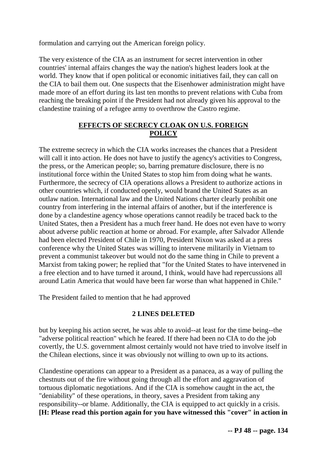formulation and carrying out the American foreign policy.

The very existence of the CIA as an instrument for secret intervention in other countries' internal affairs changes the way the nation's highest leaders look at the world. They know that if open political or economic initiatives fail, they can call on the CIA to bail them out. One suspects that the Eisenhower administration might have made more of an effort during its last ten months to prevent relations with Cuba from reaching the breaking point if the President had not already given his approval to the clandestine training of a refugee army to overthrow the Castro regime.

# **EFFECTS OF SECRECY CLOAK ON U.S. FOREIGN POLICY**

The extreme secrecy in which the CIA works increases the chances that a President will call it into action. He does not have to justify the agency's activities to Congress, the press, or the American people; so, barring premature disclosure, there is no institutional force within the United States to stop him from doing what he wants. Furthermore, the secrecy of CIA operations allows a President to authorize actions in other countries which, if conducted openly, would brand the United States as an outlaw nation. International law and the United Nations charter clearly prohibit one country from interfering in the internal affairs of another, but if the interference is done by a clandestine agency whose operations cannot readily be traced back to the United States, then a President has a much freer hand. He does not even have to worry about adverse public reaction at home or abroad. For example, after Salvador Allende had been elected President of Chile in 1970, President Nixon was asked at a press conference why the United States was willing to intervene militarily in Vietnam to prevent a communist takeover but would not do the same thing in Chile to prevent a Marxist from taking power; he replied that "for the United States to have intervened in a free election and to have turned it around, I think, would have had repercussions all around Latin America that would have been far worse than what happened in Chile."

The President failed to mention that he had approved

# **2 LINES DELETED**

but by keeping his action secret, he was able to avoid--at least for the time being--the "adverse political reaction" which he feared. If there had been no CIA to do the job covertly, the U.S. government almost certainly would not have tried to involve itself in the Chilean elections, since it was obviously not willing to own up to its actions.

Clandestine operations can appear to a President as a panacea, as a way of pulling the chestnuts out of the fire without going through all the effort and aggravation of tortuous diplomatic negotiations. And if the CIA is somehow caught in the act, the "deniability" of these operations, in theory, saves a President from taking any responsibility--or blame. Additionally, the CIA is equipped to act quickly in a crisis. **[H: Please read this portion again for you have witnessed this "cover" in action in** 

**-- PJ 48 -- page. 134**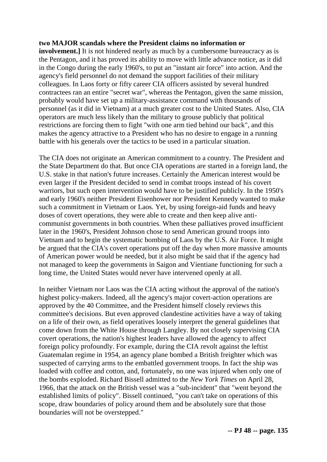#### **two MAJOR scandals where the President claims no information or**

**involvement.** It is not hindered nearly as much by a cumbersome bureaucracy as is the Pentagon, and it has proved its ability to move with little advance notice, as it did in the Congo during the early 1960's, to put an "instant air force" into action. And the agency's field personnel do not demand the support facilities of their military colleagues. In Laos forty or fifty career CIA officers assisted by several hundred contractees ran an entire "secret war", whereas the Pentagon, given the same mission, probably would have set up a military-assistance command with thousands of personnel (as it did in Vietnam) at a much greater cost to the United States. Also, CIA operators are much less likely than the military to grouse publicly that political restrictions are forcing them to fight "with one arm tied behind our back", and this makes the agency attractive to a President who has no desire to engage in a running battle with his generals over the tactics to be used in a particular situation.

The CIA does not originate an American commitment to a country. The President and the State Department do that. But once CIA operations are started in a foreign land, the U.S. stake in that nation's future increases. Certainly the American interest would be even larger if the President decided to send in combat troops instead of his covert warriors, but such open intervention would have to be justified publicly. In the 1950's and early 1960's neither President Eisenhower nor President Kennedy wanted to make such a commitment in Vietnam or Laos. Yet, by using foreign-aid funds and heavy doses of covert operations, they were able to create and then keep alive anticommunist governments in both countries. When these palliatives proved insufficient later in the 1960's, President Johnson chose to send American ground troops into Vietnam and to begin the systematic bombing of Laos by the U.S. Air Force. It might be argued that the CIA's covert operations put off the day when more massive amounts of American power would be needed, but it also might be said that if the agency had not managed to keep the governments in Saigon and Vientiane functioning for such a long time, the United States would never have intervened openly at all.

In neither Vietnam nor Laos was the CIA acting without the approval of the nation's highest policy-makers. Indeed, all the agency's major covert-action operations are approved by the 40 Committee, and the President himself closely reviews this committee's decisions. But even approved clandestine activities have a way of taking on a life of their own, as field operatives loosely interpret the general guidelines that come down from the White House through Langley. By not closely supervising CIA covert operations, the nation's highest leaders have allowed the agency to affect foreign policy profoundly. For example, during the CIA revolt against the leftist Guatemalan regime in 1954, an agency plane bombed a British freighter which was suspected of carrying arms to the embattled government troops. In fact the ship was loaded with coffee and cotton, and, fortunately, no one was injured when only one of the bombs exploded. Richard Bissell admitted to the *New York Times* on April 28, 1966, that the attack on the British vessel was a "sub-incident" that "went beyond the established limits of policy". Bissell continued, "you can't take on operations of this scope, draw boundaries of policy around them and be absolutely sure that those boundaries will not be overstepped."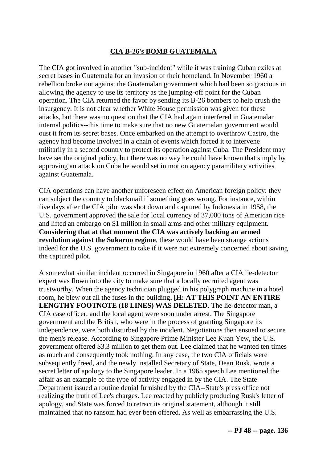# **CIA B-26's BOMB GUATEMALA**

The CIA got involved in another "sub-incident" while it was training Cuban exiles at secret bases in Guatemala for an invasion of their homeland. In November 1960 a rebellion broke out against the Guatemalan government which had been so gracious in allowing the agency to use its territory as the jumping-off point for the Cuban operation. The CIA returned the favor by sending its B-26 bombers to help crush the insurgency. It is not clear whether White House permission was given for these attacks, but there was no question that the CIA had again interfered in Guatemalan internal politics--this time to make sure that no new Guatemalan government would oust it from its secret bases. Once embarked on the attempt to overthrow Castro, the agency had become involved in a chain of events which forced it to intervene militarily in a second country to protect its operation against Cuba. The President may have set the original policy, but there was no way he could have known that simply by approving an attack on Cuba he would set in motion agency paramilitary activities against Guatemala.

CIA operations can have another unforeseen effect on American foreign policy: they can subject the country to blackmail if something goes wrong. For instance, within five days after the CIA pilot was shot down and captured by Indonesia in 1958, the U.S. government approved the sale for local currency of 37,000 tons of American rice and lifted an embargo on \$1 million in small arms and other military equipment. **Considering that at that moment the CIA was actively backing an armed revolution against the Sukarno regime**, these would have been strange actions indeed for the U.S. government to take if it were not extremely concerned about saving the captured pilot.

A somewhat similar incident occurred in Singapore in 1960 after a CIA lie-detector expert was flown into the city to make sure that a locally recruited agent was trustworthy. When the agency technician plugged in his polygraph machine in a hotel room, he blew out all the fuses in the building**. [H: AT THIS POINT AN ENTIRE LENGTHY FOOTNOTE (18 LINES) WAS DELETED**. The lie-detector man, a CIA case officer, and the local agent were soon under arrest. The Singapore government and the British, who were in the process of granting Singapore its independence, were both disturbed by the incident. Negotiations then ensued to secure the men's release. According to Singapore Prime Minister Lee Kuan Yew, the U.S. government offered \$3.3 million to get them out. Lee claimed that he wanted ten times as much and consequently took nothing. In any case, the two CIA officials were subsequently freed, and the newly installed Secretary of State, Dean Rusk, wrote a secret letter of apology to the Singapore leader. In a 1965 speech Lee mentioned the affair as an example of the type of activity engaged in by the CIA. The State Department issued a routine denial furnished by the CIA--State's press office not realizing the truth of Lee's charges. Lee reacted by publicly producing Rusk's letter of apology, and State was forced to retract its original statement, although it still maintained that no ransom had ever been offered. As well as embarrassing the U.S.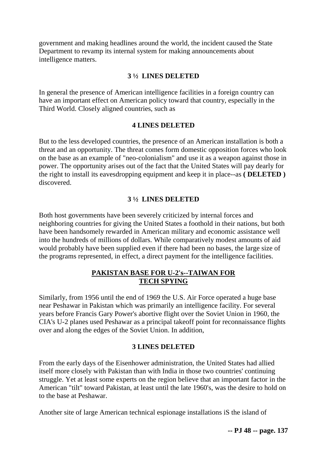government and making headlines around the world, the incident caused the State Department to revamp its internal system for making announcements about intelligence matters.

# **3 ½ LINES DELETED**

In general the presence of American intelligence facilities in a foreign country can have an important effect on American policy toward that country, especially in the Third World. Closely aligned countries, such as

### **4 LINES DELETED**

But to the less developed countries, the presence of an American installation is both a threat and an opportunity. The threat comes form domestic opposition forces who look on the base as an example of "neo-colonialism" and use it as a weapon against those in power. The opportunity arises out of the fact that the United States will pay dearly for the right to install its eavesdropping equipment and keep it in place--as **( DELETED )** discovered.

### **3 ½ LINES DELETED**

Both host governments have been severely criticized by internal forces and neighboring countries for giving the United States a foothold in their nations, but both have been handsomely rewarded in American military and economic assistance well into the hundreds of millions of dollars. While comparatively modest amounts of aid would probably have been supplied even if there had been no bases, the large size of the programs represented, in effect, a direct payment for the intelligence facilities.

# **PAKISTAN BASE FOR U-2's--TAIWAN FOR TECH SPYING**

Similarly, from 1956 until the end of 1969 the U.S. Air Force operated a huge base near Peshawar in Pakistan which was primarily an intelligence facility. For several years before Francis Gary Power's abortive flight over the Soviet Union in 1960, the CIA's U-2 planes used Peshawar as a principal takeoff point for reconnaissance flights over and along the edges of the Soviet Union. In addition,

# **3 LINES DELETED**

From the early days of the Eisenhower administration, the United States had allied itself more closely with Pakistan than with India in those two countries' continuing struggle. Yet at least some experts on the region believe that an important factor in the American "tilt" toward Pakistan, at least until the late 1960's, was the desire to hold on to the base at Peshawar.

Another site of large American technical espionage installations iS the island of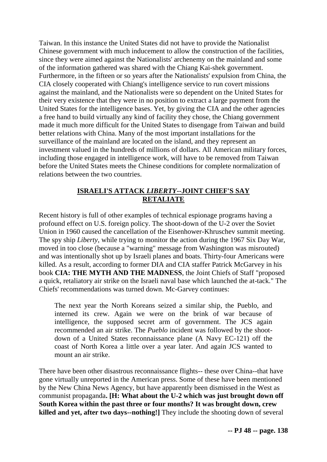Taiwan. In this instance the United States did not have to provide the Nationalist Chinese government with much inducement to allow the construction of the facilities, since they were aimed against the Nationalists' archenemy on the mainland and some of the information gathered was shared with the Chiang Kai-shek government. Furthermore, in the fifteen or so years after the Nationalists' expulsion from China, the CIA closely cooperated with Chiang's intelligence service to run covert missions against the mainland, and the Nationalists were so dependent on the United States for their very existence that they were in no position to extract a large payment from the United States for the intelligence bases. Yet, by giving the CIA and the other agencies a free hand to build virtually any kind of facility they chose, the Chiang government made it much more difficult for the United States to disengage from Taiwan and build better relations with China. Many of the most important installations for the surveillance of the mainland are located on the island, and they represent an investment valued in the hundreds of millions of dollars. All American military forces, including those engaged in intelligence work, will have to be removed from Taiwan before the United States meets the Chinese conditions for complete normalization of relations between the two countries.

# **ISRAELI'S ATTACK** *LIBERTY***--JOINT CHIEF'S SAY RETALIATE**

Recent history is full of other examples of technical espionage programs having a profound effect on U.S. foreign policy. The shoot-down of the U-2 over the Soviet Union in 1960 caused the cancellation of the Eisenhower-Khruschev summit meeting. The spy ship *Liberty*, while trying to monitor the action during the 1967 Six Day War, moved in too close (because a "warning" message from Washington was misrouted) and was intentionally shot up by Israeli planes and boats. Thirty-four Americans were killed. As a result, according to former DIA and CIA staffer Patrick McGarvey in his book **CIA: THE MYTH AND THE MADNESS**, the Joint Chiefs of Staff "proposed a quick, retaliatory air strike on the Israeli naval base which launched the at-tack." The Chiefs' recommendations was turned down. Mc-Garvey continues:

The next year the North Koreans seized a similar ship, the Pueblo, and interned its crew. Again we were on the brink of war because of intelligence, the supposed secret arm of government. The JCS again recommended an air strike. The *Pueblo* incident was followed by the shootdown of a United States reconnaissance plane (A Navy EC-121) off the coast of North Korea a little over a year later. And again JCS wanted to mount an air strike.

There have been other disastrous reconnaissance flights-- these over China--that have gone virtually unreported in the American press. Some of these have been mentioned by the New China News Agency, but have apparently been dismissed in the West as communist propaganda**. [H: What about the U-2 which was just brought down off South Korea within the past three or four months? It was brought down, crew killed and yet, after two days--nothing!]** They include the shooting down of several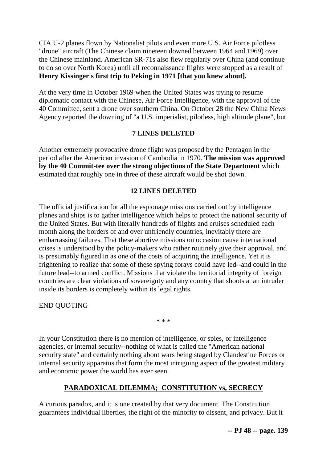CIA U-2 planes flown by Nationalist pilots and even more U.S. Air Force pilotless "drone" aircraft (The Chinese claim nineteen downed between 1964 and 1969) over the Chinese mainland. American SR-71s also flew regularly over China (and continue to do so over North Korea) until all reconnaissance flights were stopped as a result of **Henry Kissinger's first trip to Peking in 1971 [that you knew about].**

At the very time in October 1969 when the United States was trying to resume diplomatic contact with the Chinese, Air Force Intelligence, with the approval of the 40 Committee, sent a drone over southern China. On October 28 the New China News Agency reported the downing of "a U.S. imperialist, pilotless, high altitude plane", but

# **7 LINES DELETED**

Another extremely provocative drone flight was proposed by the Pentagon in the period after the American invasion of Cambodia in 1970. **The mission was approved by the 40 Commit-tee over the strong objections of the State Department** which estimated that roughly one in three of these aircraft would be shot down.

# **12 LINES DELETED**

The official justification for all the espionage missions carried out by intelligence planes and ships is to gather intelligence which helps to protect the national security of the United States. But with literally hundreds of flights and cruises scheduled each month along the borders of and over unfriendly countries, inevitably there are embarrassing failures. That these abortive missions on occasion cause international crises is understood by the policy-makers who rather routinely give their approval, and is presumably figured in as one of the costs of acquiring the intelligence. Yet it is frightening to realize that some of these spying forays could have led--and could in the future lead--to armed conflict. Missions that violate the territorial integrity of foreign countries are clear violations of sovereignty and any country that shoots at an intruder inside its borders is completely within its legal rights.

END QUOTING

\* \* \*

In your Constitution there is no mention of intelligence, or spies, or intelligence agencies, or internal security--nothing of what is called the "American national security state" and certainly nothing about wars being staged by Clandestine Forces or internal security apparatus that form the most intriguing aspect of the greatest military and economic power the world has ever seen.

# **PARADOXICAL DILEMMA; CONSTITUTION vs, SECRECY**

A curious paradox, and it is one created by that very document. The Constitution guarantees individual liberties, the right of the minority to dissent, and privacy. But it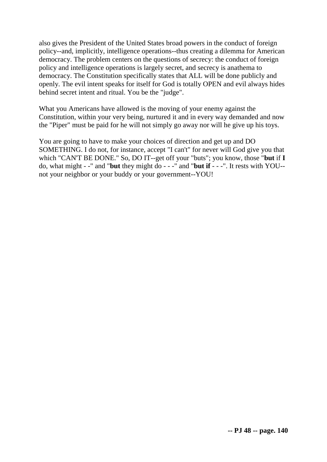also gives the President of the United States broad powers in the conduct of foreign policy--and, implicitly, intelligence operations--thus creating a dilemma for American democracy. The problem centers on the questions of secrecy: the conduct of foreign policy and intelligence operations is largely secret, and secrecy is anathema to democracy. The Constitution specifically states that ALL will be done publicly and openly. The evil intent speaks for itself for God is totally OPEN and evil always hides behind secret intent and ritual. You be the "judge".

What you Americans have allowed is the moving of your enemy against the Constitution, within your very being, nurtured it and in every way demanded and now the "Piper" must be paid for he will not simply go away nor will he give up his toys.

You are going to have to make your choices of direction and get up and DO SOMETHING. I do not, for instance, accept "I can't" for never will God give you that which "CAN'T BE DONE." So, DO IT--get off your "buts"; you know, those "**but** if **I** do, what might - -" and "**but** they might do - - -" and "**but if** - - -". It rests with YOU- not your neighbor or your buddy or your government--YOU!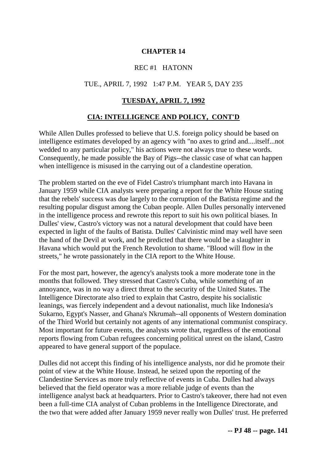# **CHAPTER 14**

# REC #1 HATONN

# TUE., APRIL 7, 1992 1:47 P.M. YEAR 5, DAY 235

### **TUESDAY, APRIL 7, 1992**

### **CIA: INTELLIGENCE AND POLICY, CONT'D**

While Allen Dulles professed to believe that U.S. foreign policy should be based on intelligence estimates developed by an agency with "no axes to grind and....itself...not wedded to any particular policy," his actions were not always true to these words. Consequently, he made possible the Bay of Pigs--the classic case of what can happen when intelligence is misused in the carrying out of a clandestine operation.

The problem started on the eve of Fidel Castro's triumphant march into Havana in January 1959 while CIA analysts were preparing a report for the White House stating that the rebels' success was due largely to the corruption of the Batista regime and the resulting popular disgust among the Cuban people. Allen Dulles personally intervened in the intelligence process and rewrote this report to suit his own political biases. In Dulles' view, Castro's victory was not a natural development that could have been expected in light of the faults of Batista. Dulles' Calvinistic mind may well have seen the hand of the Devil at work, and he predicted that there would be a slaughter in Havana which would put the French Revolution to shame. "Blood will flow in the streets," he wrote passionately in the CIA report to the White House.

For the most part, however, the agency's analysts took a more moderate tone in the months that followed. They stressed that Castro's Cuba, while something of an annoyance, was in no way a direct threat to the security of the United States. The Intelligence Directorate also tried to explain that Castro, despite his socialistic leanings, was fiercely independent and a devout nationalist, much like Indonesia's Sukarno, Egypt's Nasser, and Ghana's Nkrumah--all opponents of Western domination of the Third World but certainly not agents of any international communist conspiracy. Most important for future events, the analysts wrote that, regardless of the emotional reports flowing from Cuban refugees concerning political unrest on the island, Castro appeared to have general support of the populace.

Dulles did not accept this finding of his intelligence analysts, nor did he promote their point of view at the White House. Instead, he seized upon the reporting of the Clandestine Services as more truly reflective of events in Cuba. Dulles had always believed that the field operator was a more reliable judge of events than the intelligence analyst back at headquarters. Prior to Castro's takeover, there had not even been a full-time CIA analyst of Cuban problems in the Intelligence Directorate, and the two that were added after January 1959 never really won Dulles' trust. He preferred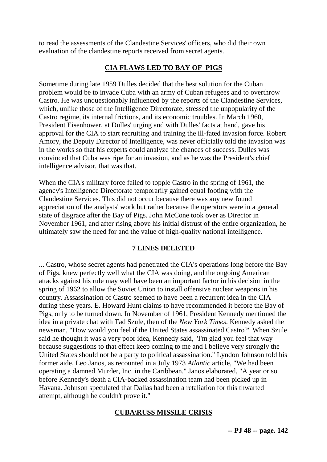to read the assessments of the Clandestine Services' officers, who did their own evaluation of the clandestine reports received from secret agents.

# **CIA FLAWS LED TO BAY OF PIGS**

Sometime during late 1959 Dulles decided that the best solution for the Cuban problem would be to invade Cuba with an army of Cuban refugees and to overthrow Castro. He was unquestionably influenced by the reports of the Clandestine Services, which, unlike those of the Intelligence Directorate, stressed the unpopularity of the Castro regime, its internal frictions, and its economic troubles. In March 1960, President Eisenhower, at Dulles' urging and with Dulles' facts at hand, gave his approval for the CIA to start recruiting and training the ill-fated invasion force. Robert Amory, the Deputy Director of Intelligence, was never officially told the invasion was in the works so that his experts could analyze the chances of success. Dulles was convinced that Cuba was ripe for an invasion, and as he was the President's chief intelligence advisor, that was that.

When the CIA's military force failed to topple Castro in the spring of 1961, the agency's Intelligence Directorate temporarily gained equal footing with the Clandestine Services. This did not occur because there was any new found appreciation of the analysts' work but rather because the operators were in a general state of disgrace after the Bay of Pigs. John McCone took over as Director in November 1961, and after rising above his initial distrust of the entire organization, he ultimately saw the need for and the value of high-quality national intelligence.

# **7 LINES DELETED**

... Castro, whose secret agents had penetrated the CIA's operations long before the Bay of Pigs, knew perfectly well what the CIA was doing, and the ongoing American attacks against his rule may well have been an important factor in his decision in the spring of 1962 to allow the Soviet Union to install offensive nuclear weapons in his country. Assassination of Castro seemed to have been a recurrent idea in the CIA during these years. E. Howard Hunt claims to have recommended it before the Bay of Pigs, only to be turned down. In November of 1961, President Kennedy mentioned the idea in a private chat with Tad Szule, then of the *New York Times*. Kennedy asked the newsman, "How would you feel if the United States assassinated Castro?" When Szule said he thought it was a very poor idea, Kennedy said, "I'm glad you feel that way because suggestions to that effect keep coming to me and I believe very strongly the United States should not be a party to political assassination." Lyndon Johnson told his former aide, Leo Janos, as recounted in a July 1973 *Atlantic* article, "We had been operating a damned Murder, Inc. in the Caribbean." Janos elaborated, "A year or so before Kennedy's death a CIA-backed assassination team had been picked up in Havana. Johnson speculated that Dallas had been a retaliation for this thwarted attempt, although he couldn't prove it."

# **CUBA\RUSS MISSILE CRISIS**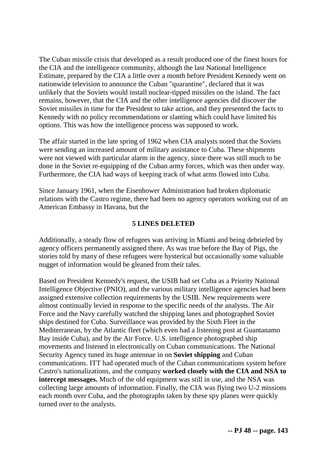The Cuban missile crisis that developed as a result produced one of the finest hours for the CIA and the intelligence community, although the last National Intelligence Estimate, prepared by the CIA a little over a month before President Kennedy went on nationwide television to announce the Cuban "quarantine", declared that it was unlikely that the Soviets would install nuclear-tipped missiles on the island. The fact remains, however, that the CIA and the other intelligence agencies did discover the Soviet missiles in time for the President to take action, and they presented the facts to Kennedy with no policy recommendations or slanting which could have limited his options. This was how the intelligence process was supposed to work.

The affair started in the late spring of 1962 when CIA analysts noted that the Soviets were sending an increased amount of military assistance to Cuba. These shipments were not viewed with particular alarm in the agency, since there was still much to be done in the Soviet re-equipping of the Cuban army forces, which was then under way. Furthermore, the CIA had ways of keeping track of what arms flowed into Cuba.

Since January 1961, when the Eisenhower Administration had broken diplomatic relations with the Castro regime, there had been no agency operators working out of an American Embassy in Havana, but the

### **5 LINES DELETED**

Additionally, a steady flow of refugees was arriving in Miami and being debriefed by agency officers permanently assigned there. As was true before the Bay of Pigs, the stories told by many of these refugees were hysterical but occasionally some valuable nugget of information would be gleaned from their tales.

Based on President Kennedy's request, the USIB had set Cuba as a Priority National Intelligence Objective (PNIO), and the various military intelligence agencies had been assigned extensive collection requirements by the USIB. New requirements were almost continually levied in response to the specific needs of the analysts. The Air Force and the Navy carefully watched the shipping lanes and photographed Soviet ships destined for Cuba. Surveillance was provided by the Sixth Fleet in the Mediterranean, by the Atlantic fleet (which even had a listening post at Guantanamo Bay inside Cuba), and by the Air Force. U.S. intelligence photographed ship movements and listened in electronically on Cuban communications. The National Security Agency tuned its huge antennae in on **Soviet shipping** and Cuban communications. ITT had operated much of the Cuban communications system before Castro's nationalizations, and the company **worked closely with the CIA and NSA to intercept messages.** Much of the old equipment was still in use, and the NSA was collecting large amounts of information. Finally, the CIA was flying two U-2 missions each month over Cuba, and the photographs taken by these spy planes were quickly turned over to the analysts.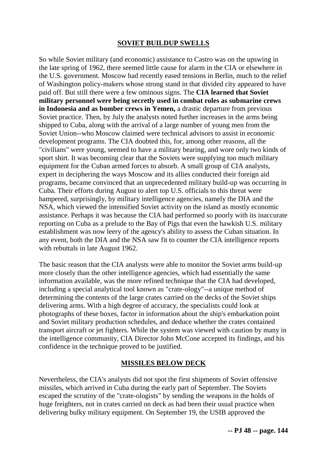### **SOVIET BUILDUP SWELLS**

So while Soviet military (and economic) assistance to Castro was on the upswing in the late spring of 1962, there seemed little cause for alarm in the CIA or elsewhere in the U.S. government. Moscow had recently eased tensions in Berlin, much to the relief of Washington policy-makers whose strong stand in that divided city appeared to have paid off. But still there were a few ominous signs. The **CIA learned that Soviet military personnel were being secretly used in combat roles as submarine crews in Indonesia and as bomber crews in Yemen,** a drastic departure from previous Soviet practice. Then, by July the analysts noted further increases in the arms being shipped to Cuba, along with the arrival of a large number of young men from the Soviet Union--who Moscow claimed were technical advisors to assist in economic development programs. The CIA doubted this, for, among other reasons, all the "civilians" were young, seemed to have a military bearing, and wore only two kinds of sport shirt. It was becoming clear that the Soviets were supplying too much military equipment for the Cuban armed forces to absorb. A small group of CIA analysts, expert in deciphering the ways Moscow and its allies conducted their foreign aid programs, became convinced that an unprecedented military build-up was occurring in Cuba. Their efforts during August to alert top U.S. officials to this threat were hampered, surprisingly, by military intelligence agencies, namely the DIA and the NSA, which viewed the intensified Soviet activity on the island as mostly economic assistance. Perhaps it was because the CIA had performed so poorly with its inaccurate reporting on Cuba as a prelude to the Bay of Pigs that even the hawkish U.S. military establishment was now leery of the agency's ability to assess the Cuban situation. In any event, both the DIA and the NSA saw fit to counter the CIA intelligence reports with rebuttals in late August 1962.

The basic reason that the CIA analysts were able to monitor the Soviet arms build-up more closely than the other intelligence agencies, which had essentially the same information available, was the more refined technique that the CIA had developed, including a special analytical tool known as "crate-ology"--a unique method of determining the contents of the large crates carried on the decks of the Soviet ships delivering arms. With a high degree of accuracy, the specialists could look at photographs of these boxes, factor in information about the ship's embarkation point and Soviet military production schedules, and deduce whether the crates contained transport aircraft or jet fighters. While the system was viewed with caution by many in the intelligence community, CIA Director John McCone accepted its findings, and his confidence in the technique proved to be justified.

#### **MISSILES BELOW DECK**

Nevertheless, the CIA's analysts did not spot the first shipments of Soviet offensive missiles, which arrived in Cuba during the early part of September. The Soviets escaped the scrutiny of the "crate-ologists" by sending the weapons in the holds of huge freighters, not in crates carried on deck as had been their usual practice when delivering bulky military equipment. On September 19, the USIB approved the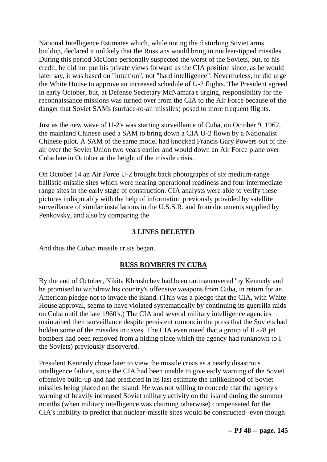National Intelligence Estimates which, while noting the disturbing Soviet arms buildup, declared it unlikely that the Russians would bring in nuclear-tipped missiles. During this period McCone personally suspected the worst of the Soviets, but, to his credit, he did not put his private views forward as the CIA position since, as he would later say, it was based on "intuition", not "hard intelligence". Nevertheless, he did urge the White House to approve an increased schedule of U-2 flights. The President agreed in early October, but, at Defense Secretary McNamara's urging, responsibility for the reconnaissance missions was turned over from the CIA to the Air Force because of the danger that Soviet SAMs (surface-to-air missiles) posed to more frequent flights.

Just as the new wave of U-2's was starting surveillance of Cuba, on October 9, 1962, the mainland Chinese used a SAM to bring down a CIA U-2 flown by a Nationalist Chinese pilot. A SAM of the same model had knocked Francis Gary Powers out of the air over the Soviet Union two years earlier and would down an Air Force plane over Cuba late in October at the height of the missile crisis.

On October 14 an Air Force U-2 brought back photographs of six medium-range ballistic-missile sites which were nearing operational readiness and four intermediate range sites in the early stage of construction. CIA analysts were able to verify these pictures indisputably with the help of information previously provided by satellite surveillance of similar installations in the U.S.S.R. and from documents supplied by Penkovsky, and also by comparing the

## **3 LINES DELETED**

And thus the Cuban missile crisis began.

# **RUSS BOMBERS IN CUBA**

By the end of October, Nikita Khrushchev had been outmaneuvered 'by Kennedy and he promised to withdraw his country's offensive weapons from Cuba, in return for an American pledge not to invade the island. (This was a pledge that the CIA, with White House approval, seems to have violated systematically by continuing its guerrilla raids on Cuba until the late 1960's.) The CIA and several military intelligence agencies maintained their surveillance despite persistent rumors in the press that the Soviets had hidden some of the missiles in caves. The CIA even noted that a group of IL-28 jet bombers had been removed from a hiding place which the agency had (unknown to I the Soviets) previously discovered.

President Kennedy chose later to view the missile crisis as a nearly disastrous intelligence failure, since the CIA had been unable to give early warning of the Soviet offensive build-up and had predicted in its last estimate the unlikelihood of Soviet missiles being placed on the island. He was not willing to concede that the agency's warning of heavily increased Soviet military activity on the island during the summer months (when military intelligence was claiming otherwise) compensated for the CIA's inability to predict that nuclear-missile sites would be constructed--even though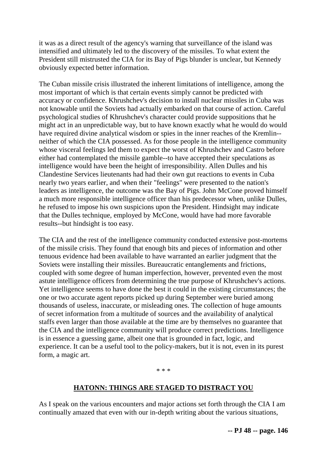it was as a direct result of the agency's warning that surveillance of the island was intensified and ultimately led to the discovery of the missiles. To what extent the President still mistrusted the CIA for its Bay of Pigs blunder is unclear, but Kennedy obviously expected better information.

The Cuban missile crisis illustrated the inherent limitations of intelligence, among the most important of which is that certain events simply cannot be predicted with accuracy or confidence. Khrushchev's decision to install nuclear missiles in Cuba was not knowable until the Soviets had actually embarked on that course of action. Careful psychological studies of Khrushchev's character could provide suppositions that he might act in an unpredictable way, but to have known exactly what he would do would have required divine analytical wisdom or spies in the inner reaches of the Kremlin- neither of which the CIA possessed. As for those people in the intelligence community whose visceral feelings led them to expect the worst of Khrushchev and Castro before either had contemplated the missile gamble--to have accepted their speculations as intelligence would have been the height of irresponsibility. Allen Dulles and his Clandestine Services lieutenants had had their own gut reactions to events in Cuba nearly two years earlier, and when their "feelings" were presented to the nation's leaders as intelligence, the outcome was the Bay of Pigs. John McCone proved himself a much more responsible intelligence officer than his predecessor when, unlike Dulles, he refused to impose his own suspicions upon the President. Hindsight may indicate that the Dulles technique, employed by McCone, would have had more favorable results--but hindsight is too easy.

The CIA and the rest of the intelligence community conducted extensive post-mortems of the missile crisis. They found that enough bits and pieces of information and other tenuous evidence had been available to have warranted an earlier judgment that the Soviets were installing their missiles. Bureaucratic entanglements and frictions, coupled with some degree of human imperfection, however, prevented even the most astute intelligence officers from determining the true purpose of Khrushchev's actions. Yet intelligence seems to have done the best it could in the existing circumstances; the one or two accurate agent reports picked up during September were buried among thousands of useless, inaccurate, or misleading ones. The collection of huge amounts of secret information from a multitude of sources and the availability of analytical staffs even larger than those available at the time are by themselves no guarantee that the CIA and the intelligence community will produce correct predictions. Intelligence is in essence a guessing game, albeit one that is grounded in fact, logic, and experience. It can be a useful tool to the policy-makers, but it is not, even in its purest form, a magic art.

\* \* \*

## **HATONN: THINGS ARE STAGED TO DISTRACT YOU**

As I speak on the various encounters and major actions set forth through the CIA I am continually amazed that even with our in-depth writing about the various situations,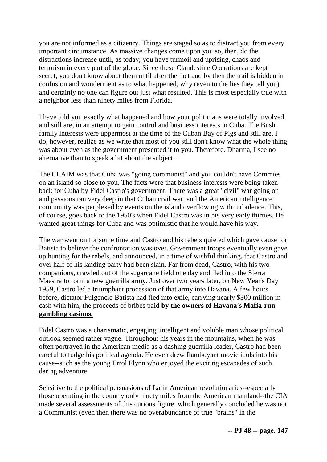you are not informed as a citizenry. Things are staged so as to distract you from every important circumstance. As massive changes come upon you so, then, do the distractions increase until, as today, you have turmoil and uprising, chaos and terrorism in every part of the globe. Since these Clandestine Operations are kept secret, you don't know about them until after the fact and by then the trail is hidden in confusion and wonderment as to what happened, why (even to the lies they tell you) and certainly no one can figure out just what resulted. This is most especially true with a neighbor less than ninety miles from Florida.

I have told you exactly what happened and how your politicians were totally involved and still are, in an attempt to gain control and business interests in Cuba. The Bush family interests were uppermost at the time of the Cuban Bay of Pigs and still are. I do, however, realize as we write that most of you still don't know what the whole thing was about even as the government presented it to you. Therefore, Dharma, I see no alternative than to speak a bit about the subject.

The CLAIM was that Cuba was "going communist" and you couldn't have Commies on an island so close to you. The facts were that business interests were being taken back for Cuba by Fidel Castro's government. There was a great "civil" war going on and passions ran very deep in that Cuban civil war, and the American intelligence community was perplexed by events on the island overflowing with turbulence. This, of course, goes back to the 1950's when Fidel Castro was in his very early thirties. He wanted great things for Cuba and was optimistic that he would have his way.

The war went on for some time and Castro and his rebels quieted which gave cause for Batista to believe the confrontation was over. Government troops eventually even gave up hunting for the rebels, and announced, in a time of wishful thinking, that Castro and over half of his landing party had been slain. Far from dead, Castro, with his two companions, crawled out of the sugarcane field one day and fled into the Sierra Maestra to form a new guerrilla army. Just over two years later, on New Year's Day 1959, Castro led a triumphant procession of that army into Havana. A few hours before, dictator Fulgencio Batista had fled into exile, carrying nearly \$300 million in cash with him, the proceeds of bribes paid **by the owners of Havana's Mafia-run gambling casinos.** 

Fidel Castro was a charismatic, engaging, intelligent and voluble man whose political outlook seemed rather vague. Throughout his years in the mountains, when he was often portrayed in the American media as a dashing guerrilla leader, Castro had been careful to fudge his political agenda. He even drew flamboyant movie idols into his cause--such as the young Errol Flynn who enjoyed the exciting escapades of such daring adventure.

Sensitive to the political persuasions of Latin American revolutionaries--especially those operating in the country only ninety miles from the American mainland--the CIA made several assessments of this curious figure, which generally concluded he was not a Communist (even then there was no overabundance of true "brains" in the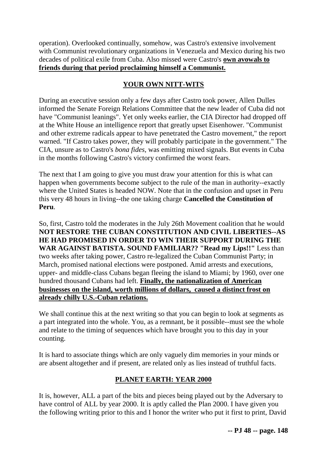operation). Overlooked continually, somehow, was Castro's extensive involvement with Communist revolutionary organizations in Venezuela and Mexico during his two decades of political exile from Cuba. Also missed were Castro's **own avowals to friends during that period proclaiming himself a Communist.** 

## **YOUR OWN NITT-WITS**

During an executive session only a few days after Castro took power, Allen Dulles informed the Senate Foreign Relations Committee that the new leader of Cuba did not have "Communist leanings". Yet only weeks earlier, the CIA Director had dropped off at the White House an intelligence report that greatly upset Eisenhower. "Communist and other extreme radicals appear to have penetrated the Castro movement," the report warned. "If Castro takes power, they will probably participate in the government." The CIA, unsure as to Castro's *bona fides*, was emitting mixed signals. But events in Cuba in the months following Castro's victory confirmed the worst fears.

The next that I am going to give you must draw your attention for this is what can happen when governments become subject to the rule of the man in authority--exactly where the United States is headed NOW. Note that in the confusion and upset in Peru this very 48 hours in living--the one taking charge **Cancelled the Constitution of Peru**.

So, first, Castro told the moderates in the July 26th Movement coalition that he would **NOT RESTORE THE CUBAN CONSTITUTION AND CIVIL LIBERTIES--AS HE HAD PROMISED IN ORDER TO WIN THEIR SUPPORT DURING THE WAR AGAINST BATISTA. SOUND FAMILIAR?? "Read my Lips!!"** Less than two weeks after taking power, Castro re-legalized the Cuban Communist Party; in March, promised national elections were postponed. Amid arrests and executions, upper- and middle-class Cubans began fleeing the island to Miami; by 1960, over one hundred thousand Cubans had left. **Finally, the nationalization of American businesses on the island, worth millions of dollars, caused a distinct frost on already chilly U.S.-Cuban relations.** 

We shall continue this at the next writing so that you can begin to look at segments as a part integrated into the whole. You, as a remnant, be it possible--must see the whole and relate to the timing of sequences which have brought you to this day in your counting.

It is hard to associate things which are only vaguely dim memories in your minds or are absent altogether and if present, are related only as lies instead of truthful facts.

# **PLANET EARTH: YEAR 2000**

It is, however, ALL a part of the bits and pieces being played out by the Adversary to have control of ALL by year 2000. It is aptly called the Plan 2000. I have given you the following writing prior to this and I honor the writer who put it first to print, David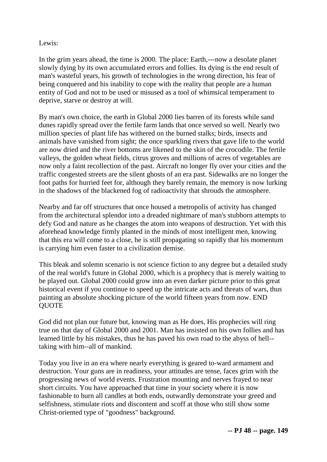## Lewis:

In the grim years ahead, the time is 2000. The place: Earth,---now a desolate planet slowly dying by its own accumulated errors and follies. Its dying is the end result of man's wasteful years, his growth of technologies in the wrong direction, his fear of being conquered and his inability to cope with the reality that people are a human entity of God and not to be used or misused as a tool of whimsical temperament to deprive, starve or destroy at will.

By man's own choice, the earth in Global 2000 lies barren of its forests while sand dunes rapidly spread over the fertile farm lands that once served so well. Nearly two million species of plant life has withered on the burned stalks; birds, insects and animals have vanished from sight; the once sparkling rivers that gave life to the world are now dried and the river bottoms are likened to the skin of the crocodile. The fertile valleys, the golden wheat fields, citrus groves and millions of acres of vegetables are now only a faint recollection of the past. Aircraft no longer fly over your cities and the traffic congested streets are the silent ghosts of an era past. Sidewalks are no longer the foot paths for hurried feet for, although they barely remain, the memory is now lurking in the shadows of the blackened fog of radioactivity that shrouds the atmosphere.

Nearby and far off structures that once housed a metropolis of activity has changed from the architectural splendor into a dreaded nightmare of man's stubborn attempts to defy God and nature as he changes the atom into weapons of destruction. Yet with this aforehead knowledge firmly planted in the minds of most intelligent men, knowing that this era will come to a close, he is still propagating so rapidly that his momentum is carrying him even faster to a civilization demise.

This bleak and solemn scenario is not science fiction to any degree but a detailed study of the real world's future in Global 2000, which is a prophecy that is merely waiting to be played out. Global 2000 could grow into an even darker picture prior to this great historical event if you continue to speed up the intricate acts and threats of wars, thus painting an absolute shocking picture of the world fifteen years from now. END **OUOTE** 

God did not plan our future but, knowing man as He does, His prophecies will ring true on that day of Global 2000 and 2001. Man has insisted on his own follies and has learned little by his mistakes, thus he has paved his own road to the abyss of hell- taking with him--all of mankind.

Today you live in an era where nearly everything is geared to-ward armament and destruction. Your guns are in readiness, your attitudes are tense, faces grim with the progressing news of world events. Frustration mounting and nerves frayed to near short circuits. You have approached that time in your society where it is now fashionable to burn all candles at both ends, outwardly demonstrate your greed and selfishness, stimulate riots and discontent and scoff at those who still show some Christ-oriented type of "goodness" background.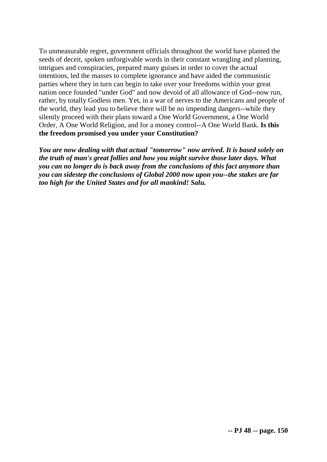To unmeasurable regret, government officials throughout the world have planted the seeds of deceit, spoken unforgivable words in their constant wrangling and planning, intrigues and conspiracies, prepared many guises in order to cover the actual intentions, led the masses to complete ignorance and have aided the communistic parties where they in turn can begin to take over your freedoms within your great nation once founded "under God" and now devoid of all allowance of God--now run, rather, by totally Godless men. Yet, in a war of nerves to the Americans and people of the world, they lead you to believe there will be no impending dangers--while they silently proceed with their plans toward a One World Government, a One World Order, A One World Religion, and for a money control--A One World Bank. **Is this the freedom promised you under your Constitution?**

*You are now dealing with that actual "tomorrow" now arrived. It is based solely on the truth of man's great follies and how you might survive those later days. What you can no longer do is back away from the conclusions of this fact anymore than you can sidestep the conclusions of Global 2000 now upon you--the stakes are far too high for the United States and for all mankind! Salu.*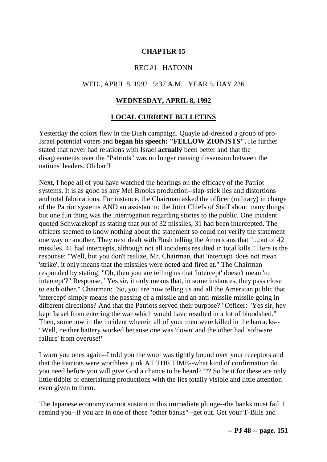## **CHAPTER 15**

#### REC #1 HATONN

### WED., APRIL 8, 1992 9:37 A.M. YEAR 5, DAY 236

#### **WEDNESDAY, APRIL 8, 1992**

#### **LOCAL CURRENT BULLETINS**

Yesterday the colors flew in the Bush campaign. Quayle ad-dressed a group of pro-Israel potential voters and **began his speech: "FELLOW ZIONISTS".** He further stated that never had relations with Israel **actually** been better and that the disagreements over the "Patriots" was no longer causing dissension between the nations' leaders. Oh barf!

Next, I hope all of you have watched the hearings on the efficacy of the Patriot systems. It is as good as any Mel Brooks production--slap-stick lies and distortions and total fabrications. For instance, the Chairman asked the officer (military) in charge of the Patriot systems AND an assistant to the Joint Chiefs of Staff about many things but one fun thing was the interrogation regarding stories to the public. One incident quoted Schwarzkopf as stating that out of 32 missiles, 31 had been intercepted. The officers seemed to know nothing about the statement so could not verify the statement one way or another. They next dealt with Bush telling the Americans that "...out of 42 missiles, 41 had intercepts, although not all incidents resulted in total kills." Here is the response: "Well, but you don't realize, Mr. Chairman, that 'intercept' does not mean 'strike', it only means that the missiles were noted and fired at." The Chairman responded by stating: "Oh, then you are telling us that 'intercept' doesn't mean 'to intercept'?" Response, "Yes sir, it only means that, in some instances, they pass close to each other." Chairman: "So, you are now telling us and all the American public that 'intercept' simply means the passing of a missile and an anti-missile missile going in different directions? And that the Patriots served their purpose?" Officer: "Yes sir, hey kept Israel from entering the war which would have resulted in a lot of bloodshed." Then, somehow in the incident wherein all of your men were killed in the barracks-- "Well, neither battery worked because one was 'down' and the other had 'software failure' from overuse!"

I warn you ones again--I told you the wool was tightly bound over your receptors and that the Patriots were worthless junk AT THE TIME--what kind of confirmation do you need before you will give God a chance to be heard???? So be it for these are only little tidbits of entertaining productions with the lies totally visible and little attention even given to them.

The Japanese economy cannot sustain in this immediate plunge--the banks must fail. I remind you--if you are in one of those "other banks"--get out. Get your T-Bills and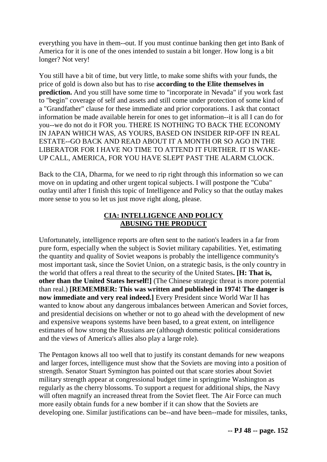everything you have in them--out. If you must continue banking then get into Bank of America for it is one of the ones intended to sustain a bit longer. How long is a bit longer? Not very!

You still have a bit of time, but very little, to make some shifts with your funds, the price of gold is down also but has to rise **according to the Elite themselves in prediction.** And you still have some time to "incorporate in Nevada" if you work fast to "begin" coverage of self and assets and still come under protection of some kind of a "Grandfather" clause for these immediate and prior corporations. I ask that contact information be made available herein for ones to get information--it is all I can do for you--we do not do it FOR you. THERE IS NOTHING TO BACK THE ECONOMY IN JAPAN WHICH WAS, AS YOURS, BASED ON INSIDER RIP-OFF IN REAL ESTATE--GO BACK AND READ ABOUT IT A MONTH OR SO AGO IN THE LIBERATOR FOR I HAVE NO TIME TO ATTEND IT FURTHER. IT IS WAKE-UP CALL, AMERICA, FOR YOU HAVE SLEPT PAST THE ALARM CLOCK.

Back to the CIA, Dharma, for we need to rip right through this information so we can move on in updating and other urgent topical subjects. I will postpone the "Cuba" outlay until after I finish this topic of Intelligence and Policy so that the outlay makes more sense to you so let us just move right along, please.

## **CIA: INTELLIGENCE AND POLICY ABUSING THE PRODUCT**

Unfortunately, intelligence reports are often sent to the nation's leaders in a far from pure form, especially when the subject is Soviet military capabilities. Yet, estimating the quantity and quality of Soviet weapons is probably the intelligence community's most important task, since the Soviet Union, on a strategic basis, is the only country in the world that offers a real threat to the security of the United States**. [H: That is, other than the United States herself!]** (The Chinese strategic threat is more potential than real.) **[REMEMBER: This was written and published in 1974! The danger is now immediate and very real indeed.]** Every President since World War II has wanted to know about any dangerous imbalances between American and Soviet forces, and presidential decisions on whether or not to go ahead with the development of new and expensive weapons systems have been based, to a great extent, on intelligence estimates of how strong the Russians are (although domestic political considerations and the views of America's allies also play a large role).

The Pentagon knows all too well that to justify its constant demands for new weapons and larger forces, intelligence must show that the Soviets are moving into a position of strength. Senator Stuart Symington has pointed out that scare stories about Soviet military strength appear at congressional budget time in springtime Washington as regularly as the cherry blossoms. To support a request for additional ships, the Navy will often magnify an increased threat from the Soviet fleet. The Air Force can much more easily obtain funds for a new bomber if it can show that the Soviets are developing one. Similar justifications can be--and have been--made for missiles, tanks,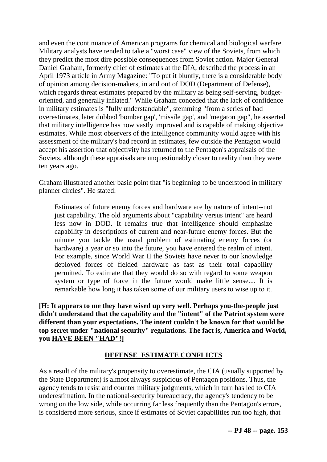and even the continuance of American programs for chemical and biological warfare. Military analysts have tended to take a "worst case" view of the Soviets, from which they predict the most dire possible consequences from Soviet action. Major General Daniel Graham, formerly chief of estimates at the DIA, described the process in an April 1973 article in Army Magazine: "To put it bluntly, there is a considerable body of opinion among decision-makers, in and out of DOD (Department of Defense), which regards threat estimates prepared by the military as being self-serving, budgetoriented, and generally inflated." While Graham conceded that the lack of confidence in military estimates is "fully understandable", stemming "from a series of bad overestimates, later dubbed 'bomber gap', 'missile gap', and 'megaton gap", he asserted that military intelligence has now vastly improved and is capable of making objective estimates. While most observers of the intelligence community would agree with his assessment of the military's bad record in estimates, few outside the Pentagon would accept his assertion that objectivity has returned to the Pentagon's appraisals of the Soviets, although these appraisals are unquestionably closer to reality than they were ten years ago.

Graham illustrated another basic point that "is beginning to be understood in military planner circles". He stated:

Estimates of future enemy forces and hardware are by nature of intent--not just capability. The old arguments about "capability versus intent" are heard less now in DOD. It remains true that intelligence should emphasize capability in descriptions of current and near-future enemy forces. But the minute you tackle the usual problem of estimating enemy forces (or hardware) a year or so into the future, you have entered the realm of intent. For example, since World War II the Soviets have never to our knowledge deployed forces of fielded hardware as fast as their total capability permitted. To estimate that they would do so with regard to some weapon system or type of force in the future would make little sense.... It is remarkable how long it has taken some of our military users to wise up to it.

**[H: It appears to me they have wised up very well. Perhaps you-the-people just didn't understand that the capability and the "intent" of the Patriot system were different than your expectations. The intent couldn't be known for that would be top secret under "national security" regulations. The fact is, America and World, you HAVE BEEN "HAD"!]**

## **DEFENSE ESTIMATE CONFLICTS**

As a result of the military's propensity to overestimate, the CIA (usually supported by the State Department) is almost always suspicious of Pentagon positions. Thus, the agency tends to resist and counter military judgments, which in turn has led to CIA underestimation. In the national-security bureaucracy, the agency's tendency to be wrong on the low side, while occurring far less frequently than the Pentagon's errors, is considered more serious, since if estimates of Soviet capabilities run too high, that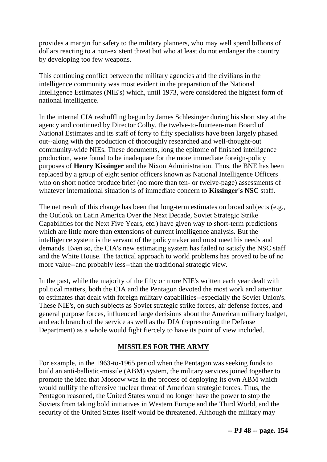provides a margin for safety to the military planners, who may well spend billions of dollars reacting to a non-existent threat but who at least do not endanger the country by developing too few weapons.

This continuing conflict between the military agencies and the civilians in the intelligence community was most evident in the preparation of the National Intelligence Estimates (NIE's) which, until 1973, were considered the highest form of national intelligence.

In the internal CIA reshuffling begun by James Schlesinger during his short stay at the agency and continued by Director Colby, the twelve-to-fourteen-man Board of National Estimates and its staff of forty to fifty specialists have been largely phased out--along with the production of thoroughly researched and well-thought-out community-wide NIEs. These documents, long the epitome of finished intelligence production, were found to be inadequate for the more immediate foreign-policy purposes of **Henry Kissinger** and the Nixon Administration. Thus, the BNE has been replaced by a group of eight senior officers known as National Intelligence Officers who on short notice produce brief (no more than ten- or twelve-page) assessments of whatever international situation is of immediate concern to **Kissinger's NSC** staff.

The net result of this change has been that long-term estimates on broad subjects (e.g., the Outlook on Latin America Over the Next Decade, Soviet Strategic Strike Capabilities for the Next Five Years, etc.) have given way to short-term predictions which are little more than extensions of current intelligence analysis. But the intelligence system is the servant of the policymaker and must meet his needs and demands. Even so, the CIA's new estimating system has failed to satisfy the NSC staff and the White House. The tactical approach to world problems has proved to be of no more value--and probably less--than the traditional strategic view.

In the past, while the majority of the fifty or more NIE's written each year dealt with political matters, both the CIA and the Pentagon devoted the most work and attention to estimates that dealt with foreign military capabilities--especially the Soviet Union's. These NIE's, on such subjects as Soviet strategic strike forces, air defense forces, and general purpose forces, influenced large decisions about the American military budget, and each branch of the service as well as the DIA (representing the Defense Department) as a whole would fight fiercely to have its point of view included.

# **MISSILES FOR THE ARMY**

For example, in the 1963-to-1965 period when the Pentagon was seeking funds to build an anti-ballistic-missile (ABM) system, the military services joined together to promote the idea that Moscow was in the process of deploying its own ABM which would nullify the offensive nuclear threat of American strategic forces. Thus, the Pentagon reasoned, the United States would no longer have the power to stop the Soviets from taking bold initiatives in Western Europe and the Third World, and the security of the United States itself would be threatened. Although the military may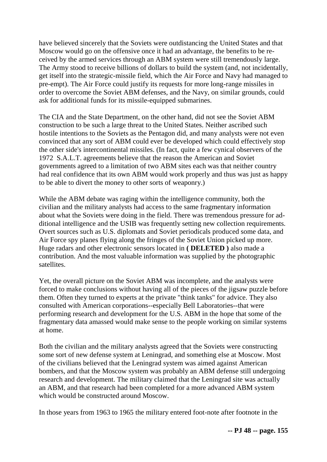have believed sincerely that the Soviets were outdistancing the United States and that Moscow would go on the offensive once it had an advantage, the benefits to be received by the armed services through an ABM system were still tremendously large. The Army stood to receive billions of dollars to build the system (and, not incidentally, get itself into the strategic-missile field, which the Air Force and Navy had managed to pre-empt). The Air Force could justify its requests for more long-range missiles in order to overcome the Soviet ABM defenses, and the Navy, on similar grounds, could ask for additional funds for its missile-equipped submarines.

The CIA and the State Department, on the other hand, did not see the Soviet ABM construction to be such a large threat to the United States. Neither ascribed such hostile intentions to the Soviets as the Pentagon did, and many analysts were not even convinced that any sort of ABM could ever be developed which could effectively stop the other side's intercontinental missiles. (In fact, quite a few cynical observers of the 1972 S.A.L.T. agreements believe that the reason the American and Soviet governments agreed to a limitation of two ABM sites each was that neither country had real confidence that its own ABM would work properly and thus was just as happy to be able to divert the money to other sorts of weaponry.)

While the ABM debate was raging within the intelligence community, both the civilian and the military analysts had access to the same fragmentary information about what the Soviets were doing in the field. There was tremendous pressure for additional intelligence and the USIB was frequently setting new collection requirements. Overt sources such as U.S. diplomats and Soviet periodicals produced some data, and Air Force spy planes flying along the fringes of the Soviet Union picked up more. Huge radars and other electronic sensors located in **( DELETED )** also made a contribution. And the most valuable information was supplied by the photographic satellites.

Yet, the overall picture on the Soviet ABM was incomplete, and the analysts were forced to make conclusions without having all of the pieces of the jigsaw puzzle before them. Often they turned to experts at the private "think tanks" for advice. They also consulted with American corporations--especially Bell Laboratories--that were performing research and development for the U.S. ABM in the hope that some of the fragmentary data amassed would make sense to the people working on similar systems at home.

Both the civilian and the military analysts agreed that the Soviets were constructing some sort of new defense system at Leningrad, and something else at Moscow. Most of the civilians believed that the Leningrad system was aimed against American bombers, and that the Moscow system was probably an ABM defense still undergoing research and development. The military claimed that the Leningrad site was actually an ABM, and that research had been completed for a more advanced ABM system which would be constructed around Moscow.

In those years from 1963 to 1965 the military entered foot-note after footnote in the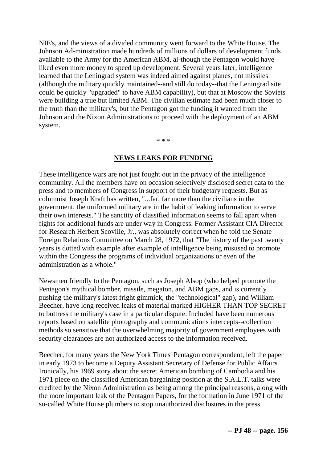NIE's, and the views of a divided community went forward to the White House. The Johnson Ad-ministration made hundreds of millions of dollars of development funds available to the Army for the American ABM, al-though the Pentagon would have liked even more money to speed up development. Several years later, intelligence learned that the Leningrad system was indeed aimed against planes, not missiles (although the military quickly maintained--and still do today--that the Leningrad site could be quickly "upgraded" to have ABM capability), but that at Moscow the Soviets were building a true but limited ABM. The civilian estimate had been much closer to the truth than the military's, but the Pentagon got the funding it wanted from the Johnson and the Nixon Administrations to proceed with the deployment of an ABM system.

\* \* \*

#### **NEWS LEAKS FOR FUNDING**

These intelligence wars are not just fought out in the privacy of the intelligence community. All the members have on occasion selectively disclosed secret data to the press and to members of Congress in support of their budgetary requests. But as columnist Joseph Kraft has written, "...far, far more than the civilians in the government, the uniformed military are in the habit of leaking information to serve their own interests." The sanctity of classified information seems to fall apart when fights for additional funds are under way in Congress. Former Assistant CIA Director for Research Herbert Scoville, Jr., was absolutely correct when he told the Senate Foreign Relations Committee on March 28, 1972, that "The history of the past twenty years is dotted with example after example of intelligence being misused to promote within the Congress the programs of individual organizations or even of the administration as a whole."

Newsmen friendly to the Pentagon, such as Joseph Alsop (who helped promote the Pentagon's mythical bomber, missile, megaton, and ABM gaps, and is currently pushing the military's latest fright gimmick, the "technological" gap), and William Beecher, have long received leaks of material marked HIGHER THAN TOP SECRET' to buttress the military's case in a particular dispute. Included have been numerous reports based on satellite photography and communications intercepts--collection methods so sensitive that the overwhelming majority of government employees with security clearances are not authorized access to the information received.

Beecher, for many years the New York Times' Pentagon correspondent, left the paper in early 1973 to become a Deputy Assistant Secretary of Defense for Public Affairs. Ironically, his 1969 story about the secret American bombing of Cambodia and his 1971 piece on the classified American bargaining position at the S.A.L.T. talks were credited by the Nixon Administration as being among the principal reasons, along with the more important leak of the Pentagon Papers, for the formation in June 1971 of the so-called White House plumbers to stop unauthorized disclosures in the press.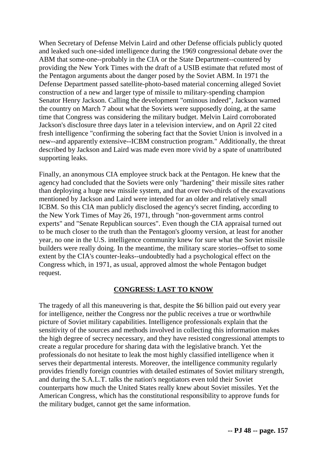When Secretary of Defense Melvin Laird and other Defense officials publicly quoted and leaked such one-sided intelligence during the 1969 congressional debate over the ABM that some-one--probably in the CIA or the State Department--countered by providing the New York Times with the draft of a USIB estimate that refuted most of the Pentagon arguments about the danger posed by the Soviet ABM. In 1971 the Defense Department passed satellite-photo-based material concerning alleged Soviet construction of a new and larger type of missile to military-spending champion Senator Henry Jackson. Calling the development "ominous indeed", Jackson warned the country on March 7 about what the Soviets were supposedly doing, at the same time that Congress was considering the military budget. Melvin Laird corroborated Jackson's disclosure three days later in a television interview, and on April 22 cited fresh intelligence "confirming the sobering fact that the Soviet Union is involved in a new--and apparently extensive--ICBM construction program." Additionally, the threat described by Jackson and Laird was made even more vivid by a spate of unattributed supporting leaks.

Finally, an anonymous CIA employee struck back at the Pentagon. He knew that the agency had concluded that the Soviets were only "hardening" their missile sites rather than deploying a huge new missile system, and that over two-thirds of the excavations mentioned by Jackson and Laird were intended for an older and relatively small ICBM. So this CIA man publicly disclosed the agency's secret finding, according to the New York Times of May 26, 1971, through "non-government arms control experts" and "Senate Republican sources". Even though the CIA appraisal turned out to be much closer to the truth than the Pentagon's gloomy version, at least for another year, no one in the U.S. intelligence community knew for sure what the Soviet missile builders were really doing. In the meantime, the military scare stories--offset to some extent by the CIA's counter-leaks--undoubtedly had a psychological effect on the Congress which, in 1971, as usual, approved almost the whole Pentagon budget request.

## **CONGRESS: LAST TO KNOW**

The tragedy of all this maneuvering is that, despite the \$6 billion paid out every year for intelligence, neither the Congress nor the public receives a true or worthwhile picture of Soviet military capabilities. Intelligence professionals explain that the sensitivity of the sources and methods involved in collecting this information makes the high degree of secrecy necessary, and they have resisted congressional attempts to create a regular procedure for sharing data with the legislative branch. Yet the professionals do not hesitate to leak the most highly classified intelligence when it serves their departmental interests. Moreover, the intelligence community regularly provides friendly foreign countries with detailed estimates of Soviet military strength, and during the S.A.L.T. talks the nation's negotiators even told their Soviet counterparts how much the United States really knew about Soviet missiles. Yet the American Congress, which has the constitutional responsibility to approve funds for the military budget, cannot get the same information.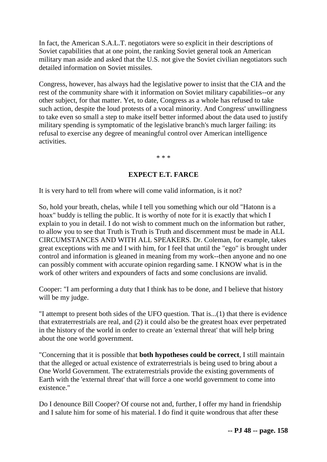In fact, the American S.A.L.T. negotiators were so explicit in their descriptions of Soviet capabilities that at one point, the ranking Soviet general took an American military man aside and asked that the U.S. not give the Soviet civilian negotiators such detailed information on Soviet missiles.

Congress, however, has always had the legislative power to insist that the CIA and the rest of the community share with it information on Soviet military capabilities--or any other subject, for that matter. Yet, to date, Congress as a whole has refused to take such action, despite the loud protests of a vocal minority. And Congress' unwillingness to take even so small a step to make itself better informed about the data used to justify military spending is symptomatic of the legislative branch's much larger failing: its refusal to exercise any degree of meaningful control over American intelligence activities.

\* \* \*

#### **EXPECT E.T. FARCE**

It is very hard to tell from where will come valid information, is it not?

So, hold your breath, chelas, while I tell you something which our old "Hatonn is a hoax" buddy is telling the public. It is worthy of note for it is exactly that which I explain to you in detail. I do not wish to comment much on the information but rather, to allow you to see that Truth is Truth is Truth and discernment must be made in ALL CIRCUMSTANCES AND WITH ALL SPEAKERS. Dr. Coleman, for example, takes great exceptions with me and I with him, for I feel that until the "ego" is brought under control and information is gleaned in meaning from my work--then anyone and no one can possibly comment with accurate opinion regarding same. I KNOW what is in the work of other writers and expounders of facts and some conclusions are invalid.

Cooper: "I am performing a duty that I think has to be done, and I believe that history will be my judge.

"I attempt to present both sides of the UFO question. That is...(1) that there is evidence that extraterrestrials are real, and (2) it could also be the greatest hoax ever perpetrated in the history of the world in order to create an 'external threat' that will help bring about the one world government.

"Concerning that it is possible that **both hypotheses could be correct**, I still maintain that the alleged or actual existence of extraterrestrials is being used to bring about a One World Government. The extraterrestrials provide the existing governments of Earth with the 'external threat' that will force a one world government to come into existence."

Do I denounce Bill Cooper? Of course not and, further, I offer my hand in friendship and I salute him for some of his material. I do find it quite wondrous that after these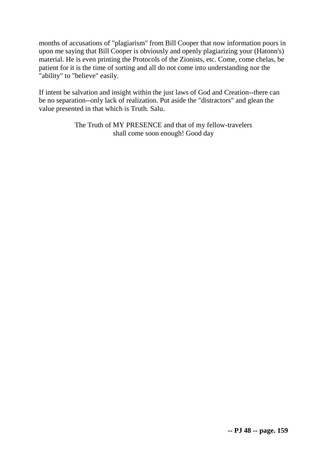months of accusations of "plagiarism" from Bill Cooper that now information pours in upon me saying that Bill Cooper is obviously and openly plagiarizing your (Hatonn's) material. He is even printing the Protocols of the Zionists, etc. Come, come chelas, be patient for it is the time of sorting and all do not come into understanding nor the "ability" to "believe" easily.

If intent be salvation and insight within the just laws of God and Creation--there can be no separation--only lack of realization. Put aside the "distractors" and glean the value presented in that which is Truth. Salu.

> The Truth of MY PRESENCE and that of my fellow-travelers shall come soon enough! Good day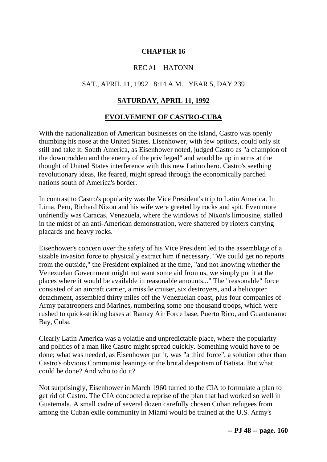## **CHAPTER 16**

#### REC #1 HATONN

## SAT., APRIL 11, 1992 8:14 A.M. YEAR 5, DAY 239

#### **SATURDAY, APRIL 11, 1992**

#### **EVOLVEMENT OF CASTRO-CUBA**

With the nationalization of American businesses on the island, Castro was openly thumbing his nose at the United States. Eisenhower, with few options, could only sit still and take it. South America, as Eisenhower noted, judged Castro as "a champion of the downtrodden and the enemy of the privileged" and would be up in arms at the thought of United States interference with this new Latino hero. Castro's seething revolutionary ideas, Ike feared, might spread through the economically parched nations south of America's border.

In contrast to Castro's popularity was the Vice President's trip to Latin America. In Lima, Peru, Richard Nixon and his wife were greeted by rocks and spit. Even more unfriendly was Caracas, Venezuela, where the windows of Nixon's limousine, stalled in the midst of an anti-American demonstration, were shattered by rioters carrying placards and heavy rocks.

Eisenhower's concern over the safety of his Vice President led to the assemblage of a sizable invasion force to physically extract him if necessary. "We could get no reports from the outside," the President explained at the time, "and not knowing whether the Venezuelan Government might not want some aid from us, we simply put it at the places where it would be available in reasonable amounts..." The "reasonable" force consisted of an aircraft carrier, a missile cruiser, six destroyers, and a helicopter detachment, assembled thirty miles off the Venezuelan coast, plus four companies of Army paratroopers and Marines, numbering some one thousand troops, which were rushed to quick-striking bases at Ramay Air Force base, Puerto Rico, and Guantanamo Bay, Cuba.

Clearly Latin America was a volatile and unpredictable place, where the popularity and politics of a man like Castro might spread quickly. Something would have to be done; what was needed, as Eisenhower put it, was "a third force", a solution other than Castro's obvious Communist leanings or the brutal despotism of Batista. But what could be done? And who to do it?

Not surprisingly, Eisenhower in March 1960 turned to the CIA to formulate a plan to get rid of Castro. The CIA concocted a reprise of the plan that had worked so well in Guatemala. A small cadre of several dozen carefully chosen Cuban refugees from among the Cuban exile community in Miami would be trained at the U.S. Army's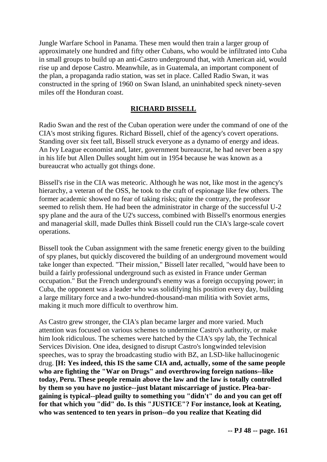Jungle Warfare School in Panama. These men would then train a larger group of approximately one hundred and fifty other Cubans, who would be infiltrated into Cuba in small groups to build up an anti-Castro underground that, with American aid, would rise up and depose Castro. Meanwhile, as in Guatemala, an important component of the plan, a propaganda radio station, was set in place. Called Radio Swan, it was constructed in the spring of 1960 on Swan Island, an uninhabited speck ninety-seven miles off the Honduran coast.

## **RICHARD BISSELL**

Radio Swan and the rest of the Cuban operation were under the command of one of the CIA's most striking figures. Richard Bissell, chief of the agency's covert operations. Standing over six feet tall, Bissell struck everyone as a dynamo of energy and ideas. An Ivy League economist and, later, government bureaucrat, he had never been a spy in his life but Allen Dulles sought him out in 1954 because he was known as a bureaucrat who actually got things done.

Bissell's rise in the CIA was meteoric. Although he was not, like most in the agency's hierarchy, a veteran of the OSS, he took to the craft of espionage like few others. The former academic showed no fear of taking risks; quite the contrary, the professor seemed to relish them. He had been the administrator in charge of the successful U-2 spy plane and the aura of the U2's success, combined with Bissell's enormous energies and managerial skill, made Dulles think Bissell could run the CIA's large-scale covert operations.

Bissell took the Cuban assignment with the same frenetic energy given to the building of spy planes, but quickly discovered the building of an underground movement would take longer than expected. "Their mission," Bissell later recalled, "would have been to build a fairly professional underground such as existed in France under German occupation." But the French underground's enemy was a foreign occupying power; in Cuba, the opponent was a leader who was solidifying his position every day, building a large military force and a two-hundred-thousand-man militia with Soviet arms, making it much more difficult to overthrow him.

As Castro grew stronger, the CIA's plan became larger and more varied. Much attention was focused on various schemes to undermine Castro's authority, or make him look ridiculous. The schemes were hatched by the CIA's spy lab, the Technical Services Division. One idea, designed to disrupt Castro's longwinded television speeches, was to spray the broadcasting studio with BZ, an LSD-like hallucinogenic drug. **[H: Yes indeed, this IS the same CIA and, actually, some of the same people who are fighting the "War on Drugs" and overthrowing foreign nations--like today, Peru. These people remain above the law and the law is totally controlled by them so you have no justice--just blatant miscarriage of justice. Plea-bargaining is typical--plead guilty to something you "didn't" do and you can get off for that which you "did" do. Is this "JUSTICE"? For instance, look at Keating, who was sentenced to ten years in prison--do you realize that Keating did**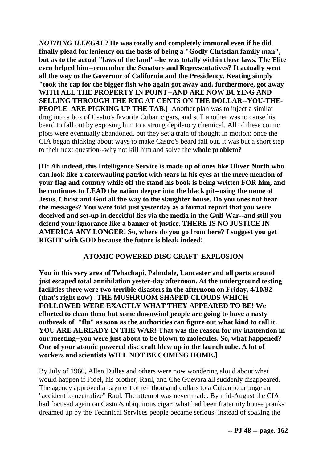*NOTHING ILLEGAL***? He was totally and completely immoral even if he did finally plead for leniency on the basis of being a "Godly Christian family man", but as to the actual "laws of the land"--he was totally within those laws. The Elite even helped him--remember the Senators and Representatives? It actually went all the way to the Governor of California and the Presidency. Keating simply "took the rap for the bigger fish who again got away and, furthermore, got away WITH ALL THE PROPERTY IN POINT--AND ARE NOW BUYING AND SELLING THROUGH THE RTC AT CENTS ON THE DOLLAR--YOU-THE-PEOPLE ARE PICKING UP THE TAB.]** Another plan was to inject a similar drug into a box of Castro's favorite Cuban cigars, and still another was to cause his beard to fall out by exposing him to a strong depilatory chemical. All of these comic plots were eventually abandoned, but they set a train of thought in motion: once the CIA began thinking about ways to make Castro's beard fall out, it was but a short step to their next question--why not kill him and solve the **whole problem?**

**[H: Ah indeed, this Intelligence Service is made up of ones like Oliver North who can look like a caterwauling patriot with tears in his eyes at the mere mention of your flag and country while off the stand his book is being written FOR him, and he continues to LEAD the nation deeper into the black pit--using the name of Jesus, Christ and God all the way to the slaughter house. Do you ones not hear the messages? You were told just yesterday as a formal report that you were deceived and set-up in deceitful lies via the media in the Gulf War--and still you defend your ignorance like a banner of justice. THERE IS NO JUSTICE IN AMERICA ANY LONGER! So, where do you go from here? I suggest you get RIGHT with GOD because the future is bleak indeed!**

## **ATOMIC POWERED DISC CRAFT EXPLOSION**

**You in this very area of Tehachapi, Palmdale, Lancaster and all parts around just escaped total annihilation yester-day afternoon. At the underground testing facilities there were two terrible disasters in the afternoon on Friday, 4/10/92 (that's right now)--THE MUSHROOM SHAPED CLOUDS WHICH FOLLOWED WERE EXACTLY WHAT THEY APPEARED TO BE! We efforted to clean them but some downwind people are going to have a nasty outbreak of "flu" as soon as the authorities can figure out what kind to call it. YOU ARE ALREADY IN THE WAR! That was the reason for my inattention in our meeting--you were just about to be blown to molecules. So, what happened? One of your atomic powered disc craft blew up in the launch tube. A lot of workers and scientists WILL NOT BE COMING HOME.]**

By July of 1960, Allen Dulles and others were now wondering aloud about what would happen if Fidel, his brother, Raul, and Che Guevara all suddenly disappeared. The agency approved a payment of ten thousand dollars to a Cuban to arrange an "accident to neutralize" Raul. The attempt was never made. By mid-August the CIA had focused again on Castro's ubiquitous cigar; what had been fraternity house pranks dreamed up by the Technical Services people became serious: instead of soaking the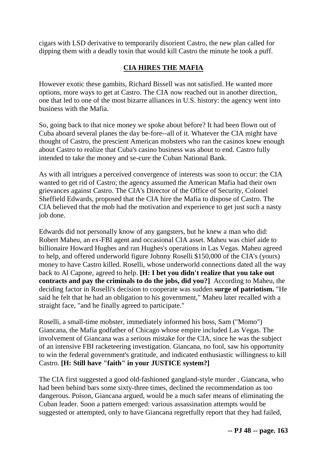cigars with LSD derivative to temporarily disorient Castro, the new plan called for dipping them with a deadly toxin that would kill Castro the minute he took a puff.

# **CIA HIRES THE MAFIA**

However exotic these gambits, Richard Bissell was not satisfied. He wanted more options, more ways to get at Castro. The CIA now reached out in another direction, one that led to one of the most bizarre alliances in U.S. history: the agency went into business with the Mafia.

So, going back to that nice money we spoke about before? It had been flown out of Cuba aboard several planes the day be-fore--all of it. Whatever the CIA might have thought of Castro, the prescient American mobsters who ran the casinos knew enough about Castro to realize that Cuba's casino business was about to end. Castro fully intended to take the money and se-cure the Cuban National Bank.

As with all intrigues a perceived convergence of interests was soon to occur: the CIA wanted to get rid of Castro; the agency assumed the American Mafia had their own grievances against Castro. The CIA's Director of the Office of Security, Colonel Sheffield Edwards, proposed that the CIA hire the Mafia to dispose of Castro. The CIA believed that the mob had the motivation and experience to get just such a nasty job done.

Edwards did not personally know of any gangsters, but he knew a man who did: Robert Maheu, an ex-FBI agent and occasional CIA asset. Maheu was chief aide to billionaire Howard Hughes and ran Hughes's operations in Las Vegas. Maheu agreed to help, and offered underworld figure Johnny Roselli \$150,000 of the CIA's (yours) money to have Castro killed. Roselli, whose underworld connections dated all the way back to Al Capone, agreed to help. **[H: I bet you didn't realize that you take out contracts and pay the criminals to do the jobs, did you?]** According to Maheu, the deciding factor in Roselli's decision to cooperate was sudden **surge of patriotism.** "He said he felt that he had an obligation to his government," Maheu later recalled with a straight face, "and he finally agreed to participate."

Roselli, a small-time mobster, immediately informed his boss, Sam ("Momo") Giancana, the Mafia godfather of Chicago whose empire included Las Vegas. The involvement of Giancana was a serious mistake for the CIA, since he was the subject of an intensive FBI racketeering investigation. Giancana, no fool, saw his opportunity to win the federal government's gratitude, and indicated enthusiastic willingness to kill Castro. **[H: Still have "faith" in your JUSTICE system?]**

The CIA first suggested a good old-fashioned gangland-style murder . Giancana, who had been behind bars some sixty-three times, declined the recommendation as too dangerous. Poison, Giancana argued, would be a much safer means of eliminating the Cuban leader. Soon a pattern emerged: various assassination attempts would be suggested or attempted, only to have Giancana regretfully report that they had failed,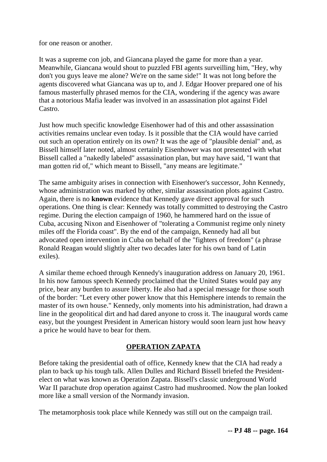for one reason or another.

It was a supreme con job, and Giancana played the game for more than a year. Meanwhile, Giancana would shout to puzzled FBI agents surveilling him, "Hey, why don't you guys leave me alone? We're on the same side!" It was not long before the agents discovered what Giancana was up to, and J. Edgar Hoover prepared one of his famous masterfully phrased memos for the CIA, wondering if the agency was aware that a notorious Mafia leader was involved in an assassination plot against Fidel Castro.

Just how much specific knowledge Eisenhower had of this and other assassination activities remains unclear even today. Is it possible that the CIA would have carried out such an operation entirely on its own? It was the age of "plausible denial" and, as Bissell himself later noted, almost certainly Eisenhower was not presented with what Bissell called a "nakedly labeled" assassination plan, but may have said, "I want that man gotten rid of," which meant to Bissell, "any means are legitimate."

The same ambiguity arises in connection with Eisenhower's successor, John Kennedy, whose administration was marked by other, similar assassination plots against Castro. Again, there is no **known** evidence that Kennedy gave direct approval for such operations. One thing is clear: Kennedy was totally committed to destroying the Castro regime. During the election campaign of 1960, he hammered hard on the issue of Cuba, accusing Nixon and Eisenhower of "tolerating a Communist regime only ninety miles off the Florida coast". By the end of the campaign, Kennedy had all but advocated open intervention in Cuba on behalf of the "fighters of freedom" (a phrase Ronald Reagan would slightly alter two decades later for his own band of Latin exiles).

A similar theme echoed through Kennedy's inauguration address on January 20, 1961. In his now famous speech Kennedy proclaimed that the United States would pay any price, bear any burden to assure liberty. He also had a special message for those south of the border: "Let every other power know that this Hemisphere intends to remain the master of its own house." Kennedy, only moments into his administration, had drawn a line in the geopolitical dirt and had dared anyone to cross it. The inaugural words came easy, but the youngest President in American history would soon learn just how heavy a price he would have to bear for them.

# **OPERATION ZAPATA**

Before taking the presidential oath of office, Kennedy knew that the CIA had ready a plan to back up his tough talk. Allen Dulles and Richard Bissell briefed the Presidentelect on what was known as Operation Zapata. Bissell's classic underground World War II parachute drop operation against Castro had mushroomed. Now the plan looked more like a small version of the Normandy invasion.

The metamorphosis took place while Kennedy was still out on the campaign trail.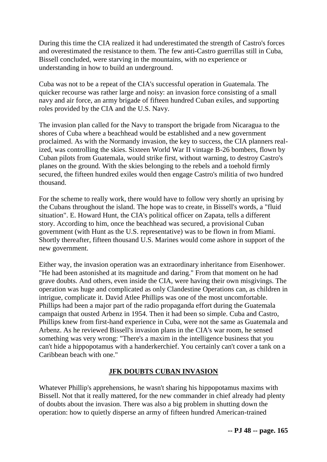During this time the CIA realized it had underestimated the strength of Castro's forces and overestimated the resistance to them. The few anti-Castro guerrillas still in Cuba, Bissell concluded, were starving in the mountains, with no experience or understanding in how to build an underground.

Cuba was not to be a repeat of the CIA's successful operation in Guatemala. The quicker recourse was rather large and noisy: an invasion force consisting of a small navy and air force, an army brigade of fifteen hundred Cuban exiles, and supporting roles provided by the CIA and the U.S. Navy.

The invasion plan called for the Navy to transport the brigade from Nicaragua to the shores of Cuba where a beachhead would be established and a new government proclaimed. As with the Normandy invasion, the key to success, the CIA planners realized, was controlling the skies. Sixteen World War II vintage B-26 bombers, flown by Cuban pilots from Guatemala, would strike first, without warning, to destroy Castro's planes on the ground. With the skies belonging to the rebels and a toehold firmly secured, the fifteen hundred exiles would then engage Castro's militia of two hundred thousand.

For the scheme to really work, there would have to follow very shortly an uprising by the Cubans throughout the island. The hope was to create, in Bissell's words, a "fluid situation". E. Howard Hunt, the CIA's political officer on Zapata, tells a different story. According to him, once the beachhead was secured, a provisional Cuban government (with Hunt as the U.S. representative) was to be flown in from Miami. Shortly thereafter, fifteen thousand U.S. Marines would come ashore in support of the new government.

Either way, the invasion operation was an extraordinary inheritance from Eisenhower. "He had been astonished at its magnitude and daring." From that moment on he had grave doubts. And others, even inside the CIA, were having their own misgivings. The operation was huge and complicated as only Clandestine Operations can, as children in intrigue, complicate it. David Atlee Phillips was one of the most uncomfortable. Phillips had been a major part of the radio propaganda effort during the Guatemala campaign that ousted Arbenz in 1954. Then it had been so simple. Cuba and Castro, Phillips knew from first-hand experience in Cuba, were not the same as Guatemala and Arbenz. As he reviewed Bissell's invasion plans in the CIA's war room, he sensed something was very wrong: "There's a maxim in the intelligence business that you can't hide a hippopotamus with a handerkerchief. You certainly can't cover a tank on a Caribbean beach with one."

# **JFK DOUBTS CUBAN INVASION**

Whatever Phillip's apprehensions, he wasn't sharing his hippopotamus maxims with Bissell. Not that it really mattered, for the new commander in chief already had plenty of doubts about the invasion. There was also a big problem in shutting down the operation: how to quietly disperse an army of fifteen hundred American-trained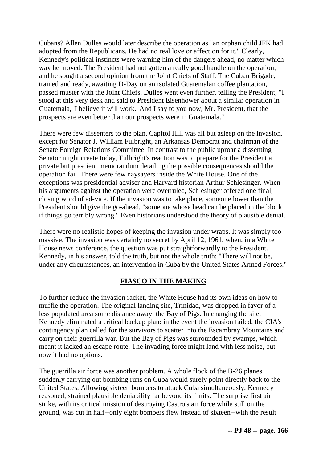Cubans? Allen Dulles would later describe the operation as "an orphan child JFK had adopted from the Republicans. He had no real love or affection for it." Clearly, Kennedy's political instincts were warning him of the dangers ahead, no matter which way he moved. The President had not gotten a really good handle on the operation, and he sought a second opinion from the Joint Chiefs of Staff. The Cuban Brigade, trained and ready, awaiting D-Day on an isolated Guatemalan coffee plantation, passed muster with the Joint Chiefs. Dulles went even further, telling the President, "I stood at this very desk and said to President Eisenhower about a similar operation in Guatemala, 'I believe it will work.' And I say to you now, Mr. President, that the prospects are even better than our prospects were in Guatemala."

There were few dissenters to the plan. Capitol Hill was all but asleep on the invasion, except for Senator J. William Fulbright, an Arkansas Democrat and chairman of the Senate Foreign Relations Committee. In contrast to the public uproar a dissenting Senator might create today, Fulbright's reaction was to prepare for the President a private but prescient memorandum detailing the possible consequences should the operation fail. There were few naysayers inside the White House. One of the exceptions was presidential adviser and Harvard historian Arthur Schlesinger. When his arguments against the operation were overruled, Schlesinger offered one final, closing word of ad-vice. If the invasion was to take place, someone lower than the President should give the go-ahead, "someone whose head can be placed in the block if things go terribly wrong." Even historians understood the theory of plausible denial.

There were no realistic hopes of keeping the invasion under wraps. It was simply too massive. The invasion was certainly no secret by April 12, 1961, when, in a White House news conference, the question was put straightforwardly to the President. Kennedy, in his answer, told the truth, but not the whole truth: "There will not be, under any circumstances, an intervention in Cuba by the United States Armed Forces."

## **FIASCO IN THE MAKING**

To further reduce the invasion racket, the White House had its own ideas on how to muffle the operation. The original landing site, Trinidad, was dropped in favor of a less populated area some distance away: the Bay of Pigs. In changing the site, Kennedy eliminated a critical backup plan: in the event the invasion failed, the CIA's contingency plan called for the survivors to scatter into the Escambray Mountains and carry on their guerrilla war. But the Bay of Pigs was surrounded by swamps, which meant it lacked an escape route. The invading force might land with less noise, but now it had no options.

The guerrilla air force was another problem. A whole flock of the B-26 planes suddenly carrying out bombing runs on Cuba would surely point directly back to the United States. Allowing sixteen bombers to attack Cuba simultaneously, Kennedy reasoned, strained plausible deniability far beyond its limits. The surprise first air strike, with its critical mission of destroying Castro's air force while still on the ground, was cut in half--only eight bombers flew instead of sixteen--with the result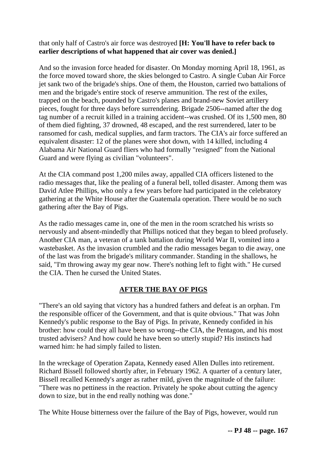that only half of Castro's air force was destroyed **[H: You'll have to refer back to earlier descriptions of what happened that air cover was denied.]**

And so the invasion force headed for disaster. On Monday morning April 18, 1961, as the force moved toward shore, the skies belonged to Castro. A single Cuban Air Force jet sank two of the brigade's ships. One of them, the Houston, carried two battalions of men and the brigade's entire stock of reserve ammunition. The rest of the exiles, trapped on the beach, pounded by Castro's planes and brand-new Soviet artillery pieces, fought for three days before surrendering. Brigade 2506--named after the dog tag number of a recruit killed in a training accident--was crushed. Of its 1,500 men, 80 of them died fighting, 37 drowned, 48 escaped, and the rest surrendered, later to be ransomed for cash, medical supplies, and farm tractors. The CIA's air force suffered an equivalent disaster: 12 of the planes were shot down, with 14 killed, including 4 Alabama Air National Guard fliers who had formally "resigned" from the National Guard and were flying as civilian "volunteers".

At the CIA command post 1,200 miles away, appalled CIA officers listened to the radio messages that, like the pealing of a funeral bell, tolled disaster. Among them was David Atlee Phillips, who only a few years before had participated in the celebratory gathering at the White House after the Guatemala operation. There would be no such gathering after the Bay of Pigs.

As the radio messages came in, one of the men in the room scratched his wrists so nervously and absent-mindedly that Phillips noticed that they began to bleed profusely. Another CIA man, a veteran of a tank battalion during World War II, vomited into a wastebasket. As the invasion crumbled and the radio messages began to die away, one of the last was from the brigade's military commander. Standing in the shallows, he said, "I'm throwing away my gear now. There's nothing left to fight with." He cursed the CIA. Then he cursed the United States.

# **AFTER THE BAY OF PIGS**

"There's an old saying that victory has a hundred fathers and defeat is an orphan. I'm the responsible officer of the Government, and that is quite obvious." That was John Kennedy's public response to the Bay of Pigs. In private, Kennedy confided in his brother: how could they all have been so wrong--the CIA, the Pentagon, and his most trusted advisers? And how could he have been so utterly stupid? His instincts had warned him: he had simply failed to listen.

In the wreckage of Operation Zapata, Kennedy eased Allen Dulles into retirement. Richard Bissell followed shortly after, in February 1962. A quarter of a century later, Bissell recalled Kennedy's anger as rather mild, given the magnitude of the failure: "There was no pettiness in the reaction. Privately he spoke about cutting the agency down to size, but in the end really nothing was done."

The White House bitterness over the failure of the Bay of Pigs, however, would run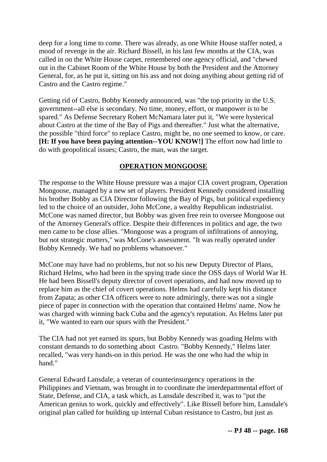deep for a long time to come. There was already, as one White House staffer noted, a mood of revenge in the air. Richard Bissell, in his last few months at the CIA, was called in on the White House carpet, remembered one agency official, and "chewed out in the Cabinet Room of the White House by both the President and the Attorney General, for, as he put it, sitting on his ass and not doing anything about getting rid of Castro and the Castro regime."

Getting rid of Castro, Bobby Kennedy announced, was "the top priority in the U.S. government--all else is secondary. No time, money, effort, or manpower is to be spared." As Defense Secretary Robert McNamara later put it, "We were hysterical about Castro at the time of the Bay of Pigs and thereafter." Just what the alternative, the possible "third force" to replace Castro, might be, no one seemed to know, or care. **[H: If you have been paying attention--YOU KNOW!]** The effort now had little to do with geopolitical issues; Castro, the man, was the target.

## **OPERATION MONGOOSE**

The response to the White House pressure was a major CIA covert program, Operation Mongoose, managed by a new set of players. President Kennedy considered installing his brother Bobby as CIA Director following the Bay of Pigs, but political expediency led to the choice of an outsider, John McCone, a wealthy Republican industrialist. McCone was named director, but Bobby was given free rein to oversee Mongoose out of the Attorney General's office. Despite their differences in politics and age, the two men came to be close allies. "Mongoose was a program of infiltrations of annoying, but not strategic matters," was McCone's assessment. "It was really operated under Bobby Kennedy. We had no problems whatsoever."

McCone may have had no problems, but not so his new Deputy Director of Plans, Richard Helms, who had been in the spying trade since the OSS days of World War H. He had been Bissell's deputy director of covert operations, and had now moved up to replace him as the chief of covert operations. Helms had carefully kept his distance from Zapata; as other CIA officers were to note admiringly, there was not a single piece of paper in connection with the operation that contained Helms' name. Now he was charged with winning back Cuba and the agency's reputation. As Helms later put it, "We wanted to earn our spurs with the President."

The CIA had not yet earned its spurs, but Bobby Kennedy was goading Helms with constant demands to do something about Castro. "Bobby Kennedy," Helms later recalled, "was very hands-on in this period. He was the one who had the whip in hand."

General Edward Lansdale, a veteran of counterinsurgency operations in the Philippines and Vietnam, was brought in to coordinate the interdepartmental effort of State, Defense, and CIA, a task which, as Lansdale described it, was to "put the American genius to work, quickly and effectively". Like Bissell before him, Lansdale's original plan called for building up internal Cuban resistance to Castro, but just as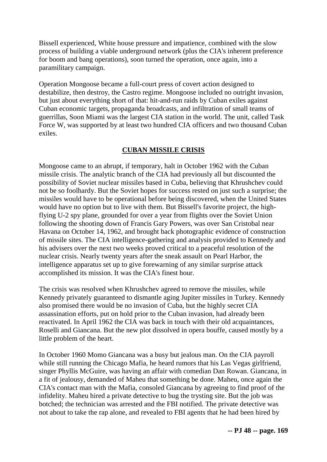Bissell experienced, White house pressure and impatience, combined with the slow process of building a viable underground network (plus the CIA's inherent preference for boom and bang operations), soon turned the operation, once again, into a paramilitary campaign.

Operation Mongoose became a full-court press of covert action designed to destabilize, then destroy, the Castro regime. Mongoose included no outright invasion, but just about everything short of that: hit-and-run raids by Cuban exiles against Cuban economic targets, propaganda broadcasts, and infiltration of small teams of guerrillas, Soon Miami was the largest CIA station in the world. The unit, called Task Force W, was supported by at least two hundred CIA officers and two thousand Cuban exiles.

## **CUBAN MISSILE CRISIS**

Mongoose came to an abrupt, if temporary, halt in October 1962 with the Cuban missile crisis. The analytic branch of the CIA had previously all but discounted the possibility of Soviet nuclear missiles based in Cuba, believing that Khrushchev could not be so foolhardy. But the Soviet hopes for success rested on just such a surprise; the missiles would have to be operational before being discovered, when the United States would have no option but to live with them. But Bissell's favorite project, the highflying U-2 spy plane, grounded for over a year from flights over the Soviet Union following the shooting down of Francis Gary Powers, was over San Cristobal near Havana on October 14, 1962, and brought back photographic evidence of construction of missile sites. The CIA intelligence-gathering and analysis provided to Kennedy and his advisers over the next two weeks proved critical to a peaceful resolution of the nuclear crisis. Nearly twenty years after the sneak assault on Pearl Harbor, the intelligence apparatus set up to give forewarning of any similar surprise attack accomplished its mission. It was the CIA's finest hour.

The crisis was resolved when Khrushchev agreed to remove the missiles, while Kennedy privately guaranteed to dismantle aging Jupiter missiles in Turkey. Kennedy also promised there would be no invasion of Cuba, but the highly secret CIA assassination efforts, put on hold prior to the Cuban invasion, had already been reactivated. In April 1962 the CIA was back in touch with their old acquaintances, Roselli and Giancana. But the new plot dissolved in opera bouffe, caused mostly by a little problem of the heart.

In October 1960 Momo Giancana was a busy but jealous man. On the CIA payroll while still running the Chicago Mafia, he heard rumors that his Las Vegas girlfriend, singer Phyllis McGuire, was having an affair with comedian Dan Rowan. Giancana, in a fit of jealousy, demanded of Maheu that something be done. Maheu, once again the CIA's contact man with the Mafia, consoled Giancana by agreeing to find proof of the infidelity. Maheu hired a private detective to bug the trysting site. But the job was botched; the technician was arrested and the FBI notified. The private detective was not about to take the rap alone, and revealed to FBI agents that he had been hired by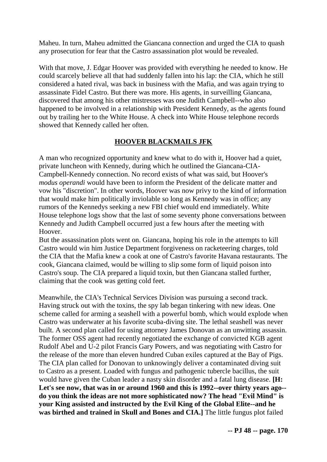Maheu. In turn, Maheu admitted the Giancana connection and urged the CIA to quash any prosecution for fear that the Castro assassination plot would be revealed.

With that move, J. Edgar Hoover was provided with everything he needed to know. He could scarcely believe all that had suddenly fallen into his lap: the CIA, which he still considered a hated rival, was back in business with the Mafia, and was again trying to assassinate Fidel Castro. But there was more. His agents, in surveilling Giancana, discovered that among his other mistresses was one Judith Campbell--who also happened to be involved in a relationship with President Kennedy, as the agents found out by trailing her to the White House. A check into White House telephone records showed that Kennedy called her often.

## **HOOVER BLACKMAILS JFK**

A man who recognized opportunity and knew what to do with it, Hoover had a quiet, private luncheon with Kennedy, during which he outlined the Giancana-CIA-Campbell-Kennedy connection. No record exists of what was said, but Hoover's *modus operandi* would have been to inform the President of the delicate matter and vow his "discretion". In other words, Hoover was now privy to the kind of information that would make him politically inviolable so long as Kennedy was in office; any rumors of the Kennedys seeking a new FBI chief would end immediately. White House telephone logs show that the last of some seventy phone conversations between Kennedy and Judith Campbell occurred just a few hours after the meeting with Hoover.

But the assassination plots went on. Giancana, hoping his role in the attempts to kill Castro would win him Justice Department forgiveness on racketeering charges, told the CIA that the Mafia knew a cook at one of Castro's favorite Havana restaurants. The cook, Giancana claimed, would be willing to slip some form of liquid poison into Castro's soup. The CIA prepared a liquid toxin, but then Giancana stalled further, claiming that the cook was getting cold feet.

Meanwhile, the CIA's Technical Services Division was pursuing a second track. Having struck out with the toxins, the spy lab began tinkering with new ideas. One scheme called for arming a seashell with a powerful bomb, which would explode when Castro was underwater at his favorite scuba-diving site. The lethal seashell was never built. A second plan called for using attorney James Donovan as an unwitting assassin. The former OSS agent had recently negotiated the exchange of convicted KGB agent Rudolf Abel and U-2 pilot Francis Gary Powers, and was negotiating with Castro for the release of the more than eleven hundred Cuban exiles captured at the Bay of Pigs. The CIA plan called for Donovan to unknowingly deliver a contaminated diving suit to Castro as a present. Loaded with fungus and pathogenic tubercle bacillus, the suit would have given the Cuban leader a nasty skin disorder and a fatal lung disease. **[H: Let's see now, that was in or around 1960 and this is 1992--over thirty years ago- do you think the ideas are not more sophisticated now? The head "Evil Mind" is your King assisted and instructed by the Evil King of the Global Elite--and he was birthed and trained in Skull and Bones and CIA.]** The little fungus plot failed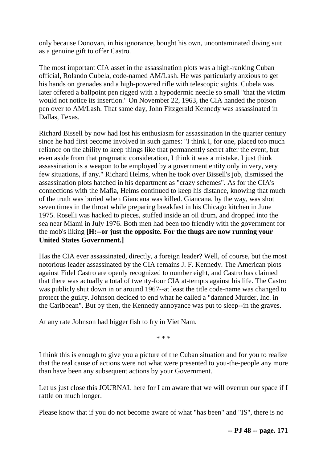only because Donovan, in his ignorance, bought his own, uncontaminated diving suit as a genuine gift to offer Castro.

The most important CIA asset in the assassination plots was a high-ranking Cuban official, Rolando Cubela, code-named AM/Lash. He was particularly anxious to get his hands on grenades and a high-powered rifle with telescopic sights. Cubela was later offered a ballpoint pen rigged with a hypodermic needle so small "that the victim would not notice its insertion." On November 22, 1963, the CIA handed the poison pen over to AM/Lash. That same day, John Fitzgerald Kennedy was assassinated in Dallas, Texas.

Richard Bissell by now had lost his enthusiasm for assassination in the quarter century since he had first become involved in such games: "I think I, for one, placed too much reliance on the ability to keep things like that permanently secret after the event, but even aside from that pragmatic consideration, I think it was a mistake. I just think assassination is a weapon to be employed by a government entity only in very, very few situations, if any." Richard Helms, when he took over Bissell's job, dismissed the assassination plots hatched in his department as "crazy schemes". As for the CIA's connections with the Mafia, Helms continued to keep his distance, knowing that much of the truth was buried when Giancana was killed. Giancana, by the way, was shot seven times in the throat while preparing breakfast in his Chicago kitchen in June 1975. Roselli was hacked to pieces, stuffed inside an oil drum, and dropped into the sea near Miami in July 1976. Both men had been too friendly with the government for the mob's liking **[H:--or just the opposite. For the thugs are now running your United States Government.]**

Has the CIA ever assassinated, directly, a foreign leader? Well, of course, but the most notorious leader assassinated by the CIA remains J. F. Kennedy. The American plots against Fidel Castro are openly recognized to number eight, and Castro has claimed that there was actually a total of twenty-four CIA at-tempts against his life. The Castro was publicly shut down in or around 1967--at least the title code-name was changed to protect the guilty. Johnson decided to end what he called a "damned Murder, Inc. in the Caribbean". But by then, the Kennedy annoyance was put to sleep--in the graves.

At any rate Johnson had bigger fish to fry in Viet Nam.

\* \* \*

I think this is enough to give you a picture of the Cuban situation and for you to realize that the real cause of actions were not what were presented to you-the-people any more than have been any subsequent actions by your Government.

Let us just close this JOURNAL here for I am aware that we will overrun our space if I rattle on much longer.

Please know that if you do not become aware of what "has been" and "IS", there is no